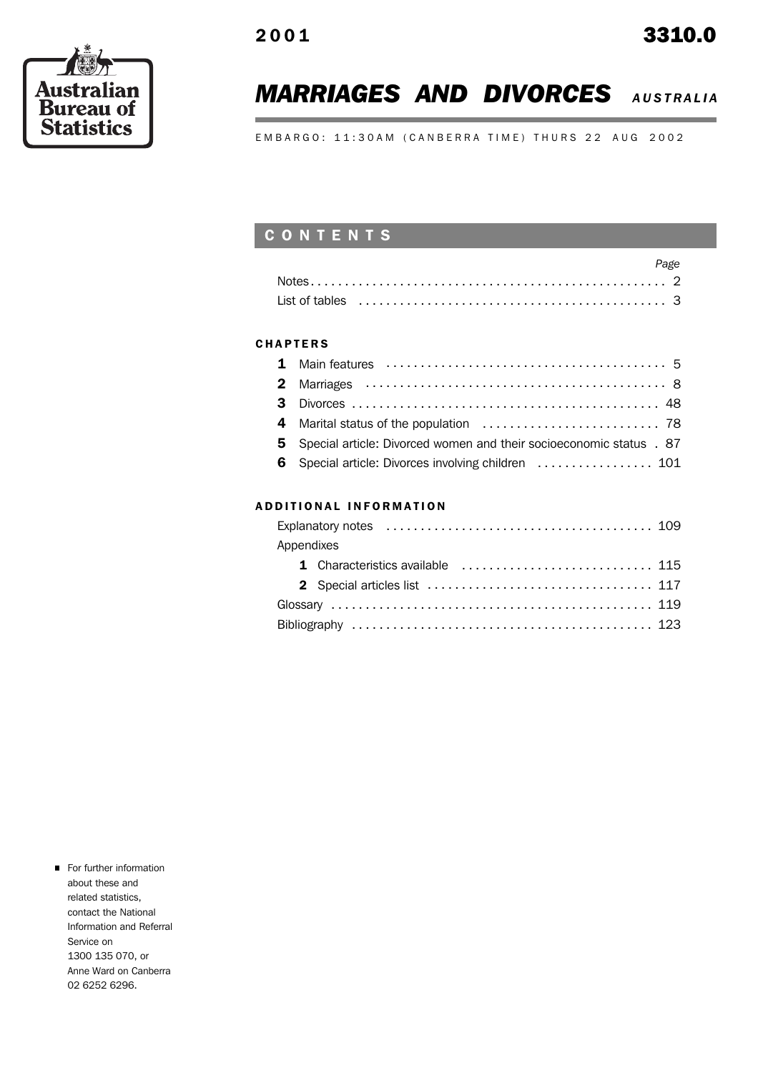# **MARRIAGES AND DIVORCES AUSTRALIA**

EMBARGO: 11:30AM (CANBERRA TIME) THURS 22 AUG 2002

### C O N T E N T S

| Page |  |
|------|--|
|      |  |
|      |  |

### **CHAPTERS**

| 5 Special article: Divorced women and their socioeconomic status . 87 |
|-----------------------------------------------------------------------|
| 6 Special article: Divorces involving children  101                   |
|                                                                       |

### A D D I T I O N A L I N F O R M A T I O N

| Appendixes                       |  |
|----------------------------------|--|
| 1 Characteristics available  115 |  |
|                                  |  |
|                                  |  |
|                                  |  |

**For further information** about these and related statistics, contact the National Information and Referral Service on 1300 135 070, or Anne Ward on Canberra 02 6252 6296.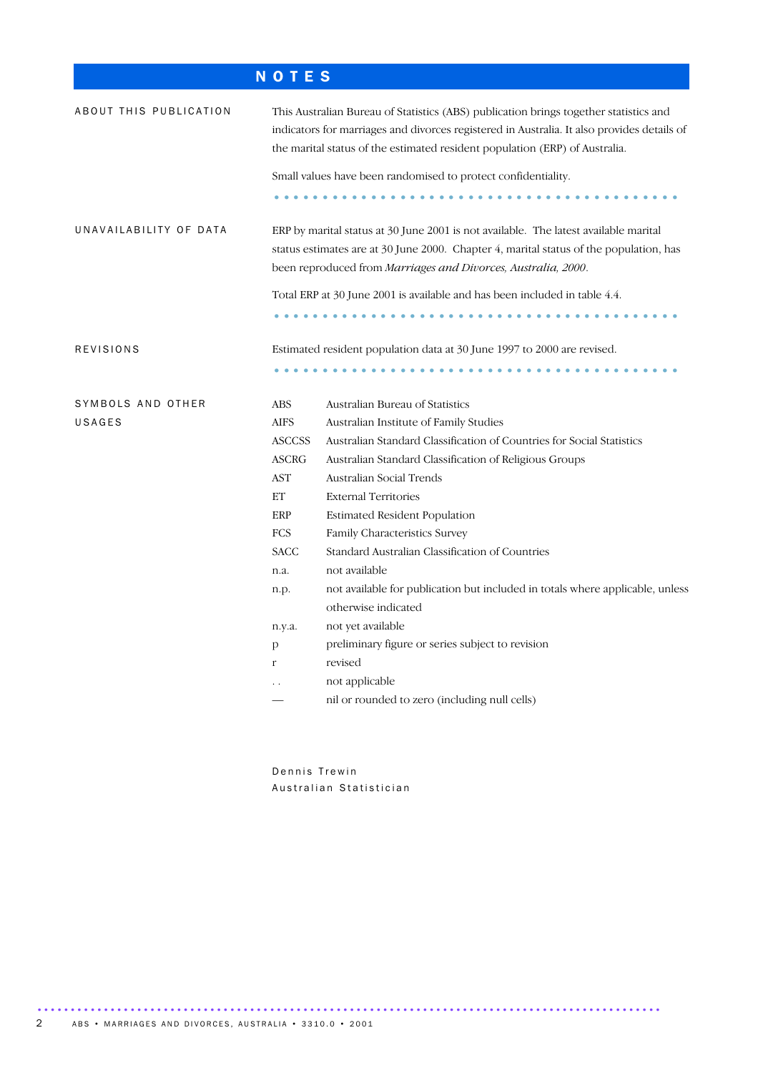# N O T E S

| ABOUT THIS PUBLICATION |               | This Australian Bureau of Statistics (ABS) publication brings together statistics and<br>indicators for marriages and divorces registered in Australia. It also provides details of<br>the marital status of the estimated resident population (ERP) of Australia. |
|------------------------|---------------|--------------------------------------------------------------------------------------------------------------------------------------------------------------------------------------------------------------------------------------------------------------------|
|                        |               | Small values have been randomised to protect confidentiality.                                                                                                                                                                                                      |
| UNAVAILABILITY OF DATA |               | ERP by marital status at 30 June 2001 is not available. The latest available marital<br>status estimates are at 30 June 2000. Chapter 4, marital status of the population, has<br>been reproduced from Marriages and Divorces, Australia, 2000.                    |
|                        |               | Total ERP at 30 June 2001 is available and has been included in table 4.4.                                                                                                                                                                                         |
|                        |               |                                                                                                                                                                                                                                                                    |
| REVISIONS              |               | Estimated resident population data at 30 June 1997 to 2000 are revised.                                                                                                                                                                                            |
| SYMBOLS AND OTHER      | <b>ABS</b>    | Australian Bureau of Statistics                                                                                                                                                                                                                                    |
| USAGES                 | <b>AIFS</b>   | Australian Institute of Family Studies                                                                                                                                                                                                                             |
|                        | <b>ASCCSS</b> | Australian Standard Classification of Countries for Social Statistics                                                                                                                                                                                              |
|                        | <b>ASCRG</b>  | Australian Standard Classification of Religious Groups                                                                                                                                                                                                             |
|                        | <b>AST</b>    | Australian Social Trends                                                                                                                                                                                                                                           |
|                        | ET            | <b>External Territories</b>                                                                                                                                                                                                                                        |
|                        | ERP           | <b>Estimated Resident Population</b>                                                                                                                                                                                                                               |
|                        | <b>FCS</b>    | Family Characteristics Survey                                                                                                                                                                                                                                      |
|                        | <b>SACC</b>   | Standard Australian Classification of Countries                                                                                                                                                                                                                    |
|                        | n.a.          | not available                                                                                                                                                                                                                                                      |
|                        | n.p.          | not available for publication but included in totals where applicable, unless                                                                                                                                                                                      |
|                        |               | otherwise indicated                                                                                                                                                                                                                                                |
|                        | n.y.a.        | not yet available                                                                                                                                                                                                                                                  |
|                        | p             | preliminary figure or series subject to revision                                                                                                                                                                                                                   |
|                        | $\mathbf{r}$  | revised                                                                                                                                                                                                                                                            |
|                        |               | not applicable                                                                                                                                                                                                                                                     |
|                        |               | nil or rounded to zero (including null cells)                                                                                                                                                                                                                      |

Dennis Trewin Australian Statistician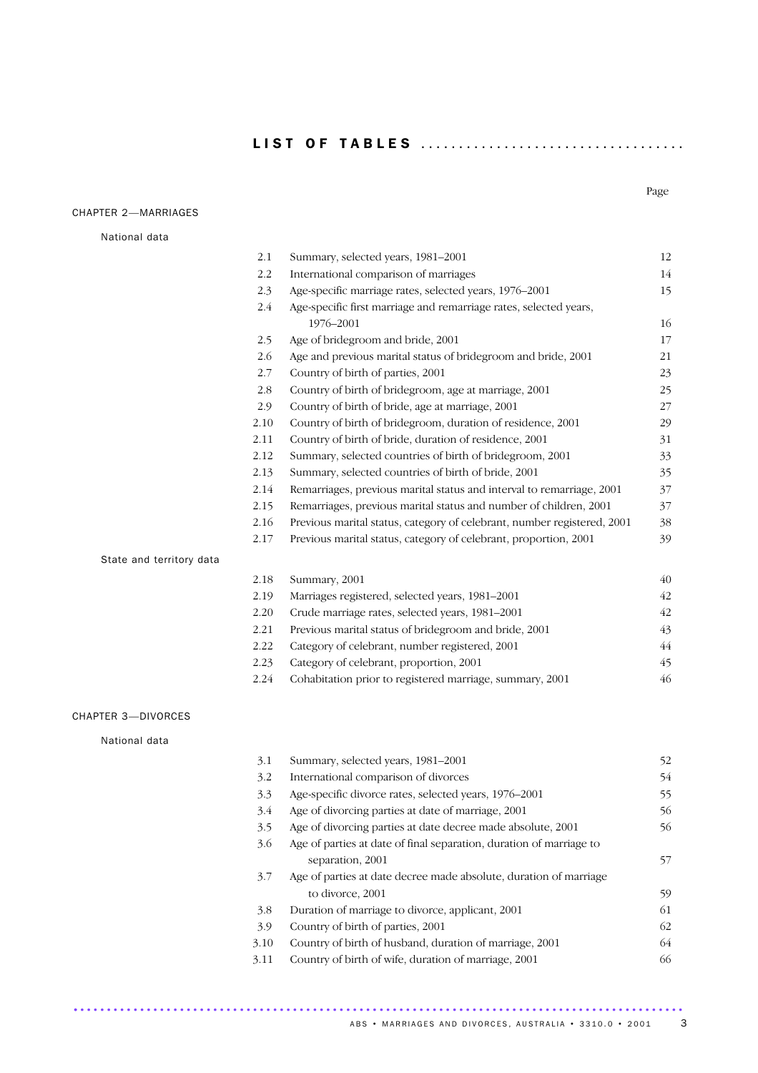L I S T O F T A B L E S . . . ..... . ..... . ..... . ..... . ..... . . .

### CHAPTER 2—MARRIAGES

Page

| National data            |      |                                                                         |    |
|--------------------------|------|-------------------------------------------------------------------------|----|
|                          | 2.1  | Summary, selected years, 1981-2001                                      | 12 |
|                          | 2.2  | International comparison of marriages                                   | 14 |
|                          | 2.3  | Age-specific marriage rates, selected years, 1976-2001                  | 15 |
|                          | 2.4  | Age-specific first marriage and remarriage rates, selected years,       |    |
|                          |      | 1976-2001                                                               | 16 |
|                          | 2.5  | Age of bridegroom and bride, 2001                                       | 17 |
|                          | 2.6  | Age and previous marital status of bridegroom and bride, 2001           | 21 |
|                          | 2.7  | Country of birth of parties, 2001                                       | 23 |
|                          | 2.8  | Country of birth of bridegroom, age at marriage, 2001                   | 25 |
|                          | 2.9  | Country of birth of bride, age at marriage, 2001                        | 27 |
|                          | 2.10 | Country of birth of bridegroom, duration of residence, 2001             | 29 |
|                          | 2.11 | Country of birth of bride, duration of residence, 2001                  | 31 |
|                          | 2.12 | Summary, selected countries of birth of bridegroom, 2001                | 33 |
|                          | 2.13 | Summary, selected countries of birth of bride, 2001                     | 35 |
|                          | 2.14 | Remarriages, previous marital status and interval to remarriage, 2001   | 37 |
|                          | 2.15 | Remarriages, previous marital status and number of children, 2001       | 37 |
|                          | 2.16 | Previous marital status, category of celebrant, number registered, 2001 | 38 |
|                          | 2.17 | Previous marital status, category of celebrant, proportion, 2001        | 39 |
| State and territory data |      |                                                                         |    |
|                          | 2.18 | Summary, 2001                                                           | 40 |
|                          | 2.19 | Marriages registered, selected years, 1981-2001                         | 42 |
|                          | 2.20 | Crude marriage rates, selected years, 1981-2001                         | 42 |
|                          | 2.21 | Previous marital status of bridegroom and bride, 2001                   | 43 |
|                          | 2.22 | Category of celebrant, number registered, 2001                          | 44 |
|                          | 2.23 | Category of celebrant, proportion, 2001                                 | 45 |
|                          | 2.24 | Cohabitation prior to registered marriage, summary, 2001                | 46 |
| CHAPTER 3-DIVORCES       |      |                                                                         |    |
| National data            |      |                                                                         |    |
|                          | 3.1  | Summary, selected years, 1981-2001                                      | 52 |
|                          | 3.2  | International comparison of divorces                                    | 54 |
|                          | 3.3  | Age-specific divorce rates, selected years, 1976-2001                   | 55 |

............................................................................................ .

| 3.3  | Age-specific divorce rates, selected years, 1976-2001               | 55 |
|------|---------------------------------------------------------------------|----|
| 3.4  | Age of divorcing parties at date of marriage, 2001                  | 56 |
| 3.5  | Age of divorcing parties at date decree made absolute, 2001         | 56 |
| 3.6  | Age of parties at date of final separation, duration of marriage to |    |
|      | separation, 2001                                                    | 57 |
| 3.7  | Age of parties at date decree made absolute, duration of marriage   |    |
|      | to divorce, 2001                                                    | 59 |
| 3.8  | Duration of marriage to divorce, applicant, 2001                    | 61 |
| 3.9  | Country of birth of parties, 2001                                   | 62 |
| 3.10 | Country of birth of husband, duration of marriage, 2001             | 64 |
| 3.11 | Country of birth of wife, duration of marriage, 2001                | 66 |

ABS • MARRIAGES AND DIVORCES, AUSTRALIA • 3310.0 • 2001 3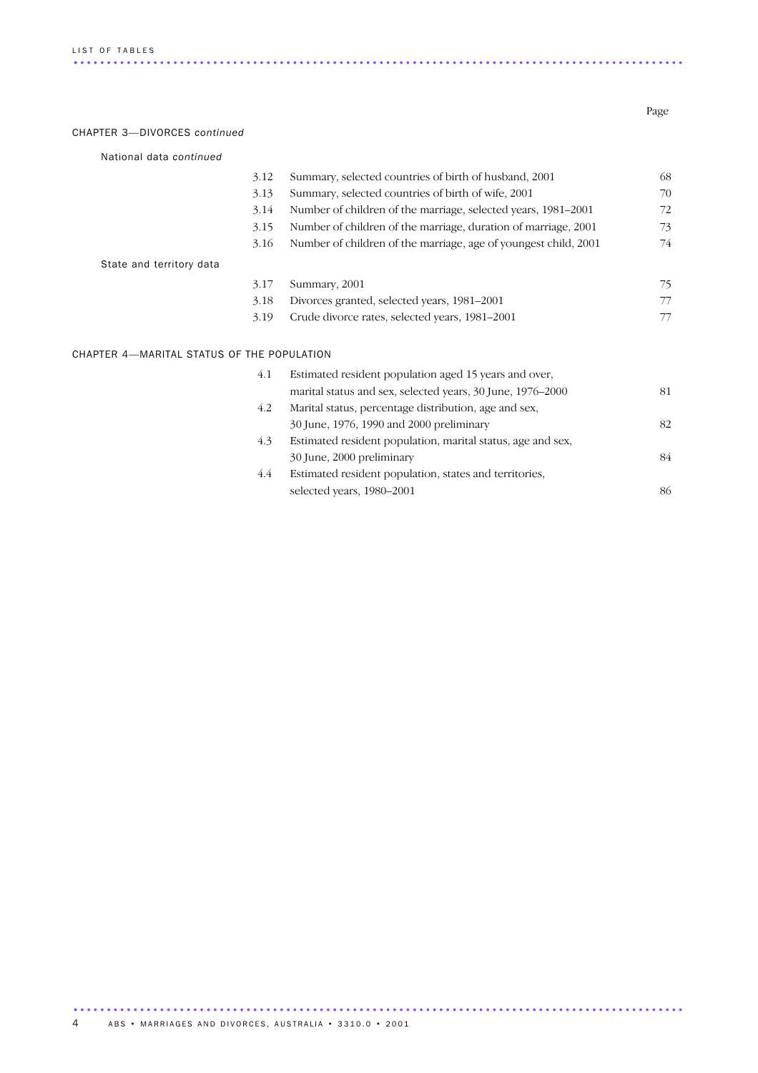### CHAPTER 3—DIVORCES *continued*

| 3.13 |                                                                 | 68                                         |
|------|-----------------------------------------------------------------|--------------------------------------------|
|      | Summary, selected countries of birth of wife, 2001              | 70                                         |
| 3.14 | Number of children of the marriage, selected years, 1981-2001   | 72                                         |
| 3.15 | Number of children of the marriage, duration of marriage, 2001  | 73                                         |
| 3.16 | Number of children of the marriage, age of youngest child, 2001 | 74                                         |
|      |                                                                 |                                            |
| 3.17 | Summary, 2001                                                   | 75                                         |
| 3.18 | Divorces granted, selected years, 1981–2001                     | 77                                         |
| 3.19 | Crude divorce rates, selected years, 1981–2001                  | 77                                         |
|      |                                                                 |                                            |
|      |                                                                 | CHAPTER 4-MARITAL STATUS OF THE POPULATION |

| 4.1 | Estimated resident population aged 15 years and over,       |    |
|-----|-------------------------------------------------------------|----|
|     | marital status and sex, selected years, 30 June, 1976–2000  | 81 |
| 4.2 | Marital status, percentage distribution, age and sex,       |    |
|     | 30 June, 1976, 1990 and 2000 preliminary                    | 82 |
| 4.3 | Estimated resident population, marital status, age and sex, |    |
|     | 30 June, 2000 preliminary                                   | 84 |
| 4.4 | Estimated resident population, states and territories,      |    |
|     | selected years, 1980–2001                                   | 86 |

Page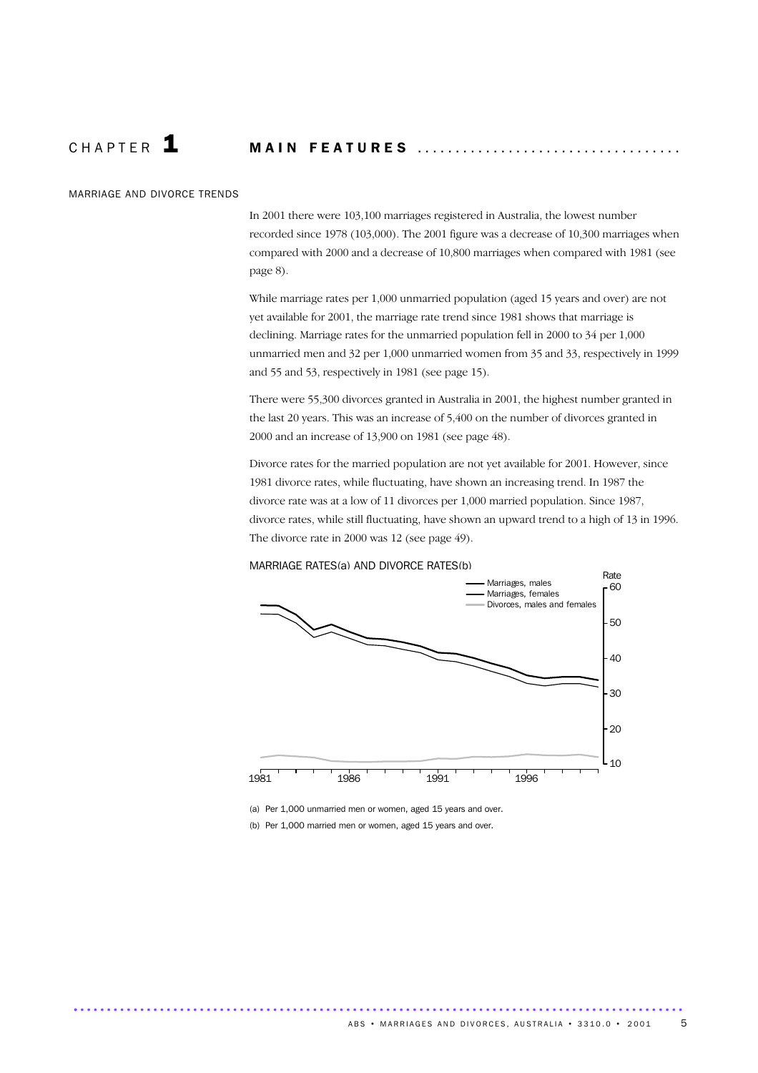### CHAPTER **1 MAIN FEATURES** .......................

### MARRIAGE AND DIVORCE TRENDS

In 2001 there were 103,100 marriages registered in Australia, the lowest number recorded since 1978 (103,000). The 2001 figure was a decrease of 10,300 marriages when compared with 2000 and a decrease of 10,800 marriages when compared with 1981 (see page 8).

While marriage rates per 1,000 unmarried population (aged 15 years and over) are not yet available for 2001, the marriage rate trend since 1981 shows that marriage is declining. Marriage rates for the unmarried population fell in 2000 to 34 per 1,000 unmarried men and 32 per 1,000 unmarried women from 35 and 33, respectively in 1999 and 55 and 53, respectively in 1981 (see page 15).

There were 55,300 divorces granted in Australia in 2001, the highest number granted in the last 20 years. This was an increase of 5,400 on the number of divorces granted in 2000 and an increase of 13,900 on 1981 (see page 48).

Divorce rates for the married population are not yet available for 2001. However, since 1981 divorce rates, while fluctuating, have shown an increasing trend. In 1987 the divorce rate was at a low of 11 divorces per 1,000 married population. Since 1987, divorce rates, while still fluctuating, have shown an upward trend to a high of 13 in 1996. The divorce rate in 2000 was 12 (see page 49).



MARRIAGE RATES(a) AND DIVORCE RATES(b)

(a) Per 1,000 unmarried men or women, aged 15 years and over.

............................................................................................ .

(b) Per 1,000 married men or women, aged 15 years and over.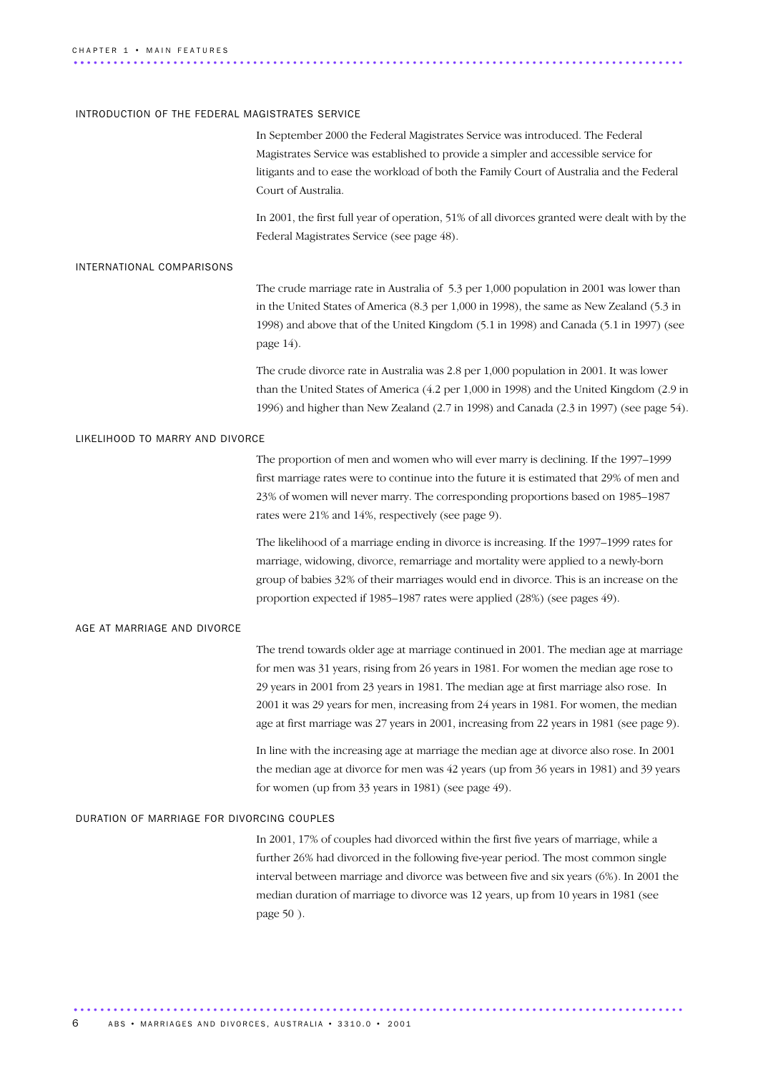### INTRODUCTION OF THE FEDERAL MAGISTRATES SERVICE

In September 2000 the Federal Magistrates Service was introduced. The Federal Magistrates Service was established to provide a simpler and accessible service for litigants and to ease the workload of both the Family Court of Australia and the Federal Court of Australia.

In 2001, the first full year of operation, 51% of all divorces granted were dealt with by the Federal Magistrates Service (see page 48).

### INTERNATIONAL COMPARISONS

The crude marriage rate in Australia of 5.3 per 1,000 population in 2001 was lower than in the United States of America (8.3 per 1,000 in 1998), the same as New Zealand (5.3 in 1998) and above that of the United Kingdom (5.1 in 1998) and Canada (5.1 in 1997) (see page 14).

The crude divorce rate in Australia was 2.8 per 1,000 population in 2001. It was lower than the United States of America (4.2 per 1,000 in 1998) and the United Kingdom (2.9 in 1996) and higher than New Zealand (2.7 in 1998) and Canada (2.3 in 1997) (see page 54).

### LIKELIHOOD TO MARRY AND DIVORCE

The proportion of men and women who will ever marry is declining. If the 1997–1999 first marriage rates were to continue into the future it is estimated that 29% of men and 23% of women will never marry. The corresponding proportions based on 1985–1987 rates were 21% and 14%, respectively (see page 9).

The likelihood of a marriage ending in divorce is increasing. If the 1997–1999 rates for marriage, widowing, divorce, remarriage and mortality were applied to a newly-born group of babies 32% of their marriages would end in divorce. This is an increase on the proportion expected if 1985–1987 rates were applied (28%) (see pages 49).

### AGE AT MARRIAGE AND DIVORCE

The trend towards older age at marriage continued in 2001. The median age at marriage for men was 31 years, rising from 26 years in 1981. For women the median age rose to 29 years in 2001 from 23 years in 1981. The median age at first marriage also rose. In 2001 it was 29 years for men, increasing from 24 years in 1981. For women, the median age at first marriage was 27 years in 2001, increasing from 22 years in 1981 (see page 9).

In line with the increasing age at marriage the median age at divorce also rose. In 2001 the median age at divorce for men was 42 years (up from 36 years in 1981) and 39 years for women (up from 33 years in 1981) (see page 49).

### DURATION OF MARRIAGE FOR DIVORCING COUPLES

In 2001, 17% of couples had divorced within the first five years of marriage, while a further 26% had divorced in the following five-year period. The most common single interval between marriage and divorce was between five and six years (6%). In 2001 the median duration of marriage to divorce was 12 years, up from 10 years in 1981 (see page 50 ).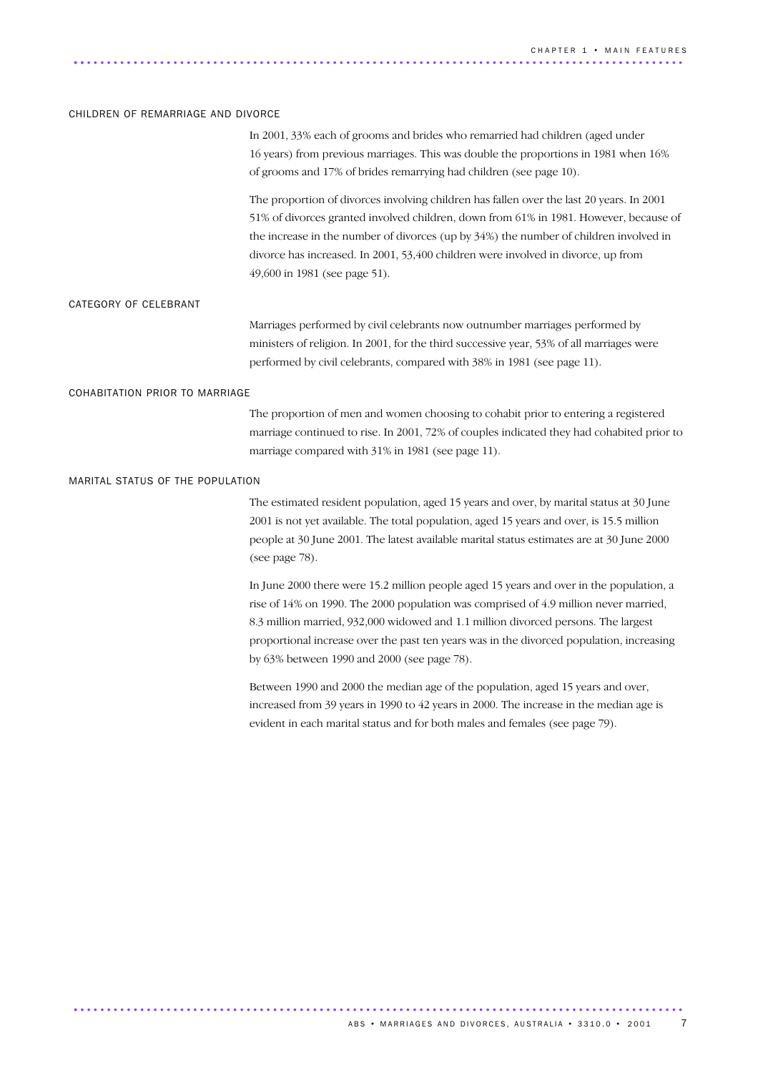### CHILDREN OF REMARRIAGE AND DIVORCE

In 2001, 33% each of grooms and brides who remarried had children (aged under 16 years) from previous marriages. This was double the proportions in 1981 when 16% of grooms and 17% of brides remarrying had children (see page 10).

The proportion of divorces involving children has fallen over the last 20 years. In 2001 51% of divorces granted involved children, down from 61% in 1981. However, because of the increase in the number of divorces (up by 34%) the number of children involved in divorce has increased. In 2001, 53,400 children were involved in divorce, up from 49,600 in 1981 (see page 51).

#### CATEGORY OF CELEBRANT

Marriages performed by civil celebrants now outnumber marriages performed by ministers of religion. In 2001, for the third successive year, 53% of all marriages were performed by civil celebrants, compared with 38% in 1981 (see page 11).

#### COHABITATION PRIOR TO MARRIAGE

The proportion of men and women choosing to cohabit prior to entering a registered marriage continued to rise. In 2001, 72% of couples indicated they had cohabited prior to marriage compared with 31% in 1981 (see page 11).

### MARITAL STATUS OF THE POPULATION

The estimated resident population, aged 15 years and over, by marital status at 30 June 2001 is not yet available. The total population, aged 15 years and over, is 15.5 million people at 30 June 2001. The latest available marital status estimates are at 30 June 2000 (see page 78).

In June 2000 there were 15.2 million people aged 15 years and over in the population, a rise of 14% on 1990. The 2000 population was comprised of 4.9 million never married, 8.3 million married, 932,000 widowed and 1.1 million divorced persons. The largest proportional increase over the past ten years was in the divorced population, increasing by 63% between 1990 and 2000 (see page 78).

Between 1990 and 2000 the median age of the population, aged 15 years and over, increased from 39 years in 1990 to 42 years in 2000. The increase in the median age is evident in each marital status and for both males and females (see page 79).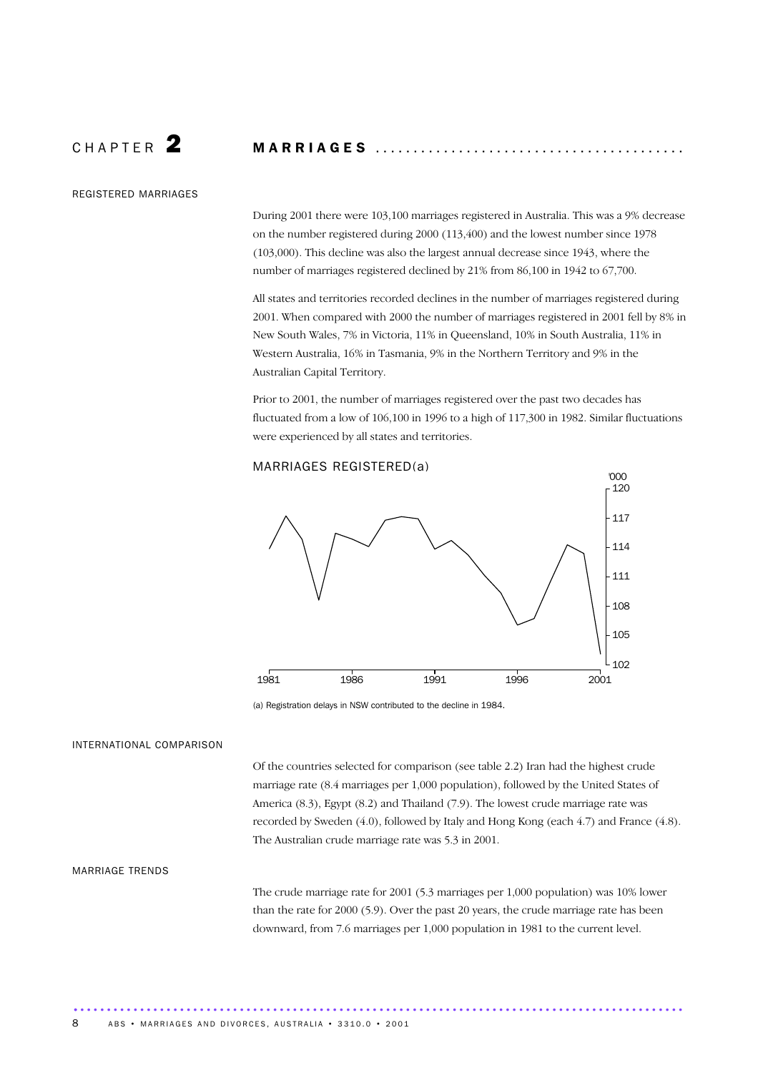## C H A P T E R 2 M A R R I A G E S .........................................

### REGISTERED MARRIAGES

During 2001 there were 103,100 marriages registered in Australia. This was a 9% decrease on the number registered during 2000 (113,400) and the lowest number since 1978 (103,000). This decline was also the largest annual decrease since 1943, where the number of marriages registered declined by 21% from 86,100 in 1942 to 67,700.

All states and territories recorded declines in the number of marriages registered during 2001. When compared with 2000 the number of marriages registered in 2001 fell by 8% in New South Wales, 7% in Victoria, 11% in Queensland, 10% in South Australia, 11% in Western Australia, 16% in Tasmania, 9% in the Northern Territory and 9% in the Australian Capital Territory.

Prior to 2001, the number of marriages registered over the past two decades has fluctuated from a low of 106,100 in 1996 to a high of 117,300 in 1982. Similar fluctuations were experienced by all states and territories.

### MARRIAGES REGISTERED(a)



<sup>(</sup>a) Registration delays in NSW contributed to the decline in 1984.

............................................................................................ .

### INTERNATIONAL COMPARISON

Of the countries selected for comparison (see table 2.2) Iran had the highest crude marriage rate (8.4 marriages per 1,000 population), followed by the United States of America (8.3), Egypt (8.2) and Thailand (7.9). The lowest crude marriage rate was recorded by Sweden (4.0), followed by Italy and Hong Kong (each 4.7) and France (4.8). The Australian crude marriage rate was 5.3 in 2001.

### MARRIAGE TRENDS

The crude marriage rate for 2001 (5.3 marriages per 1,000 population) was 10% lower than the rate for 2000 (5.9). Over the past 20 years, the crude marriage rate has been downward, from 7.6 marriages per 1,000 population in 1981 to the current level.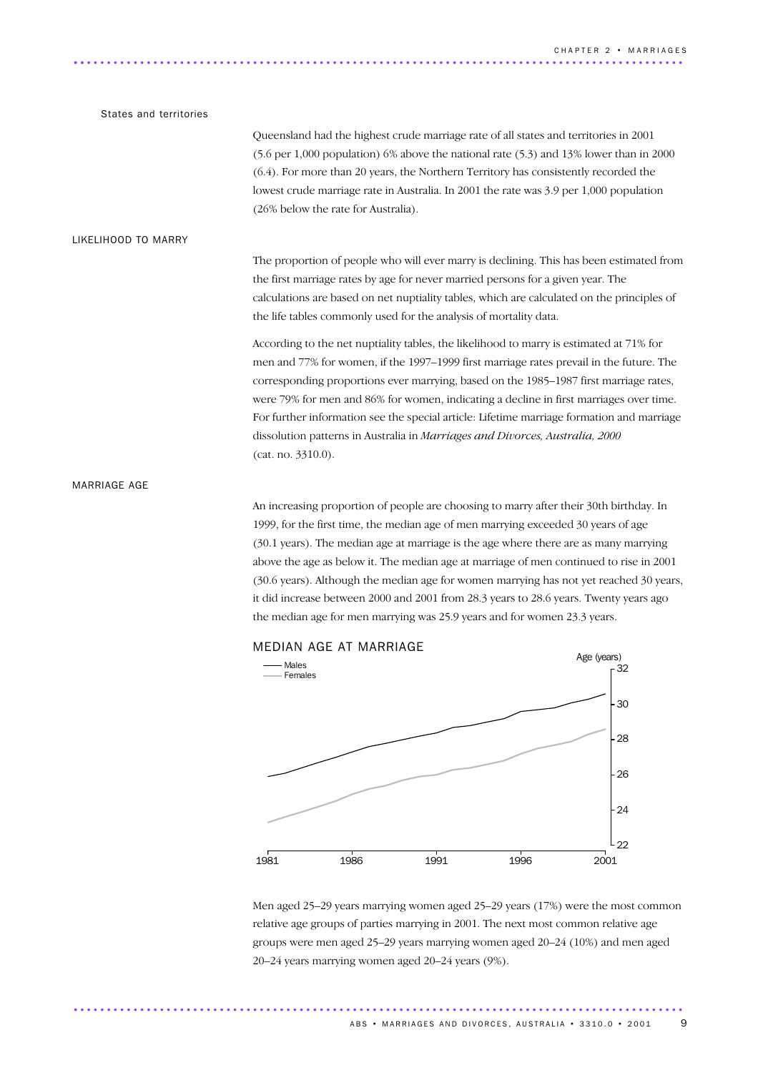### States and territories

Queensland had the highest crude marriage rate of all states and territories in 2001 (5.6 per 1,000 population) 6% above the national rate (5.3) and 13% lower than in 2000 (6.4). For more than 20 years, the Northern Territory has consistently recorded the lowest crude marriage rate in Australia. In 2001 the rate was 3.9 per 1,000 population (26% below the rate for Australia).

### LIKELIHOOD TO MARRY

The proportion of people who will ever marry is declining. This has been estimated from the first marriage rates by age for never married persons for a given year. The calculations are based on net nuptiality tables, which are calculated on the principles of the life tables commonly used for the analysis of mortality data.

According to the net nuptiality tables, the likelihood to marry is estimated at 71% for men and 77% for women, if the 1997–1999 first marriage rates prevail in the future. The corresponding proportions ever marrying, based on the 1985–1987 first marriage rates, were 79% for men and 86% for women, indicating a decline in first marriages over time. For further information see the special article: Lifetime marriage formation and marriage dissolution patterns in Australia in *Marriages and Divorces, Australia, 2000* (cat. no. 3310.0).

### MARRIAGE AGE

An increasing proportion of people are choosing to marry after their 30th birthday. In 1999, for the first time, the median age of men marrying exceeded 30 years of age (30.1 years). The median age at marriage is the age where there are as many marrying above the age as below it. The median age at marriage of men continued to rise in 2001 (30.6 years). Although the median age for women marrying has not yet reached 30 years, it did increase between 2000 and 2001 from 28.3 years to 28.6 years. Twenty years ago the median age for men marrying was 25.9 years and for women 23.3 years.



Men aged 25–29 years marrying women aged 25–29 years (17%) were the most common relative age groups of parties marrying in 2001. The next most common relative age groups were men aged 25–29 years marrying women aged 20–24 (10%) and men aged 20–24 years marrying women aged 20–24 years (9%).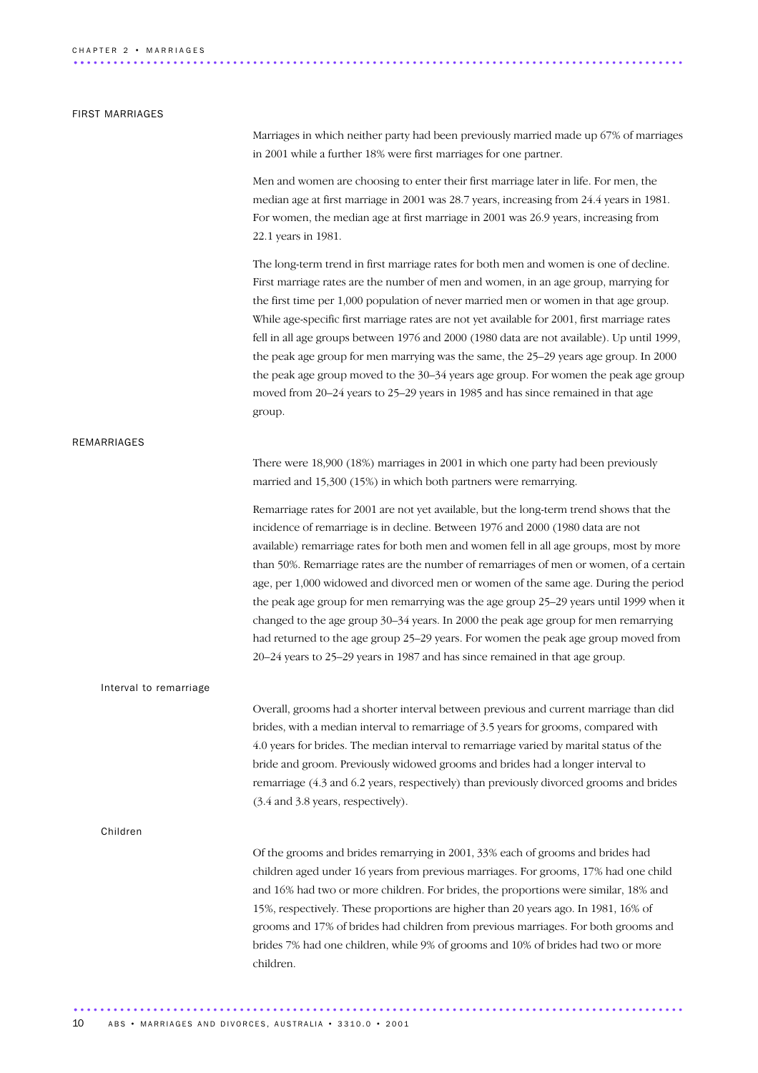### FIRST MARRIAGES

Marriages in which neither party had been previously married made up 67% of marriages in 2001 while a further 18% were first marriages for one partner.

Men and women are choosing to enter their first marriage later in life. For men, the median age at first marriage in 2001 was 28.7 years, increasing from 24.4 years in 1981. For women, the median age at first marriage in 2001 was 26.9 years, increasing from 22.1 years in 1981.

The long-term trend in first marriage rates for both men and women is one of decline. First marriage rates are the number of men and women, in an age group, marrying for the first time per 1,000 population of never married men or women in that age group. While age-specific first marriage rates are not yet available for 2001, first marriage rates fell in all age groups between 1976 and 2000 (1980 data are not available). Up until 1999, the peak age group for men marrying was the same, the 25–29 years age group. In 2000 the peak age group moved to the 30–34 years age group. For women the peak age group moved from 20–24 years to 25–29 years in 1985 and has since remained in that age group.

### REMARRIAGES

There were 18,900 (18%) marriages in 2001 in which one party had been previously married and 15,300 (15%) in which both partners were remarrying.

Remarriage rates for 2001 are not yet available, but the long-term trend shows that the incidence of remarriage is in decline. Between 1976 and 2000 (1980 data are not available) remarriage rates for both men and women fell in all age groups, most by more than 50%. Remarriage rates are the number of remarriages of men or women, of a certain age, per 1,000 widowed and divorced men or women of the same age. During the period the peak age group for men remarrying was the age group 25–29 years until 1999 when it changed to the age group 30–34 years. In 2000 the peak age group for men remarrying had returned to the age group 25–29 years. For women the peak age group moved from 20–24 years to 25–29 years in 1987 and has since remained in that age group.

#### Interval to remarriage

Overall, grooms had a shorter interval between previous and current marriage than did brides, with a median interval to remarriage of 3.5 years for grooms, compared with 4.0 years for brides. The median interval to remarriage varied by marital status of the bride and groom. Previously widowed grooms and brides had a longer interval to remarriage (4.3 and 6.2 years, respectively) than previously divorced grooms and brides (3.4 and 3.8 years, respectively).

### Children

Of the grooms and brides remarrying in 2001, 33% each of grooms and brides had children aged under 16 years from previous marriages. For grooms, 17% had one child and 16% had two or more children. For brides, the proportions were similar, 18% and 15%, respectively. These proportions are higher than 20 years ago. In 1981, 16% of grooms and 17% of brides had children from previous marriages. For both grooms and brides 7% had one children, while 9% of grooms and 10% of brides had two or more children.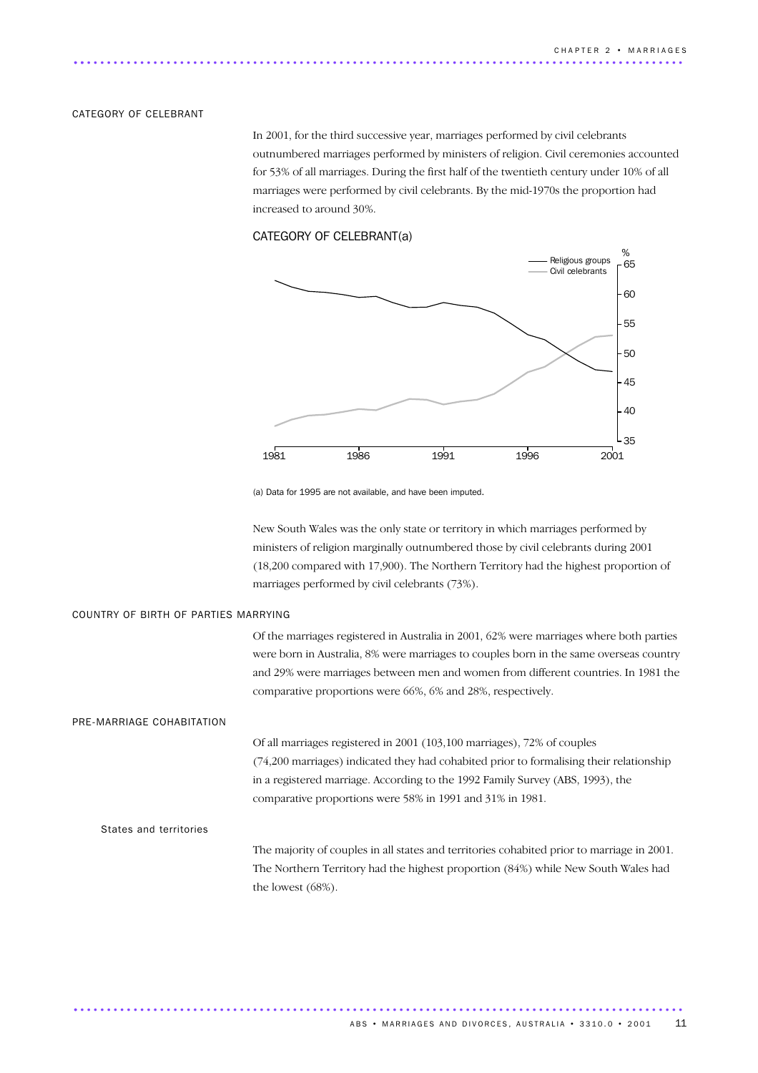### CATEGORY OF CELEBRANT

In 2001, for the third successive year, marriages performed by civil celebrants outnumbered marriages performed by ministers of religion. Civil ceremonies accounted for 53% of all marriages. During the first half of the twentieth century under 10% of all marriages were performed by civil celebrants. By the mid-1970s the proportion had increased to around 30%.

### CATEGORY OF CELEBRANT(a)



(a) Data for 1995 are not available, and have been imputed.

............................................................................................ .

New South Wales was the only state or territory in which marriages performed by ministers of religion marginally outnumbered those by civil celebrants during 2001 (18,200 compared with 17,900). The Northern Territory had the highest proportion of marriages performed by civil celebrants (73%).

### COUNTRY OF BIRTH OF PARTIES MARRYING

Of the marriages registered in Australia in 2001, 62% were marriages where both parties were born in Australia, 8% were marriages to couples born in the same overseas country and 29% were marriages between men and women from different countries. In 1981 the comparative proportions were 66%, 6% and 28%, respectively.

### PRE-MARRIAGE COHABITATION

Of all marriages registered in 2001 (103,100 marriages), 72% of couples (74,200 marriages) indicated they had cohabited prior to formalising their relationship in a registered marriage. According to the 1992 Family Survey (ABS, 1993), the comparative proportions were 58% in 1991 and 31% in 1981.

### States and territories

The majority of couples in all states and territories cohabited prior to marriage in 2001. The Northern Territory had the highest proportion (84%) while New South Wales had the lowest (68%).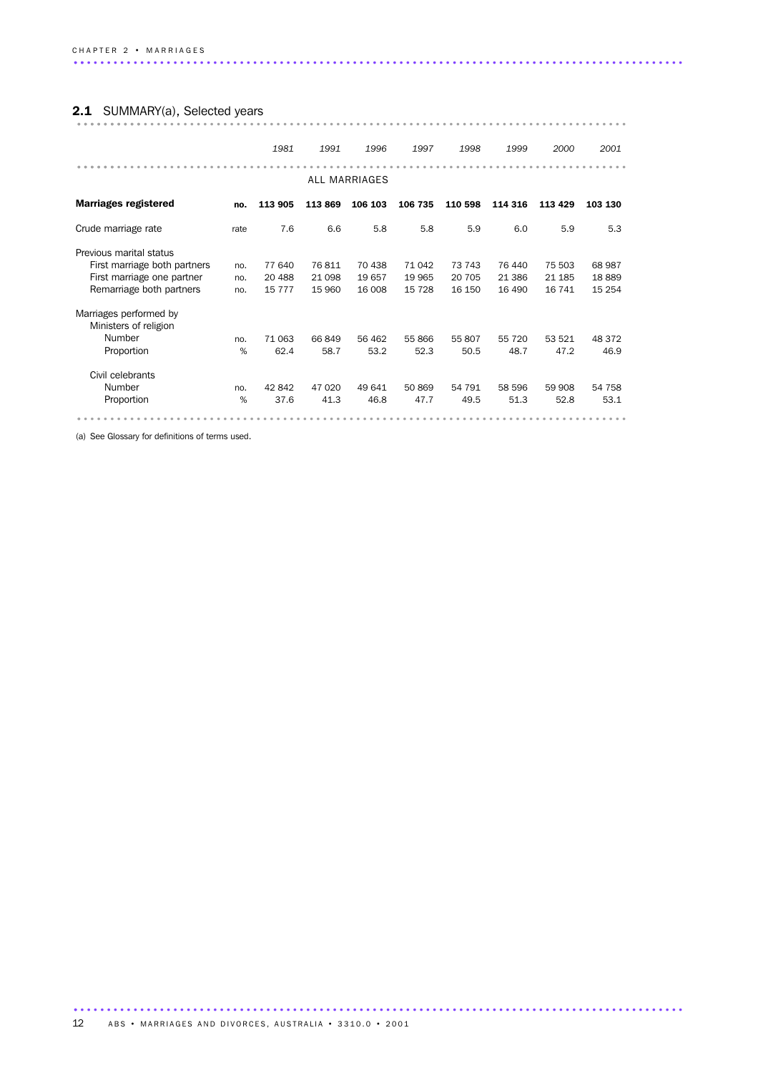# 2.1 SUMMARY(a), Selected years ................................................................................... ..........

|                                                 |      | 1981     | 1991    | 1996          | 1997    | 1998    | 1999    | 2000    | 2001     |
|-------------------------------------------------|------|----------|---------|---------------|---------|---------|---------|---------|----------|
|                                                 |      |          |         | ALL MARRIAGES |         |         |         |         |          |
| <b>Marriages registered</b>                     | no.  | 113 905  | 113869  | 106 103       | 106 735 | 110 598 | 114 316 | 113 429 | 103 130  |
| Crude marriage rate                             | rate | 7.6      | 6.6     | 5.8           | 5.8     | 5.9     | 6.0     | 5.9     | 5.3      |
| Previous marital status                         |      |          |         |               |         |         |         |         |          |
| First marriage both partners                    | no.  | 77 640   | 76811   | 70 438        | 71 042  | 73 743  | 76 440  | 75 503  | 68 987   |
| First marriage one partner                      | no.  | 20 488   | 21 098  | 19657         | 19 965  | 20 705  | 21 386  | 21 185  | 18889    |
| Remarriage both partners                        | no.  | 15 7 7 7 | 15 960  | 16 008        | 15 7 28 | 16 150  | 16 490  | 16 741  | 15 2 5 4 |
| Marriages performed by<br>Ministers of religion |      |          |         |               |         |         |         |         |          |
| Number                                          | no.  | 71 063   | 66849   | 56 462        | 55 866  | 55 807  | 55 720  | 53 521  | 48 372   |
| Proportion                                      | %    | 62.4     | 58.7    | 53.2          | 52.3    | 50.5    | 48.7    | 47.2    | 46.9     |
| Civil celebrants                                |      |          |         |               |         |         |         |         |          |
| Number                                          | no.  | 42842    | 47 0 20 | 49 641        | 50869   | 54 791  | 58 596  | 59 908  | 54 758   |
| Proportion                                      | %    | 37.6     | 41.3    | 46.8          | 47.7    | 49.5    | 51.3    | 52.8    | 53.1     |
|                                                 |      |          |         |               |         |         |         |         |          |

(a) See Glossary for definitions of terms used.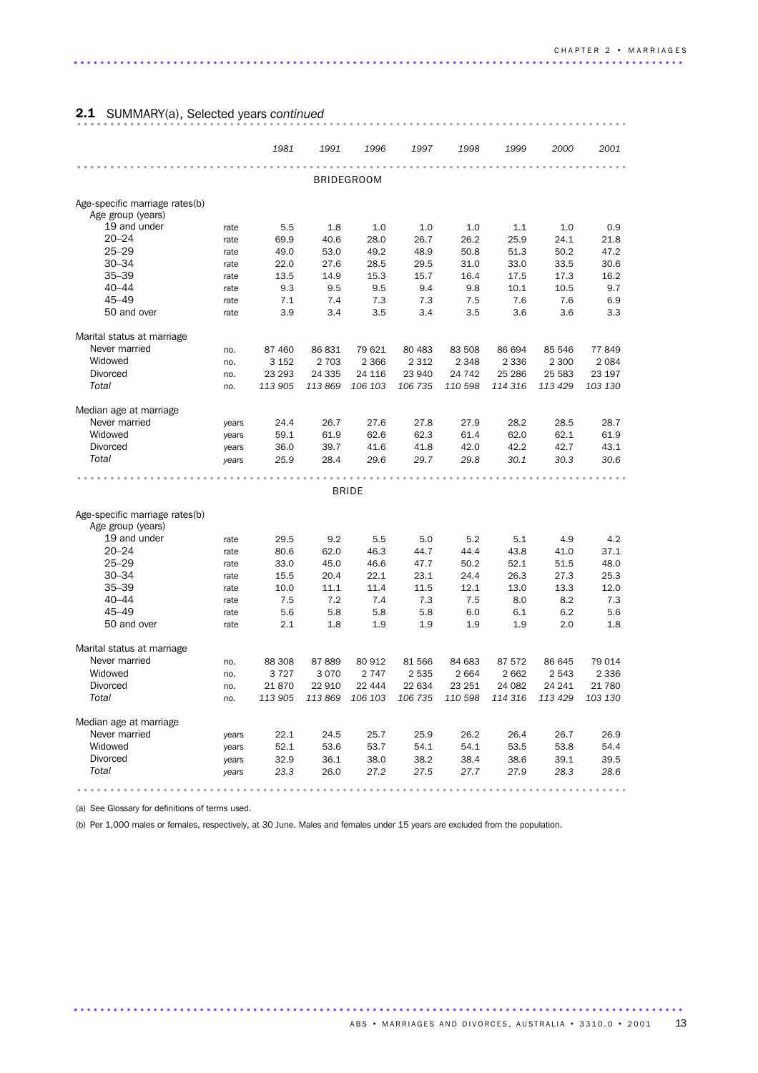# 2.1 SUMMARY(a), Selected years *continued* ................................................................................... ..........

|                                                     |              | 1981        | 1991        | 1996              | 1997        | 1998       | 1999        | 2000        | 2001        |
|-----------------------------------------------------|--------------|-------------|-------------|-------------------|-------------|------------|-------------|-------------|-------------|
|                                                     |              |             |             |                   |             |            |             |             |             |
|                                                     |              |             |             | <b>BRIDEGROOM</b> |             |            |             |             |             |
| Age-specific marriage rates(b)<br>Age group (years) |              |             |             |                   |             |            |             |             |             |
| 19 and under                                        | rate         | 5.5         | 1.8         | 1.0               | 1.0         | 1.0        | 1.1         | 1.0         | 0.9         |
| $20 - 24$                                           | rate         | 69.9        | 40.6        | 28.0              | 26.7        | 26.2       | 25.9        | 24.1        | 21.8        |
| $25 - 29$                                           | rate         | 49.0        | 53.0        | 49.2              | 48.9        | 50.8       | 51.3        | 50.2        | 47.2        |
| $30 - 34$                                           | rate         | 22.0        | 27.6        | 28.5              | 29.5        | 31.0       | 33.0        | 33.5        | 30.6        |
| $35 - 39$                                           | rate         | 13.5        | 14.9        | 15.3              | 15.7        | 16.4       | 17.5        | 17.3        | 16.2        |
| $40 - 44$                                           | rate         | 9.3         | 9.5         | 9.5               | 9.4         | 9.8        | 10.1        | 10.5        | 9.7         |
| $45 - 49$                                           | rate         | 7.1         | 7.4         | 7.3               | 7.3         | 7.5        | 7.6         | 7.6         | 6.9         |
| 50 and over                                         | rate         | 3.9         | 3.4         | 3.5               | 3.4         | 3.5        | 3.6         | 3.6         | 3.3         |
| Marital status at marriage                          |              |             |             |                   |             |            |             |             |             |
| Never married                                       | no.          | 87 460      | 86 831      | 79 621            | 80 4 83     | 83 508     | 86 694      | 85 546      | 77849       |
| Widowed                                             | no.          | 3 1 5 2     | 2 7 0 3     | 2 3 6 6           | 2 3 1 2     | 2 3 4 8    | 2 3 3 6     | 2 3 0 0     | 2 0 8 4     |
| Divorced                                            | no.          | 23 293      | 24 3 35     | 24 116            | 23 940      | 24 742     | 25 286      | 25 583      | 23 197      |
| Total                                               | no.          | 113 905     | 113 869     | 106 103           | 106 735     | 110 598    | 114 316     | 113 429     | 103 130     |
| Median age at marriage                              |              |             |             |                   |             |            |             |             |             |
| Never married                                       | years        | 24.4        | 26.7        | 27.6              | 27.8        | 27.9       | 28.2        | 28.5        | 28.7        |
| Widowed                                             | years        | 59.1        | 61.9        | 62.6              | 62.3        | 61.4       | 62.0        | 62.1        | 61.9        |
| <b>Divorced</b>                                     | years        | 36.0        | 39.7        | 41.6              | 41.8        | 42.0       | 42.2        | 42.7        | 43.1        |
| Total                                               | years        | 25.9        | 28.4        | 29.6              | 29.7        | 29.8       | 30.1        | 30.3        | 30.6        |
|                                                     |              |             |             |                   |             |            |             |             |             |
|                                                     |              |             |             | <b>BRIDE</b>      |             |            |             |             |             |
| Age-specific marriage rates(b)                      |              |             |             |                   |             |            |             |             |             |
| Age group (years)                                   |              |             |             |                   |             |            |             |             |             |
| 19 and under                                        | rate         | 29.5        | 9.2         | 5.5               | 5.0         | 5.2        | 5.1         | 4.9         | 4.2         |
| $20 - 24$                                           | rate         | 80.6        | 62.0        | 46.3              | 44.7        | 44.4       | 43.8        | 41.0        | 37.1        |
| $25 - 29$                                           | rate         | 33.0        | 45.0        | 46.6              | 47.7        | 50.2       | 52.1        | 51.5        | 48.0        |
| $30 - 34$                                           | rate         | 15.5        | 20.4        | 22.1              | 23.1        | 24.4       | 26.3        | 27.3        | 25.3        |
| $35 - 39$<br>$40 - 44$                              | rate         | 10.0<br>7.5 | 11.1<br>7.2 | 11.4<br>7.4       | 11.5<br>7.3 | 12.1       | 13.0<br>8.0 | 13.3<br>8.2 | 12.0<br>7.3 |
| $45 - 49$                                           | rate         | 5.6         | 5.8         | 5.8               | 5.8         | 7.5<br>6.0 |             | 6.2         | 5.6         |
| 50 and over                                         | rate<br>rate | 2.1         | 1.8         | 1.9               | 1.9         | 1.9        | 6.1<br>1.9  | 2.0         | 1.8         |
| Marital status at marriage                          |              |             |             |                   |             |            |             |             |             |
| Never married                                       | no.          | 88 30 8     | 87889       | 80 912            | 81 566      | 84 683     | 87 572      | 86 645      | 79 014      |
| Widowed                                             | no.          | 3727        | 3 0 7 0     | 2 7 4 7           | 2 5 3 5     | 2 6 6 4    | 2662        | 2 5 4 3     | 2 3 3 6     |
| Divorced                                            | no.          | 21870       | 22 910      | 22 444            | 22 634      | 23 251     | 24 082      | 24 241      | 21 780      |
| Total                                               | no.          | 113 905     | 113 869     | 106 103           | 106 735     | 110 598    | 114 316     | 113 429     | 103 130     |
| Median age at marriage                              |              |             |             |                   |             |            |             |             |             |
| Never married                                       | years        | 22.1        | 24.5        | 25.7              | 25.9        | 26.2       | 26.4        | 26.7        | 26.9        |
| Widowed                                             | years        | 52.1        | 53.6        | 53.7              | 54.1        | 54.1       | 53.5        | 53.8        | 54.4        |
| <b>Divorced</b>                                     | years        | 32.9        | 36.1        | 38.0              | 38.2        | 38.4       | 38.6        | 39.1        | 39.5        |
| Total                                               | years        | 23.3        | 26.0        | 27.2              | 27.5        | 27.7       | 27.9        | 28.3        | 28.6        |
|                                                     |              |             |             |                   |             |            |             |             |             |
|                                                     |              |             |             |                   |             |            |             |             |             |

(a) See Glossary for definitions of terms used.

(b) Per 1,000 males or females, respectively, at 30 June. Males and females under 15 years are excluded from the population.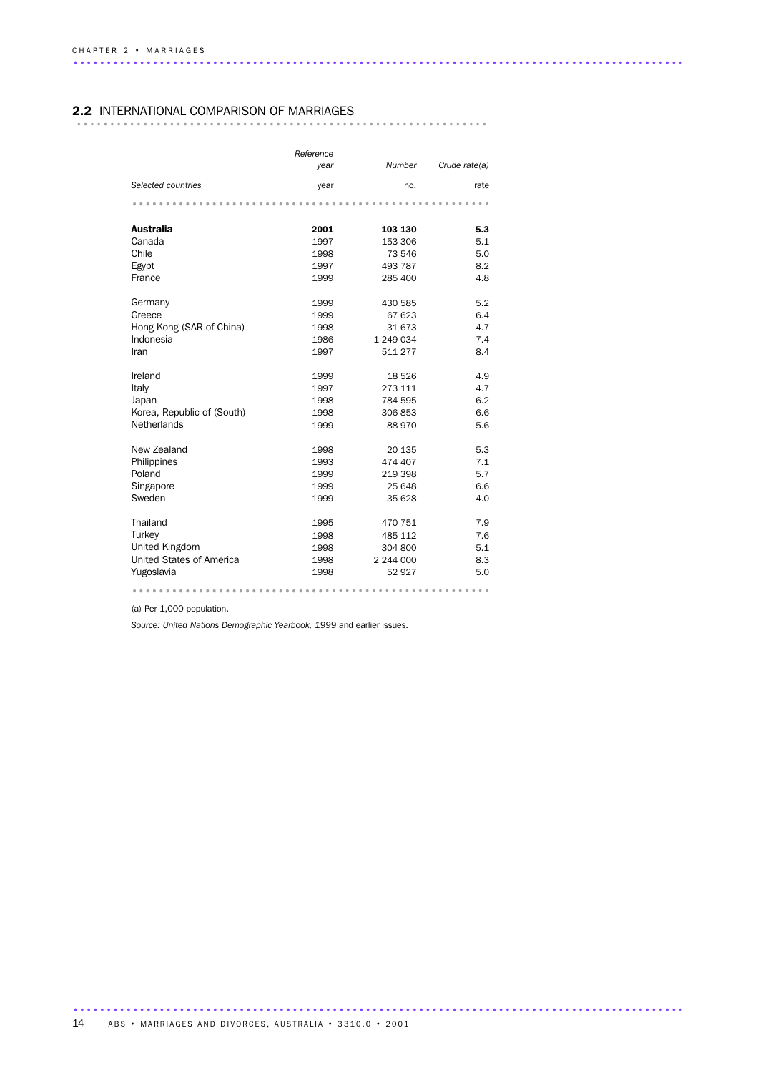### 2.2 INTERNATIONAL COMPARISON OF MARRIAGES

|--|--|--|--|--|--|

|                            | Reference |           |               |
|----------------------------|-----------|-----------|---------------|
|                            | year      | Number    | Crude rate(a) |
| Selected countries         | year      | no.       | rate          |
|                            |           |           |               |
| <b>Australia</b>           | 2001      | 103 130   | 5.3           |
| Canada                     | 1997      | 153 306   | 5.1           |
| Chile                      | 1998      | 73 546    | 5.0           |
| Egypt                      | 1997      | 493 787   | 8.2           |
| France                     | 1999      | 285 400   | 4.8           |
| Germany                    | 1999      | 430 585   | 5.2           |
| Greece                     | 1999      | 67 623    | 6.4           |
| Hong Kong (SAR of China)   | 1998      | 31 673    | 4.7           |
| Indonesia                  | 1986      | 1 249 034 | 7.4           |
| Iran                       | 1997      | 511 277   | 8.4           |
| Ireland                    | 1999      | 18 5 26   | 4.9           |
| Italy                      | 1997      | 273 111   | 4.7           |
| Japan                      | 1998      | 784 595   | 6.2           |
| Korea, Republic of (South) | 1998      | 306853    | 6.6           |
| Netherlands                | 1999      | 88 970    | 5.6           |
| New Zealand                | 1998      | 20 135    | 5.3           |
| Philippines                | 1993      | 474 407   | 7.1           |
| Poland                     | 1999      | 219 398   | 5.7           |
| Singapore                  | 1999      | 25 648    | 6.6           |
| Sweden                     | 1999      | 35 628    | 4.0           |
| Thailand                   | 1995      | 470 751   | 7.9           |
| Turkey                     | 1998      | 485 112   | 7.6           |
| United Kingdom             | 1998      | 304 800   | 5.1           |
| United States of America   | 1998      | 2 244 000 | 8.3           |
| Yugoslavia                 | 1998      | 52 927    | 5.0           |
|                            |           |           |               |

(a) Per 1,000 population.

*Source: United Nations Demographic Yearbook, 1999* and earlier issues.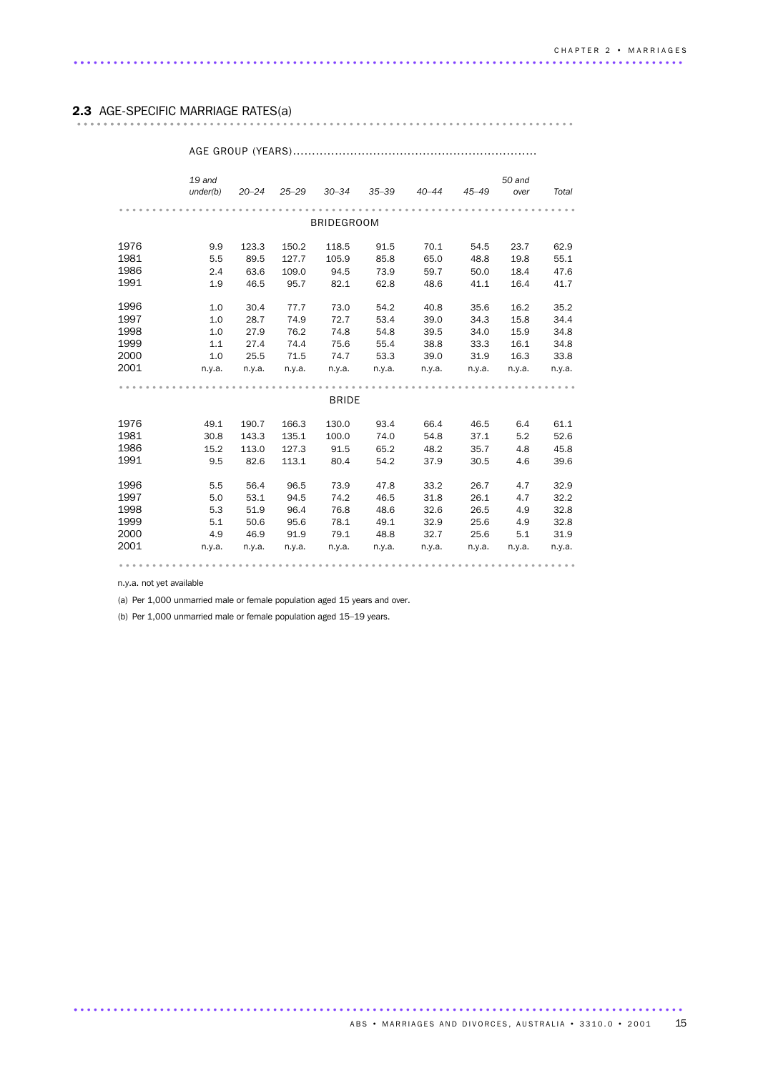# 2.3 AGE-SPECIFIC MARRIAGE RATES(a) ........................................................................... ..................

### *19 and under(b) 20–24 25–29 30–34 35–39 40–44 45–49 50 and over Total* ..................................................................... BRIDEGROOM 1976 9.9 123.3 150.2 118.5 91.5 70.1 54.5 23.7 62.9 1981 5.5 89.5 127.7 105.9 85.8 65.0 48.8 19.8 55.1 1986 2.4 63.6 109.0 94.5 73.9 59.7 50.0 18.4 47.6 1986 2.4 63.6 109.0 94.5 13.5 33.1 33.1 33.1<br>1991 1.9 46.5 95.7 82.1 62.8 48.6 41.1 16.4 41.7 1996 1.0 30.4 77.7 73.0 54.2 40.8 35.6 16.2 35.2 1997 1.0 28.7 74.9 72.7 53.4 39.0 34.3 15.8 34.4 1998 1.0 27.9 76.2 74.8 54.8 39.5 34.0 15.9 34.8<br>1999 1.1 27.4 74.4 75.6 55.4 38.8 33.3 16.1 34.8 1999 1.1 27.4 74.4 75.6 55.4 38.8 33.3 16.1 34.8 2000 1.0 25.5 71.5 74.7 53.3 39.0 31.9 16.3 33.8 2001 n.y.a. n.y.a. n.y.a. n.y.a. n.y.a. n.y.a. n.y.a. n.y.a. n.y.a. ..................................................................... BRIDE 1976 49.1 190.7 166.3 130.0 93.4 66.4 46.5 6.4 61.1 1981 30.8 143.3 135.1 100.0 74.0 54.8 37.1 5.2 52.6 1981 30.8 143.3 133.1 100.0 14.0 34.0 31.1 3.12 3.12<br>1986 15.2 113.0 127.3 91.5 65.2 48.2 35.7 4.8 45.8 1991 9.5 82.6 113.1 80.4 54.2 37.9 30.5 4.6 39.6 1996 5.5 56.4 96.5 73.9 47.8 33.2 26.7 4.7 32.9 1997 5.0 53.1 94.5 74.2 46.5 31.8 26.1 4.7 32.2 1998 5.3 51.9 96.4 76.8 48.6 32.6 26.5 4.9 32.8 1999 5.1 50.6 95.6 78.1 49.1 32.9 25.6 4.9 32.8 2000 4.9 46.9 91.9 79.1 48.8 32.7 25.6 5.1 31.9 2001 n.y.a. n.y.a. n.y.a. n.y.a. n.y.a. n.y.a. n.y.a. n.y.a. n.y.a. .....................................................................

AGE GROUP (YEARS)................................................................

n.y.a. not yet available

(a) Per 1,000 unmarried male or female population aged 15 years and over.

(b) Per 1,000 unmarried male or female population aged 15–19 years.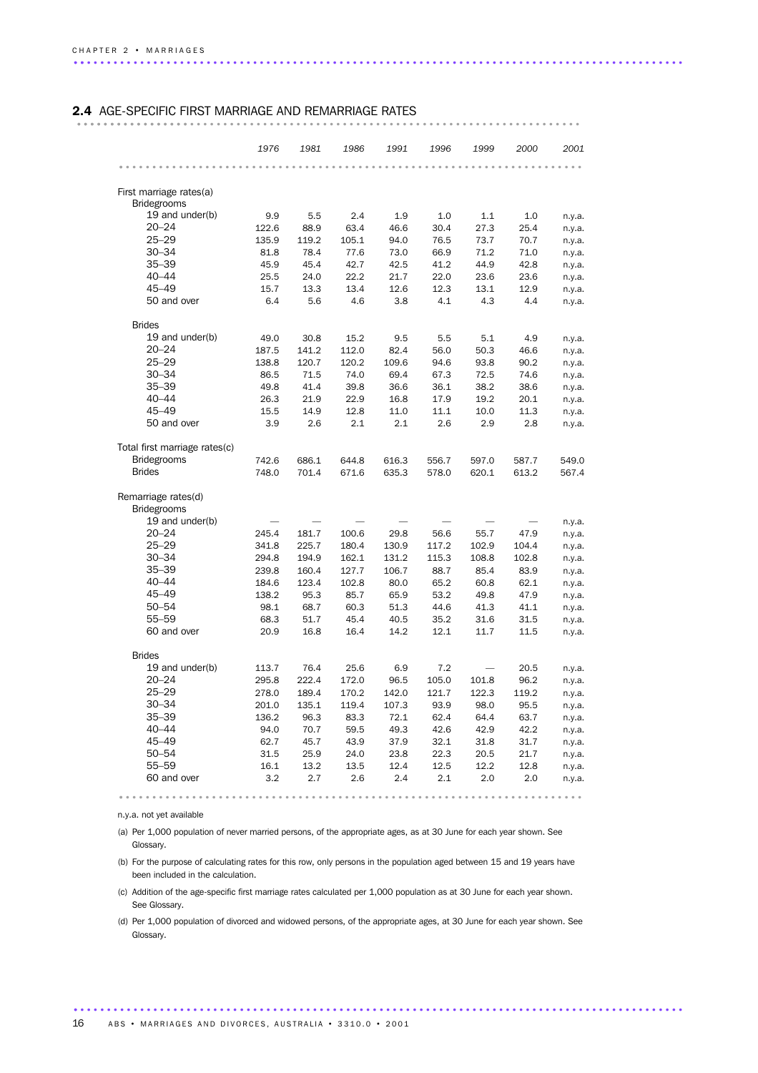# 2.4 AGE-SPECIFIC FIRST MARRIAGE AND REMARRIAGE RATES ............................................................................ .................

|                               | 1976  | 1981  | 1986  | 1991  | 1996  | 1999  | 2000  | 2001             |
|-------------------------------|-------|-------|-------|-------|-------|-------|-------|------------------|
|                               |       |       |       |       |       |       |       |                  |
| First marriage rates(a)       |       |       |       |       |       |       |       |                  |
| <b>Bridegrooms</b>            |       |       |       |       |       |       |       |                  |
| 19 and under(b)               | 9.9   | 5.5   | 2.4   | 1.9   | 1.0   | 1.1   | 1.0   | n.y.a.           |
| $20 - 24$                     | 122.6 | 88.9  | 63.4  | 46.6  | 30.4  | 27.3  | 25.4  | n.y.a.           |
| $25 - 29$                     | 135.9 | 119.2 | 105.1 | 94.0  | 76.5  | 73.7  | 70.7  | n.y.a.           |
| $30 - 34$                     | 81.8  | 78.4  | 77.6  | 73.0  | 66.9  | 71.2  | 71.0  | n.y.a.           |
| $35 - 39$                     | 45.9  | 45.4  | 42.7  | 42.5  | 41.2  | 44.9  | 42.8  | n.y.a.           |
| $40 - 44$                     | 25.5  | 24.0  | 22.2  | 21.7  | 22.0  | 23.6  | 23.6  | n.y.a.           |
| $45 - 49$                     | 15.7  | 13.3  | 13.4  | 12.6  | 12.3  | 13.1  | 12.9  | n.y.a.           |
| 50 and over                   | 6.4   | 5.6   | 4.6   | 3.8   | 4.1   | 4.3   | 4.4   | n.y.a.           |
| <b>Brides</b>                 |       |       |       |       |       |       |       |                  |
| 19 and under(b)               | 49.0  | 30.8  | 15.2  | 9.5   | 5.5   | 5.1   | 4.9   | n.y.a.           |
| $20 - 24$                     | 187.5 | 141.2 | 112.0 | 82.4  | 56.0  | 50.3  | 46.6  | n.y.a.           |
| $25 - 29$                     | 138.8 | 120.7 | 120.2 | 109.6 | 94.6  | 93.8  | 90.2  | n.y.a.           |
| $30 - 34$                     | 86.5  | 71.5  | 74.0  | 69.4  | 67.3  | 72.5  | 74.6  | n.y.a.           |
| $35 - 39$                     | 49.8  | 41.4  | 39.8  | 36.6  | 36.1  | 38.2  | 38.6  | n.y.a.           |
| $40 - 44$                     | 26.3  | 21.9  | 22.9  | 16.8  | 17.9  | 19.2  | 20.1  | n.y.a.           |
| $45 - 49$                     | 15.5  | 14.9  | 12.8  | 11.0  | 11.1  | 10.0  | 11.3  | n.y.a.           |
| 50 and over                   | 3.9   | 2.6   | 2.1   | 2.1   | 2.6   | 2.9   | 2.8   | n.y.a.           |
|                               |       |       |       |       |       |       |       |                  |
| Total first marriage rates(c) |       |       |       |       |       |       |       |                  |
| <b>Bridegrooms</b>            | 742.6 | 686.1 | 644.8 | 616.3 | 556.7 | 597.0 | 587.7 | 549.0            |
| <b>Brides</b>                 | 748.0 | 701.4 | 671.6 | 635.3 | 578.0 | 620.1 | 613.2 | 567.4            |
| Remarriage rates(d)           |       |       |       |       |       |       |       |                  |
| <b>Bridegrooms</b>            |       |       |       |       |       |       |       |                  |
| 19 and under(b)               |       |       |       |       |       |       |       | n.y.a.           |
| $20 - 24$                     | 245.4 | 181.7 | 100.6 | 29.8  | 56.6  | 55.7  | 47.9  | n.y.a.           |
| $25 - 29$                     | 341.8 | 225.7 | 180.4 | 130.9 | 117.2 | 102.9 | 104.4 | n.y.a.           |
| $30 - 34$                     | 294.8 | 194.9 | 162.1 | 131.2 | 115.3 | 108.8 | 102.8 | n.y.a.           |
| $35 - 39$                     | 239.8 | 160.4 | 127.7 | 106.7 | 88.7  | 85.4  | 83.9  | n.y.a.           |
| $40 - 44$                     | 184.6 | 123.4 | 102.8 | 80.0  | 65.2  | 60.8  | 62.1  | n.y.a.           |
| $45 - 49$                     | 138.2 | 95.3  | 85.7  | 65.9  | 53.2  | 49.8  | 47.9  | n.y.a.           |
| $50 - 54$                     | 98.1  | 68.7  | 60.3  | 51.3  | 44.6  | 41.3  | 41.1  |                  |
| 55-59                         | 68.3  | 51.7  | 45.4  | 40.5  | 35.2  | 31.6  | 31.5  | n.y.a.           |
| 60 and over                   | 20.9  | 16.8  | 16.4  | 14.2  | 12.1  | 11.7  | 11.5  | n.y.a.<br>n.y.a. |
|                               |       |       |       |       |       |       |       |                  |
| <b>Brides</b>                 |       |       |       |       |       |       |       |                  |
| 19 and under(b)               | 113.7 | 76.4  | 25.6  | 6.9   | 7.2   |       | 20.5  | n.y.a.           |
| $20 - 24$                     | 295.8 | 222.4 | 172.0 | 96.5  | 105.0 | 101.8 | 96.2  | n.y.a.           |
| $25 - 29$                     | 278.0 | 189.4 | 170.2 | 142.0 | 121.7 | 122.3 | 119.2 | n.y.a.           |
| $30 - 34$                     | 201.0 | 135.1 | 119.4 | 107.3 | 93.9  | 98.0  | 95.5  | n.y.a.           |
| $35 - 39$                     | 136.2 | 96.3  | 83.3  | 72.1  | 62.4  | 64.4  | 63.7  | n.y.a.           |
| $40 - 44$                     | 94.0  | 70.7  | 59.5  | 49.3  | 42.6  | 42.9  | 42.2  | n.y.a.           |
| $45 - 49$                     | 62.7  | 45.7  | 43.9  | 37.9  | 32.1  | 31.8  | 31.7  | n.y.a.           |
| $50 - 54$                     | 31.5  | 25.9  | 24.0  | 23.8  | 22.3  | 20.5  | 21.7  | n.y.a.           |
| 55-59                         | 16.1  | 13.2  | 13.5  | 12.4  | 12.5  | 12.2  | 12.8  | n.y.a.           |
| 60 and over                   | 3.2   | 2.7   | 2.6   | 2.4   | 2.1   | 2.0   | 2.0   | n.y.a.           |
|                               |       |       |       |       |       |       |       |                  |
|                               |       |       |       |       |       |       |       |                  |

n.y.a. not yet available

(a) Per 1,000 population of never married persons, of the appropriate ages, as at 30 June for each year shown. See Glossary.

(b) For the purpose of calculating rates for this row, only persons in the population aged between 15 and 19 years have been included in the calculation.

(c) Addition of the age-specific first marriage rates calculated per 1,000 population as at 30 June for each year shown. See Glossary.

(d) Per 1,000 population of divorced and widowed persons, of the appropriate ages, at 30 June for each year shown. See Glossary.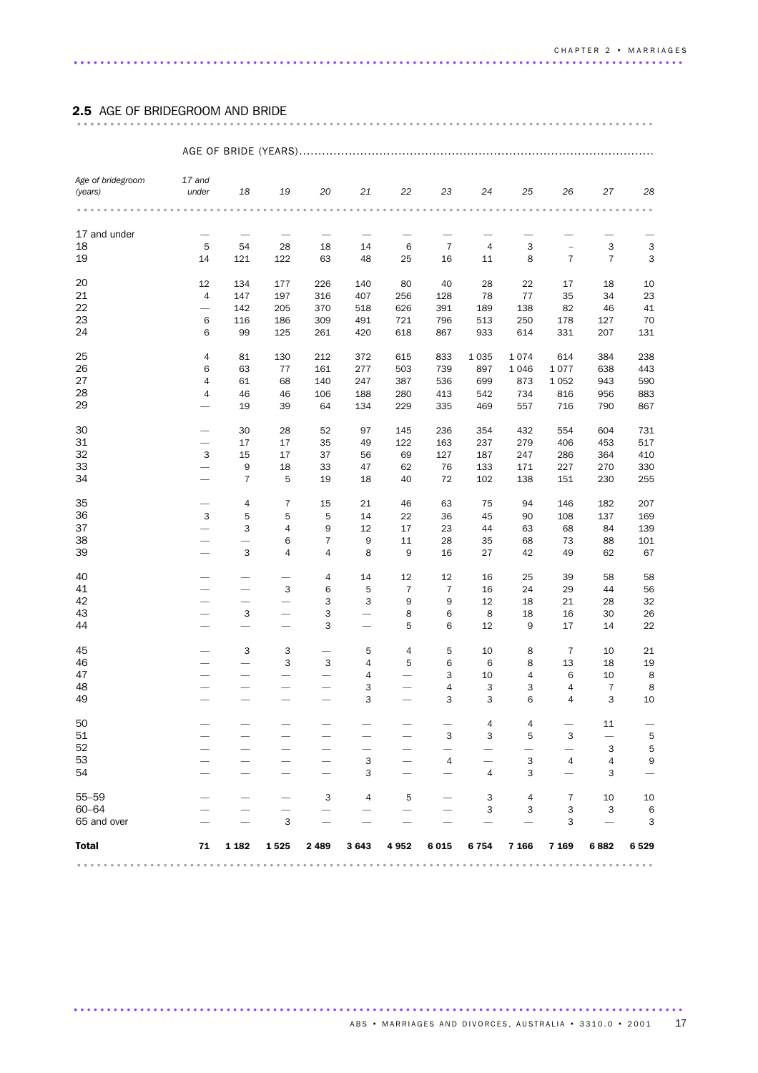# 2.5 AGE OF BRIDEGROOM AND BRIDE ....................................................................................... ......

| Age of bridegroom<br>(years) | 17 and<br>under              | 18                       | 19                       | 20                | 21                                                                                                              | 22             | 23                                                                | 24                       | 25         | 26             | 27                       | 28                        |
|------------------------------|------------------------------|--------------------------|--------------------------|-------------------|-----------------------------------------------------------------------------------------------------------------|----------------|-------------------------------------------------------------------|--------------------------|------------|----------------|--------------------------|---------------------------|
|                              | .                            |                          |                          | $\alpha = \alpha$ | $\begin{array}{cccccccccccccc} \bullet & \bullet & \bullet & \bullet & \bullet & \bullet & \bullet \end{array}$ |                | $\begin{array}{cccccccccccccc} 0 & 0 & 0 & 0 & 0 & 0 \end{array}$ |                          |            |                |                          | $\alpha$ . $\alpha$       |
| 17 and under                 | $\overline{\phantom{m}}$     | $\overline{\phantom{m}}$ | $\overline{\phantom{m}}$ |                   |                                                                                                                 |                | $\overline{\phantom{0}}$                                          | $\overline{\phantom{0}}$ |            |                |                          |                           |
| 18                           | 5                            | 54                       | 28                       | 18                | 14                                                                                                              | 6              | $\overline{7}$                                                    | $\overline{4}$           | 3          | $\overline{a}$ | 3                        | $\ensuremath{\mathsf{3}}$ |
| 19                           | 14                           | 121                      | 122                      | 63                | 48                                                                                                              | 25             | 16                                                                | 11                       | 8          | $\overline{7}$ | $\overline{7}$           | $\ensuremath{\mathsf{3}}$ |
| 20                           | 12                           | 134                      | 177                      | 226               | 140                                                                                                             | 80             | 40                                                                | 28                       | 22         | 17             | 18                       | 10                        |
| 21                           | $\overline{4}$               | 147                      | 197                      | 316               | 407                                                                                                             | 256            | 128                                                               | 78                       | 77         | 35             | 34                       | 23                        |
| 22                           |                              | 142                      | 205                      | 370               | 518                                                                                                             | 626            | 391                                                               | 189                      | 138        | 82             | 46                       | 41                        |
| 23<br>24                     | 6<br>6                       | 116<br>99                | 186<br>125               | 309<br>261        | 491<br>420                                                                                                      | 721<br>618     | 796<br>867                                                        | 513<br>933               | 250<br>614 | 178<br>331     | 127<br>207               | 70<br>131                 |
|                              |                              |                          |                          |                   |                                                                                                                 |                |                                                                   |                          |            |                |                          |                           |
| 25                           | 4                            | 81                       | 130                      | 212               | 372                                                                                                             | 615            | 833                                                               | 1 0 3 5                  | 1074       | 614            | 384                      | 238                       |
| 26                           | 6                            | 63                       | 77                       | 161               | 277                                                                                                             | 503            | 739                                                               | 897                      | 1 0 4 6    | 1077           | 638                      | 443                       |
| 27                           | $\overline{4}$               | 61                       | 68                       | 140               | 247                                                                                                             | 387            | 536                                                               | 699                      | 873        | 1 0 5 2        | 943                      | 590                       |
| 28                           | $\overline{4}$               | 46                       | 46                       | 106               | 188                                                                                                             | 280            | 413                                                               | 542                      | 734        | 816            | 956                      | 883                       |
| 29                           |                              | 19                       | 39                       | 64                | 134                                                                                                             | 229            | 335                                                               | 469                      | 557        | 716            | 790                      | 867                       |
| 30                           |                              | 30                       | 28                       | 52                | 97                                                                                                              | 145            | 236                                                               | 354                      | 432        | 554            | 604                      | 731                       |
| 31                           | $\qquad \qquad -$            | 17                       | 17                       | 35                | 49                                                                                                              | 122            | 163                                                               | 237                      | 279        | 406            | 453                      | 517                       |
| 32                           | $\mathbf{3}$                 | 15                       | 17                       | 37                | 56                                                                                                              | 69             | 127                                                               | 187                      | 247        | 286            | 364                      | 410                       |
| 33                           |                              | 9                        | 18                       | 33                | 47                                                                                                              | 62             | 76                                                                | 133                      | 171        | 227            | 270                      | 330                       |
| 34                           | $\overline{\phantom{0}}$     | $\overline{7}$           | 5                        | 19                | 18                                                                                                              | 40             | 72                                                                | 102                      | 138        | 151            | 230                      | 255                       |
| 35                           | $\qquad \qquad -$            | 4                        | $\overline{7}$           | 15                | 21                                                                                                              | 46             | 63                                                                | 75                       | 94         | 146            | 182                      | 207                       |
| 36                           | $\ensuremath{\mathsf{3}}$    | 5                        | $\sqrt{5}$               | 5                 | 14                                                                                                              | 22             | 36                                                                | 45                       | 90         | 108            | 137                      | 169                       |
| 37                           |                              | 3                        | 4                        | 9                 | 12                                                                                                              | 17             | 23                                                                | 44                       | 63         | 68             | 84                       | 139                       |
| 38                           | $\overline{\phantom{0}}$     |                          | 6                        | $\overline{7}$    | 9                                                                                                               | 11             | 28                                                                | 35                       | 68         | 73             | 88                       | 101                       |
| 39                           | $\overline{\phantom{0}}$     | 3                        | $\overline{4}$           | 4                 | 8                                                                                                               | 9              | 16                                                                | 27                       | 42         | 49             | 62                       | 67                        |
| 40                           |                              | $\overline{\phantom{0}}$ | $\overline{\phantom{0}}$ | 4                 | 14                                                                                                              | 12             | 12                                                                | 16                       | 25         | 39             | 58                       | 58                        |
| 41                           | $\overbrace{\qquad \qquad }$ | $\overline{\phantom{0}}$ | 3                        | 6                 | 5                                                                                                               | $\overline{7}$ | $\overline{7}$                                                    | 16                       | 24         | 29             | 44                       | 56                        |
| 42                           | $\overline{\phantom{0}}$     |                          | $\overline{\phantom{0}}$ | 3                 | 3                                                                                                               | 9              | 9                                                                 | 12                       | 18         | 21             | 28                       | 32                        |
| 43                           | $\overline{\phantom{0}}$     | 3                        | -                        | 3                 | $\overline{\phantom{0}}$                                                                                        | 8              | 6                                                                 | 8                        | 18         | 16             | 30                       | 26                        |
| 44                           |                              |                          | $\overline{\phantom{0}}$ | 3                 |                                                                                                                 | 5              | 6                                                                 | 12                       | 9          | 17             | 14                       | 22                        |
| 45                           |                              | 3                        | 3                        |                   | 5                                                                                                               | 4              | 5                                                                 | 10                       | 8          | $\overline{7}$ | 10                       | 21                        |
| 46                           | $\overline{\phantom{0}}$     | $\overline{\phantom{0}}$ | 3                        | 3                 | $\overline{4}$                                                                                                  | 5              | 6                                                                 | 6                        | 8          | 13             | 18                       | 19                        |
| 47                           |                              |                          | $\overline{\phantom{0}}$ |                   | 4                                                                                                               |                | 3                                                                 | 10                       | 4          | 6              | 10                       | 8                         |
| 48                           |                              |                          | $\overline{\phantom{0}}$ |                   | 3                                                                                                               |                | 4                                                                 | 3                        | 3          | 4              | $\overline{7}$           | 8                         |
| 49                           |                              |                          |                          |                   | 3                                                                                                               |                | 3                                                                 | 3                        | 6          | 4              | 3                        | 10                        |
| 50                           |                              |                          |                          |                   |                                                                                                                 |                |                                                                   | 4                        | 4          |                | 11                       |                           |
| 51                           |                              |                          |                          |                   |                                                                                                                 |                | 3                                                                 | 3                        | 5          | 3              | $\overline{\phantom{0}}$ | 5                         |
| 52                           |                              |                          |                          |                   | -                                                                                                               |                |                                                                   |                          |            |                | 3                        | 5                         |
| 53                           |                              |                          |                          |                   | 3                                                                                                               |                | 4                                                                 |                          | 3          | 4              | 4                        | 9                         |
| 54                           |                              |                          |                          |                   | 3                                                                                                               |                |                                                                   | 4                        | 3          |                | 3                        |                           |
| 55-59                        |                              |                          |                          | 3                 | 4                                                                                                               | 5              |                                                                   | З                        | 4          | 7              | 10                       | 10                        |
| $60 - 64$                    |                              |                          |                          |                   |                                                                                                                 |                |                                                                   | 3                        | 3          | 3              | 3                        | 6                         |
| 65 and over                  |                              |                          | 3                        |                   |                                                                                                                 |                |                                                                   |                          |            | 3              |                          | 3                         |
| Total                        | 71                           | 1 182                    | 1525                     | 2489              | 3643                                                                                                            | 4 952          | 6015                                                              | 6 7 5 4                  | 7 1 6 6    | 7 1 6 9        | 6 882                    | 6 5 2 9                   |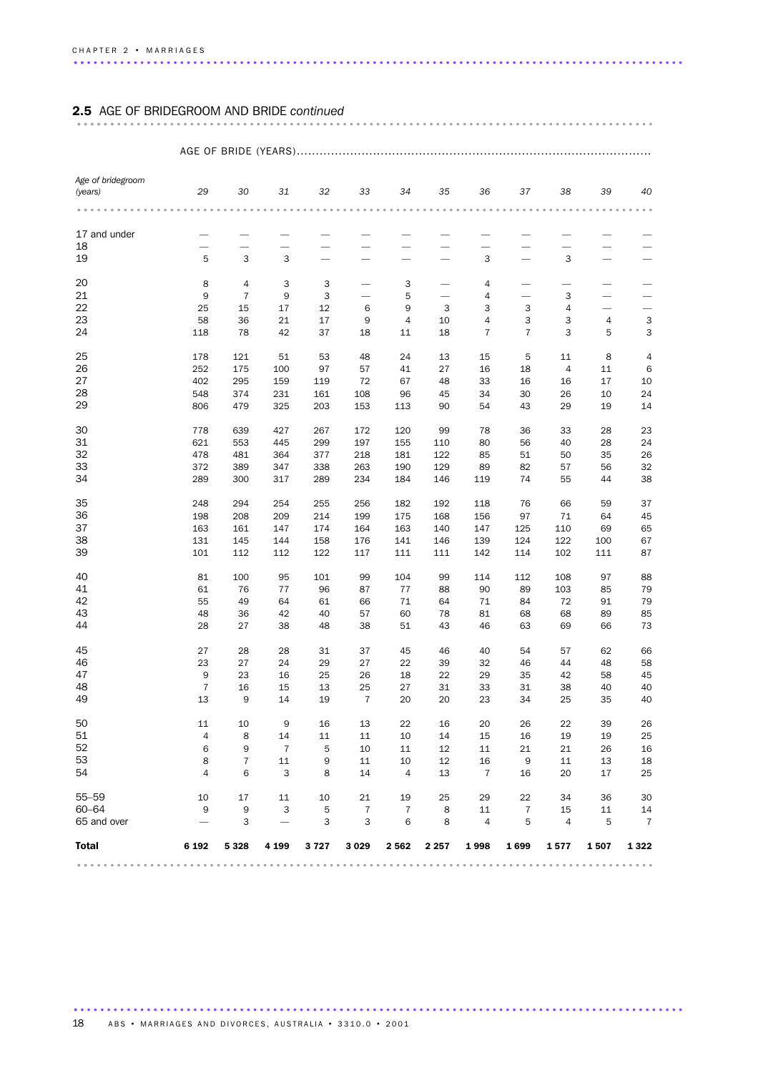# 2.5 AGE OF BRIDEGROOM AND BRIDE *continued* ....................................................................................... ......

### AGE OF BRIDE (YEARS).............................................................................................

| Age of bridegroom<br>(years) | 29                       | 30             | 31                       | 32     | 33                       | 34             | 35                       | 36             | 37             | 38             | 39                       | 40                       |
|------------------------------|--------------------------|----------------|--------------------------|--------|--------------------------|----------------|--------------------------|----------------|----------------|----------------|--------------------------|--------------------------|
|                              |                          |                |                          |        |                          |                |                          |                |                |                |                          |                          |
| 17 and under                 |                          |                |                          |        |                          |                |                          |                |                |                |                          |                          |
| 18                           | $\overline{\phantom{0}}$ |                | $\overline{\phantom{0}}$ |        |                          |                |                          |                |                |                |                          |                          |
| 19                           | 5                        | 3              | 3                        |        | -                        |                |                          | 3              |                | 3              | -                        |                          |
| 20                           | 8                        | 4              | 3                        | 3      |                          | 3              | $\overline{\phantom{0}}$ | 4              | -              |                | -                        |                          |
| 21                           | 9                        | $\overline{7}$ | 9                        | 3      | $\overline{\phantom{0}}$ | 5              |                          | 4              | -              | 3              | $\overline{\phantom{0}}$ | $\overline{\phantom{0}}$ |
| 22                           | 25                       | 15             | 17                       | 12     | 6                        | 9              | 3                        | 3              | 3              | 4              | $\overline{\phantom{0}}$ | $\overline{\phantom{0}}$ |
| 23                           | 58                       | 36             | 21                       | $17\,$ | 9                        | $\overline{4}$ | 10                       | 4              | 3              | 3              | 4                        | 3                        |
| 24                           | 118                      | 78             | 42                       | 37     | 18                       | 11             | 18                       | $\overline{7}$ | $\overline{7}$ | 3              | 5                        | 3                        |
| 25                           | 178                      | 121            | 51                       | 53     | 48                       | 24             | 13                       | 15             | 5              | 11             | 8                        | 4                        |
| 26                           | 252                      | 175            | 100                      | 97     | 57                       | 41             | 27                       | 16             | 18             | $\overline{4}$ | 11                       | $\,6\,$                  |
| 27                           | 402                      | 295            | 159                      | 119    | 72                       | 67             | 48                       | 33             | 16             | 16             | 17                       | 10                       |
| 28                           | 548                      | 374            | 231                      | 161    | 108                      | 96             | 45                       | 34             | 30             | 26             | 10                       | 24                       |
| 29                           | 806                      | 479            | 325                      | 203    | 153                      | 113            | 90                       | 54             | 43             | 29             | 19                       | 14                       |
| 30                           | 778                      | 639            | 427                      | 267    | 172                      | 120            | 99                       | 78             | 36             | 33             | 28                       | 23                       |
| 31                           | 621                      | 553            | 445                      | 299    | 197                      | 155            | 110                      | 80             | 56             | 40             | 28                       | 24                       |
| 32                           | 478                      | 481            | 364                      | 377    | 218                      | 181            | 122                      | 85             | 51             | 50             | 35                       | 26                       |
| 33                           | 372                      | 389            | 347                      | 338    | 263                      | 190            | 129                      | 89             | 82             | 57             | 56                       | 32                       |
| 34                           | 289                      | 300            | 317                      | 289    | 234                      | 184            | 146                      | 119            | 74             | 55             | 44                       | 38                       |
| 35                           | 248                      | 294            | 254                      | 255    | 256                      | 182            | 192                      | 118            | 76             | 66             | 59                       | 37                       |
| 36                           | 198                      | 208            | 209                      | 214    | 199                      | 175            | 168                      | 156            | 97             | 71             | 64                       | 45                       |
| 37                           | 163                      | 161            | 147                      | 174    | 164                      | 163            | 140                      | 147            | 125            | 110            | 69                       | 65                       |
| 38                           | 131                      | 145            | 144                      | 158    | 176                      | 141            | 146                      | 139            | 124            | 122            | 100                      | 67                       |
| 39                           | 101                      | 112            | 112                      | 122    | 117                      | 111            | 111                      | 142            | 114            | 102            | 111                      | 87                       |
| 40                           | 81                       | 100            | 95                       | 101    | 99                       | 104            | 99                       | 114            | 112            | 108            | 97                       | 88                       |
| 41                           | 61                       | 76             | 77                       | 96     | 87                       | 77             | 88                       | 90             | 89             | 103            | 85                       | 79                       |
| 42                           | 55                       | 49             | 64                       | 61     | 66                       | 71             | 64                       | 71             | 84             | 72             | 91                       | 79                       |
| 43                           | 48                       | 36             | 42                       | 40     | 57                       | 60             | 78                       | 81             | 68             | 68             | 89                       | 85                       |
| 44                           | 28                       | 27             | 38                       | 48     | 38                       | 51             | 43                       | 46             | 63             | 69             | 66                       | 73                       |
| 45                           | 27                       | 28             | 28                       | 31     | 37                       | 45             | 46                       | 40             | 54             | 57             | 62                       | 66                       |
| 46                           | 23                       | 27             | 24                       | 29     | 27                       | 22             | 39                       | 32             | 46             | 44             | 48                       | 58                       |
| 47                           | 9                        | 23             | 16                       | 25     | 26                       | 18             | 22                       | 29             | 35             | 42             | 58                       | 45                       |
| 48                           | $\overline{7}$           | 16             | 15                       | 13     | 25                       | 27             | 31                       | 33             | 31             | 38             | 40                       | 40                       |
| 49                           | 13                       | 9              | 14                       | 19     | $\overline{7}$           | 20             | 20                       | 23             | 34             | 25             | 35                       | 40                       |
| 50                           | 11                       | 10             | 9                        | 16     | 13                       | 22             | 16                       | 20             | 26             | 22             | 39                       | 26                       |
| 51                           | 4                        | 8              | 14                       | 11     | 11                       | 10             | 14                       | 15             | 16             | 19             | 19                       | 25                       |
| 52                           | 6                        | 9              | $\overline{7}$           | 5      | 10                       | 11             | 12                       | 11             | 21             | 21             | 26                       | 16                       |
| 53                           | 8                        | $\overline{7}$ | 11                       | 9      | 11                       | 10             | 12                       | 16             | 9              | 11             | 13                       | 18                       |
| 54                           | $\overline{4}$           | 6              | 3                        | 8      | 14                       | $\overline{4}$ | 13                       | $\overline{7}$ | 16             | 20             | 17                       | 25                       |
| $55 - 59$                    | 10                       | 17             | 11                       | 10     | 21                       | 19             | 25                       | 29             | 22             | 34             | 36                       | 30                       |
| $60 - 64$                    | 9                        | 9              | 3                        | 5      | $\overline{7}$           | $\overline{7}$ | 8                        | 11             | $\overline{7}$ | 15             | 11                       | 14                       |
| 65 and over                  | $\overline{\phantom{0}}$ | 3              |                          | 3      | 3                        | 6              | 8                        | $\overline{4}$ | 5              | $\overline{4}$ | 5                        | $\overline{7}$           |
| <b>Total</b>                 | 6 192                    | 5 3 2 8        | 4 1 9 9                  | 3727   | 3 0 2 9                  | 2562           | 2 2 5 7                  | 1998           | 1699           | 1577           | 1507                     | 1 3 2 2                  |
|                              |                          |                |                          |        |                          |                |                          |                |                |                |                          |                          |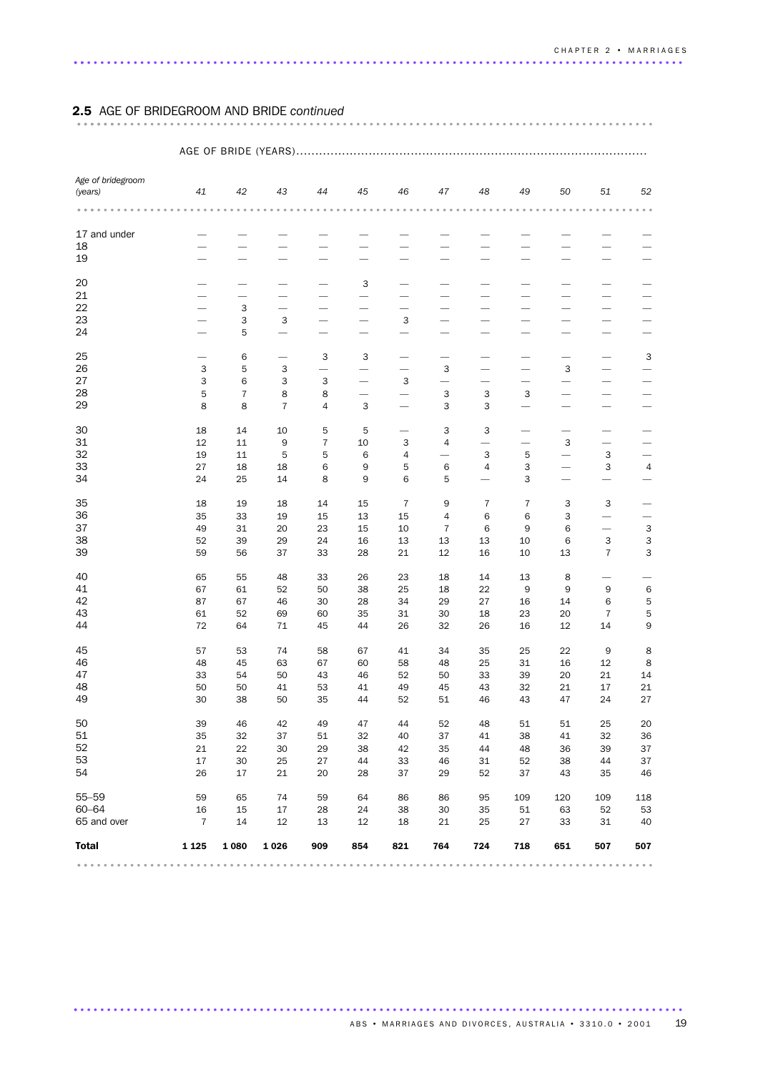# 2.5 AGE OF BRIDEGROOM AND BRIDE *continued* ....................................................................................... ......

### AGE OF BRIDE (YEARS)............................................................................................ *Age of bridegroom (years) 41 42 43 44 45 46 47 48 49 50 51 52* ....................................................................................... ... 17 and under  $\qquad$   $\qquad$   $\qquad$   $\qquad$   $\qquad$   $\qquad$   $\qquad$   $\qquad$   $\qquad$   $\qquad$   $\qquad$   $\qquad$   $\qquad$   $\qquad$   $\qquad$   $\qquad$   $\qquad$   $\qquad$   $\qquad$   $\qquad$   $\qquad$   $\qquad$   $\qquad$   $\qquad$   $\qquad$   $\qquad$   $\qquad$   $\qquad$   $\qquad$   $\qquad$   $\qquad$   $\qquad$   $\qquad$   $\qquad$   $\qquad$  ———————————— ———————————— ———— 3 ——————— ———————————— — 3 —————————— — 3 3 — — 3 —————— — 5 —————————— — 6 — 3 3 —————— 3 353 ——— 3 — — 3 — — 3633 — 3 —————— 28 5788 — — 333 — — — 88743 — 3 3 ———— 30 18 14 10 5 5  $-$  3 3  $-$ 31 12 11 9 7 10 3 4 — — 3 — — 19 11 5 5 6 4 — 3 5 — 3 — 27 18 18 6 9 5 6 4 3 — 3 4 24 25 14 8 9 6 5 — 3 ——— 18 19 18 14 15 7 9 7 7 3 3 — 35 33 19 15 13 15 4 6 6 3 — — 49 31 20 23 15 10 7 6 9 6 — 3 52 39 29 24 16 13 13 13 10 6 3 3 59 56 37 33 28 21 12 16 10 13 7 3 65 55 48 33 26 23 18 14 13 8 — — 67 61 52 50 38 25 18 22 9 9 9 6 87 67 46 30 28 34 29 27 16 14 6 5 61 52 69 60 35 31 30 18 23 20 7 5 72 64 71 45 44 26 32 26 16 12 14 9 57 53 74 58 67 41 34 35 25 22 9 8 48 45 63 67 60 58 48 25 31 16 12 8 33 54 50 43 46 52 50 33 39 20 21 14 50 50 41 53 41 49 45 43 32 21 17 21 30 38 50 35 44 52 51 46 43 47 24 27 39 46 42 49 47 44 52 48 51 51 25 20 35 32 37 51 32 40 37 41 38 41 32 36 21 22 30 29 38 42 35 44 48 36 39 37 17 30 25 27 44 33 46 31 52 38 44 37 26 17 21 20 28 37 29 52 37 43 35 46 55–59 59 65 74 59 64 86 86 95 109 120 109 118 60–64 16 15 17 28 24 38 30 35 51 63 52 53 65 and over 7 14 12 13 12 18 21 25 27 33 31 40 Total 1 125 1 080 1 026 909 854 821 764 724 718 651 507 507 ....................................................................................... ..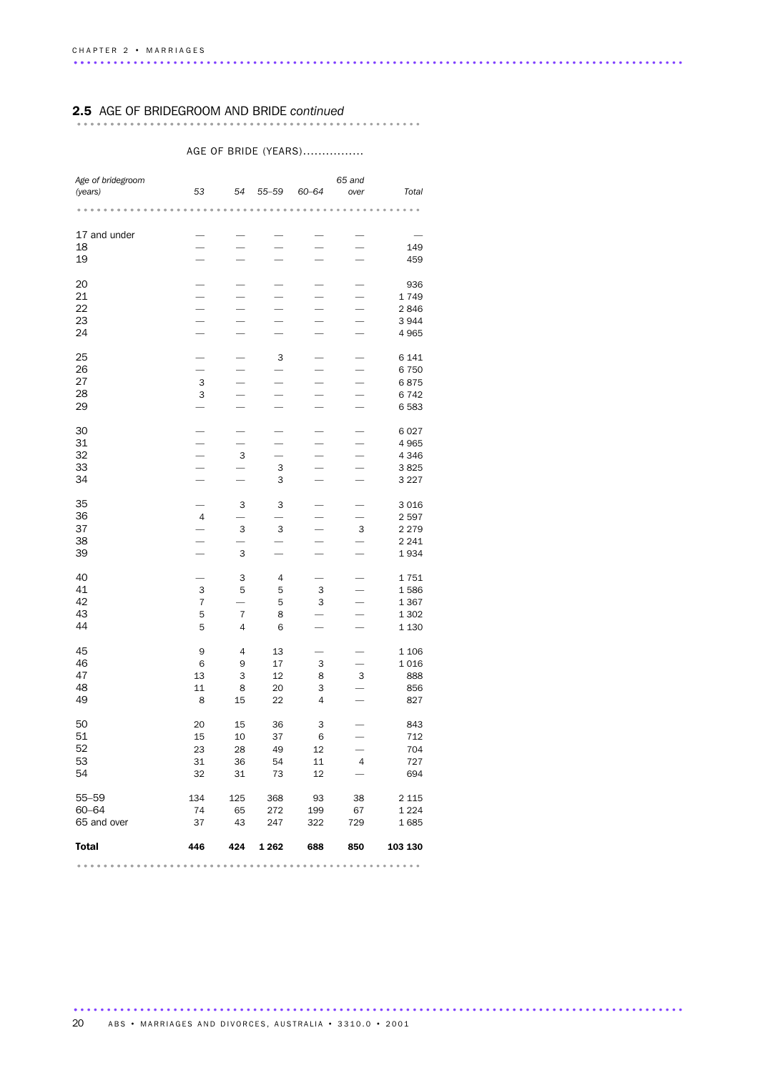# 2.5 AGE OF BRIDEGROOM AND BRIDE *continued* .................................................... .........................................

### AGE OF BRIDE (YEARS)................

| Age of bridegroom |                |                          |                          |                           | 65 and         |                                                                       |
|-------------------|----------------|--------------------------|--------------------------|---------------------------|----------------|-----------------------------------------------------------------------|
| (years)           | 53             | 54                       | $55 - 59$                | 60-64                     | over           | Total                                                                 |
|                   |                |                          |                          |                           |                |                                                                       |
|                   |                |                          |                          |                           |                |                                                                       |
| 17 and under      |                |                          |                          |                           |                |                                                                       |
| 18                |                |                          |                          |                           |                | 149                                                                   |
| 19                |                |                          |                          |                           |                | 459                                                                   |
|                   |                |                          |                          |                           |                |                                                                       |
| 20                |                |                          |                          |                           |                | 936                                                                   |
| 21                |                |                          |                          |                           |                | 1749                                                                  |
| 22                |                |                          |                          | $\overline{\phantom{0}}$  |                | 2846                                                                  |
| 23                |                |                          |                          |                           |                | 3944                                                                  |
| 24                |                |                          |                          |                           |                | 4 9 6 5                                                               |
|                   |                |                          |                          |                           |                |                                                                       |
| 25                |                |                          | 3                        |                           |                | 6 1 4 1                                                               |
| 26                |                |                          |                          |                           |                | 6750                                                                  |
| 27                | 3              |                          |                          | $\overline{\phantom{0}}$  |                | 6875                                                                  |
| 28<br>29          | 3              |                          |                          |                           |                | 6742                                                                  |
|                   |                |                          |                          |                           |                | 6583                                                                  |
| 30                |                |                          |                          |                           |                | 6027                                                                  |
| 31                |                |                          |                          |                           |                | 4965                                                                  |
| 32                |                | 3                        |                          |                           |                | 4 3 4 6                                                               |
| 33                |                |                          | 3                        |                           |                | 3825                                                                  |
| 34                |                |                          | 3                        |                           |                | 3 2 2 7                                                               |
|                   |                |                          |                          |                           |                |                                                                       |
| 35                |                | 3                        | 3                        |                           |                | 3016                                                                  |
| 36                | $\overline{4}$ |                          |                          |                           |                | 2597                                                                  |
| 37                |                | 3                        | 3                        |                           | 3              | 2 2 7 9                                                               |
| 38                |                | -                        | $\overline{\phantom{0}}$ | $\overline{\phantom{0}}$  |                | 2 2 4 1                                                               |
| 39                |                | 3                        |                          |                           |                | 1934                                                                  |
| 40                |                |                          |                          |                           |                |                                                                       |
| 41                | 3              | 3<br>5                   | 4<br>5                   | 3                         |                | 1751<br>1586                                                          |
| 42                | 7              | $\overline{\phantom{0}}$ | 5                        | 3                         |                | 1367                                                                  |
| 43                | 5              | $\overline{7}$           | 8                        |                           |                | 1 3 0 2                                                               |
| 44                | 5              | 4                        | 6                        |                           |                | 1 1 3 0                                                               |
|                   |                |                          |                          |                           |                |                                                                       |
| 45                | 9              | 4                        | 13                       |                           |                | 1 1 0 6                                                               |
| 46                | 6              | 9                        | 17                       | $\ensuremath{\mathsf{3}}$ |                | 1016                                                                  |
| 47                | 13             | 3                        | 12                       | 8                         | 3              | 888                                                                   |
| 48                | 11             | 8                        | 20                       | 3                         |                | 856                                                                   |
| 49                | 8              | 15                       | 22                       | 4                         |                | 827                                                                   |
|                   |                |                          |                          |                           |                |                                                                       |
| 50                | 20             | 15                       | 36                       | 3                         |                | 843                                                                   |
| 51                | 15             | 10                       | 37                       | 6                         |                | 712                                                                   |
| 52<br>53          | 23             | 28                       | - 49                     | 12                        |                | 704                                                                   |
| 54                | 31             | 36                       | 54                       | 11                        | $\overline{4}$ | 727                                                                   |
|                   | 32             | 31                       | 73                       | 12                        |                | 694                                                                   |
| $55 - 59$         | 134            | 125                      | 368                      | 93                        | 38             | 2 1 1 5                                                               |
| 60-64             | 74             | 65                       | 272                      | 199                       | 67             | 1 2 2 4                                                               |
| 65 and over       | 37             | 43                       | 247                      | 322                       | 729            | 1685                                                                  |
|                   |                |                          |                          |                           |                |                                                                       |
| <b>Total</b>      | 446            | 424                      | 1 2 6 2                  | 688                       | 850            | 103 130                                                               |
| .                 | 0.0.0          | $- - - -$                |                          | .                         | .              | $\begin{array}{cccccccccccccc} 0 & 0 & 0 & 0 & 0 & 0 & 0 \end{array}$ |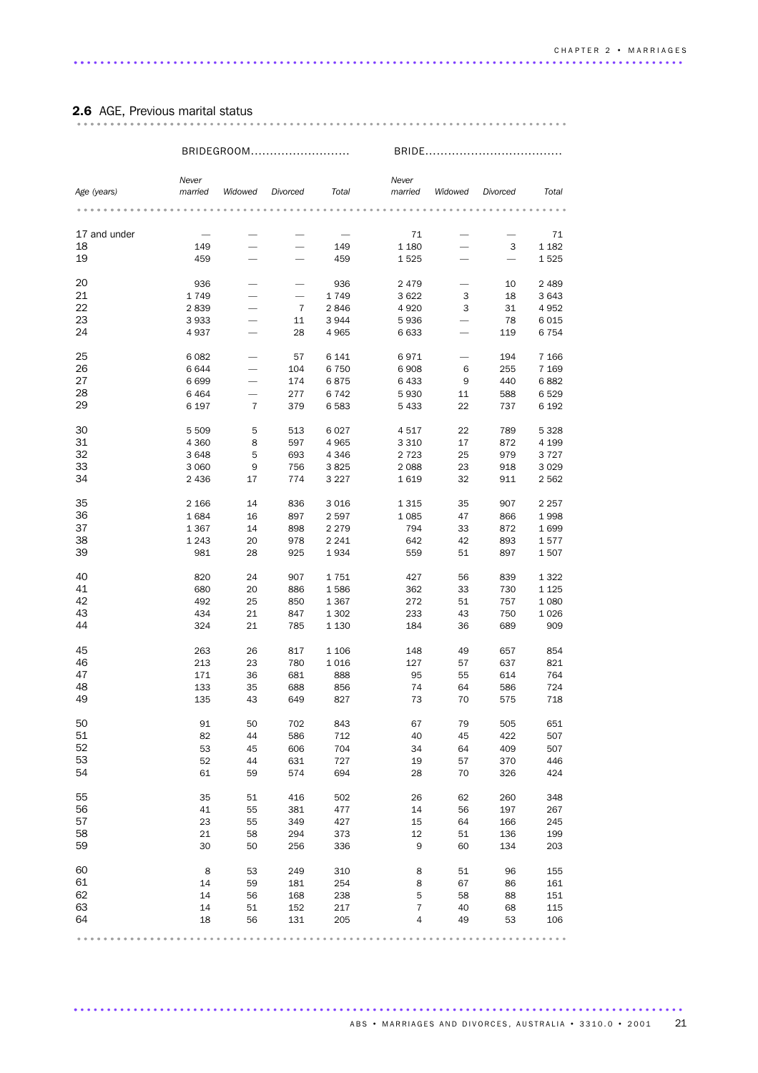| <b>2.6</b> AGE, Previous marital status |  |  |  |  |  |  |  |  |  |  |  |  |  |  |  |  |  |  |  |
|-----------------------------------------|--|--|--|--|--|--|--|--|--|--|--|--|--|--|--|--|--|--|--|
|                                         |  |  |  |  |  |  |  |  |  |  |  |  |  |  |  |  |  |  |  |

|              |                  | BRIDEGROOM               |                          |         |                  |                          | BRIDE    |                 |  |  |
|--------------|------------------|--------------------------|--------------------------|---------|------------------|--------------------------|----------|-----------------|--|--|
|              |                  |                          |                          |         |                  |                          |          |                 |  |  |
| Age (years)  | Never<br>married | Widowed                  | Divorced                 | Total   | Never<br>married | Widowed                  | Divorced | Total           |  |  |
|              |                  |                          |                          |         |                  |                          |          |                 |  |  |
| 17 and under |                  |                          |                          |         | 71               |                          |          | 71              |  |  |
| 18           | 149              |                          | $\overline{\phantom{0}}$ | 149     | 1 1 8 0          |                          | 3        | 1 1 8 2         |  |  |
| 19           | 459              |                          |                          | 459     | 1525             | $\overline{\phantom{0}}$ |          | 1525            |  |  |
|              |                  |                          |                          |         |                  |                          |          |                 |  |  |
| 20           | 936              |                          |                          | 936     | 2479             |                          | 10       | 2489            |  |  |
| 21           | 1749             |                          |                          | 1749    | 3 6 2 2          | 3                        | 18       | 3643            |  |  |
| 22           | 2839             |                          | $\overline{7}$           | 2846    | 4 9 20           | 3                        | 31       | 4952            |  |  |
| 23           | 3933             | -                        | 11                       | 3944    | 5936             |                          | 78       | 6015            |  |  |
| 24           | 4937             |                          | 28                       | 4965    | 6 6 3 3          | $\overline{\phantom{0}}$ | 119      | 6 7 5 4         |  |  |
| 25           | 6082             |                          | 57                       | 6 141   | 6971             | $\overline{\phantom{0}}$ | 194      | 7 1 6 6         |  |  |
| 26           | 6644             |                          | 104                      | 6750    | 6908             | 6                        | 255      | 7 1 6 9         |  |  |
| 27           | 6699             | $\overline{\phantom{0}}$ | 174                      | 6875    | 6 4 3 3          | 9                        | 440      | 6882            |  |  |
| 28           | 6464             |                          | 277                      | 6742    | 5930             | 11                       | 588      | 6529            |  |  |
| 29           |                  |                          |                          |         |                  |                          |          |                 |  |  |
|              | 6 197            | 7                        | 379                      | 6583    | 5 4 3 3          | 22                       | 737      | 6 192           |  |  |
| 30           | 5 5 0 9          | 5                        | 513                      | 6027    | 4517             | 22                       | 789      | 5 3 2 8         |  |  |
| 31           | 4 3 6 0          | 8                        | 597                      | 4 9 6 5 | 3 3 1 0          | 17                       | 872      | 4 199           |  |  |
| 32           | 3648             | 5                        | 693                      | 4 3 4 6 | 2 7 2 3          | 25                       | 979      | 3727            |  |  |
| 33           | 3 0 6 0          | 9                        | 756                      | 3825    | 2 0 8 8          | 23                       | 918      | 3 0 2 9         |  |  |
| 34           | 2 4 3 6          | 17                       | 774                      | 3 2 2 7 | 1619             | 32                       | 911      | 2 5 6 2         |  |  |
|              |                  |                          |                          |         |                  |                          |          |                 |  |  |
| 35           | 2 1 6 6          | 14                       | 836                      | 3016    | 1 3 1 5          | 35                       | 907      | 2 2 5 7         |  |  |
| 36           | 1684             | 16                       | 897                      | 2597    | 1 0 8 5          | 47                       | 866      | 1998            |  |  |
| 37           | 1 3 6 7          | 14                       | 898                      | 2 2 7 9 | 794              | 33                       | 872      | 1699            |  |  |
| 38           | 1 2 4 3          | 20                       | 978                      | 2 2 4 1 | 642              | 42                       | 893      | 1577            |  |  |
| 39           | 981              | 28                       | 925                      | 1934    | 559              | 51                       | 897      | 1507            |  |  |
| 40           | 820              | 24                       | 907                      | 1751    | 427              | 56                       | 839      | 1 3 2 2         |  |  |
| 41           | 680              | 20                       | 886                      | 1586    | 362              | 33                       | 730      | 1 1 2 5         |  |  |
| 42           | 492              | 25                       | 850                      | 1 3 6 7 | 272              | 51                       | 757      | 1 0 8 0         |  |  |
| 43           | 434              | 21                       | 847                      | 1 3 0 2 | 233              | 43                       | 750      | 1026            |  |  |
| 44           | 324              | 21                       | 785                      | 1 1 3 0 | 184              | 36                       | 689      | 909             |  |  |
|              |                  |                          |                          |         |                  |                          |          |                 |  |  |
| 45           | 263              | 26                       | 817                      | 1 1 0 6 | 148              | 49                       | 657      | 854             |  |  |
| 46           | 213              | 23                       | 780                      | 1016    | 127              | 57                       | 637      | 821             |  |  |
| 47           | 171              | 36                       | 681                      | 888     | 95               | 55                       | 614      | 764             |  |  |
| 48           | 133              | 35                       | 688                      | 856     | 74               | 64                       | 586      | 724             |  |  |
| 49           | 135              | 43                       | 649                      | 827     | 73               | 70                       | 575      | 718             |  |  |
| 50           | 91               | 50                       | 702                      | 843     | 67               | 79                       | 505      | 651             |  |  |
| 51           | 82               | 44                       | 586                      | 712     | 40               | 45                       | 422      | 507             |  |  |
| 52           | 53               | 45                       | 606                      | 704     | 34               | 64                       | 409      | 507             |  |  |
| 53           | 52               | 44                       | 631                      | 727     | 19               | 57                       | 370      | 446             |  |  |
| 54           | 61               | 59                       | 574                      | 694     | 28               | 70                       | 326      | 424             |  |  |
|              |                  |                          |                          |         |                  |                          |          |                 |  |  |
| 55           | 35               | 51                       | 416                      | 502     | 26               | 62                       | 260      | 348             |  |  |
| 56           | 41               | 55                       | 381                      | 477     | 14               | 56                       | 197      | 267             |  |  |
| 57           | 23               | 55                       | 349                      | 427     | 15               | 64                       | 166      | 245             |  |  |
| 58           | 21               | 58                       | 294                      | 373     | 12               | 51                       | 136      | 199             |  |  |
| 59           | 30               | 50                       | 256                      | 336     | 9                | 60                       | 134      | 203             |  |  |
| 60           | 8                | 53                       | 249                      | 310     | 8                | 51                       | 96       | 155             |  |  |
| 61           | 14               | 59                       | 181                      | 254     | 8                | 67                       | 86       | 161             |  |  |
| 62           |                  |                          |                          |         |                  |                          |          |                 |  |  |
|              | 14               | 56                       | 168                      | 238     | 5                | 58                       | 88       | 151             |  |  |
| 63           | 14               | 51                       | 152                      | 217     | 7                | 40                       | 68       | 115             |  |  |
| 64           | 18               | 56                       | 131                      | 205     | $\overline{4}$   | 49                       | 53       | 106             |  |  |
|              |                  |                          |                          |         |                  |                          |          | $0 - 0 - 0 - 0$ |  |  |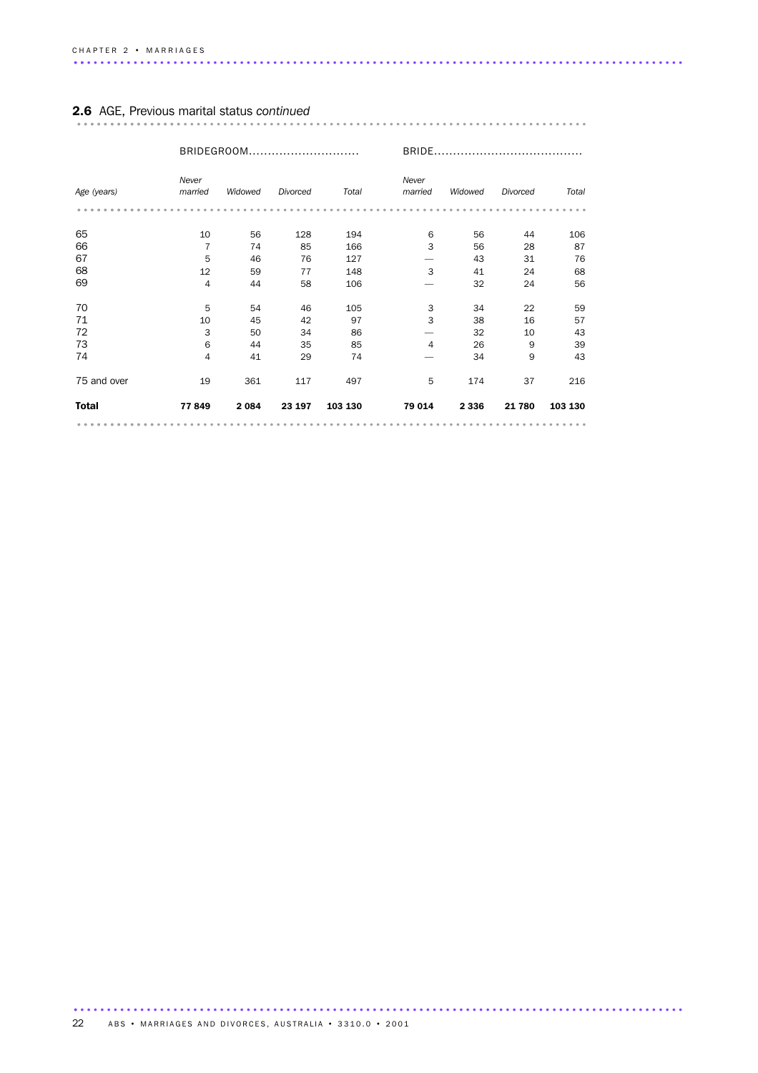|                             |                                 | BRIDEGROOM                 |                            |                             | BRIDE.                   |                            |                          |                            |
|-----------------------------|---------------------------------|----------------------------|----------------------------|-----------------------------|--------------------------|----------------------------|--------------------------|----------------------------|
| Age (years)                 | Never<br>married                | Widowed                    | Divorced                   | Total                       | Never<br>married         | Widowed                    | Divorced                 | Total                      |
| 65<br>66<br>67<br>68        | 10<br>$\overline{7}$<br>5<br>12 | 56<br>74<br>46<br>59       | 128<br>85<br>76<br>77      | 194<br>166<br>127<br>148    | 6<br>3<br>3              | 56<br>56<br>43<br>41       | 44<br>28<br>31<br>24     | 106<br>87<br>76<br>68      |
| 69                          | 4                               | 44                         | 58                         | 106                         |                          | 32                         | 24                       | 56                         |
| 70<br>71<br>72<br>73<br>74  | 5<br>10<br>3<br>6<br>4          | 54<br>45<br>50<br>44<br>41 | 46<br>42<br>34<br>35<br>29 | 105<br>97<br>86<br>85<br>74 | 3<br>3<br>$\overline{4}$ | 34<br>38<br>32<br>26<br>34 | 22<br>16<br>10<br>9<br>9 | 59<br>57<br>43<br>39<br>43 |
| 75 and over<br><b>Total</b> | 19<br>77849                     | 361<br>2 0 8 4             | 117<br>23 197              | 497<br>103 130              | 5<br>79 014              | 174<br>2 3 3 6             | 37<br>21 780             | 216<br>103 130             |
|                             |                                 |                            |                            |                             |                          |                            |                          |                            |

# 2.6 AGE, Previous marital status *continued* ............................................................................. ................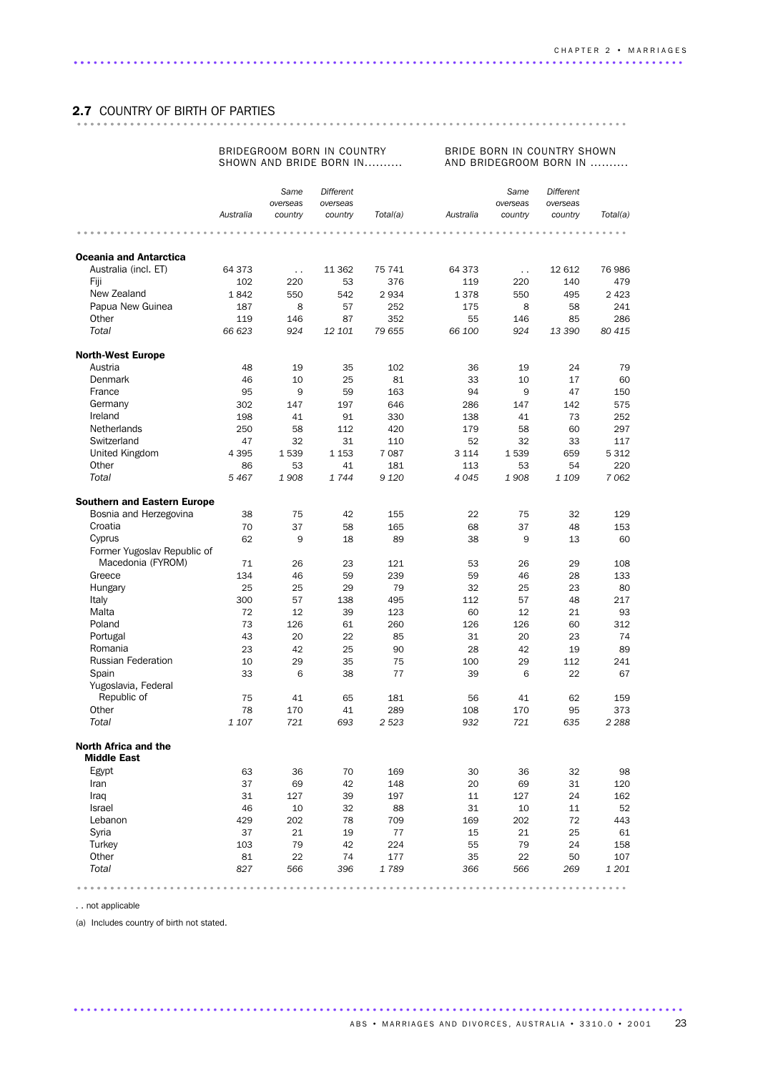# 2.7 COUNTRY OF BIRTH OF PARTIES ................................................................................... ..........

### BRIDEGROOM BORN IN COUNTRY SHOWN AND BRIDE BORN IN..........

#### BRIDE BORN IN COUNTRY SHOWN AND BRIDEGROOM BORN IN ..........

|                                            |               | Same             | Different    |               |           | Same                 | <b>Different</b> |          |
|--------------------------------------------|---------------|------------------|--------------|---------------|-----------|----------------------|------------------|----------|
|                                            |               | overseas         | overseas     |               |           | overseas             | overseas         |          |
|                                            | Australia     | country          | country      | Total(a)      | Australia | country              | country          | Total(a) |
|                                            |               |                  |              |               |           |                      |                  |          |
|                                            |               |                  |              |               |           |                      |                  |          |
| <b>Oceania and Antarctica</b>              |               |                  |              |               | 64 373    |                      |                  | 76 986   |
| Australia (incl. ET)<br>Fiji               | 64 373<br>102 | $\ddotsc$<br>220 | 11 362<br>53 | 75 741<br>376 | 119       | $\sim$ $\sim$<br>220 | 12 612<br>140    | 479      |
| New Zealand                                | 1842          | 550              | 542          | 2934          | 1378      | 550                  | 495              | 2 4 2 3  |
| Papua New Guinea                           | 187           | 8                | 57           | 252           | 175       | 8                    | 58               | 241      |
| Other                                      | 119           | 146              | 87           | 352           | 55        | 146                  | 85               | 286      |
| Total                                      | 66 623        | 924              | 12 101       | 79 655        | 66 100    | 924                  | 13 390           | 80 415   |
|                                            |               |                  |              |               |           |                      |                  |          |
| <b>North-West Europe</b>                   |               |                  |              |               |           |                      |                  |          |
| Austria                                    | 48            | 19               | 35           | 102           | 36        | 19                   | 24               | 79       |
| <b>Denmark</b>                             | 46            | 10               | 25           | 81            | 33        | 10                   | 17               | 60       |
| France                                     | 95            | 9                | 59           | 163           | 94        | 9                    | 47               | 150      |
| Germany                                    | 302           | 147              | 197          | 646           | 286       | 147                  | 142              | 575      |
| Ireland                                    | 198           | 41               | 91           | 330           | 138       | 41                   | 73               | 252      |
| <b>Netherlands</b>                         | 250           | 58               | 112          | 420           | 179       | 58                   | 60               | 297      |
| Switzerland                                | 47            | 32               | 31           | 110           | 52        | 32                   | 33               | 117      |
| United Kingdom                             | 4 3 9 5       | 1539             | 1 1 5 3      | 7 0 8 7       | 3 1 1 4   | 1539                 | 659              | 5 3 1 2  |
| Other                                      | 86            | 53               | 41           | 181           | 113       | 53                   | 54               | 220      |
| Total                                      | 5467          | 1908             | 1744         | 9 1 2 0       | 4 0 4 5   | 1908                 | 1 109            | 7062     |
| <b>Southern and Eastern Europe</b>         |               |                  |              |               |           |                      |                  |          |
| Bosnia and Herzegovina                     | 38            | 75               | 42           | 155           | 22        | 75                   | 32               | 129      |
| Croatia                                    | 70            | 37               | 58           | 165           | 68        | 37                   | 48               | 153      |
| Cyprus                                     | 62            | 9                | 18           | 89            | 38        | 9                    | 13               | 60       |
| Former Yugoslav Republic of                |               |                  |              |               |           |                      |                  |          |
| Macedonia (FYROM)                          | 71            | 26               | 23           | 121           | 53        | 26                   | 29               | 108      |
| Greece                                     | 134           | 46               | 59           | 239           | 59        | 46                   | 28               | 133      |
| Hungary                                    | 25            | 25               | 29           | 79            | 32        | 25                   | 23               | 80       |
| Italy                                      | 300           | 57               | 138          | 495           | 112       | 57                   | 48               | 217      |
| Malta                                      | 72            | 12               | 39           | 123           | 60        | 12                   | 21               | 93       |
| Poland                                     | 73            | 126              | 61           | 260           | 126       | 126                  | 60               | 312      |
| Portugal                                   | 43            | 20               | 22           | 85            | 31        | 20                   | 23               | 74       |
| Romania                                    | 23            | 42               | 25           | 90            | 28        | 42                   | 19               | 89       |
| <b>Russian Federation</b>                  | 10            | 29               | 35           | 75            | 100       | 29                   | 112              | 241      |
| Spain                                      | 33            | 6                | 38           | 77            | 39        | 6                    | 22               | 67       |
| Yugoslavia, Federal                        |               |                  |              |               |           |                      |                  |          |
| Republic of                                | 75            | 41               | 65           | 181           | 56        | 41                   | 62               | 159      |
| Other                                      | 78            | 170              | 41           | 289           | 108       | 170                  | 95               | 373      |
| Total                                      | 1 107         | 721              | 693          | 2 5 23        | 932       | 721                  | 635              | 2 2 8 8  |
| North Africa and the<br><b>Middle East</b> |               |                  |              |               |           |                      |                  |          |
| Egypt                                      | 63            | 36               | 70           | 169           | 30        | 36                   | 32               | 98       |
| Iran                                       | 37            | 69               | 42           | 148           | 20        | 69                   | 31               | 120      |
| Iraq                                       | 31            | 127              | 39           | 197           | 11        | 127                  | 24               | 162      |
| Israel                                     | 46            | 10               | 32           | 88            | 31        | 10                   | 11               | 52       |
| Lebanon                                    | 429           | 202              | 78           | 709           | 169       | 202                  | 72               | 443      |
| Syria                                      | 37            | 21               | 19           | 77            | 15        | 21                   | 25               | 61       |
| Turkey                                     | 103           | 79               | 42           | 224           | 55        | 79                   | 24               | 158      |
| Other                                      | 81            | 22               | 74           | 177           | 35        | 22                   | 50               | 107      |
| Total                                      | 827           | 566              | 396          | 1789          | 366       | 566                  | 269              | 1 201    |
|                                            |               |                  |              |               |           |                      |                  | $-0.00$  |

............................................................................................ .

. . not applicable

(a) Includes country of birth not stated.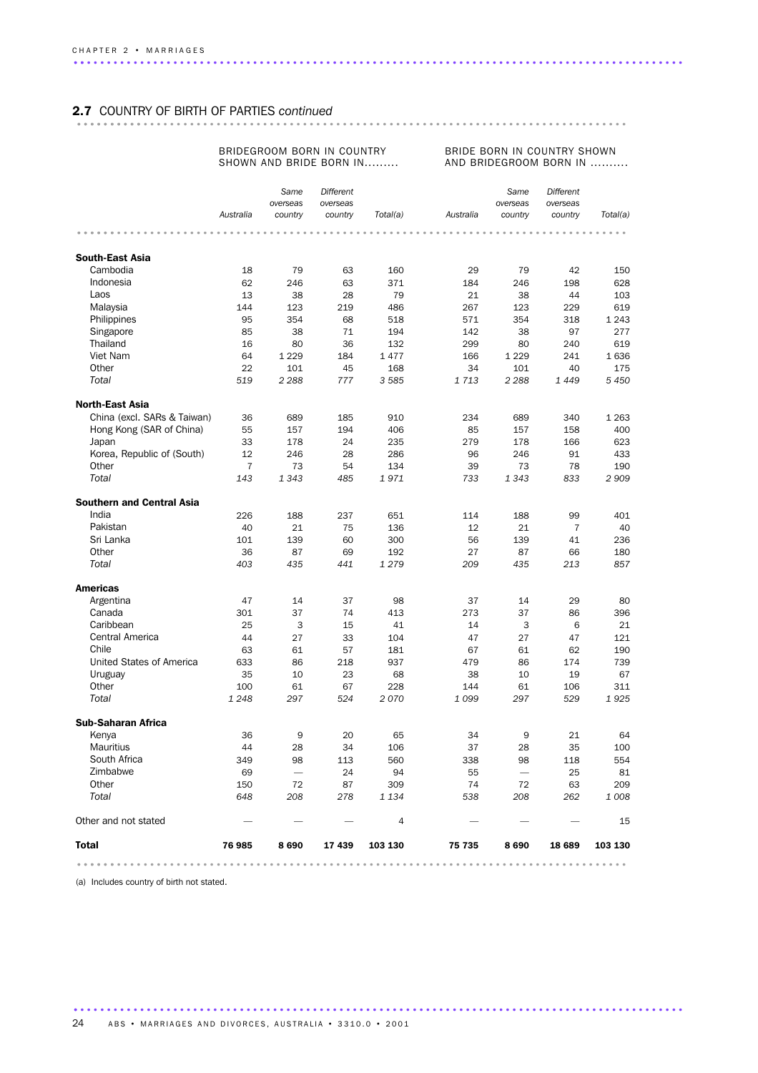# 2.7 COUNTRY OF BIRTH OF PARTIES *continued* ................................................................................... ..........

### BRIDEGROOM BORN IN COUNTRY SHOWN AND BRIDE BORN IN.........

BRIDE BORN IN COUNTRY SHOWN AND BRIDEGROOM BORN IN ..........

|                                  |                | Same<br>overseas | Different<br>overseas |          |           | Same<br>overseas | Different<br>overseas |          |
|----------------------------------|----------------|------------------|-----------------------|----------|-----------|------------------|-----------------------|----------|
|                                  | Australia      | country          | country               | Total(a) | Australia | country          | country               | Total(a) |
|                                  |                |                  |                       |          |           |                  |                       |          |
| <b>South-East Asia</b>           |                |                  |                       |          |           |                  |                       |          |
| Cambodia                         | 18             | 79               | 63                    | 160      | 29        | 79               | 42                    | 150      |
| Indonesia                        | 62             | 246              | 63                    | 371      | 184       | 246              | 198                   | 628      |
| Laos                             | 13             | 38               | 28                    | 79       | 21        | 38               | 44                    | 103      |
| Malaysia                         | 144            | 123              | 219                   | 486      | 267       | 123              | 229                   | 619      |
| Philippines                      | 95             | 354              | 68                    | 518      | 571       | 354              | 318                   | 1 2 4 3  |
| Singapore                        | 85             | 38               | 71                    | 194      | 142       | 38               | 97                    | 277      |
| Thailand                         | 16             | 80               | 36                    | 132      | 299       | 80               | 240                   | 619      |
| Viet Nam                         | 64             | 1 2 2 9          | 184                   | 1477     | 166       | 1 2 2 9          | 241                   | 1636     |
| Other                            | 22             | 101              | 45                    | 168      | 34        | 101              | 40                    | 175      |
| Total                            | 519            | 2 2 8 8          | 777                   | 3 5 8 5  | 1713      | 2 2 8 8          | 1 4 4 9               | 5450     |
| <b>North-East Asia</b>           |                |                  |                       |          |           |                  |                       |          |
| China (excl. SARs & Taiwan)      | 36             | 689              | 185                   | 910      | 234       | 689              | 340                   | 1 2 6 3  |
| Hong Kong (SAR of China)         | 55             | 157              | 194                   | 406      | 85        | 157              | 158                   | 400      |
| Japan                            | 33             | 178              | 24                    | 235      | 279       | 178              | 166                   | 623      |
| Korea, Republic of (South)       | 12             | 246              | 28                    | 286      | 96        | 246              | 91                    | 433      |
| Other                            | $\overline{7}$ | 73               | 54                    | 134      | 39        | 73               | 78                    | 190      |
| Total                            | 143            | 1 3 4 3          | 485                   | 1971     | 733       | 1 3 4 3          | 833                   | 2909     |
| <b>Southern and Central Asia</b> |                |                  |                       |          |           |                  |                       |          |
| India                            | 226            | 188              | 237                   | 651      | 114       | 188              | 99                    | 401      |
| Pakistan                         | 40             | 21               | 75                    | 136      | 12        | 21               | 7                     | 40       |
| Sri Lanka                        | 101            | 139              | 60                    | 300      | 56        | 139              | 41                    | 236      |
| Other                            | 36             | 87               | 69                    | 192      | 27        | 87               | 66                    | 180      |
| Total                            | 403            | 435              | 441                   | 1 2 7 9  | 209       | 435              | 213                   | 857      |
| <b>Americas</b>                  |                |                  |                       |          |           |                  |                       |          |
| Argentina                        | 47             | 14               | 37                    | 98       | 37        | 14               | 29                    | 80       |
| Canada                           | 301            | 37               | 74                    | 413      | 273       | 37               | 86                    | 396      |
| Caribbean                        | 25             | 3                | 15                    | 41       | 14        | 3                | 6                     | 21       |
| Central America                  | 44             | 27               | 33                    | 104      | 47        | 27               | 47                    | 121      |
| Chile                            | 63             | 61               | 57                    | 181      | 67        | 61               | 62                    | 190      |
| United States of America         | 633            | 86               | 218                   | 937      | 479       | 86               | 174                   | 739      |
| Uruguay                          | 35             | 10               | 23                    | 68       | 38        | 10               | 19                    | 67       |
| Other                            | 100            | 61               | 67                    | 228      | 144       | 61               | 106                   | 311      |
| Total                            | 1 2 4 8        | 297              | 524                   | 2070     | 1 0 9 9   | 297              | 529                   | 1925     |
| <b>Sub-Saharan Africa</b>        |                |                  |                       |          |           |                  |                       |          |
| Kenya                            | 36             | 9                | 20                    | 65       | 34        | 9                | 21                    | 64       |
| <b>Mauritius</b>                 | 44             | 28               | 34                    | 106      | 37        | 28               | 35                    | 100      |
| South Africa                     | 349            | 98               | 113                   | 560      | 338       | 98               | 118                   | 554      |
| Zimbabwe                         | 69             |                  | 24                    | 94       | 55        |                  | 25                    | 81       |
| Other                            | 150            | 72               | 87                    | 309      | 74        | 72               | 63                    | 209      |
| Total                            | 648            | 208              | 278                   | 1 1 3 4  | 538       | 208              | 262                   | 1008     |
| Other and not stated             |                |                  |                       | 4        |           |                  |                       | 15       |
| <b>Total</b>                     | 76 985         | 8690             | 17439                 | 103 130  | 75 735    | 8690             | 18 689                | 103 130  |
|                                  |                |                  |                       |          |           |                  |                       |          |

............................................................................................ .

(a) Includes country of birth not stated.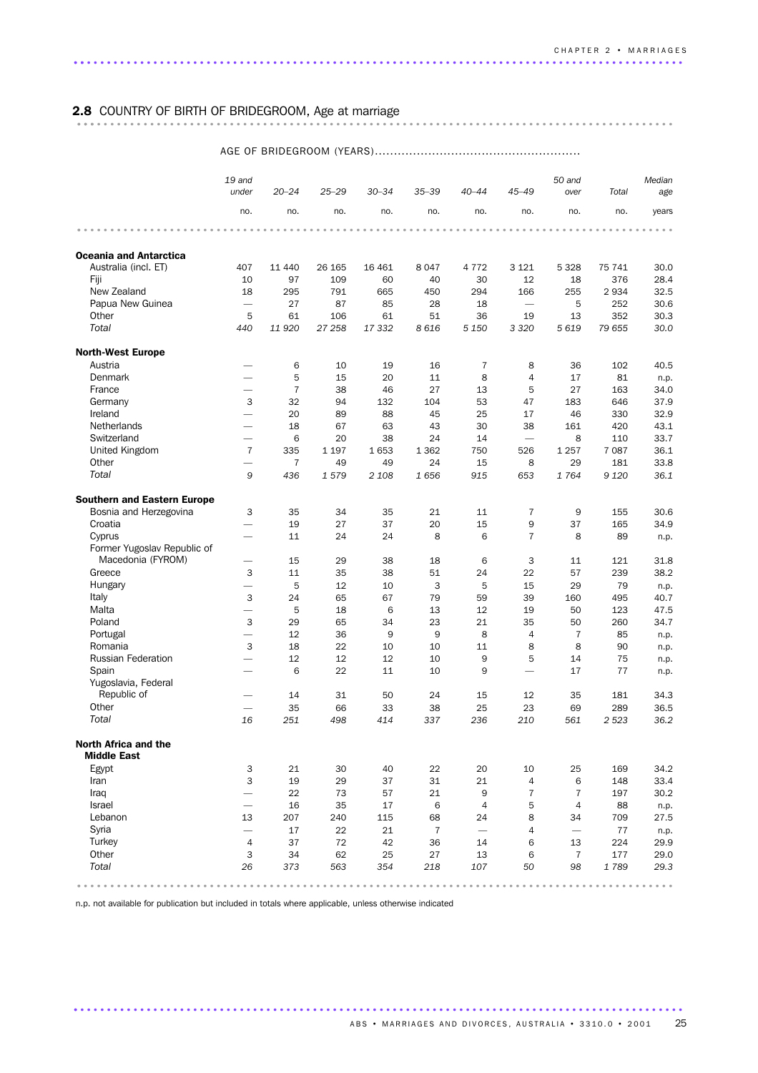# 2.8 COUNTRY OF BIRTH OF BRIDEGROOM, Age at marriage .......................................................................................... ...

### AGE OF BRIDEGROOM (YEARS)......................................................

|                                            | 19 and<br>under          | $20 - 24$      | $25 - 29$ | $30 - 34$ | $35 - 39$      | $40 - 44$                | $45 - 49$                | 50 and<br>over | Total   | Median<br>age |
|--------------------------------------------|--------------------------|----------------|-----------|-----------|----------------|--------------------------|--------------------------|----------------|---------|---------------|
|                                            | no.                      | no.            | no.       | no.       | no.            | no.                      | no.                      | no.            | no.     | years         |
|                                            |                          |                |           |           |                |                          |                          |                |         |               |
| <b>Oceania and Antarctica</b>              |                          |                |           |           |                |                          |                          |                |         |               |
| Australia (incl. ET)                       | 407                      | 11 440         | 26 165    | 16 4 61   | 8047           | 4 7 7 2                  | 3 1 2 1                  | 5 3 2 8        | 75 741  | 30.0          |
| Fiji                                       | 10                       | 97             | 109       | 60        | 40             | 30                       | 12                       | 18             | 376     | 28.4          |
| New Zealand                                | 18                       | 295            | 791       | 665       | 450            | 294                      | 166                      | 255            | 2934    | 32.5          |
| Papua New Guinea                           | $\overline{\phantom{0}}$ | 27             | 87        | 85        | 28             | 18                       | $\overline{\phantom{0}}$ | 5              | 252     | 30.6          |
| Other                                      | 5                        | 61             | 106       | 61        | 51             | 36                       | 19                       | 13             | 352     | 30.3          |
| Total                                      | 440                      | 11920          | 27 258    | 17 332    | 8616           | 5 1 5 0                  | 3 3 2 0                  | 5619           | 79 655  | 30.0          |
| <b>North-West Europe</b>                   |                          |                |           |           |                |                          |                          |                |         |               |
| Austria                                    |                          | 6              | 10        | 19        | 16             | $\overline{7}$           | 8                        | 36             | 102     | 40.5          |
| <b>Denmark</b>                             | $\qquad \qquad$          | 5              | 15        | 20        | 11             | 8                        | $\overline{4}$           | 17             | 81      | n.p.          |
| France                                     |                          | $\overline{7}$ | 38        | 46        | 27             | 13                       | 5                        | 27             | 163     | 34.0          |
| Germany                                    | 3                        | 32             | 94        | 132       | 104            | 53                       | 47                       | 183            | 646     | 37.9          |
| Ireland                                    | $\overline{\phantom{0}}$ | 20             | 89        | 88        | 45             | 25                       | 17                       | 46             | 330     | 32.9          |
| <b>Netherlands</b>                         | $\overline{\phantom{0}}$ | 18             | 67        | 63        | 43             | 30                       | 38                       | 161            | 420     | 43.1          |
| Switzerland                                | $\overline{\phantom{0}}$ | 6              | 20        | 38        | 24             | 14                       | $\overline{\phantom{0}}$ | 8              | 110     | 33.7          |
| United Kingdom                             | $\overline{7}$           | 335            | 1 1 9 7   | 1653      | 1 3 6 2        | 750                      | 526                      | 1 2 5 7        | 7 0 8 7 | 36.1          |
| Other                                      |                          | $\overline{7}$ | 49        | 49        | 24             | 15                       | 8                        | 29             | 181     | 33.8          |
| Total                                      | 9                        | 436            | 1579      | 2 1 0 8   | 1656           | 915                      | 653                      | 1764           | 9 1 2 0 | 36.1          |
| <b>Southern and Eastern Europe</b>         |                          |                |           |           |                |                          |                          |                |         |               |
| Bosnia and Herzegovina                     | 3                        | 35             | 34        | 35        | 21             | 11                       | $\overline{7}$           | 9              | 155     | 30.6          |
| Croatia                                    |                          | 19             | 27        | 37        | 20             | 15                       | 9                        | 37             | 165     | 34.9          |
| Cyprus                                     | $\overline{\phantom{0}}$ | 11             | 24        | 24        | 8              | 6                        | $\overline{7}$           | 8              | 89      | n.p.          |
| Former Yugoslav Republic of                |                          |                |           |           |                |                          |                          |                |         |               |
| Macedonia (FYROM)                          |                          | 15             | 29        | 38        | 18             | 6                        | 3                        | 11             | 121     | 31.8          |
| Greece                                     | 3                        | 11             | 35        | 38        | 51             | 24                       | 22                       | 57             | 239     | 38.2          |
| Hungary                                    | $\overline{\phantom{0}}$ | 5              | 12        | 10        | 3              | 5                        | 15                       | 29             | 79      | n.p.          |
| Italy                                      | 3                        | 24             | 65        | 67        | 79             | 59                       | 39                       | 160            | 495     | 40.7          |
| Malta                                      | $\overline{\phantom{0}}$ | 5              | 18        | 6         | 13             | 12                       | 19                       | 50             | 123     | 47.5          |
| Poland                                     | 3                        | 29             | 65        | 34        | 23             | 21                       | 35                       | 50             | 260     | 34.7          |
| Portugal                                   | $\overline{\phantom{0}}$ | 12             | 36        | 9         | 9              | 8                        | $\overline{4}$           | $\overline{7}$ | 85      | n.p.          |
| Romania                                    | 3                        | 18             | 22        | 10        | 10             | 11                       | 8                        | 8              | 90      | n.p.          |
| <b>Russian Federation</b>                  | $\overline{\phantom{0}}$ | 12             | 12        | 12        | 10             | 9                        | 5                        | 14             | 75      | n.p.          |
| Spain                                      | $\qquad \qquad$          | 6              | 22        | 11        | 10             | 9                        | $\overline{\phantom{0}}$ | 17             | 77      | n.p.          |
| Yugoslavia, Federal                        |                          |                |           |           |                |                          |                          |                |         |               |
| Republic of                                |                          | 14             | 31        | 50        | 24             | 15                       | 12                       | 35             | 181     | 34.3          |
| Other                                      |                          | 35             | 66        | 33        | 38             | 25                       | 23                       | 69             | 289     | 36.5          |
| Total                                      | 16                       | 251            | 498       | 414       | 337            | 236                      | 210                      | 561            | 2 5 23  | 36.2          |
| North Africa and the<br><b>Middle East</b> |                          |                |           |           |                |                          |                          |                |         |               |
| Egypt                                      | 3                        | 21             | 30        | 40        | 22             | 20                       | 10                       | 25             | 169     | 34.2          |
| Iran                                       | 3                        | 19             | 29        | 37        | 31             | 21                       | 4                        | 6              | 148     | 33.4          |
| Iraq                                       |                          | 22             | 73        | 57        | 21             | 9                        | $\overline{7}$           | $\overline{7}$ | 197     | 30.2          |
| Israel                                     | $\overline{\phantom{0}}$ | 16             | 35        | 17        | 6              | 4                        | 5                        | $\overline{4}$ | 88      | n.p.          |
| Lebanon                                    | 13                       | 207            | 240       | 115       | 68             | 24                       | 8                        | 34             | 709     | 27.5          |
| Syria                                      | $\overline{\phantom{0}}$ | 17             | 22        | 21        | $\overline{7}$ | $\overline{\phantom{0}}$ | 4                        |                | 77      | n.p.          |
| Turkey                                     | $\overline{4}$           | 37             | 72        | 42        | 36             | 14                       | 6                        | 13             | 224     | 29.9          |
| Other                                      | 3                        | 34             | 62        | 25        | 27             | 13                       | 6                        | $\overline{7}$ | 177     | 29.0          |
| Total                                      | 26                       | 373            | 563       | 354       | 218            | 107                      | 50                       | 98             | 1789    | 29.3          |
|                                            |                          |                |           |           |                |                          |                          |                |         |               |

............................................................................................ .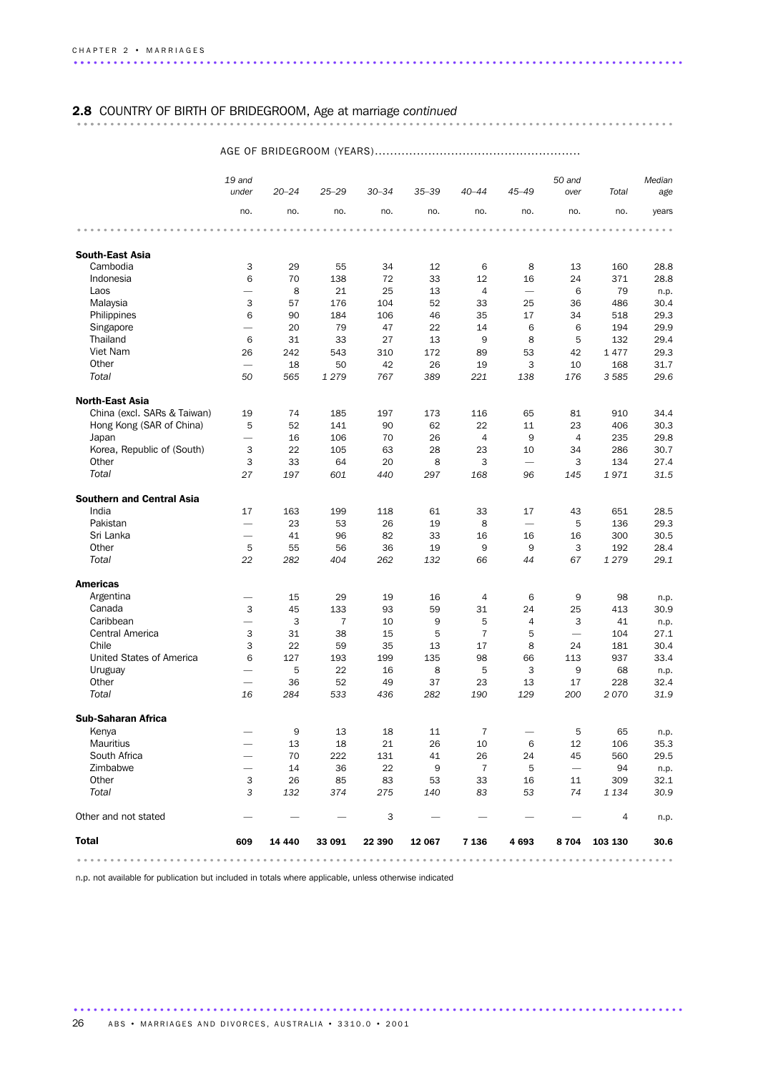# 2.8 COUNTRY OF BIRTH OF BRIDEGROOM, Age at marriage *continued* .......................................................................................... ...

|                                  | 19 and                          |           |                |                                                                       |                     |                            |                                                                           | 50 and                   |         | Median |
|----------------------------------|---------------------------------|-----------|----------------|-----------------------------------------------------------------------|---------------------|----------------------------|---------------------------------------------------------------------------|--------------------------|---------|--------|
|                                  | under                           | $20 - 24$ | $25 - 29$      | $30 - 34$                                                             | $35 - 39$           | $40 - 44$                  | $45 - 49$                                                                 | over                     | Total   | age    |
|                                  | no.                             | no.       | no.            | no.                                                                   | no.                 | no.                        | no.                                                                       | no.                      | no.     | years  |
|                                  |                                 |           |                | $\begin{array}{cccccccccccccc} 0 & 0 & 0 & 0 & 0 & 0 & 0 \end{array}$ | $- - - - - - - - -$ | $\alpha = \alpha - \alpha$ | $\begin{array}{cccccccccccccc} a & a & a & a & a & a & a & a \end{array}$ |                          |         |        |
| <b>South-East Asia</b>           |                                 |           |                |                                                                       |                     |                            |                                                                           |                          |         |        |
| Cambodia                         | 3                               | 29        | 55             | 34                                                                    | 12                  | 6                          | 8                                                                         | 13                       | 160     | 28.8   |
| Indonesia                        | 6                               | 70        | 138            | 72                                                                    | 33                  | 12                         | 16                                                                        | 24                       | 371     | 28.8   |
| Laos                             | $\overline{\phantom{0}}$        | 8         | 21             | 25                                                                    | 13                  | 4                          | $\overline{\phantom{0}}$                                                  | 6                        | 79      | n.p.   |
| Malaysia                         | 3                               | 57        | 176            | 104                                                                   | 52                  | 33                         | 25                                                                        | 36                       | 486     | 30.4   |
| Philippines                      | 6                               | 90        | 184            | 106                                                                   | 46                  | 35                         | 17                                                                        | 34                       | 518     | 29.3   |
| Singapore                        | $\overline{\phantom{0}}$        | 20        | 79             | 47                                                                    | 22                  | 14                         | 6                                                                         | 6                        | 194     | 29.9   |
| Thailand                         | 6                               | 31        | 33             | 27                                                                    | 13                  | 9                          | 8                                                                         | 5                        | 132     | 29.4   |
| Viet Nam                         | 26                              | 242       | 543            | 310                                                                   | 172                 | 89                         | 53                                                                        | 42                       | 1477    | 29.3   |
| Other                            |                                 | 18        | 50             | 42                                                                    | 26                  | 19                         | 3                                                                         | 10                       | 168     | 31.7   |
| Total                            | 50                              | 565       | 1 2 7 9        | 767                                                                   | 389                 | 221                        | 138                                                                       | 176                      | 3 5 8 5 | 29.6   |
| <b>North-East Asia</b>           |                                 |           |                |                                                                       |                     |                            |                                                                           |                          |         |        |
| China (excl. SARs & Taiwan)      | 19                              | 74        | 185            | 197                                                                   | 173                 | 116                        | 65                                                                        | 81                       | 910     | 34.4   |
| Hong Kong (SAR of China)         | 5                               | 52        | 141            | 90                                                                    | 62                  | 22                         | 11                                                                        | 23                       | 406     | 30.3   |
| Japan                            |                                 | 16        | 106            | 70                                                                    | 26                  | 4                          | 9                                                                         | $\overline{4}$           | 235     | 29.8   |
| Korea, Republic of (South)       | 3                               | 22        | 105            | 63                                                                    | 28                  | 23                         | 10                                                                        | 34                       | 286     | 30.7   |
| Other                            | 3                               | 33        | 64             | 20                                                                    | 8                   | 3                          |                                                                           | 3                        | 134     | 27.4   |
| Total                            | 27                              | 197       | 601            | 440                                                                   | 297                 | 168                        | 96                                                                        | 145                      | 1971    | 31.5   |
| <b>Southern and Central Asia</b> |                                 |           |                |                                                                       |                     |                            |                                                                           |                          |         |        |
| India                            | 17                              | 163       | 199            | 118                                                                   | 61                  | 33                         | 17                                                                        | 43                       | 651     | 28.5   |
| Pakistan                         |                                 | 23        | 53             | 26                                                                    | 19                  | 8                          |                                                                           | 5                        | 136     | 29.3   |
| Sri Lanka                        | $\overline{\phantom{0}}$        | 41        | 96             | 82                                                                    | 33                  | 16                         | 16                                                                        | 16                       | 300     | 30.5   |
| Other                            | 5                               | 55        | 56             | 36                                                                    | 19                  | 9                          | 9                                                                         | 3                        | 192     | 28.4   |
| Total                            | 22                              | 282       | 404            | 262                                                                   | 132                 | 66                         | 44                                                                        | 67                       | 1 2 7 9 | 29.1   |
| <b>Americas</b>                  |                                 |           |                |                                                                       |                     |                            |                                                                           |                          |         |        |
| Argentina                        |                                 | 15        | 29             | 19                                                                    | 16                  | 4                          | 6                                                                         | 9                        | 98      | n.p.   |
| Canada                           | 3                               | 45        | 133            | 93                                                                    | 59                  | 31                         | 24                                                                        | 25                       | 413     | 30.9   |
| Caribbean                        | $\overline{\phantom{0}}$        | 3         | $\overline{7}$ | 10                                                                    | 9                   | 5                          | $\overline{4}$                                                            | 3                        | 41      | n.p.   |
| Central America                  | 3                               | 31        | 38             | 15                                                                    | 5                   | $\overline{7}$             | 5                                                                         | $\overline{\phantom{0}}$ | 104     | 27.1   |
| Chile                            | 3                               | 22        | 59             | 35                                                                    | 13                  | 17                         | 8                                                                         | 24                       | 181     | 30.4   |
| United States of America         | 6                               | 127       | 193            | 199                                                                   | 135                 | 98                         | 66                                                                        | 113                      | 937     | 33.4   |
| Uruguay                          | $\overline{\phantom{m}}$        | 5         | 22             | 16                                                                    | 8                   | 5                          | 3                                                                         | 9                        | 68      | n.p.   |
| Other                            | $\overbrace{\qquad \qquad }^{}$ | 36        | 52             | 49                                                                    | 37                  | 23                         | 13                                                                        | 17                       | 228     | 32.4   |
| Total                            | 16                              | 284       | 533            | 436                                                                   | 282                 | 190                        | 129                                                                       | 200                      | 2070    | 31.9   |
| <b>Sub-Saharan Africa</b>        |                                 |           |                |                                                                       |                     |                            |                                                                           |                          |         |        |
| Kenya                            |                                 | 9         | 13             | 18                                                                    | 11                  | 7                          |                                                                           | 5                        | 65      | n.p.   |
| <b>Mauritius</b>                 |                                 | 13        | 18             | 21                                                                    | 26                  | 10                         | 6                                                                         | 12                       | 106     | 35.3   |
| South Africa                     |                                 | 70        | 222            | 131                                                                   | 41                  | 26                         | 24                                                                        | 45                       | 560     | 29.5   |
| Zimbabwe                         | $\overline{\phantom{0}}$        | 14        | 36             | 22                                                                    | 9                   | 7                          | 5                                                                         |                          | 94      | n.p.   |
| Other                            | 3                               | 26        | 85             | 83                                                                    | 53                  | 33                         | 16                                                                        | 11                       | 309     | 32.1   |
| Total                            | 3                               | 132       | 374            | 275                                                                   | 140                 | 83                         | 53                                                                        | 74                       | 1 1 3 4 | 30.9   |
| Other and not stated             |                                 |           |                | 3                                                                     |                     |                            |                                                                           |                          | 4       | n.p.   |
| <b>Total</b>                     | 609                             | 14 440    | 33 091         | 22 390                                                                | 12 067              | 7 1 3 6                    | 4693                                                                      | 8704                     | 103 130 | 30.6   |
|                                  |                                 |           |                |                                                                       |                     |                            |                                                                           |                          |         |        |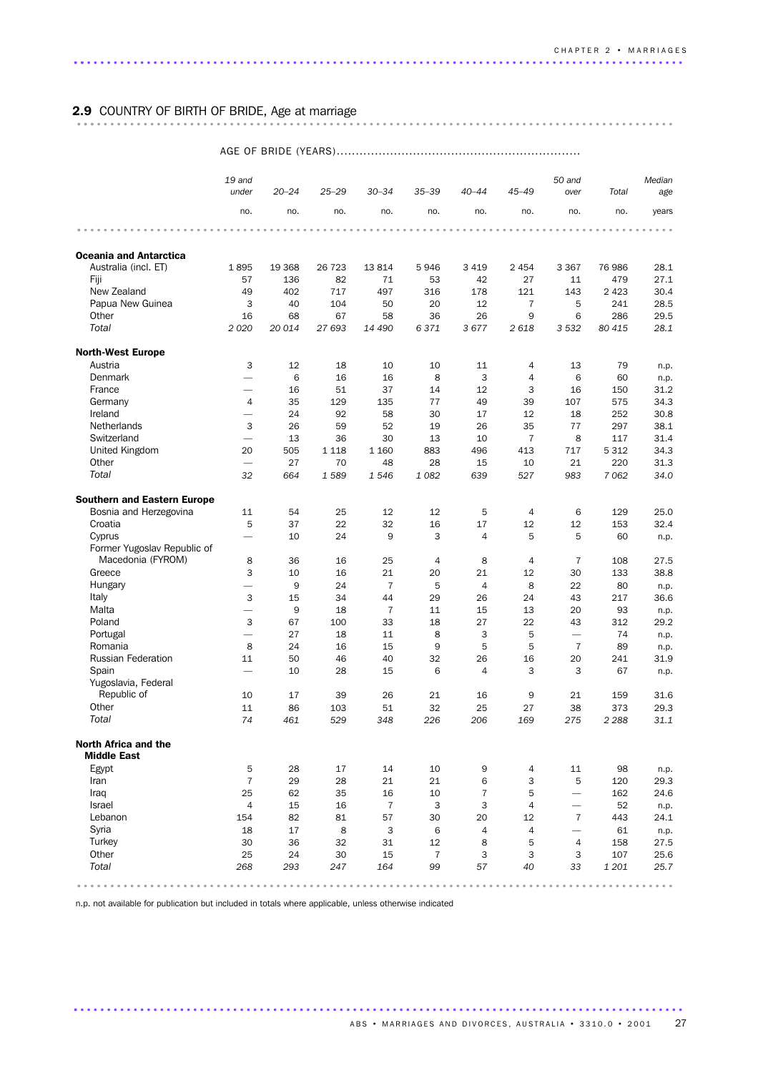# 2.9 COUNTRY OF BIRTH OF BRIDE, Age at marriage .......................................................................................... ...

AGE OF BRIDE (YEARS)................................................................

|                                            | 19 and<br>under               | $20 - 24$ | $25 - 29$ | $30 - 34$                 | $35 - 39$                 | $40 - 44$      | $45 - 49$      | 50 and<br>over           | Total     | Median<br>age |
|--------------------------------------------|-------------------------------|-----------|-----------|---------------------------|---------------------------|----------------|----------------|--------------------------|-----------|---------------|
|                                            | no.                           | no.       | no.       | no.                       | no.                       | no.            | no.            | no.                      | no.       | years         |
|                                            |                               |           |           |                           |                           |                |                |                          |           |               |
| <b>Oceania and Antarctica</b>              |                               |           |           |                           |                           |                |                |                          |           |               |
| Australia (incl. ET)                       | 1895                          | 19 3 68   | 26 7 23   | 13814                     | 5946                      | 3 4 1 9        | 2 4 5 4        | 3 3 6 7                  | 76 986    | 28.1          |
| Fiji                                       | 57                            | 136       | 82        | 71                        | 53                        | 42             | 27             | 11                       | 479       | 27.1          |
| New Zealand                                | 49                            | 402       | 717       | 497                       | 316                       | 178            | 121            | 143                      | 2 4 2 3   | 30.4          |
| Papua New Guinea                           | 3                             | 40        | 104       | 50                        | 20                        | 12             | 7              | 5                        | 241       | 28.5          |
| Other                                      | 16                            | 68        | 67        | 58                        | 36                        | 26             | 9              | 6                        | 286       | 29.5          |
| Total                                      | 2020                          | 20 014    | 27 693    | 14 490                    | 6371                      | 3677           | 2618           | 3532                     | 80 415    | 28.1          |
| <b>North-West Europe</b>                   |                               |           |           |                           |                           |                |                |                          |           |               |
| Austria                                    | 3                             | 12        | 18        | 10                        | 10                        | 11             | 4              | 13                       | 79        | n.p.          |
| Denmark                                    | $\overline{\phantom{0}}$      | 6         | 16        | 16                        | 8                         | 3              | $\overline{4}$ | 6                        | 60        | n.p.          |
| France                                     |                               | 16        | 51        | 37                        | 14                        | 12             | 3              | 16                       | 150       | 31.2          |
| Germany                                    | $\overline{4}$                | 35        | 129       | 135                       | 77                        | 49             | 39             | 107                      | 575       | 34.3          |
| Ireland                                    |                               | 24        | 92        | 58                        | 30                        | 17             | 12             | 18                       | 252       | 30.8          |
| <b>Netherlands</b>                         | 3                             | 26        | 59        | 52                        | 19                        | 26             | 35             | 77                       | 297       | 38.1          |
| Switzerland                                | $\overline{\phantom{0}}$      | 13        | 36        | 30                        | 13                        | 10             | $\overline{7}$ | 8                        | 117       | 31.4          |
| United Kingdom                             | 20                            | 505       | 1 1 1 8   | 1 1 6 0                   | 883                       | 496            | 413            | 717                      | 5 3 1 2   | 34.3          |
| Other                                      | $\overline{\phantom{0}}$      | 27        | 70        | 48                        | 28                        | 15             | 10             | 21                       | 220       | 31.3          |
| Total                                      | 32                            | 664       | 1589      | 1546                      | 1082                      | 639            | 527            | 983                      | 7062      | 34.0          |
| <b>Southern and Eastern Europe</b>         |                               |           |           |                           |                           |                |                |                          |           |               |
| Bosnia and Herzegovina                     | 11                            | 54        | 25        | 12                        | 12                        | 5              | 4              | 6                        | 129       | 25.0          |
| Croatia                                    | 5                             | 37        | 22        | 32                        | 16                        | 17             | 12             | 12                       | 153       | 32.4          |
| Cyprus                                     |                               | 10        | 24        | 9                         | 3                         | 4              | 5              | 5                        | 60        | n.p.          |
| Former Yugoslav Republic of                |                               |           |           |                           |                           |                |                |                          |           |               |
| Macedonia (FYROM)                          | 8                             | 36        | 16        | 25                        | 4                         | 8              | 4              | $\overline{7}$           | 108       | 27.5          |
| Greece                                     | 3<br>$\overline{\phantom{0}}$ | 10        | 16        | 21                        | 20                        | 21             | 12             | 30                       | 133       | 38.8          |
| Hungary                                    |                               | 9         | 24        | $\overline{7}$            | 5                         | 4              | 8              | 22                       | 80        | n.p.          |
| Italy<br>Malta                             | 3<br>$\overline{\phantom{0}}$ | 15<br>9   | 34<br>18  | 44<br>$\overline{7}$      | 29<br>11                  | 26<br>15       | 24<br>13       | 43<br>20                 | 217<br>93 | 36.6          |
| Poland                                     | 3                             | 67        | 100       | 33                        | 18                        | 27             | 22             | 43                       | 312       | n.p.<br>29.2  |
| Portugal                                   | $\overline{\phantom{0}}$      | 27        | 18        | 11                        | 8                         | 3              | 5              |                          | 74        | n.p.          |
| Romania                                    | 8                             | 24        | 16        | 15                        | $\mathsf g$               | 5              | 5              | $\overline{7}$           | 89        | n.p.          |
| <b>Russian Federation</b>                  | 11                            | 50        | 46        | 40                        | 32                        | 26             | 16             | 20                       | 241       | 31.9          |
| Spain                                      |                               | 10        | 28        | 15                        | 6                         | 4              | 3              | 3                        | 67        | n.p.          |
| Yugoslavia, Federal                        |                               |           |           |                           |                           |                |                |                          |           |               |
| Republic of                                | 10                            | 17        | 39        | 26                        | 21                        | 16             | 9              | 21                       | 159       | 31.6          |
| Other                                      | 11                            | 86        | 103       | 51                        | 32                        | 25             | 27             | 38                       | 373       | 29.3          |
| Total                                      | 74                            | 461       | 529       | 348                       | 226                       | 206            | 169            | 275                      | 2 2 8 8   | 31.1          |
| North Africa and the<br><b>Middle East</b> |                               |           |           |                           |                           |                |                |                          |           |               |
| Egypt                                      | 5                             | 28        | 17        | 14                        | 10                        | 9              | 4              | 11                       | 98        | n.p.          |
| Iran                                       | $\overline{7}$                | 29        | 28        | 21                        | 21                        | 6              | 3              | 5                        | 120       | 29.3          |
| Iraq                                       | 25                            | 62        | 35        | 16                        | 10                        | $\overline{7}$ | 5              | $\overline{\phantom{0}}$ | 162       | 24.6          |
| Israel                                     | 4                             | 15        | 16        | $\overline{7}$            | $\ensuremath{\mathsf{3}}$ | 3              | 4              | $\overline{\phantom{0}}$ | 52        | n.p.          |
| Lebanon                                    | 154                           | 82        | 81        | 57                        | 30                        | 20             | 12             | $\overline{7}$           | 443       | 24.1          |
| Syria                                      | 18                            | 17        | 8         | $\ensuremath{\mathsf{3}}$ | 6                         | 4              | 4              | $\overline{\phantom{0}}$ | 61        | n.p.          |
| Turkey                                     | 30                            | 36        | 32        | 31                        | 12                        | 8              | 5              | $\overline{4}$           | 158       | 27.5          |
| Other                                      | 25                            | 24        | 30        | 15                        | $\overline{7}$            | 3              | 3              | 3                        | 107       | 25.6          |
| Total                                      | 268                           | 293       | 247       | 164                       | 99                        | 57             | 40             | 33                       | 1 201     | 25.7          |
|                                            |                               |           |           |                           |                           |                |                |                          |           |               |

............................................................................................ .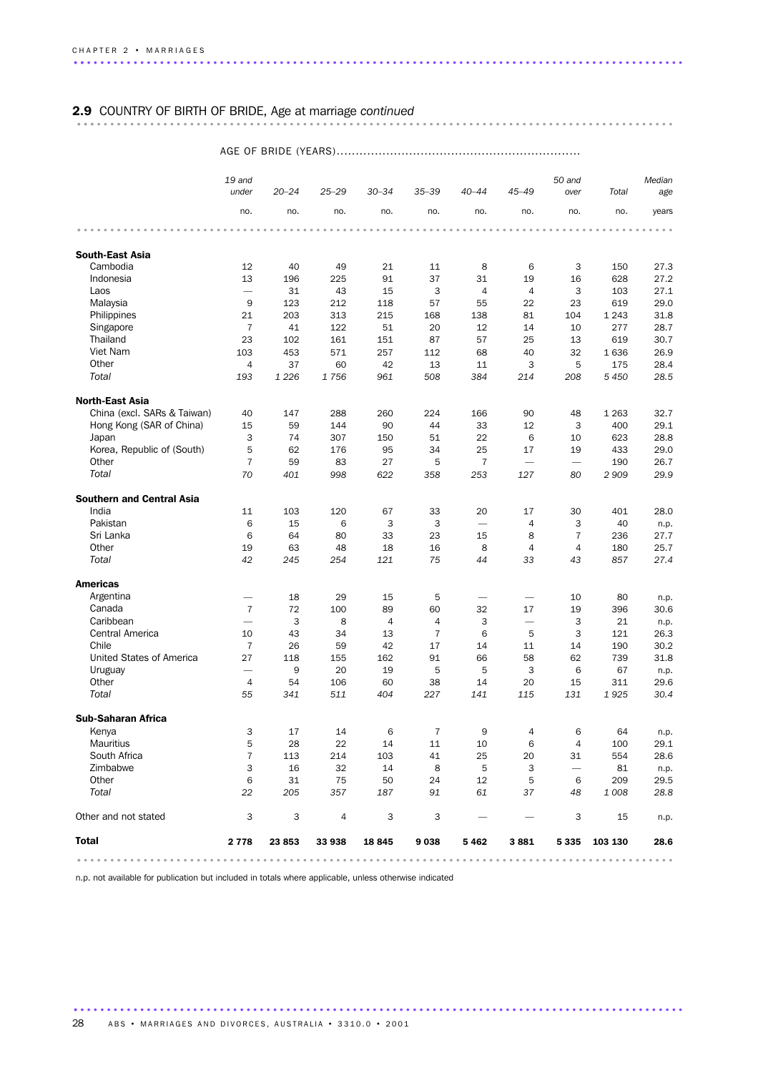# 2.9 COUNTRY OF BIRTH OF BRIDE, Age at marriage *continued* .......................................................................................... ...

### AGE OF BRIDE (YEARS)................................................................

|                                  | 19 and                   |           |           |                |                |                          |                          | 50 and                   |         | Median |
|----------------------------------|--------------------------|-----------|-----------|----------------|----------------|--------------------------|--------------------------|--------------------------|---------|--------|
|                                  | under                    | $20 - 24$ | $25 - 29$ | $30 - 34$      | $35 - 39$      | $40 - 44$                | $45 - 49$                | over                     | Total   | age    |
|                                  | no.                      | no.       | no.       | no.            | no.            | no.                      | no.                      | no.                      | no.     | years  |
|                                  |                          |           |           |                |                |                          |                          |                          |         |        |
| <b>South-East Asia</b>           |                          |           |           |                |                |                          |                          |                          |         |        |
| Cambodia                         | 12                       | 40        | 49        | 21             | 11             | 8                        | 6                        | 3                        | 150     | 27.3   |
| Indonesia                        | 13                       | 196       | 225       | 91             | 37             | 31                       | 19                       | 16                       | 628     | 27.2   |
| Laos                             |                          | 31        | 43        | 15             | 3              | $\overline{4}$           | $\overline{4}$           | 3                        | 103     | 27.1   |
| Malaysia                         | 9                        | 123       | 212       | 118            | 57             | 55                       | 22                       | 23                       | 619     | 29.0   |
| Philippines                      | 21                       | 203       | 313       | 215            | 168            | 138                      | 81                       | 104                      | 1 2 4 3 | 31.8   |
| Singapore                        | $\overline{7}$           | 41        | 122       | 51             | 20             | 12                       | 14                       | 10                       | 277     | 28.7   |
| Thailand                         | 23                       | 102       | 161       | 151            | 87             | 57                       | 25                       | 13                       | 619     | 30.7   |
| Viet Nam                         | 103                      | 453       | 571       | 257            | 112            | 68                       | 40                       | 32                       | 1636    | 26.9   |
| Other<br>Total                   | $\overline{4}$           | 37        | 60        | 42             | 13             | 11                       | 3                        | 5                        | 175     | 28.4   |
|                                  | 193                      | 1 2 2 6   | 1756      | 961            | 508            | 384                      | 214                      | 208                      | 5 4 5 0 | 28.5   |
| <b>North-East Asia</b>           |                          |           |           |                |                |                          |                          |                          |         |        |
| China (excl. SARs & Taiwan)      | 40                       | 147       | 288       | 260            | 224            | 166                      | 90                       | 48                       | 1 2 6 3 | 32.7   |
| Hong Kong (SAR of China)         | 15                       | 59        | 144       | 90             | 44             | 33                       | 12                       | 3                        | 400     | 29.1   |
| Japan                            | 3                        | 74        | 307       | 150            | 51             | 22                       | 6                        | 10                       | 623     | 28.8   |
| Korea, Republic of (South)       | 5                        | 62        | 176       | 95             | 34             | 25                       | 17                       | 19                       | 433     | 29.0   |
| Other                            | $\overline{7}$           | 59        | 83        | 27             | 5              | $\overline{7}$           | $\overline{\phantom{0}}$ |                          | 190     | 26.7   |
| Total                            | 70                       | 401       | 998       | 622            | 358            | 253                      | 127                      | 80                       | 2 9 0 9 | 29.9   |
| <b>Southern and Central Asia</b> |                          |           |           |                |                |                          |                          |                          |         |        |
| India                            | 11                       | 103       | 120       | 67             | 33             | 20                       | 17                       | 30                       | 401     | 28.0   |
| Pakistan                         | 6                        | 15        | 6         | 3              | 3              | $\overline{\phantom{0}}$ | $\overline{4}$           | 3                        | 40      | n.p.   |
| Sri Lanka                        | 6                        | 64        | 80        | 33             | 23             | 15                       | 8                        | $\overline{7}$           | 236     | 27.7   |
| Other                            | 19                       | 63        | 48        | 18             | 16             | 8                        | $\overline{4}$           | 4                        | 180     | 25.7   |
| Total                            | 42                       | 245       | 254       | 121            | 75             | 44                       | 33                       | 43                       | 857     | 27.4   |
| <b>Americas</b>                  |                          |           |           |                |                |                          |                          |                          |         |        |
| Argentina                        | $\overline{\phantom{0}}$ | 18        | 29        | 15             | 5              |                          | $\overline{\phantom{0}}$ | 10                       | 80      | n.p.   |
| Canada                           | $\overline{7}$           | 72        | 100       | 89             | 60             | 32                       | 17                       | 19                       | 396     | 30.6   |
| Caribbean                        | $\overline{\phantom{0}}$ | 3         | 8         | $\overline{4}$ | 4              | 3                        | $\overline{\phantom{0}}$ | 3                        | 21      | n.p.   |
| Central America                  | 10                       | 43        | 34        | 13             | $\overline{7}$ | 6                        | 5                        | 3                        | 121     | 26.3   |
| Chile                            | $\overline{7}$           | 26        | 59        | 42             | 17             | 14                       | 11                       | 14                       | 190     | 30.2   |
| United States of America         | 27                       | 118       | 155       | 162            | 91             | 66                       | 58                       | 62                       | 739     | 31.8   |
| Uruguay                          | $\overline{\phantom{0}}$ | 9         | 20        | 19             | 5              | 5                        | 3                        | 6                        | 67      | n.p.   |
| Other                            | $\overline{4}$           | 54        | 106       | 60             | 38             | 14                       | 20                       | 15                       | 311     | 29.6   |
| Total                            | 55                       | 341       | 511       | 404            | 227            | 141                      | 115                      | 131                      | 1925    | 30.4   |
| <b>Sub-Saharan Africa</b>        |                          |           |           |                |                |                          |                          |                          |         |        |
| Kenya                            | 3                        | 17        | 14        | 6              | 7              | 9                        | 4                        | 6                        | 64      | n.p.   |
| Mauritius                        | 5                        | 28        | 22        | 14             | 11             | 10                       | 6                        | 4                        | 100     | 29.1   |
| South Africa                     | $\overline{7}$           | 113       | 214       | 103            | 41             | 25                       | 20                       | 31                       | 554     | 28.6   |
| Zimbabwe                         | 3                        | 16        | 32        | 14             | 8              | 5                        | 3                        | $\overline{\phantom{0}}$ | 81      | n.p.   |
| Other                            | 6                        | 31        | 75        | 50             | 24             | 12                       | 5                        | 6                        | 209     | 29.5   |
| Total                            | 22                       | 205       | 357       | 187            | 91             | 61                       | 37                       | 48                       | 1 0 0 8 | 28.8   |
| Other and not stated             | 3                        | 3         | 4         | 3              | 3              |                          |                          | 3                        | 15      | n.p.   |
| <b>Total</b>                     | 2 7 7 8                  | 23 853    | 33 938    | 18 845         | 9038           | 5462                     | 3881                     | 5 3 3 5                  | 103 130 | 28.6   |
|                                  |                          |           |           |                |                |                          |                          |                          |         |        |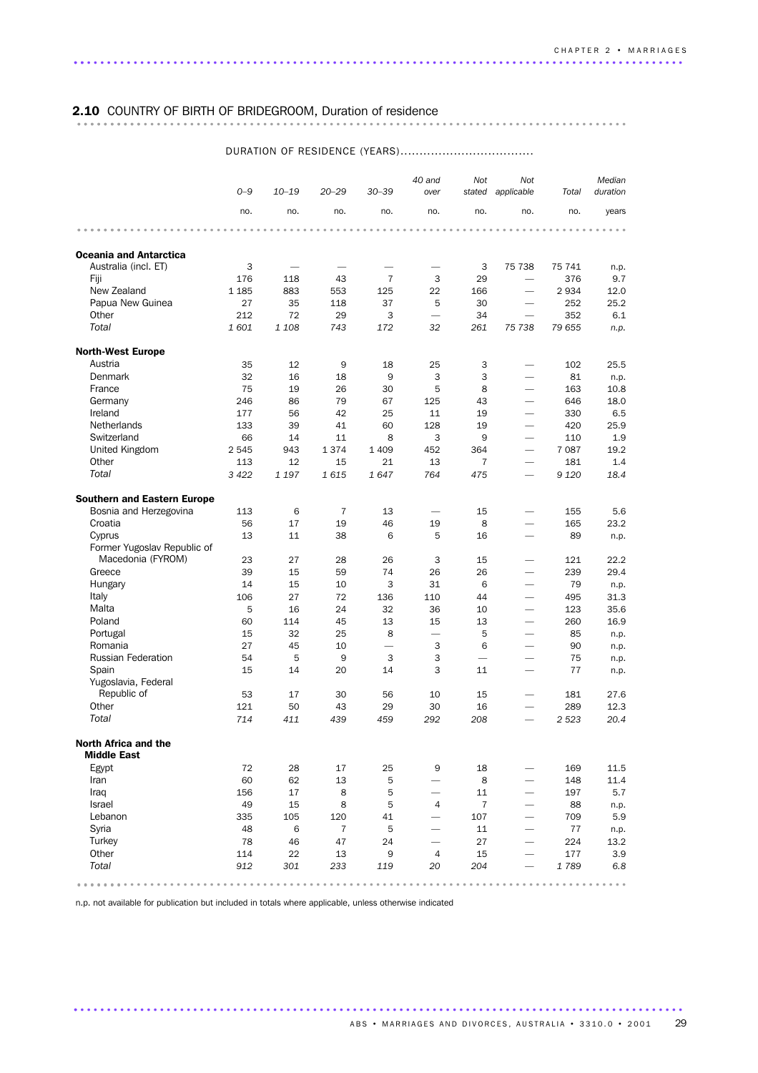# 2.10 COUNTRY OF BIRTH OF BRIDEGROOM, Duration of residence ................................................................................... ..........

|                                    | $O - 9$     | $10 - 19$     | $20 - 29$      | $30 - 39$                | 40 and<br>over                 | Not                      | Not<br>stated applicable | Total         | Median<br>duration |
|------------------------------------|-------------|---------------|----------------|--------------------------|--------------------------------|--------------------------|--------------------------|---------------|--------------------|
|                                    | no.         | no.           | no.            | no.                      | no.                            | no.                      | no.                      | no.           | years              |
|                                    |             |               |                |                          |                                |                          |                          |               |                    |
| <b>Oceania and Antarctica</b>      |             |               |                |                          |                                |                          |                          |               |                    |
| Australia (incl. ET)               | 3           |               |                |                          |                                | 3                        | 75 738                   | 75 741        | n.p.               |
| Fiji                               | 176         | 118           | 43             | $\overline{7}$           | 3                              | 29                       | $\overline{\phantom{0}}$ | 376           | 9.7                |
| New Zealand                        | 1 1 8 5     | 883           | 553            | 125                      | 22                             | 166                      | $\overline{\phantom{0}}$ | 2934          | 12.0               |
| Papua New Guinea                   | 27          | 35            | 118            | 37                       | 5                              | 30                       |                          | 252           | 25.2               |
| Other<br>Total                     | 212<br>1601 | 72<br>1 1 0 8 | 29<br>743      | 3<br>172                 | $\overline{\phantom{0}}$<br>32 | 34<br>261                | 75 738                   | 352<br>79 655 | 6.1<br>n.p.        |
|                                    |             |               |                |                          |                                |                          |                          |               |                    |
| <b>North-West Europe</b>           |             |               |                |                          |                                |                          |                          |               |                    |
| Austria                            | 35          | 12            | 9              | 18                       | 25                             | 3                        |                          | 102           | 25.5               |
| Denmark                            | 32          | 16            | 18             | 9                        | 3                              | 3                        | $\overline{\phantom{0}}$ | 81            | n.p.               |
| France                             | 75          | 19            | 26             | 30                       | 5                              | 8                        | $\overline{\phantom{0}}$ | 163           | 10.8               |
| Germany                            | 246         | 86            | 79             | 67                       | 125                            | 43                       | $\overline{\phantom{0}}$ | 646           | 18.0               |
| Ireland                            | 177         | 56            | 42             | 25                       | 11                             | 19                       | $\overline{\phantom{0}}$ | 330           | 6.5                |
| <b>Netherlands</b>                 | 133         | 39            | 41             | 60                       | 128                            | 19                       |                          | 420           | 25.9               |
| Switzerland                        | 66          | 14            | 11             | 8                        | 3                              | 9                        | $\overline{\phantom{0}}$ | 110           | 1.9                |
| United Kingdom                     | 2545        | 943           | 1374           | 1 4 0 9                  | 452                            | 364                      | $\overline{\phantom{0}}$ | 7 0 8 7       | 19.2               |
| Other                              | 113         | 12            | 15             | 21                       | 13                             | $\overline{7}$           |                          | 181           | 1.4                |
| Total                              | 3 4 2 2     | 1 1 9 7       | 1615           | 1647                     | 764                            | 475                      |                          | 9 1 2 0       | 18.4               |
| <b>Southern and Eastern Europe</b> |             |               |                |                          |                                |                          |                          |               |                    |
| Bosnia and Herzegovina             | 113         | 6             | 7              | 13                       | $\overline{\phantom{0}}$       | 15                       | $\overline{\phantom{0}}$ | 155           | 5.6                |
| Croatia                            | 56          | 17            | 19             | 46                       | 19                             | 8                        | $\overline{\phantom{0}}$ | 165           | 23.2               |
| Cyprus                             | 13          | 11            | 38             | 6                        | 5                              | 16                       | $\overline{\phantom{0}}$ | 89            | n.p.               |
| Former Yugoslav Republic of        |             |               |                |                          |                                |                          |                          |               |                    |
| Macedonia (FYROM)                  | 23          | 27            | 28             | 26                       | 3                              | 15                       | $\overline{\phantom{0}}$ | 121           | 22.2               |
| Greece                             | 39          | 15            | 59             | 74                       | 26                             | 26                       | $\overline{\phantom{0}}$ | 239           | 29.4               |
| Hungary                            | 14          | 15            | 10             | 3                        | 31                             | 6                        | $\overline{\phantom{0}}$ | 79            | n.p.               |
| Italy                              | 106         | 27            | 72             | 136                      | 110                            | 44                       | $\overline{\phantom{0}}$ | 495           | 31.3               |
| Malta                              | 5           | 16            | 24             | 32                       | 36                             | 10                       |                          | 123           | 35.6               |
| Poland                             | 60          | 114           | 45             | 13                       | 15                             | 13                       |                          | 260           | 16.9               |
| Portugal                           | 15          | 32            | 25             | 8                        | $\overline{\phantom{0}}$       | 5                        | $\overline{\phantom{0}}$ | 85            | n.p.               |
| Romania                            | 27          | 45            | 10             | $\overline{\phantom{0}}$ | 3                              | 6                        | $\overline{\phantom{0}}$ | 90            | n.p.               |
| <b>Russian Federation</b>          | 54          | 5             | 9              | 3                        | 3                              | $\overline{\phantom{a}}$ | $\overline{\phantom{0}}$ | 75            | n.p.               |
| Spain                              | 15          | 14            | 20             | 14                       | 3                              | 11                       |                          | 77            | n.p.               |
| Yugoslavia, Federal                |             |               |                |                          |                                |                          |                          |               |                    |
| Republic of                        | 53          | 17            | 30             | 56                       | 10                             | 15                       | $\overline{\phantom{0}}$ | 181           | 27.6               |
| Other                              | 121         | 50            | 43             | 29                       | 30                             | 16                       |                          | 289           | 12.3               |
| Total                              | 714         | 411           | 439            | 459                      | 292                            | 208                      | $\overline{\phantom{0}}$ | 2 5 23        | 20.4               |
| North Africa and the               |             |               |                |                          |                                |                          |                          |               |                    |
| <b>Middle East</b>                 |             |               |                |                          |                                |                          |                          |               |                    |
| Egypt                              | 72          | 28            | 17             | 25                       | 9                              | 18                       |                          | 169           | 11.5               |
| Iran                               | 60          | 62            | 13             | 5                        | $\overline{\phantom{0}}$       | 8                        | $\overline{\phantom{0}}$ | 148           | 11.4               |
| Iraq                               | 156         | 17            | 8              | $\overline{5}$           | $\overline{\phantom{0}}$       | 11                       |                          | 197           | 5.7                |
| Israel                             | 49          | 15            | 8              | 5                        | 4                              | $\overline{7}$           |                          | 88            | n.p.               |
| Lebanon                            | 335         | 105           | 120            | 41                       | $\overline{\phantom{0}}$       | 107                      | $\overline{\phantom{0}}$ | 709           | 5.9                |
| Syria                              | 48          | 6             | $\overline{7}$ | 5                        | $\overline{\phantom{0}}$       | 11                       | $\overline{\phantom{0}}$ | 77            | n.p.               |
| Turkey                             | 78          | 46            | 47             | 24                       | $\overline{\phantom{0}}$       | 27                       | $\overline{\phantom{0}}$ | 224           | 13.2               |
| Other<br>Total                     | 114         | 22            | 13             | 9                        | 4                              | 15                       |                          | 177           | 3.9                |
|                                    | 912         | 301           | 233            | 119                      | 20                             | 204                      | $\overline{\phantom{0}}$ | 1789          | 6.8                |

............................................................................................ .

### DURATION OF RESIDENCE (YEARS)...................................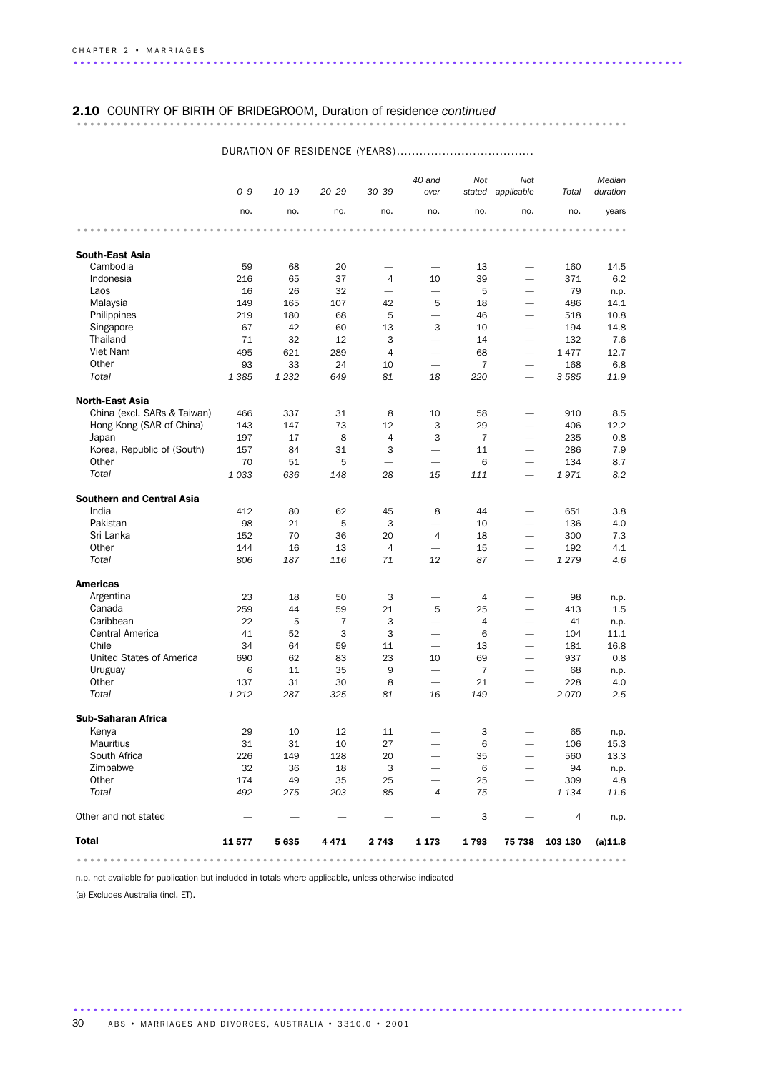# 2.10 COUNTRY OF BIRTH OF BRIDEGROOM, Duration of residence *continued* ................................................................................... ..........

### *0–9 10–19 20–29 30–39 40 and over Not stated applicable Total Not Median duration* no. no. no. no. no. no. no. no. years ................................................................................... ....... South-East Asia Cambodia 59 68 20 — — 13 — 160 14.5 Indonesia 216 65 37 4 10 39 — 371 6.2 Laos 16 26 32 — — 5 — 79 n.p. Malaysia 149 165 107 42 5 18 — 486 14.1 Philippines 219 180 68 5 — 46 — 518 10.8 Singapore 67 42 60 13 3 10 — 194 14.8 Thailand 71 32 12 3 — 14 — 132 7.6 Viet Nam 495 621 289 4 — 68 — 1 477 12.7 Other 93 33 24 10 — 7 — 168 6.8 *Total 1 385 1 232 649 81 18 220 — 3 585 11.9* North-East Asia China (excl. SARs & Taiwan) 466 337 31 8 10 58 — 910 8.5 Hong Kong (SAR of China) 143 147 73 12 3 29 — 406 12.2 Japan 197 17 8 4 3 7 — 235 0.8 Korea, Republic of (South)  $157$  84 31 3 - 11 - 286 7.9 Other 70 51 5 — — 6 — 134 8.7 *Total 1 033 636 148 28 15 111 — 1 971 8.2* Southern and Central Asia India 412 80 62 45 8 44 — 651 3.8 Pakistan 98 21 5 3 — 10 — 136 4.0 Sri Lanka 152 70 36 20 4 18 — 300 7.3 Other 144 16 13 4 — 15 — 192 4.1 *Total 806 187 116 71 12 87 — 1 279 4.6* Americas Argentina 23 18 50 3 — 4 — 98 n.p. Canada 259 44 59 21 5 25 — 413 1.5 Caribbean 22 5 7 3 — 4 — 41 n.p. Central America 41 52 3 3 — 6 — 104 11.1 Chile 34 64 59 11 — 13 — 181 16.8 United States of America 690 62 83 23 10 69 — 937 0.8 Uruguay 6 11 35 9 — 7 — 68 n.p. Other 137 31 30 8 — 21 — 228 4.0 *Total 1 212 287 325 81 16 149 — 2 070 2.5* Sub-Saharan Africa Kenya 29 10 12 11 — 3 — 65 n.p. Mauritius 31 31 10 27 — 6 — 106 15.3 South Africa 226 149 128 20 — 35 — 560 13.3 Zimbabwe 32 36 18 3 — 6 — 94 n.p. Other 174 49 35 25 — 25 — 309 4.8 *Total 492 275 203 85 4 75 — 1 134 11.6* Other and not stated  $\begin{array}{ccccccccccc} -&-&-&-&-&-&-&3&-&4&\dotsp. \end{array}$ Total 11 577 5 635 4 471 2 743 1 173 1 793 75 738 103 130 (a) 11.8 ................................................................................... .......

### DURATION OF RESIDENCE (YEARS)....................................

n.p. not available for publication but included in totals where applicable, unless otherwise indicated

(a) Excludes Australia (incl. ET).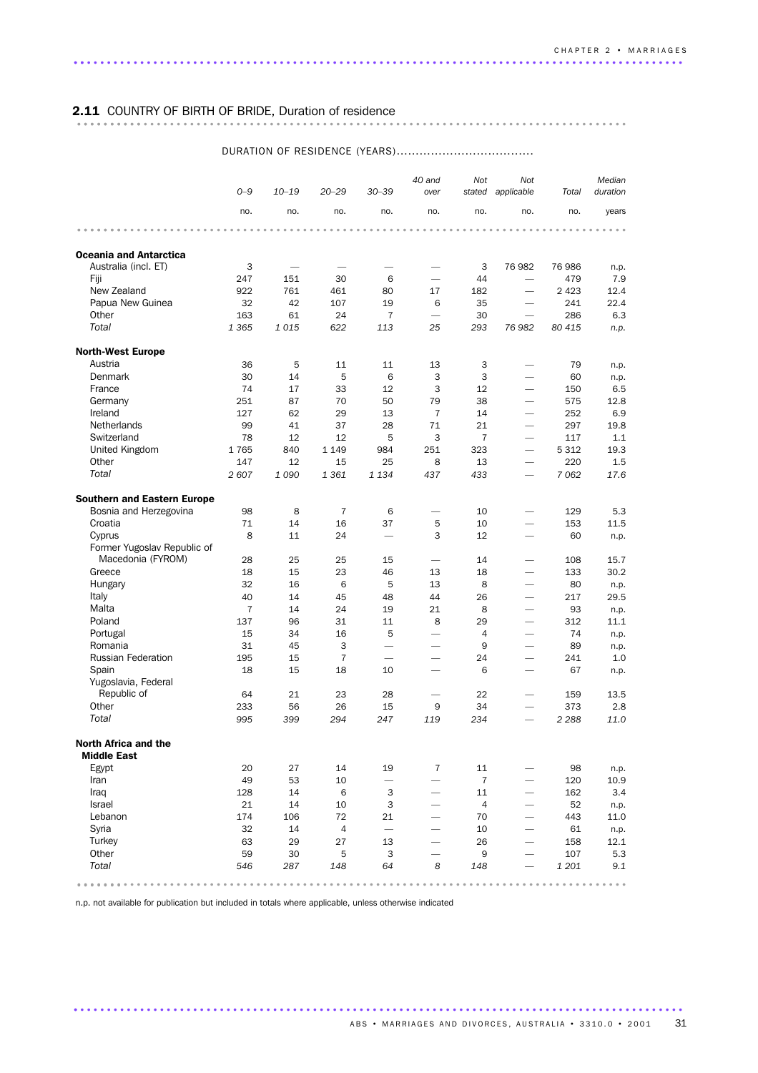# 2.11 COUNTRY OF BIRTH OF BRIDE, Duration of residence ................................................................................... ..........

### *0–9 10–19 20–29 30–39 40 and over Not stated applicable Total Not Median duration* no. no. no. no. no. no. no. no. years ................................................................................... ....... Oceania and Antarctica Australia (incl. FT)  $\begin{array}{cccc} 3 & - & - & - & - & 3 & 76982 & 76986 & n.p. \end{array}$ Fiji 247 151 30 6 — 44 — 479 7.9 New Zealand 922 761 461 80 17 182 — 2 423 12.4 Papua New Guinea 32 42 107 19 6 35 — 241 22.4 Other 163 61 24 7 — 30 — 286 6.3 *Total 1 365 1 015 622 113 25 293 76 982 80 415 n.p.* North-West Europe Austria 36 5 11 11 13 3 — 79 n.p. Denmark 30 14 5 6 3 3 — 60 n.p. France 74 17 33 12 3 12 — 150 6.5 Germany 251 87 70 50 79 38 — 575 12.8 Ireland 127 62 29 13 7 14 — 252 6.9 Netherlands 99 41 37 28 71 21 - 297 19.8<br>Switzerland 78 12 12 5 3 7 - 117 1.1 Switzerland 78 12 12 5 3 7 — 117 1.1 United Kingdom 1 765 840 1 149 984 251 323 — 5 312 19.3 Other 147 12 15 25 8 13 — 220 1.5 *Total 2 607 1 090 1 361 1 134 437 433 — 7 062 17.6* Southern and Eastern Europe Bosnia and Herzegovina 98 8 7 6 — 10 — 129 5.3 Croatia 71 14 16 37 5 10 — 153 11.5 Cyprus 8 11 24 — 3 12 — 60 n.p. Former Yugoslav Republic of Macedonia (FYROM) 28 25 25 15 — 14 — 108 15.7 Greece 18 18 15 23 46 13 18 — 133 30.2 Hungary 32 16 6 5 13 8 — 80 n.p. Italy 40 14 45 48 44 26 — 217 29.5 Malta 7 14 24 19 21 8 — 93 n.p. Poland 137 96 31 11 8 29 — 312 11.1 Portugal 15 34 16 5 — 4 — 74 n.p. Romania 31 45 3 — — 9 — 89 n.p. Russian Federation 195 15 7 – – 24 – 241 1.0 Spain 18 15 18 10 — 6 — 67 n.p. Yugoslavia, Federal Republic of 64 21 23 28 — 22 — 159 13.5 Other 233 56 26 15 9 34 — 373 2.8 *Total 995 399 294 247 119 234 — 2 288 11.0* North Africa and the Middle East Egypt 20 27 14 19 7 11 — 98 n.p. Iran 49 53 10 — — 7 — 120 10.9 Iraq 128 14 6 3 — 11 — 162 3.4 Israel 21 14 10 3 — 4 — 52 n.p. Lebanon 174 106 72 21 — 70 — 443 11.0 Syria 32 14 4 — — 10 — 61 n.p. Turkey 63 29 27 13 — 26 — 158 12.1 Other 59 30 5 3 — 9 — 107 5.3 *Total 546 287 148 64 8 148 — 1 201 9.1*  $\text{Total} \quad 546 \quad 287 \quad 148 \quad 64 \quad 8 \quad 148 \quad - \quad 1201 \quad 9.1$

### DURATION OF RESIDENCE (YEARS)....................................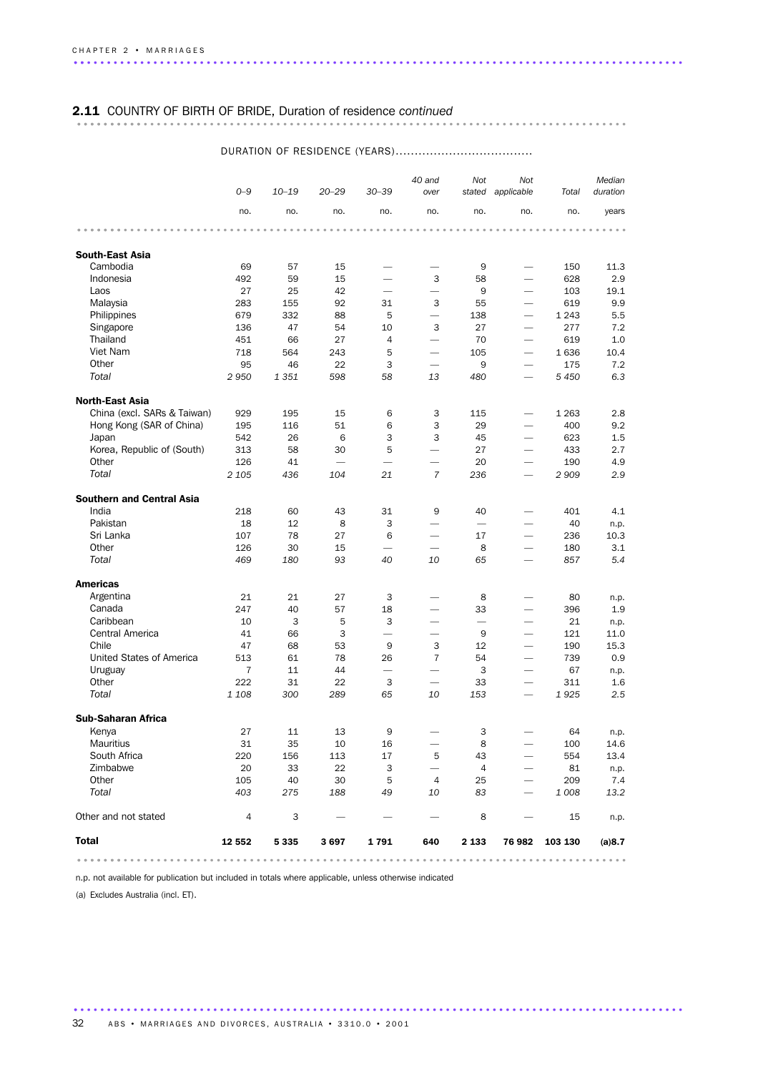# 2.11 COUNTRY OF BIRTH OF BRIDE, Duration of residence *continued* ................................................................................... ..........

|                                  | $O - 9$        | $10 - 19$ | $20 - 29$ | $30 - 39$                | 40 and<br>over           | Not             | Not<br>stated applicable | Total          | Median<br>duration |
|----------------------------------|----------------|-----------|-----------|--------------------------|--------------------------|-----------------|--------------------------|----------------|--------------------|
|                                  | no.            | no.       | no.       | no.                      | no.                      | no.             | no.                      | no.            | years              |
|                                  |                |           |           |                          |                          |                 |                          |                |                    |
| <b>South-East Asia</b>           |                |           |           |                          |                          |                 |                          |                |                    |
| Cambodia                         | 69             | 57        | 15        |                          |                          | 9               | $\overline{\phantom{0}}$ | 150            | 11.3               |
| Indonesia                        | 492            | 59        | 15        |                          | 3                        | 58              | $\overline{\phantom{0}}$ | 628            | 2.9                |
| Laos                             | 27             | 25        | 42        |                          | $\overline{\phantom{0}}$ | 9               | $\overline{\phantom{0}}$ | 103            | 19.1               |
| Malaysia                         | 283            | 155       | 92        | 31                       | 3                        | 55              | $\overline{\phantom{0}}$ | 619            | 9.9                |
| Philippines                      | 679            | 332       | 88        | 5                        | $\overline{\phantom{0}}$ | 138             | $\overline{\phantom{0}}$ | 1 2 4 3        | 5.5                |
| Singapore                        | 136            | 47        | 54        | 10                       | 3                        | 27              | $\overline{\phantom{0}}$ | 277            | 7.2                |
| Thailand                         | 451            | 66        | 27        | $\overline{4}$           | $\overline{\phantom{0}}$ | 70              | $\overline{\phantom{0}}$ | 619            | 1.0                |
| Viet Nam                         | 718            | 564       | 243       | 5                        | $\overline{\phantom{0}}$ | 105             | $\overline{\phantom{0}}$ | 1636           | 10.4               |
| Other                            | 95             | 46        | 22        | 3                        |                          | 9               |                          | 175            | 7.2                |
| Total                            | 2950           | 1 3 5 1   | 598       | 58                       | 13                       | 480             | $\overline{\phantom{0}}$ | 5 4 5 0        | 6.3                |
| <b>North-East Asia</b>           |                |           |           |                          |                          |                 |                          |                |                    |
| China (excl. SARs & Taiwan)      | 929            | 195       | 15        | 6                        | 3                        | 115             | $\overline{\phantom{0}}$ | 1 2 6 3        | 2.8                |
| Hong Kong (SAR of China)         | 195            | 116       | 51        | 6                        | 3                        | 29              |                          | 400            | 9.2                |
| Japan                            | 542            | 26        | 6         | 3                        | 3                        | 45              | $\overline{\phantom{0}}$ | 623            | 1.5                |
| Korea, Republic of (South)       | 313            | 58        | 30        | 5                        | $\overline{\phantom{0}}$ | 27              | $\overline{\phantom{0}}$ | 433            | 2.7                |
| Other                            | 126            | 41        |           | $\overline{\phantom{0}}$ | $\overline{\phantom{0}}$ | 20              | $\overline{\phantom{0}}$ | 190            | 4.9                |
| Total                            | 2 1 0 5        | 436       | 104       | 21                       | $\overline{7}$           | 236             | $\overline{\phantom{0}}$ | 2 9 0 9        | 2.9                |
| <b>Southern and Central Asia</b> |                |           |           |                          |                          |                 |                          |                |                    |
| India                            | 218            | 60        | 43        | 31                       | 9                        | 40              | -                        | 401            | 4.1                |
| Pakistan                         | 18             | 12        | 8         | 3                        |                          | $\qquad \qquad$ | $\overline{\phantom{0}}$ | 40             | n.p.               |
| Sri Lanka                        | 107            | 78        | 27        | 6                        |                          | 17              | $\overline{\phantom{0}}$ | 236            | 10.3               |
| Other                            | 126            | 30        | 15        |                          |                          | 8               | $\overline{\phantom{0}}$ | 180            | 3.1                |
| Total                            | 469            | 180       | 93        | 40                       | 10                       | 65              |                          | 857            | 5.4                |
| <b>Americas</b>                  |                |           |           |                          |                          |                 |                          |                |                    |
| Argentina                        | 21             | 21        | 27        | 3                        |                          | 8               |                          | 80             | n.p.               |
| Canada                           | 247            | 40        | 57        | 18                       |                          | 33              |                          | 396            | 1.9                |
| Caribbean                        | 10             | 3         | 5         | 3                        | $\overline{\phantom{0}}$ |                 | $\overline{\phantom{0}}$ | 21             | n.p.               |
| Central America                  | 41             | 66        | 3         | $\overline{\phantom{0}}$ | $\overline{\phantom{0}}$ | 9               | $\overline{\phantom{0}}$ | 121            | 11.0               |
| Chile                            | 47             | 68        | 53        | 9                        | 3                        | 12              | $\overline{\phantom{0}}$ | 190            | 15.3               |
| United States of America         | 513            | 61        | 78        | 26                       | 7                        | 54              | $\overline{\phantom{0}}$ | 739            | 0.9                |
| Uruguay                          | 7              | 11        | 44        | $\overline{\phantom{0}}$ |                          | 3               |                          | 67             | n.p.               |
| Other                            | 222            | 31        | 22        | 3                        | $\overline{\phantom{0}}$ | 33              | $\overline{\phantom{0}}$ | 311            | 1.6                |
| Total                            | 1 108          | 300       | 289       | 65                       | 10                       | 153             | $\overline{\phantom{0}}$ | 1925           | 2.5                |
| <b>Sub-Saharan Africa</b>        |                |           |           |                          |                          |                 |                          |                |                    |
| Kenya                            | 27             | 11        | 13        |                          |                          | 3               |                          | 64             |                    |
| <b>Mauritius</b>                 | 31             | 35        | 10        | 16                       | $\overline{\phantom{m}}$ | 8               |                          | 100            | n.p.<br>14.6       |
| South Africa                     | 220            | 156       | 113       | 17                       | 5                        | 43              |                          | 554            | 13.4               |
| Zimbabwe                         | 20             | 33        | 22        | 3                        |                          | $\overline{4}$  | $\overline{\phantom{0}}$ | 81             |                    |
| Other                            | 105            | 40        | 30        | 5                        | $\overline{4}$           | 25              | $\overline{\phantom{0}}$ | 209            | n.p.<br>7.4        |
| Total                            | 403            | 275       | 188       | 49                       | 10                       | 83              |                          | 1 0 0 8        | 13.2               |
| Other and not stated             | $\overline{4}$ | 3         |           |                          |                          | 8               |                          | 15             | n.p.               |
| <b>Total</b>                     | 12 552         | 5 3 3 5   | 3697      | 1791                     | 640                      | 2 1 3 3         |                          | 76 982 103 130 | (a) 8.7            |
|                                  |                |           |           |                          |                          |                 |                          |                |                    |

............................................................................................ .

### DURATION OF RESIDENCE (YEARS)....................................

n.p. not available for publication but included in totals where applicable, unless otherwise indicated

(a) Excludes Australia (incl. ET).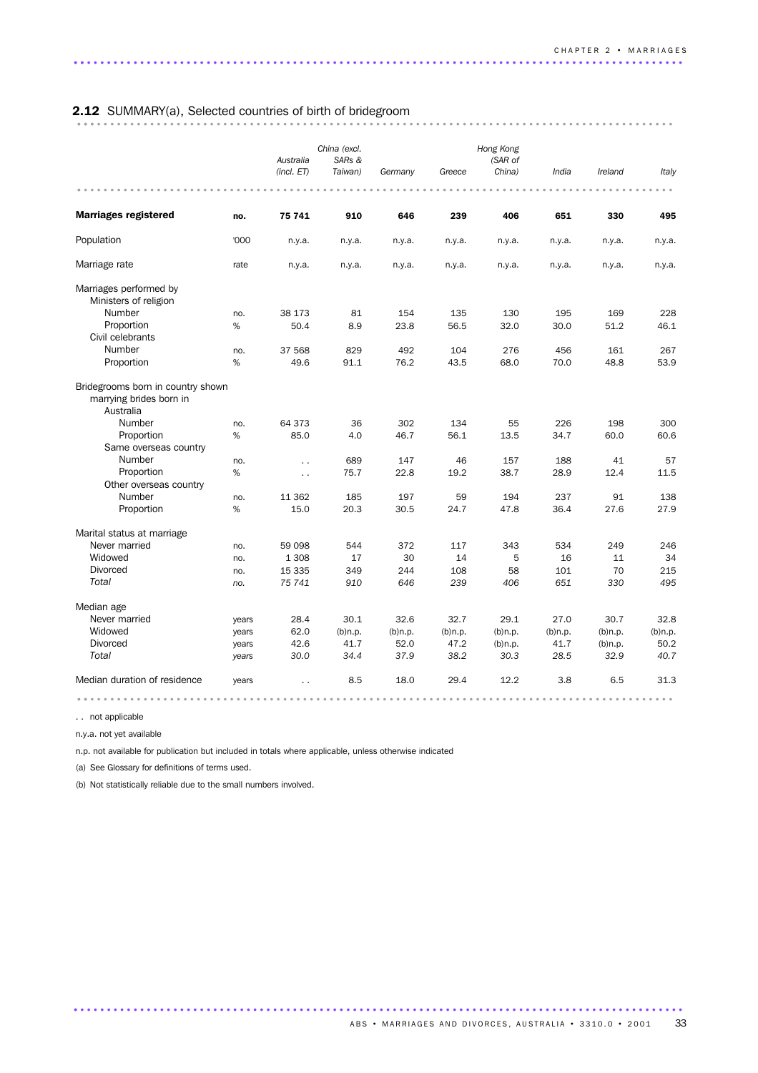# 2.12 SUMMARY(a), Selected countries of birth of bridegroom .......................................................................................... ...

|                                                                           |       | Australia            | China (excl.<br>SARs & |            |            | Hong Kong<br>(SAR of |            |            |            |  |
|---------------------------------------------------------------------------|-------|----------------------|------------------------|------------|------------|----------------------|------------|------------|------------|--|
|                                                                           |       | (incl. ET)           | Taiwan)                | Germany    | Greece     | China)               | India      | Ireland    | Italy      |  |
|                                                                           |       |                      |                        |            |            |                      |            |            |            |  |
| <b>Marriages registered</b>                                               | no.   | 75 741               | 910                    | 646        | 239        | 406                  | 651        | 330        | 495        |  |
| Population                                                                | '000  | n.y.a.               | n.y.a.                 | n.y.a.     | n.y.a.     | n.y.a.               | n.y.a.     | n.y.a.     | n.y.a.     |  |
| Marriage rate                                                             | rate  | n.y.a.               | n.y.a.                 | n.y.a.     | n.y.a.     | n.y.a.               | n.y.a.     | n.y.a.     | n.y.a.     |  |
| Marriages performed by<br>Ministers of religion                           |       |                      |                        |            |            |                      |            |            |            |  |
| Number                                                                    | no.   | 38 173               | 81                     | 154        | 135        | 130                  | 195        | 169        | 228        |  |
| Proportion                                                                | %     | 50.4                 | 8.9                    | 23.8       | 56.5       | 32.0                 | 30.0       | 51.2       | 46.1       |  |
| Civil celebrants                                                          |       |                      |                        |            |            |                      |            |            |            |  |
| Number                                                                    | no.   | 37 568               | 829                    | 492        | 104        | 276                  | 456        | 161        | 267        |  |
| Proportion                                                                | $\%$  | 49.6                 | 91.1                   | 76.2       | 43.5       | 68.0                 | 70.0       | 48.8       | 53.9       |  |
| Bridegrooms born in country shown<br>marrying brides born in<br>Australia |       |                      |                        |            |            |                      |            |            |            |  |
| Number                                                                    | no.   | 64 373               | 36                     | 302        | 134        | 55                   | 226        | 198        | 300        |  |
| Proportion                                                                | %     | 85.0                 | 4.0                    | 46.7       | 56.1       | 13.5                 | 34.7       | 60.0       | 60.6       |  |
| Same overseas country                                                     |       |                      |                        |            |            |                      |            |            |            |  |
| Number                                                                    | no.   | $\ddot{\phantom{0}}$ | 689                    | 147        | 46         | 157                  | 188        | 41         | 57         |  |
| Proportion                                                                | %     | $\ddot{\phantom{a}}$ | 75.7                   | 22.8       | 19.2       | 38.7                 | 28.9       | 12.4       | 11.5       |  |
| Other overseas country                                                    |       |                      |                        |            |            |                      |            |            |            |  |
| Number                                                                    | no.   | 11 362               | 185                    | 197        | 59         | 194                  | 237        | 91         | 138        |  |
| Proportion                                                                | %     | 15.0                 | 20.3                   | 30.5       | 24.7       | 47.8                 | 36.4       | 27.6       | 27.9       |  |
| Marital status at marriage                                                |       |                      |                        |            |            |                      |            |            |            |  |
| Never married                                                             | no.   | 59 098               | 544                    | 372        | 117        | 343                  | 534        | 249        | 246        |  |
| Widowed                                                                   | no.   | 1 3 0 8              | 17                     | 30         | 14         | 5                    | 16         | 11         | 34         |  |
| <b>Divorced</b>                                                           | no.   | 15 335               | 349                    | 244        | 108        | 58                   | 101        | 70         | 215        |  |
| Total                                                                     | no.   | 75 741               | 910                    | 646        | 239        | 406                  | 651        | 330        | 495        |  |
| Median age                                                                |       |                      |                        |            |            |                      |            |            |            |  |
| Never married                                                             | years | 28.4                 | 30.1                   | 32.6       | 32.7       | 29.1                 | 27.0       | 30.7       | 32.8       |  |
| Widowed                                                                   | years | 62.0                 | $(b)$ n.p.             | $(b)$ n.p. | $(b)$ n.p. | $(b)$ n.p.           | $(b)$ n.p. | $(b)$ n.p. | $(b)$ n.p. |  |
| <b>Divorced</b>                                                           | years | 42.6                 | 41.7                   | 52.0       | 47.2       | $(b)$ n.p.           | 41.7       | $(b)$ n.p. | 50.2       |  |
| Total                                                                     | years | 30.0                 | 34.4                   | 37.9       | 38.2       | 30.3                 | 28.5       | 32.9       | 40.7       |  |
| Median duration of residence                                              | years | $\ddot{\phantom{0}}$ | 8.5                    | 18.0       | 29.4       | 12.2                 | 3.8        | 6.5        | 31.3       |  |
|                                                                           |       |                      |                        |            |            |                      |            |            |            |  |

............................................................................................ .

. . not applicable

n.y.a. not yet available

n.p. not available for publication but included in totals where applicable, unless otherwise indicated

(a) See Glossary for definitions of terms used.

(b) Not statistically reliable due to the small numbers involved.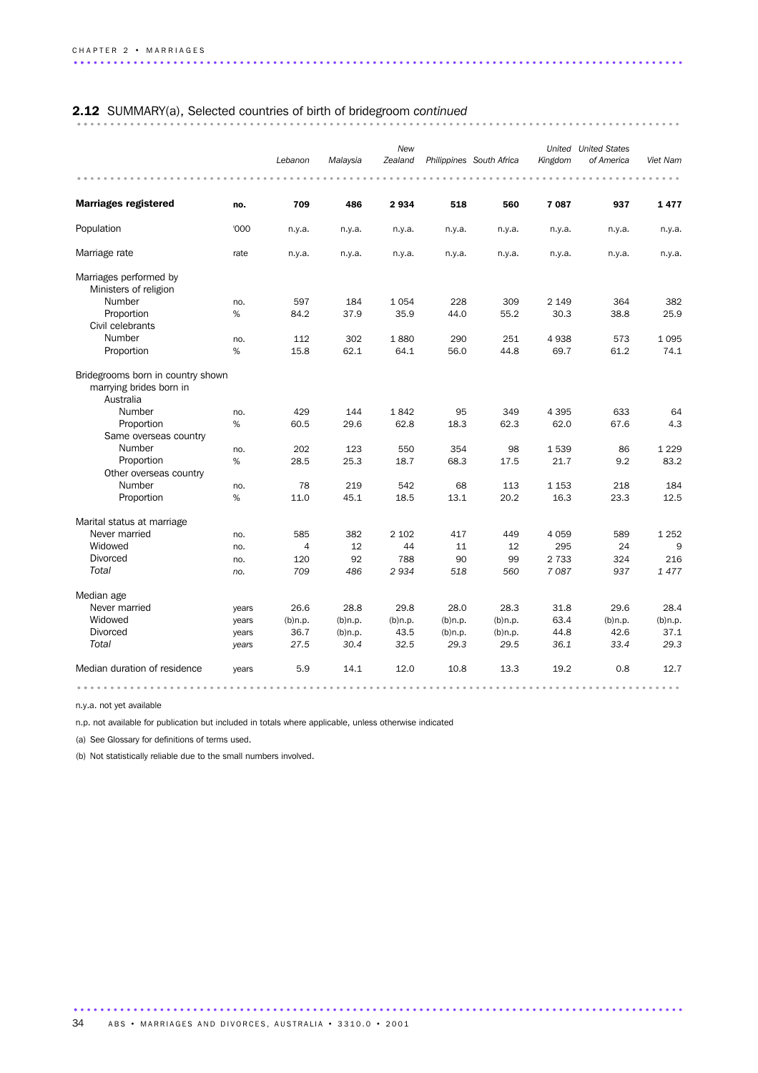# 2.12 SUMMARY(a), Selected countries of birth of bridegroom *continued* ........................................................................................... ..

|                                                                           |       | Lebanon        | Malaysia   | New<br>Zealand |            | Philippines South Africa | Kingdom | <b>United</b> United States<br>of America | Viet Nam   |
|---------------------------------------------------------------------------|-------|----------------|------------|----------------|------------|--------------------------|---------|-------------------------------------------|------------|
| <b>Marriages registered</b>                                               | no.   | 709            | 486        | 2934           | 518        | 560                      | 7087    | 937                                       | 1477       |
| Population                                                                | '000  | n.y.a.         | n.y.a.     | n.y.a.         | n.y.a.     | n.y.a.                   | n.y.a.  | n.y.a.                                    | n.y.a.     |
| Marriage rate                                                             | rate  | n.y.a.         | n.y.a.     | n.y.a.         | n.y.a.     | n.y.a.                   | n.y.a.  | n.y.a.                                    | n.y.a.     |
| Marriages performed by<br>Ministers of religion                           |       |                |            |                |            |                          |         |                                           |            |
| Number                                                                    | no.   | 597            | 184        | 1054           | 228        | 309                      | 2 1 4 9 | 364                                       | 382        |
| Proportion                                                                | %     | 84.2           | 37.9       | 35.9           | 44.0       | 55.2                     | 30.3    | 38.8                                      | 25.9       |
| Civil celebrants                                                          |       |                |            |                |            |                          |         |                                           |            |
| Number                                                                    | no.   | 112            | 302        | 1880           | 290        | 251                      | 4938    | 573                                       | 1095       |
| Proportion                                                                | %     | 15.8           | 62.1       | 64.1           | 56.0       | 44.8                     | 69.7    | 61.2                                      | 74.1       |
| Bridegrooms born in country shown<br>marrying brides born in<br>Australia |       |                |            |                |            |                          |         |                                           |            |
| Number                                                                    | no.   | 429            | 144        | 1842           | 95         | 349                      | 4 3 9 5 | 633                                       | 64         |
| Proportion<br>Same overseas country                                       | %     | 60.5           | 29.6       | 62.8           | 18.3       | 62.3                     | 62.0    | 67.6                                      | 4.3        |
| Number                                                                    | no.   | 202            | 123        | 550            | 354        | 98                       | 1539    | 86                                        | 1 2 2 9    |
| Proportion                                                                | %     | 28.5           | 25.3       | 18.7           | 68.3       | 17.5                     | 21.7    | 9.2                                       | 83.2       |
| Other overseas country                                                    |       |                |            |                |            |                          |         |                                           |            |
| Number                                                                    | no.   | 78             | 219        | 542            | 68         | 113                      | 1 1 5 3 | 218                                       | 184        |
| Proportion                                                                | %     | 11.0           | 45.1       | 18.5           | 13.1       | 20.2                     | 16.3    | 23.3                                      | 12.5       |
| Marital status at marriage                                                |       |                |            |                |            |                          |         |                                           |            |
| Never married                                                             | no.   | 585            | 382        | 2 1 0 2        | 417        | 449                      | 4 0 5 9 | 589                                       | 1 2 5 2    |
| Widowed                                                                   | no.   | $\overline{4}$ | 12         | 44             | 11         | 12                       | 295     | 24                                        | 9          |
| <b>Divorced</b>                                                           | no.   | 120            | 92         | 788            | 90         | 99                       | 2 7 3 3 | 324                                       | 216        |
| Total                                                                     | no.   | 709            | 486        | 2934           | 518        | 560                      | 7087    | 937                                       | 1477       |
| Median age                                                                |       |                |            |                |            |                          |         |                                           |            |
| Never married                                                             | years | 26.6           | 28.8       | 29.8           | 28.0       | 28.3                     | 31.8    | 29.6                                      | 28.4       |
| Widowed                                                                   | years | $(b)$ n.p.     | $(b)$ n.p. | $(b)$ n.p.     | $(b)$ n.p. | $(b)$ n.p.               | 63.4    | $(b)$ n.p.                                | $(b)$ n.p. |
| <b>Divorced</b>                                                           | years | 36.7           | $(b)$ n.p. | 43.5           | $(b)$ n.p. | $(b)$ n.p.               | 44.8    | 42.6                                      | 37.1       |
| Total                                                                     | years | 27.5           | 30.4       | 32.5           | 29.3       | 29.5                     | 36.1    | 33.4                                      | 29.3       |
| Median duration of residence                                              | years | 5.9            | 14.1       | 12.0           | 10.8       | 13.3                     | 19.2    | 0.8                                       | 12.7       |
|                                                                           |       |                |            |                |            |                          |         |                                           |            |

............................................................................................ .

n.y.a. not yet available

n.p. not available for publication but included in totals where applicable, unless otherwise indicated

(a) See Glossary for definitions of terms used.

(b) Not statistically reliable due to the small numbers involved.

34 ABS • MARRIAGES AND DIVORCES, AUSTRALIA • 3310.0 • 2001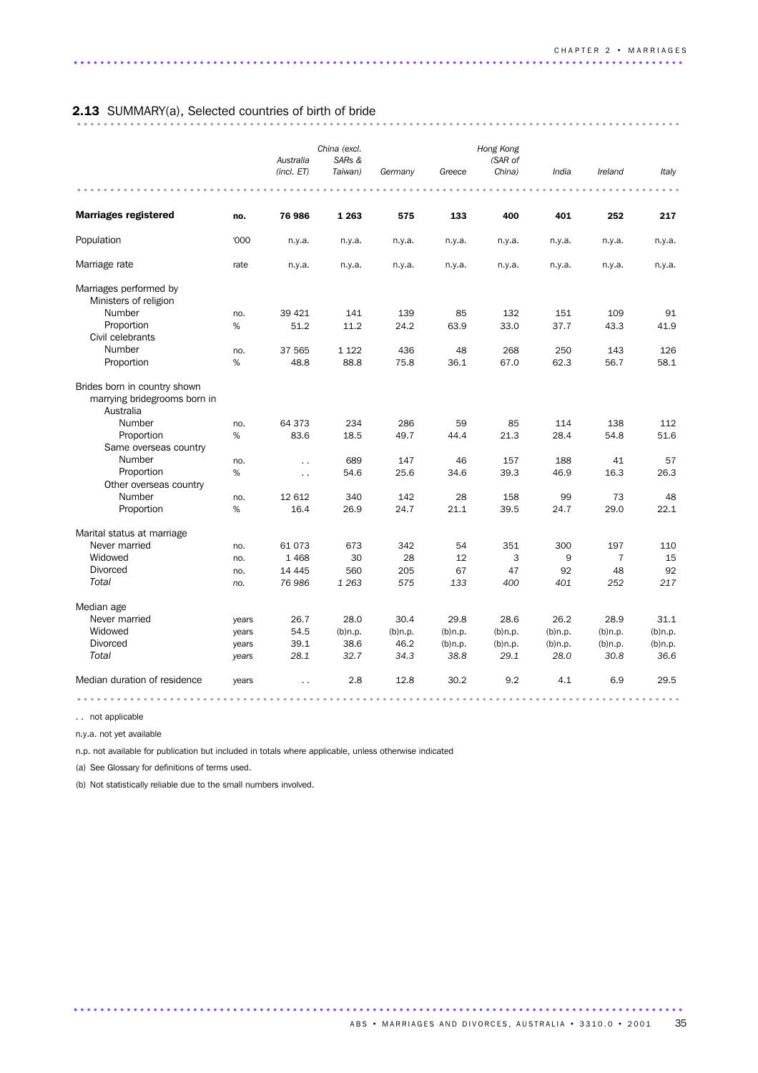# 2.13 SUMMARY(a), Selected countries of birth of bride ........................................................................................... ..

|                                                                           |       | Australia<br>(incl. ET) | China (excl.<br>SARs &<br>Taiwan) | Germany    | Greece     | Hong Kong<br>(SAR of<br>China) | India      | Ireland        | Italy      |
|---------------------------------------------------------------------------|-------|-------------------------|-----------------------------------|------------|------------|--------------------------------|------------|----------------|------------|
|                                                                           |       |                         |                                   |            |            |                                |            |                |            |
| <b>Marriages registered</b>                                               | no.   | 76 986                  | 1 2 6 3                           | 575        | 133        | 400                            | 401        | 252            | 217        |
| Population                                                                | '000  | n.y.a.                  | n.y.a.                            | n.y.a.     | n.y.a.     | n.y.a.                         | n.y.a.     | n.y.a.         | n.y.a.     |
| Marriage rate                                                             | rate  | n.y.a.                  | n.y.a.                            | n.y.a.     | n.y.a.     | n.y.a.                         | n.y.a.     | n.y.a.         | n.y.a.     |
| Marriages performed by<br>Ministers of religion                           |       |                         |                                   |            |            |                                |            |                |            |
| Number                                                                    | no.   | 39 4 21                 | 141                               | 139        | 85         | 132                            | 151        | 109            | 91         |
| Proportion                                                                | %     | 51.2                    | 11.2                              | 24.2       | 63.9       | 33.0                           | 37.7       | 43.3           | 41.9       |
| Civil celebrants                                                          |       |                         |                                   |            |            |                                |            |                |            |
| Number                                                                    | no.   | 37 565                  | 1 1 2 2                           | 436        | 48         | 268                            | 250        | 143            | 126        |
| Proportion                                                                | $\%$  | 48.8                    | 88.8                              | 75.8       | 36.1       | 67.0                           | 62.3       | 56.7           | 58.1       |
| Brides born in country shown<br>marrying bridegrooms born in<br>Australia |       |                         |                                   |            |            |                                |            |                |            |
| Number                                                                    | no.   | 64 373                  | 234                               | 286        | 59         | 85                             | 114        | 138            | 112        |
| Proportion                                                                | $\%$  | 83.6                    | 18.5                              | 49.7       | 44.4       | 21.3                           | 28.4       | 54.8           | 51.6       |
| Same overseas country                                                     |       |                         |                                   |            |            |                                |            |                |            |
| Number                                                                    | no.   | $\ddot{\phantom{1}}$    | 689                               | 147        | 46         | 157                            | 188        | 41             | 57         |
| Proportion                                                                | %     | $\ddotsc$               | 54.6                              | 25.6       | 34.6       | 39.3                           | 46.9       | 16.3           | 26.3       |
| Other overseas country                                                    |       |                         |                                   |            |            |                                |            |                |            |
| Number                                                                    | no.   | 12 612                  | 340                               | 142        | 28         | 158                            | 99         | 73             | 48         |
| Proportion                                                                | %     | 16.4                    | 26.9                              | 24.7       | 21.1       | 39.5                           | 24.7       | 29.0           | 22.1       |
| Marital status at marriage                                                |       |                         |                                   |            |            |                                |            |                |            |
| Never married                                                             | no.   | 61073                   | 673                               | 342        | 54         | 351                            | 300        | 197            | 110        |
| Widowed                                                                   | no.   | 1468                    | 30                                | 28         | 12         | 3                              | 9          | $\overline{7}$ | 15         |
| <b>Divorced</b>                                                           | no.   | 14 4 45                 | 560                               | 205        | 67         | 47                             | 92         | 48             | 92         |
| Total                                                                     | no.   | 76 986                  | 1 2 6 3                           | 575        | 133        | 400                            | 401        | 252            | 217        |
| Median age                                                                |       |                         |                                   |            |            |                                |            |                |            |
| Never married                                                             | years | 26.7                    | 28.0                              | 30.4       | 29.8       | 28.6                           | 26.2       | 28.9           | 31.1       |
| Widowed                                                                   | years | 54.5                    | $(b)$ n.p.                        | $(b)$ n.p. | $(b)$ n.p. | $(b)$ n.p.                     | $(b)$ n.p. | $(b)$ n.p.     | $(b)$ n.p. |
| <b>Divorced</b>                                                           | years | 39.1                    | 38.6                              | 46.2       | $(b)$ n.p. | $(b)$ n.p.                     | $(b)$ n.p. | $(b)$ n.p.     | $(b)$ n.p. |
| Total                                                                     | years | 28.1                    | 32.7                              | 34.3       | 38.8       | 29.1                           | 28.0       | 30.8           | 36.6       |
| Median duration of residence                                              | years |                         | 2.8                               | 12.8       | 30.2       | 9.2                            | 4.1        | 6.9            | 29.5       |
|                                                                           |       |                         |                                   |            |            |                                |            |                |            |

............................................................................................ .

. . not applicable

n.y.a. not yet available

n.p. not available for publication but included in totals where applicable, unless otherwise indicated

(a) See Glossary for definitions of terms used.

(b) Not statistically reliable due to the small numbers involved.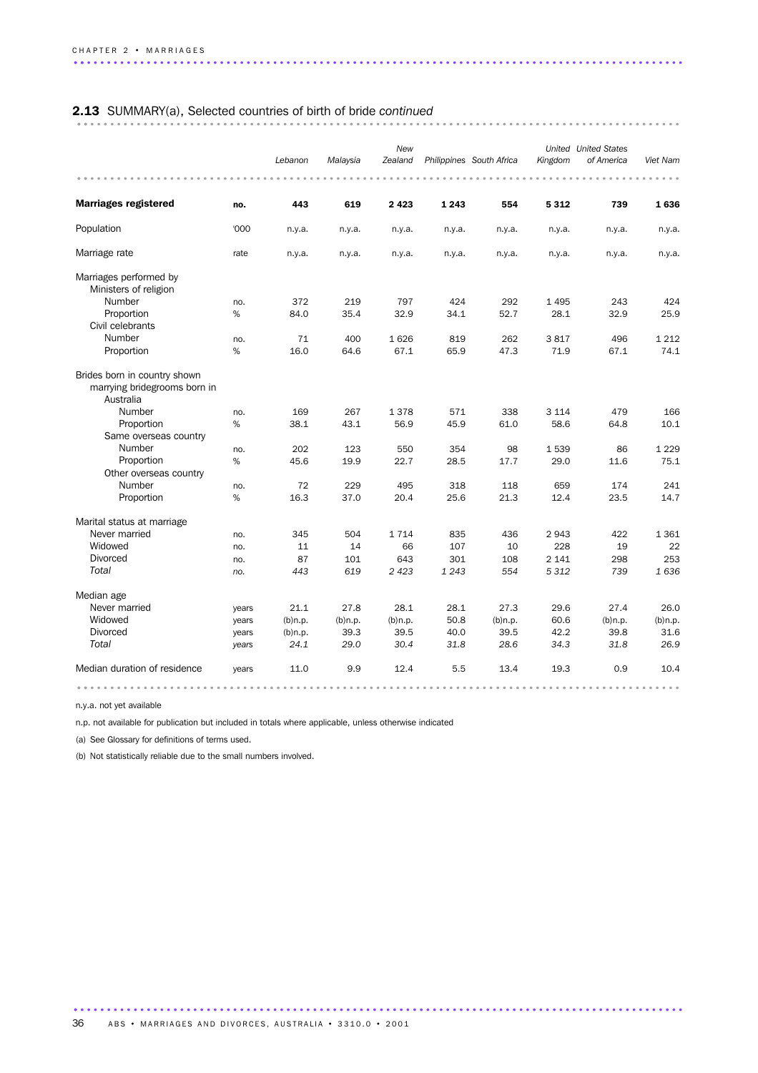# 2.13 SUMMARY(a), Selected countries of birth of bride *continued* ........................................................................................... ..

|                                                                                                                                      |                 | Lebanon            | Malaysia           | New<br>Zealand      |                    | Philippines South Africa | Kingdom                 | <b>United</b> United States<br>of America | Viet Nam               |
|--------------------------------------------------------------------------------------------------------------------------------------|-----------------|--------------------|--------------------|---------------------|--------------------|--------------------------|-------------------------|-------------------------------------------|------------------------|
| <b>Marriages registered</b>                                                                                                          | no.             | 443                | 619                | 2423                | 1 2 4 3            | 554                      | 5 3 1 2                 | 739                                       | 1636                   |
| Population                                                                                                                           | '000            | n.y.a.             | n.y.a.             | n.y.a.              | n.y.a.             | n.y.a.                   | n.y.a.                  | n.y.a.                                    | n.y.a.                 |
| Marriage rate                                                                                                                        | rate            | n.y.a.             | n.v.a.             | n.y.a.              | n.y.a.             | n.y.a.                   | n.y.a.                  | n.y.a.                                    | n.y.a.                 |
| Marriages performed by<br>Ministers of religion                                                                                      |                 |                    |                    |                     |                    |                          |                         |                                           |                        |
| Number                                                                                                                               | no.             | 372                | 219                | 797                 | 424                | 292                      | 1 4 9 5                 | 243                                       | 424                    |
| Proportion                                                                                                                           | %               | 84.0               | 35.4               | 32.9                | 34.1               | 52.7                     | 28.1                    | 32.9                                      | 25.9                   |
| Civil celebrants                                                                                                                     |                 |                    |                    |                     |                    |                          |                         |                                           |                        |
| Number                                                                                                                               | no.             | 71                 | 400                | 1626                | 819                | 262                      | 3817                    | 496                                       | 1 2 1 2                |
| Proportion                                                                                                                           | %               | 16.0               | 64.6               | 67.1                | 65.9               | 47.3                     | 71.9                    | 67.1                                      | 74.1                   |
| Brides born in country shown<br>marrying bridegrooms born in<br>Australia<br>Number<br>Proportion<br>Same overseas country<br>Number | no.<br>%<br>no. | 169<br>38.1<br>202 | 267<br>43.1<br>123 | 1378<br>56.9<br>550 | 571<br>45.9<br>354 | 338<br>61.0<br>98        | 3 1 1 4<br>58.6<br>1539 | 479<br>64.8<br>86                         | 166<br>10.1<br>1 2 2 9 |
| Proportion                                                                                                                           | %               | 45.6               | 19.9               | 22.7                | 28.5               | 17.7                     | 29.0                    | 11.6                                      | 75.1                   |
| Other overseas country                                                                                                               |                 |                    |                    |                     |                    |                          |                         |                                           |                        |
| Number                                                                                                                               | no.             | 72                 | 229                | 495                 | 318                | 118                      | 659                     | 174                                       | 241                    |
| Proportion                                                                                                                           | %               | 16.3               | 37.0               | 20.4                | 25.6               | 21.3                     | 12.4                    | 23.5                                      | 14.7                   |
| Marital status at marriage                                                                                                           |                 |                    |                    |                     |                    |                          |                         |                                           |                        |
| Never married                                                                                                                        | no.             | 345                | 504                | 1 7 1 4             | 835                | 436                      | 2943                    | 422                                       | 1 3 6 1                |
| Widowed                                                                                                                              | no.             | 11                 | 14                 | 66                  | 107                | 10                       | 228                     | 19                                        | 22                     |
| <b>Divorced</b>                                                                                                                      | no.             | 87                 | 101                | 643                 | 301                | 108                      | 2 1 4 1                 | 298                                       | 253                    |
| Total                                                                                                                                | no.             | 443                | 619                | 2 4 2 3             | 1 2 4 3            | 554                      | 5312                    | 739                                       | 1636                   |
| Median age                                                                                                                           |                 |                    |                    |                     |                    |                          |                         |                                           |                        |
| Never married                                                                                                                        | years           | 21.1               | 27.8               | 28.1                | 28.1               | 27.3                     | 29.6                    | 27.4                                      | 26.0                   |
| Widowed                                                                                                                              | years           | $(b)$ n.p.         | $(b)$ n.p.         | $(b)$ n.p.          | 50.8               | $(b)$ n.p.               | 60.6                    | $(b)$ n.p.                                | $(b)$ n.p.             |
| <b>Divorced</b>                                                                                                                      | years           | $(b)$ n.p.         | 39.3               | 39.5                | 40.0               | 39.5                     | 42.2                    | 39.8                                      | 31.6                   |
| Total                                                                                                                                | years           | 24.1               | 29.0               | 30.4                | 31.8               | 28.6                     | 34.3                    | 31.8                                      | 26.9                   |
| Median duration of residence                                                                                                         | years           | 11.0               | 9.9                | 12.4                | 5.5                | 13.4                     | 19.3                    | 0.9                                       | 10.4                   |
|                                                                                                                                      |                 |                    |                    |                     |                    |                          |                         |                                           |                        |

n.y.a. not yet available

n.p. not available for publication but included in totals where applicable, unless otherwise indicated

(a) See Glossary for definitions of terms used.

(b) Not statistically reliable due to the small numbers involved.

............................................................................................ . ABS • MARRIAGES AND DIVORCES, AUSTRALIA • 3310.0 • 2001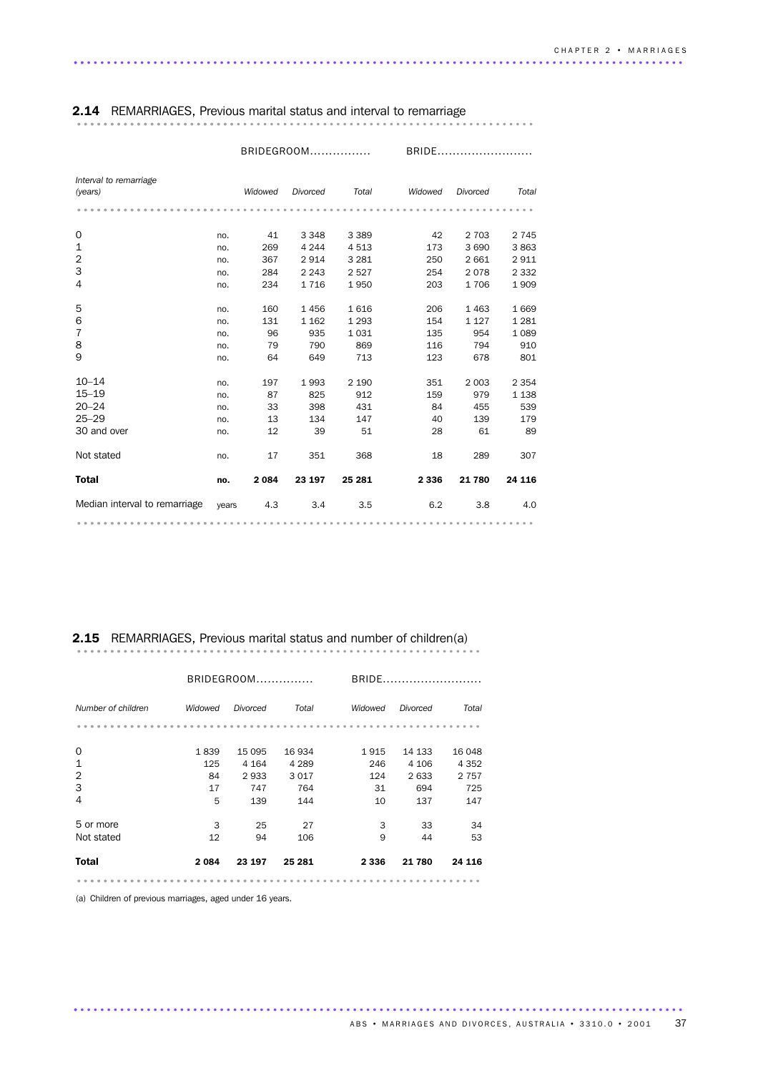|                                   |       |         | BRIDEGROOM |         | <b>BRIDE</b> |          |         |  |
|-----------------------------------|-------|---------|------------|---------|--------------|----------|---------|--|
| Interval to remarriage<br>(years) |       | Widowed | Divorced   | Total   | Widowed      | Divorced | Total   |  |
|                                   |       |         |            |         |              |          |         |  |
| 0                                 | no.   | 41      | 3 3 4 8    | 3 3 8 9 | 42           | 2 7 0 3  | 2 7 4 5 |  |
| 1                                 | no.   | 269     | 4 2 4 4    | 4513    | 173          | 3690     | 3863    |  |
| $\overline{2}$                    | no.   | 367     | 2914       | 3 2 8 1 | 250          | 2 6 6 1  | 2911    |  |
| 3                                 | no.   | 284     | 2 2 4 3    | 2527    | 254          | 2078     | 2 3 3 2 |  |
| 4                                 | no.   | 234     | 1716       | 1950    | 203          | 1706     | 1909    |  |
| 5                                 | no.   | 160     | 1456       | 1616    | 206          | 1463     | 1 6 6 9 |  |
| 6                                 | no.   | 131     | 1 1 6 2    | 1 2 9 3 | 154          | 1 1 2 7  | 1 2 8 1 |  |
| $\overline{7}$                    | no.   | 96      | 935        | 1031    | 135          | 954      | 1 0 8 9 |  |
| 8                                 | no.   | 79      | 790        | 869     | 116          | 794      | 910     |  |
| 9                                 | no.   | 64      | 649        | 713     | 123          | 678      | 801     |  |
| $10 - 14$                         | no.   | 197     | 1993       | 2 1 9 0 | 351          | 2 0 0 3  | 2 3 5 4 |  |
| $15 - 19$                         | no.   | 87      | 825        | 912     | 159          | 979      | 1 1 3 8 |  |
| $20 - 24$                         | no.   | 33      | 398        | 431     | 84           | 455      | 539     |  |
| $25 - 29$                         | no.   | 13      | 134        | 147     | 40           | 139      | 179     |  |
| 30 and over                       | no.   | 12      | 39         | 51      | 28           | 61       | 89      |  |
| Not stated                        | no.   | 17      | 351        | 368     | 18           | 289      | 307     |  |
| <b>Total</b>                      | no.   | 2 0 8 4 | 23 197     | 25 281  | 2 3 3 6      | 21 780   | 24 116  |  |
| Median interval to remarriage     | years | 4.3     | 3.4        | 3.5     | 6.2          | 3.8      | 4.0     |  |
|                                   |       |         |            |         |              |          |         |  |

### 2.14 REMARRIAGES, Previous marital status and interval to remarriage ..................................................................... ........................

# 2.15 REMARRIAGES, Previous marital status and number of children(a) ............................................................. ................................

|                    |         | BRIDEGROOM |         |         | BRIDE    |         |  |  |  |
|--------------------|---------|------------|---------|---------|----------|---------|--|--|--|
| Number of children | Widowed | Divorced   | Total   | Widowed | Divorced | Total   |  |  |  |
|                    |         |            |         |         |          |         |  |  |  |
| 0                  | 1839    | 15 0 95    | 16 934  | 1 915   | 14 133   | 16 048  |  |  |  |
| $\mathbf{1}$       | 125     | 4 1 6 4    | 4 2 8 9 | 246     | 4 10 6   | 4 3 5 2 |  |  |  |
| $\overline{2}$     | 84      | 2933       | 3017    | 124     | 2633     | 2 7 5 7 |  |  |  |
| 3                  | 17      | 747        | 764     | 31      | 694      | 725     |  |  |  |
| 4                  | 5       | 139        | 144     | 10      | 137      | 147     |  |  |  |
| 5 or more          | 3       | 25         | 27      | 3       | 33       | 34      |  |  |  |
| Not stated         | 12      | 94         | 106     | 9       | 44       | 53      |  |  |  |
| <b>Total</b>       | 2084    | 23 197     | 25 281  | 2 3 3 6 | 21 780   | 24 116  |  |  |  |
|                    |         |            |         |         |          |         |  |  |  |

............................................................................................ .

(a) Children of previous marriages, aged under 16 years.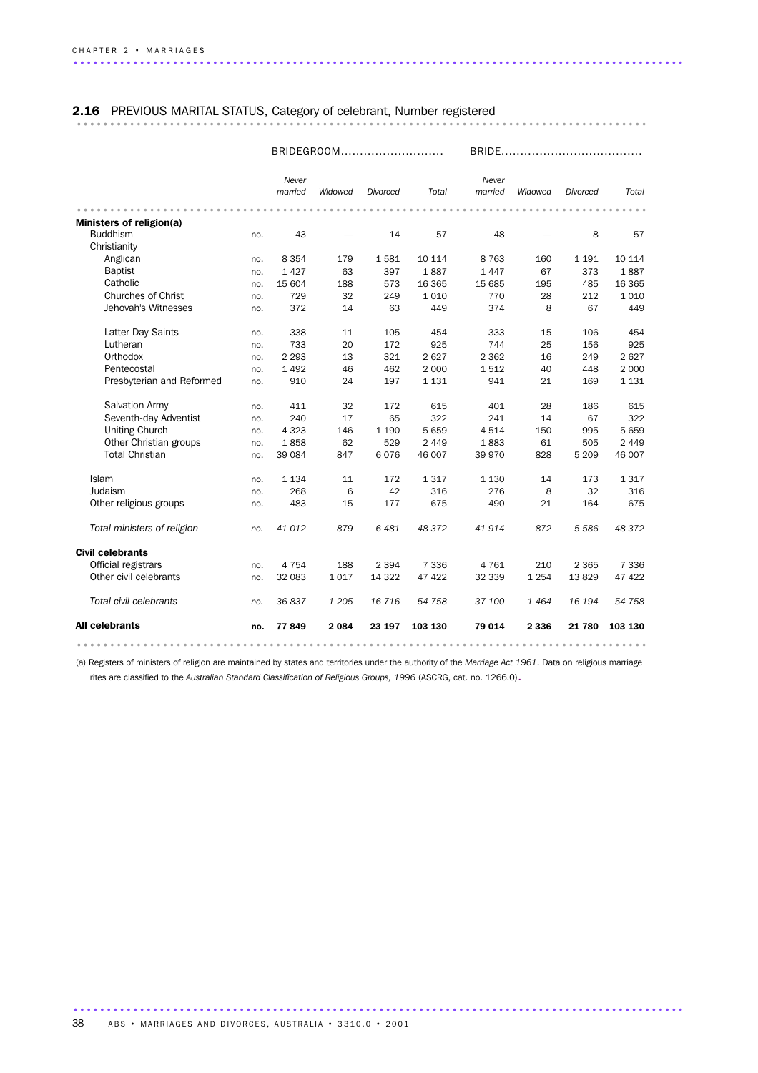### 2.16 PREVIOUS MARITAL STATUS, Category of celebrant, Number registered ...................................................................................... .......

|                             |     | BRIDEGROOM       |         |          |         | <b>BRIDE</b>     |         |                 |              |  |
|-----------------------------|-----|------------------|---------|----------|---------|------------------|---------|-----------------|--------------|--|
|                             |     | Never<br>married | Widowed | Divorced | Total   | Never<br>married | Widowed | <b>Divorced</b> | <b>Total</b> |  |
|                             |     |                  |         |          |         |                  |         |                 |              |  |
| Ministers of religion(a)    |     |                  |         |          |         |                  |         |                 |              |  |
| <b>Buddhism</b>             | no. | 43               |         | 14       | 57      | 48               |         | 8               | 57           |  |
| Christianity                |     |                  |         |          |         |                  |         |                 |              |  |
| Anglican                    | no. | 8 3 5 4          | 179     | 1581     | 10 114  | 8 7 6 3          | 160     | 1 1 9 1         | 10 114       |  |
| <b>Baptist</b>              | no. | 1427             | 63      | 397      | 1887    | 1447             | 67      | 373             | 1887         |  |
| Catholic                    | no. | 15 604           | 188     | 573      | 16 3 65 | 15 685           | 195     | 485             | 16 3 65      |  |
| <b>Churches of Christ</b>   | no. | 729              | 32      | 249      | 1 0 1 0 | 770              | 28      | 212             | 1010         |  |
| Jehovah's Witnesses         | no. | 372              | 14      | 63       | 449     | 374              | 8       | 67              | 449          |  |
| Latter Day Saints           | no. | 338              | 11      | 105      | 454     | 333              | 15      | 106             | 454          |  |
| Lutheran                    | no. | 733              | 20      | 172      | 925     | 744              | 25      | 156             | 925          |  |
| Orthodox                    | no. | 2 2 9 3          | 13      | 321      | 2 6 2 7 | 2 3 6 2          | 16      | 249             | 2627         |  |
| Pentecostal                 | no. | 1492             | 46      | 462      | 2 0 0 0 | 1512             | 40      | 448             | 2 0 0 0      |  |
| Presbyterian and Reformed   | no. | 910              | 24      | 197      | 1 1 3 1 | 941              | 21      | 169             | 1 1 3 1      |  |
| <b>Salvation Army</b>       | no. | 411              | 32      | 172      | 615     | 401              | 28      | 186             | 615          |  |
| Seventh-day Adventist       | no. | 240              | 17      | 65       | 322     | 241              | 14      | 67              | 322          |  |
| <b>Uniting Church</b>       | no. | 4 3 2 3          | 146     | 1 1 9 0  | 5659    | 4514             | 150     | 995             | 5659         |  |
| Other Christian groups      | no. | 1858             | 62      | 529      | 2 4 4 9 | 1883             | 61      | 505             | 2 4 4 9      |  |
| <b>Total Christian</b>      | no. | 39 0 84          | 847     | 6076     | 46 007  | 39 970           | 828     | 5 2 0 9         | 46 007       |  |
| Islam                       | no. | 1 1 3 4          | 11      | 172      | 1317    | 1 1 3 0          | 14      | 173             | 1317         |  |
| Judaism                     | no. | 268              | 6       | 42       | 316     | 276              | 8       | 32              | 316          |  |
| Other religious groups      | no. | 483              | 15      | 177      | 675     | 490              | 21      | 164             | 675          |  |
| Total ministers of religion | no. | 41 012           | 879     | 6481     | 48 372  | 41914            | 872     | 5 5 8 6         | 48 372       |  |
| <b>Civil celebrants</b>     |     |                  |         |          |         |                  |         |                 |              |  |
| Official registrars         | no. | 4 7 5 4          | 188     | 2 3 9 4  | 7 3 3 6 | 4 7 6 1          | 210     | 2 3 6 5         | 7 3 3 6      |  |
| Other civil celebrants      | no. | 32 083           | 1017    | 14 3 22  | 47 422  | 32 339           | 1 2 5 4 | 13829           | 47 422       |  |
| Total civil celebrants      | no. | 36837            | 1 2 0 5 | 16716    | 54 758  | 37 100           | 1464    | 16 194          | 54 758       |  |
| <b>All celebrants</b>       | no. | 77849            | 2 0 8 4 | 23 197   | 103 130 | 79 014           | 2 3 3 6 | 21 780          | 103 130      |  |
|                             |     |                  |         |          |         |                  |         |                 |              |  |

(a) Registers of ministers of religion are maintained by states and territories under the authority of the *Marriage Act 1961*. Data on religious marriage rites are classified to the *Australian Standard Classification of Religious Groups, 1996* (ASCRG, cat. no. 1266.0).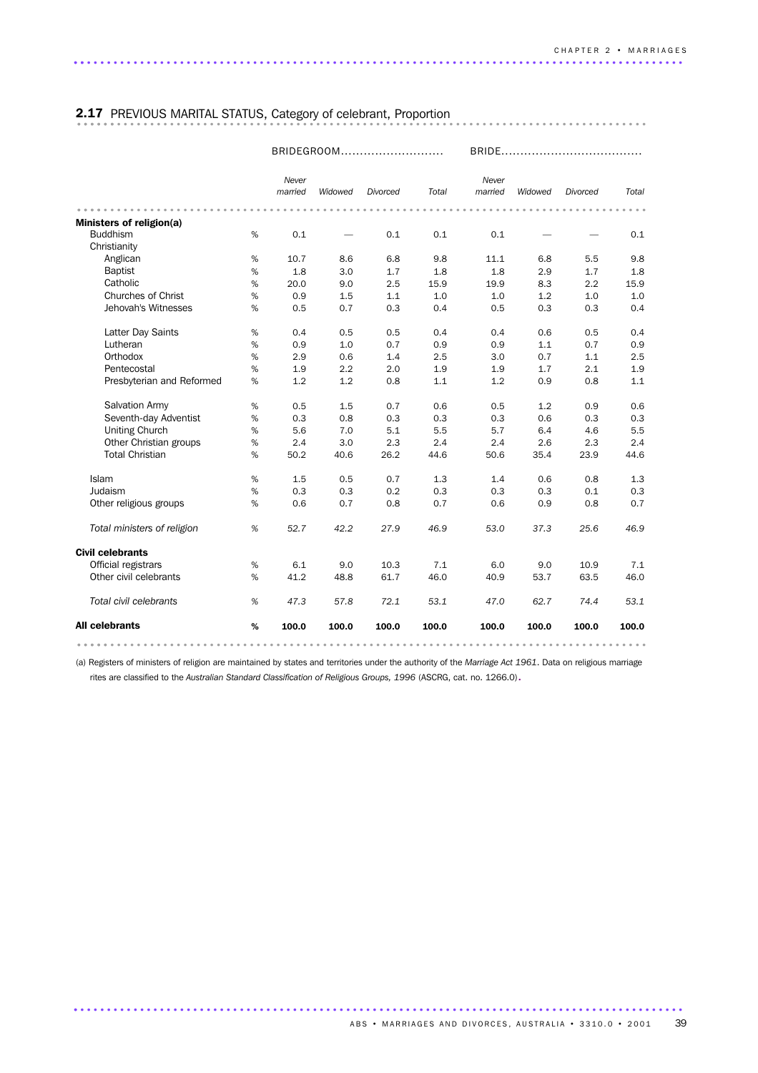### 2.17 PREVIOUS MARITAL STATUS, Category of celebrant, Proportion ...................................................................................... ......

|                                             |      |                  |         | BRIDEGROOM |       |                  |         |                 |       |
|---------------------------------------------|------|------------------|---------|------------|-------|------------------|---------|-----------------|-------|
|                                             |      | Never<br>married | Widowed | Divorced   | Total | Never<br>married | Widowed | <b>Divorced</b> | Total |
|                                             |      |                  |         |            |       |                  |         |                 |       |
| Ministers of religion(a)<br><b>Buddhism</b> | %    | 0.1              |         |            | 0.1   |                  |         |                 |       |
| Christianity                                |      |                  |         | 0.1        |       | 0.1              |         |                 | 0.1   |
| Anglican                                    | $\%$ | 10.7             | 8.6     | 6.8        | 9.8   | 11.1             | 6.8     | 5.5             | 9.8   |
| <b>Baptist</b>                              | %    | 1.8              | 3.0     | 1.7        | 1.8   | 1.8              | 2.9     | 1.7             | 1.8   |
| Catholic                                    | %    | 20.0             | 9.0     | 2.5        | 15.9  | 19.9             | 8.3     | 2.2             | 15.9  |
| <b>Churches of Christ</b>                   | %    | 0.9              | 1.5     | 1.1        | 1.0   | 1.0              | 1.2     | 1.0             | 1.0   |
| Jehovah's Witnesses                         | %    | 0.5              | 0.7     | 0.3        | 0.4   | 0.5              | 0.3     | 0.3             | 0.4   |
|                                             |      |                  |         |            |       |                  |         |                 |       |
| Latter Day Saints                           | $\%$ | 0.4              | 0.5     | 0.5        | 0.4   | 0.4              | 0.6     | 0.5             | 0.4   |
| Lutheran                                    | %    | 0.9              | 1.0     | 0.7        | 0.9   | 0.9              | 1.1     | 0.7             | 0.9   |
| Orthodox                                    | $\%$ | 2.9              | 0.6     | 1.4        | 2.5   | 3.0              | 0.7     | 1.1             | 2.5   |
| Pentecostal                                 | $\%$ | 1.9              | 2.2     | 2.0        | 1.9   | 1.9              | 1.7     | 2.1             | 1.9   |
| Presbyterian and Reformed                   | %    | 1.2              | 1.2     | 0.8        | 1.1   | 1.2              | 0.9     | 0.8             | 1.1   |
| Salvation Army                              | %    | 0.5              | 1.5     | 0.7        | 0.6   | 0.5              | 1.2     | 0.9             | 0.6   |
| Seventh-day Adventist                       | %    | 0.3              | 0.8     | 0.3        | 0.3   | 0.3              | 0.6     | 0.3             | 0.3   |
| <b>Uniting Church</b>                       | %    | 5.6              | 7.0     | 5.1        | 5.5   | 5.7              | 6.4     | 4.6             | 5.5   |
| Other Christian groups                      | %    | 2.4              | 3.0     | 2.3        | 2.4   | 2.4              | 2.6     | 2.3             | 2.4   |
| <b>Total Christian</b>                      | %    | 50.2             | 40.6    | 26.2       | 44.6  | 50.6             | 35.4    | 23.9            | 44.6  |
| Islam                                       | %    | 1.5              | 0.5     | 0.7        | 1.3   | 1.4              | 0.6     | 0.8             | 1.3   |
| Judaism                                     | %    | 0.3              | 0.3     | 0.2        | 0.3   | 0.3              | 0.3     | 0.1             | 0.3   |
| Other religious groups                      | %    | 0.6              | 0.7     | 0.8        | 0.7   | 0.6              | 0.9     | 0.8             | 0.7   |
| Total ministers of religion                 | %    | 52.7             | 42.2    | 27.9       | 46.9  | 53.0             | 37.3    | 25.6            | 46.9  |
| <b>Civil celebrants</b>                     |      |                  |         |            |       |                  |         |                 |       |
| Official registrars                         | %    | 6.1              | 9.0     | 10.3       | 7.1   | 6.0              | 9.0     | 10.9            | 7.1   |
| Other civil celebrants                      | %    | 41.2             | 48.8    | 61.7       | 46.0  | 40.9             | 53.7    | 63.5            | 46.0  |
| Total civil celebrants                      | %    | 47.3             | 57.8    | 72.1       | 53.1  | 47.0             | 62.7    | 74.4            | 53.1  |
| <b>All celebrants</b>                       | %    | 100.0            | 100.0   | 100.0      | 100.0 | 100.0            | 100.0   | 100.0           | 100.0 |
|                                             |      |                  |         |            |       |                  |         |                 |       |

(a) Registers of ministers of religion are maintained by states and territories under the authority of the *Marriage Act 1961*. Data on religious marriage rites are classified to the *Australian Standard Classification of Religious Groups, 1996* (ASCRG, cat. no. 1266.0).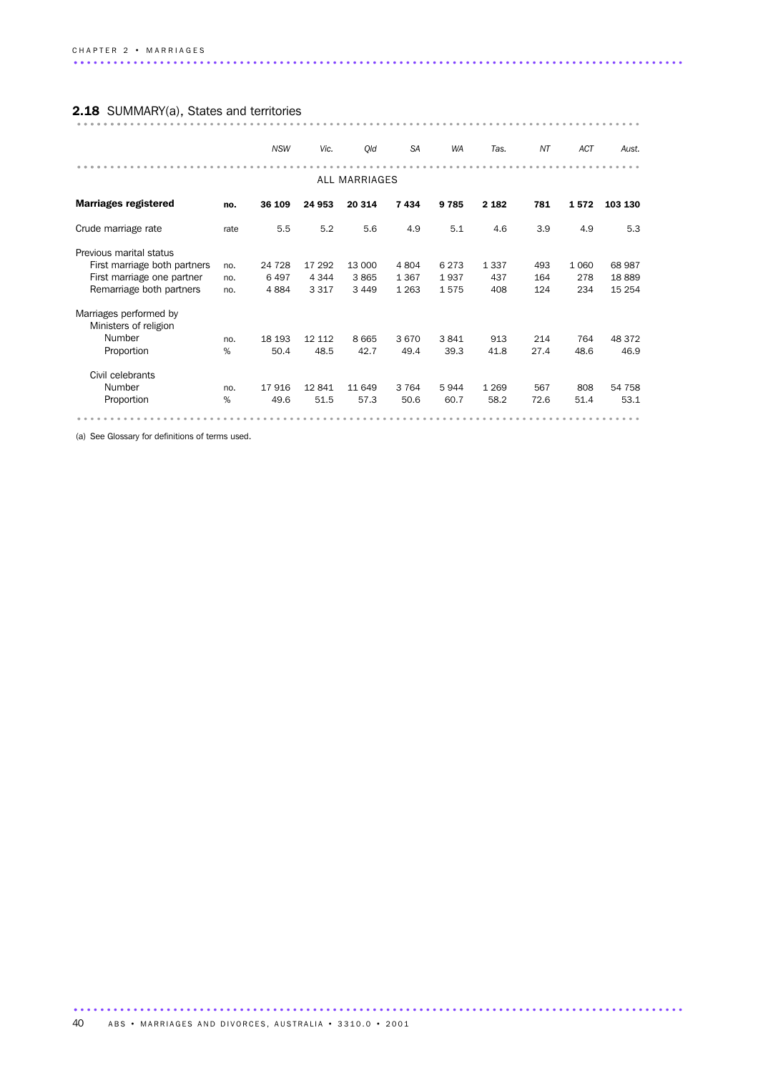# 2.18 SUMMARY(a), States and territories ..................................................................................... ........

|                                                 |      | <b>NSW</b> | Vic.    | Qld           | <b>SA</b> | <b>WA</b> | Tas.    | NT   | <b>ACT</b> | Aust.   |
|-------------------------------------------------|------|------------|---------|---------------|-----------|-----------|---------|------|------------|---------|
|                                                 |      |            |         | ALL MARRIAGES |           |           |         |      |            |         |
| <b>Marriages registered</b>                     | no.  | 36 109     | 24 953  | 20 314        | 7434      | 9785      | 2 1 8 2 | 781  | 1572       | 103 130 |
| Crude marriage rate                             | rate | 5.5        | 5.2     | 5.6           | 4.9       | 5.1       | 4.6     | 3.9  | 4.9        | 5.3     |
| Previous marital status                         |      |            |         |               |           |           |         |      |            |         |
| First marriage both partners                    | no.  | 24 7 28    | 17 292  | 13 000        | 4 8 0 4   | 6 2 7 3   | 1 3 3 7 | 493  | 1 0 6 0    | 68 987  |
| First marriage one partner                      | no.  | 6497       | 4 3 4 4 | 3865          | 1 3 6 7   | 1937      | 437     | 164  | 278        | 18889   |
| Remarriage both partners                        | no.  | 4884       | 3 3 1 7 | 3449          | 1 2 6 3   | 1575      | 408     | 124  | 234        | 15 254  |
| Marriages performed by<br>Ministers of religion |      |            |         |               |           |           |         |      |            |         |
| Number                                          | no.  | 18 193     | 12 112  | 8 6 6 5       | 3670      | 3841      | 913     | 214  | 764        | 48 372  |
| Proportion                                      | %    | 50.4       | 48.5    | 42.7          | 49.4      | 39.3      | 41.8    | 27.4 | 48.6       | 46.9    |
| Civil celebrants                                |      |            |         |               |           |           |         |      |            |         |
| Number                                          | no.  | 17916      | 12841   | 11 649        | 3 7 6 4   | 5944      | 1 2 6 9 | 567  | 808        | 54 758  |
| Proportion                                      | %    | 49.6       | 51.5    | 57.3          | 50.6      | 60.7      | 58.2    | 72.6 | 51.4       | 53.1    |
|                                                 |      |            |         |               |           |           |         |      |            |         |

(a) See Glossary for definitions of terms used.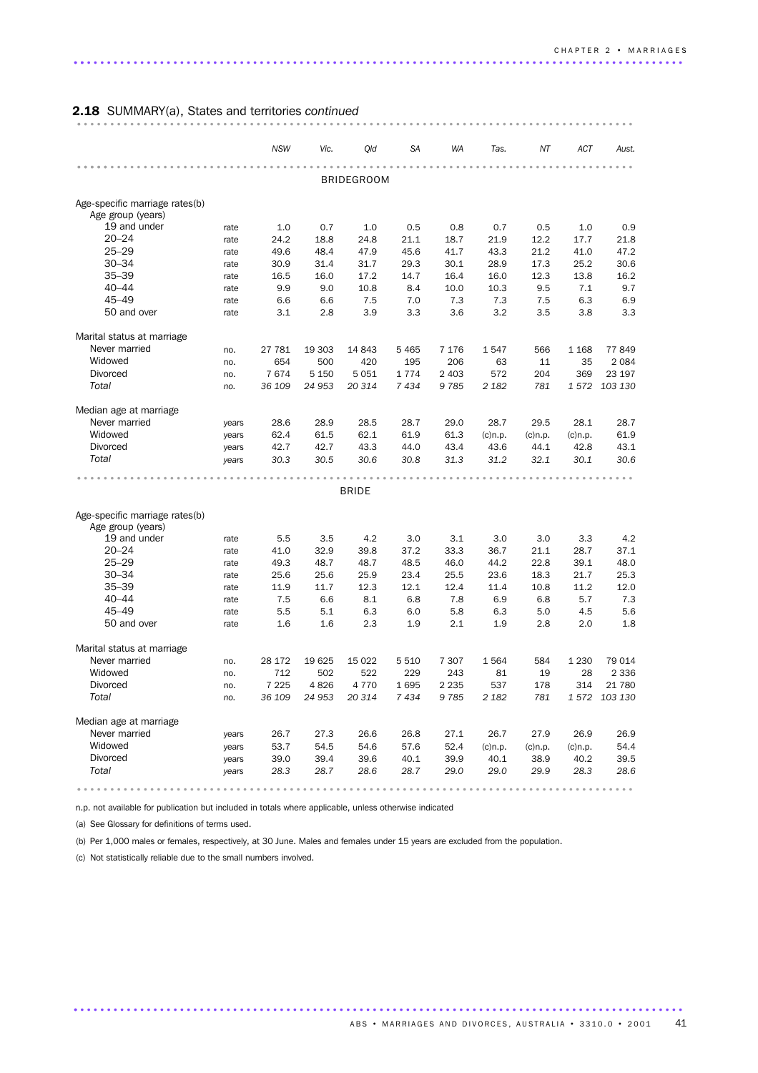### 2.18 SUMMARY(a), States and territories *continued* .................................................................................... .

|                                |       | <b>NSW</b> | Vic.    | Qld               | SA      | WA      | Tas.       | ΝT         | ACT        | Aust.         |
|--------------------------------|-------|------------|---------|-------------------|---------|---------|------------|------------|------------|---------------|
|                                |       |            |         |                   |         |         |            |            |            |               |
|                                |       |            |         | <b>BRIDEGROOM</b> |         |         |            |            |            |               |
| Age-specific marriage rates(b) |       |            |         |                   |         |         |            |            |            |               |
| Age group (years)              |       |            |         |                   |         |         |            |            |            |               |
| 19 and under                   | rate  | 1.0        | 0.7     | 1.0               | 0.5     | 0.8     | 0.7        | 0.5        | 1.0        | 0.9           |
| $20 - 24$                      | rate  | 24.2       | 18.8    | 24.8              | 21.1    | 18.7    | 21.9       | 12.2       | 17.7       | 21.8          |
| $25 - 29$                      | rate  | 49.6       | 48.4    | 47.9              | 45.6    | 41.7    | 43.3       | 21.2       | 41.0       | 47.2          |
| $30 - 34$                      | rate  | 30.9       | 31.4    | 31.7              | 29.3    | 30.1    | 28.9       | 17.3       | 25.2       | 30.6          |
| $35 - 39$                      | rate  | 16.5       | 16.0    | 17.2              | 14.7    | 16.4    | 16.0       | 12.3       | 13.8       | 16.2          |
| $40 - 44$                      | rate  | 9.9        | 9.0     | 10.8              | 8.4     | 10.0    | 10.3       | 9.5        | 7.1        | 9.7           |
| $45 - 49$                      | rate  | 6.6        | 6.6     | 7.5               | 7.0     | 7.3     | 7.3        | 7.5        | 6.3        | 6.9           |
| 50 and over                    | rate  | 3.1        | 2.8     | 3.9               | 3.3     | 3.6     | 3.2        | 3.5        | 3.8        | 3.3           |
| Marital status at marriage     |       |            |         |                   |         |         |            |            |            |               |
| Never married                  | no.   | 27 781     | 19 303  | 14 843            | 5 4 6 5 | 7 1 7 6 | 1547       | 566        | 1 1 6 8    | 77849         |
| Widowed                        | no.   | 654        | 500     | 420               | 195     | 206     | 63         | 11         | 35         | 2 0 8 4       |
| <b>Divorced</b>                | no.   | 7674       | 5 1 5 0 | 5 0 5 1           | 1774    | 2 4 0 3 | 572        | 204        | 369        | 23 197        |
| Total                          | no.   | 36 109     | 24 953  | 20 314            | 7434    | 9785    | 2 1 8 2    | 781        |            | 1 572 103 130 |
| Median age at marriage         |       |            |         |                   |         |         |            |            |            |               |
| Never married                  | years | 28.6       | 28.9    | 28.5              | 28.7    | 29.0    | 28.7       | 29.5       | 28.1       | 28.7          |
| Widowed                        | years | 62.4       | 61.5    | 62.1              | 61.9    | 61.3    | $(c)$ n.p. | $(c)$ n.p. | $(c)$ n.p. | 61.9          |
| <b>Divorced</b>                | years | 42.7       | 42.7    | 43.3              | 44.0    | 43.4    | 43.6       | 44.1       | 42.8       | 43.1          |
| Total                          | years | 30.3       | 30.5    | 30.6              | 30.8    | 31.3    | 31.2       | 32.1       | 30.1       | 30.6          |
|                                |       |            |         |                   |         |         |            |            |            |               |
|                                |       |            |         | <b>BRIDE</b>      |         |         |            |            |            |               |
|                                |       |            |         |                   |         |         |            |            |            |               |
| Age-specific marriage rates(b) |       |            |         |                   |         |         |            |            |            |               |
| Age group (years)              |       |            |         |                   |         |         |            |            |            |               |
| 19 and under                   | rate  | 5.5        | 3.5     | 4.2               | 3.0     | 3.1     | 3.0        | 3.0        | 3.3        | 4.2           |
| $20 - 24$                      | rate  | 41.0       | 32.9    | 39.8              | 37.2    | 33.3    | 36.7       | 21.1       | 28.7       | 37.1          |
| $25 - 29$                      | rate  | 49.3       | 48.7    | 48.7              | 48.5    | 46.0    | 44.2       | 22.8       | 39.1       | 48.0          |
| $30 - 34$                      | rate  | 25.6       | 25.6    | 25.9              | 23.4    | 25.5    | 23.6       | 18.3       | 21.7       | 25.3          |
| $35 - 39$                      | rate  | 11.9       | 11.7    | 12.3              | 12.1    | 12.4    | 11.4       | 10.8       | 11.2       | 12.0          |
| $40 - 44$                      | rate  | 7.5        | 6.6     | 8.1               | 6.8     | 7.8     | 6.9        | 6.8        | 5.7        | 7.3           |
| $45 - 49$                      | rate  | 5.5        | 5.1     | 6.3               | 6.0     | 5.8     | 6.3        | 5.0        | 4.5        | 5.6           |
| 50 and over                    | rate  | 1.6        | 1.6     | 2.3               | 1.9     | 2.1     | 1.9        | 2.8        | 2.0        | 1.8           |
| Marital status at marriage     |       |            |         |                   |         |         |            |            |            |               |
| Never married                  | no.   | 28 172     | 19625   | 15 0 22           | 5 5 1 0 | 7 3 0 7 | 1564       | 584        | 1 2 3 0    | 79 014        |
| Widowed                        | no.   | 712        | 502     | 522               | 229     | 243     | 81         | 19         | 28         | 2 3 3 6       |
| Divorced                       | no.   | 7 2 2 5    | 4826    | 4 7 7 0           | 1695    | 2 2 3 5 | 537        | 178        | 314        | 21 780        |
| Total                          | no.   | 36 109     | 24 953  | 20 314            | 7 4 3 4 | 9785    | 2 1 8 2    | 781        |            | 1 572 103 130 |
| Median age at marriage         |       |            |         |                   |         |         |            |            |            |               |
| Never married                  | years | 26.7       | 27.3    | 26.6              | 26.8    | 27.1    | 26.7       | 27.9       | 26.9       | 26.9          |
| Widowed                        | years | 53.7       | 54.5    | 54.6              | 57.6    | 52.4    | $(c)$ n.p. | $(c)$ n.p. | $(c)$ n.p. | 54.4          |
| <b>Divorced</b>                | years | 39.0       | 39.4    | 39.6              | 40.1    | 39.9    | 40.1       | 38.9       | 40.2       | 39.5          |
| Total                          | years | 28.3       | 28.7    | 28.6              | 28.7    | 29.0    | 29.0       | 29.9       | 28.3       | 28.6          |
|                                |       |            |         |                   |         |         |            |            |            |               |
|                                |       |            |         |                   |         |         |            |            |            |               |

n.p. not available for publication but included in totals where applicable, unless otherwise indicated

(a) See Glossary for definitions of terms used.

(b) Per 1,000 males or females, respectively, at 30 June. Males and females under 15 years are excluded from the population.

............................................................................................ .

(c) Not statistically reliable due to the small numbers involved.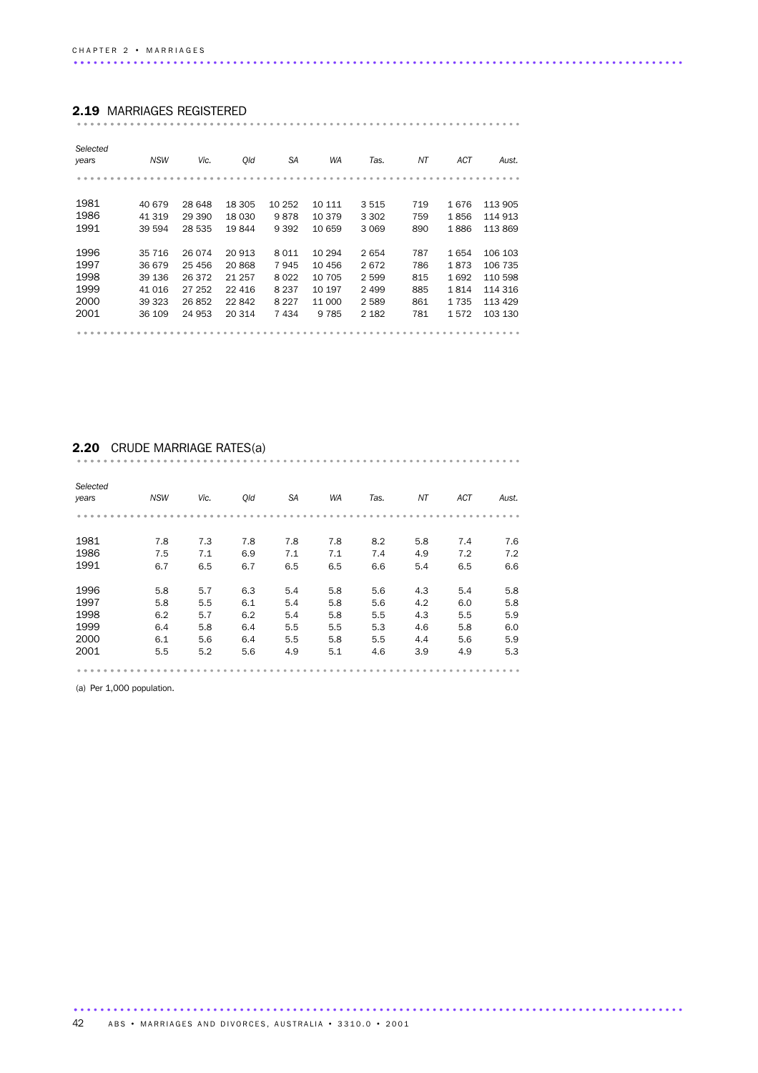#### 2.19 MARRIAGES REGISTERED

|--|--|--|--|

| Selected<br>years | <b>NSW</b> | Vic.    | Old     | <b>SA</b> | <b>WA</b> | Tas.    | ΝT  | ACT  | Aust.   |
|-------------------|------------|---------|---------|-----------|-----------|---------|-----|------|---------|
|                   |            |         |         |           |           |         |     |      |         |
| 1981              | 40 679     | 28 648  | 18 305  | 10 25 2   | 10 111    | 3515    | 719 | 1676 | 113 905 |
| 1986              | 41 319     | 29 390  | 18 030  | 9878      | 10 379    | 3 3 0 2 | 759 | 1856 | 114 913 |
| 1991              | 39 594     | 28 535  | 19844   | 9 3 9 2   | 10 659    | 3 0 6 9 | 890 | 1886 | 113869  |
| 1996              | 35 716     | 26 0 74 | 20 913  | 8011      | 10 294    | 2654    | 787 | 1654 | 106 103 |
| 1997              | 36 679     | 25 45 6 | 20 868  | 7945      | 10 456    | 2672    | 786 | 1873 | 106 735 |
| 1998              | 39 136     | 26 372  | 21 257  | 8022      | 10 705    | 2 5 9 9 | 815 | 1692 | 110 598 |
| 1999              | 41 0 16    | 27 252  | 22 4 16 | 8 2 3 7   | 10 197    | 2 4 9 9 | 885 | 1814 | 114 316 |
| 2000              | 39 323     | 26852   | 22 842  | 8 2 2 7   | 11 000    | 2 5 8 9 | 861 | 1735 | 113 429 |
| 2001              | 36 109     | 24 953  | 20 314  | 7434      | 9 7 8 5   | 2 1 8 2 | 781 | 1572 | 103 130 |
|                   |            |         |         |           |           |         |     |      |         |

# 2.20 CRUDE MARRIAGE RATES(a) ................................................................... ..........................

| Selected<br>years | <b>NSW</b> | Vic. | Qld | <b>SA</b> | <b>WA</b> | Tas. | ΝT  | ACT | Aust. |
|-------------------|------------|------|-----|-----------|-----------|------|-----|-----|-------|
|                   |            |      |     |           |           |      |     |     |       |
| 1981              | 7.8        | 7.3  | 7.8 | 7.8       | 7.8       | 8.2  | 5.8 | 7.4 | 7.6   |
| 1986              | 7.5        | 7.1  | 6.9 | 7.1       | 7.1       | 7.4  | 4.9 | 7.2 | 7.2   |
| 1991              | 6.7        | 6.5  | 6.7 | 6.5       | 6.5       | 6.6  | 5.4 | 6.5 | 6.6   |
| 1996              | 5.8        | 5.7  | 6.3 | 5.4       | 5.8       | 5.6  | 4.3 | 5.4 | 5.8   |
| 1997              | 5.8        | 5.5  | 6.1 | 5.4       | 5.8       | 5.6  | 4.2 | 6.0 | 5.8   |
| 1998              | 6.2        | 5.7  | 6.2 | 5.4       | 5.8       | 5.5  | 4.3 | 5.5 | 5.9   |
| 1999              | 6.4        | 5.8  | 6.4 | 5.5       | 5.5       | 5.3  | 4.6 | 5.8 | 6.0   |
| 2000              | 6.1        | 5.6  | 6.4 | 5.5       | 5.8       | 5.5  | 4.4 | 5.6 | 5.9   |
| 2001              | 5.5        | 5.2  | 5.6 | 4.9       | 5.1       | 4.6  | 3.9 | 4.9 | 5.3   |
|                   |            |      |     |           |           |      |     |     |       |

(a) Per 1,000 population.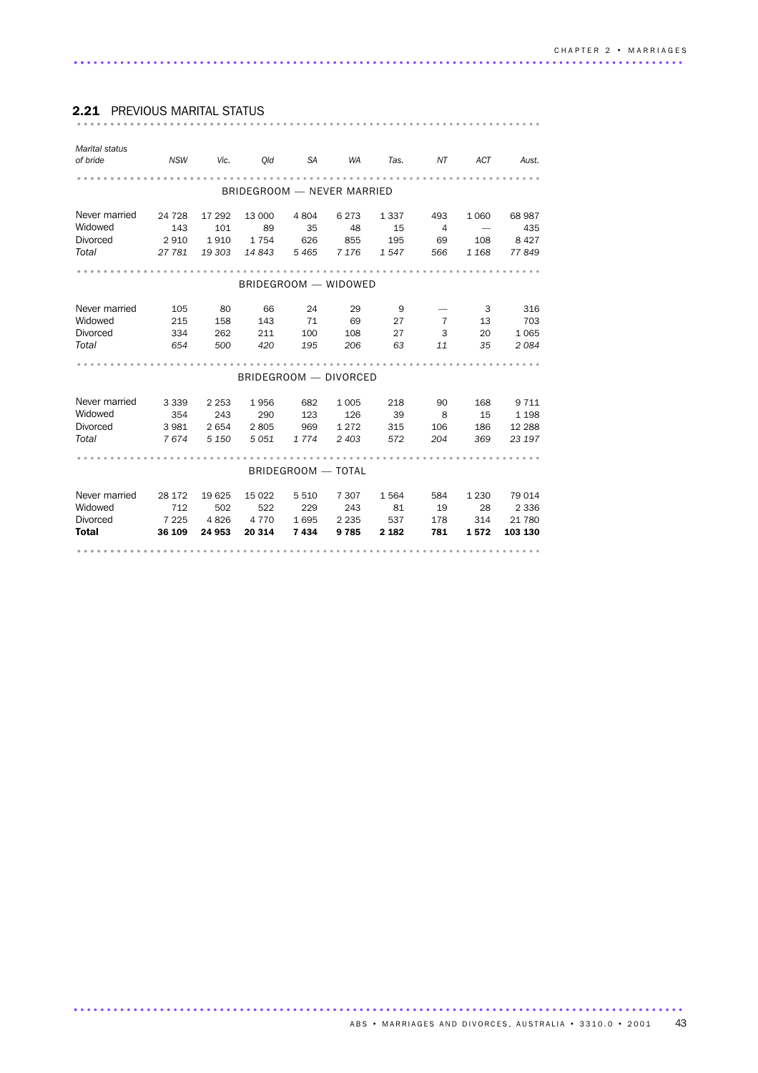#### *Marital status of bride NSW Vic. Qld SA WA Tas. NT ACT Aust.* ...................................................................... ................... BRIDEGROOM — NEVER MARRIED Never married 24 728 17 292 13 000 4 804 6 273 1 337 493 1 060 68 987<br>Widowed 143 101 89 35 48 15 4 – 435 Widowed 143 101 89 35 48 15 4 — 435<br>Divorced 2910 1910 1754 626 855 195 69 108 8427 Divorced 2 910 1 910 1 754 626 855 195 69 108 8 427 *Total 27 781 19 303 14 843 5 465 7 176 1 547 566 1 168 77 849* ...................................................................... ........... BRIDEGROOM — WIDOWED Never married 105 80 66 24 29 9 - 3 316<br>Widowed 215 158 143 71 69 27 7 13 703 Widowed 215 158 143 71 69 27 7 13 703 Divorced 334 262 211 100 108 27 3 20 1 065 *Total 654 500 420 195 206 63 11 35 2 084* ...................................................................... . BRIDEGROOM — DIVORCED Never married 3 339 2 253 1 956 682 1 005 2 18 90 168 9 711<br>Widowed 3 354 243 290 123 126 20 0 Widowed 354 243 290 123 126 39 8 15 1 198 Divorced 3 981 2 654 2 805 969 1 272 315 106 186 12 288 *Total 7 674 5 150 5 051 1 774 2 403 572 204 369 23 197* ...................................................................... . BRIDEGROOM — TOTAL Never married 28 172 19 625 15 022 5 510 7 307 1 564 584 1 230 79 014<br>Widowed 712 502 522 229 243 81 19 28 2 336<br>Divorced 7 225 4 826 4 770 1 695 2 235 537 178 314 21 780 Widowed 712 502 522 229 243 81 19 28 2 336 Divorced 7 225 4 826 4 770 1 695 2 235 537 178 314 21 780 Total 36 109 24 953 20 314 7 434 9 785 2 182 781 1 572 103 130 ...................................................................... ...............

### 2.21 PREVIOUS MARITAL STATUS ...................................................................... .......................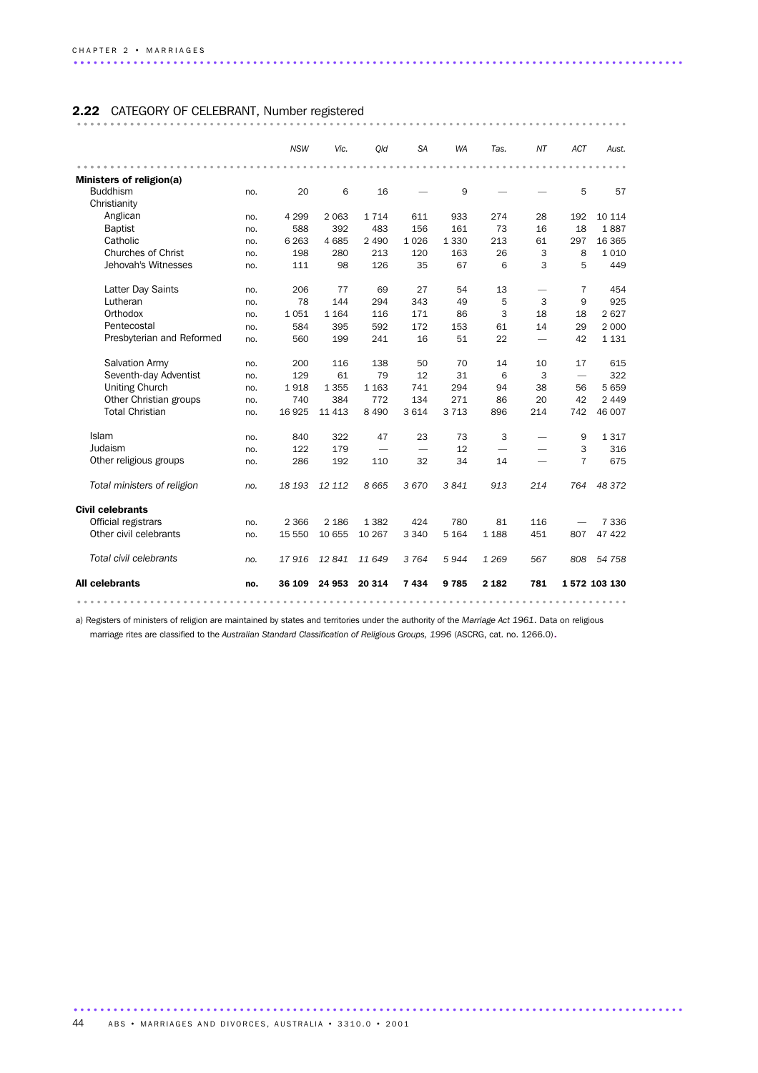### 2.22 CATEGORY OF CELEBRANT, Number registered ................................................................................... ..........

|                             |     | <b>NSW</b> | Vic.    | Old                      | <b>SA</b>                | <b>WA</b> | Tas.    | NΤ                       | <b>ACT</b>               | Aust.        |
|-----------------------------|-----|------------|---------|--------------------------|--------------------------|-----------|---------|--------------------------|--------------------------|--------------|
|                             |     |            |         |                          |                          |           |         |                          |                          |              |
| Ministers of religion(a)    |     |            |         |                          |                          |           |         |                          |                          |              |
| <b>Buddhism</b>             | no. | 20         | 6       | 16                       |                          | 9         |         |                          | 5                        | 57           |
| Christianity                |     |            |         |                          |                          |           |         |                          |                          |              |
| Anglican                    | no. | 4 2 9 9    | 2 0 6 3 | 1 7 1 4                  | 611                      | 933       | 274     | 28                       | 192                      | 10 114       |
| <b>Baptist</b>              | no. | 588        | 392     | 483                      | 156                      | 161       | 73      | 16                       | 18                       | 1887         |
| Catholic                    | no. | 6 2 6 3    | 4 6 8 5 | 2 4 9 0                  | 1026                     | 1 3 3 0   | 213     | 61                       | 297                      | 16 3 65      |
| <b>Churches of Christ</b>   | no. | 198        | 280     | 213                      | 120                      | 163       | 26      | 3                        | 8                        | 1010         |
| Jehovah's Witnesses         | no. | 111        | 98      | 126                      | 35                       | 67        | 6       | 3                        | 5                        | 449          |
| Latter Day Saints           | no. | 206        | 77      | 69                       | 27                       | 54        | 13      | $\overline{\phantom{0}}$ | $\overline{7}$           | 454          |
| Lutheran                    | no. | 78         | 144     | 294                      | 343                      | 49        | 5       | 3                        | 9                        | 925          |
| Orthodox                    | no. | 1051       | 1 1 6 4 | 116                      | 171                      | 86        | 3       | 18                       | 18                       | 2627         |
| Pentecostal                 | no. | 584        | 395     | 592                      | 172                      | 153       | 61      | 14                       | 29                       | 2 0 0 0      |
| Presbyterian and Reformed   | no. | 560        | 199     | 241                      | 16                       | 51        | 22      | $\overline{\phantom{0}}$ | 42                       | 1 1 3 1      |
| Salvation Army              | no. | 200        | 116     | 138                      | 50                       | 70        | 14      | 10                       | 17                       | 615          |
| Seventh-day Adventist       | no. | 129        | 61      | 79                       | 12                       | 31        | 6       | 3                        | $\overline{\phantom{0}}$ | 322          |
| <b>Uniting Church</b>       | no. | 1918       | 1 3 5 5 | 1 1 6 3                  | 741                      | 294       | 94      | 38                       | 56                       | 5659         |
| Other Christian groups      | no. | 740        | 384     | 772                      | 134                      | 271       | 86      | 20                       | 42                       | 2 4 4 9      |
| <b>Total Christian</b>      | no. | 16 9 25    | 11 4 13 | 8 4 9 0                  | 3614                     | 3 7 1 3   | 896     | 214                      | 742                      | 46 007       |
| Islam                       | no. | 840        | 322     | 47                       | 23                       | 73        | 3       |                          | 9                        | 1 3 1 7      |
| Judaism                     | no. | 122        | 179     | $\overline{\phantom{0}}$ | $\overline{\phantom{0}}$ | 12        |         |                          | 3                        | 316          |
| Other religious groups      | no. | 286        | 192     | 110                      | 32                       | 34        | 14      |                          | $\overline{7}$           | 675          |
| Total ministers of religion | no. | 18 193     | 12 112  | 8665                     | 3670                     | 3841      | 913     | 214                      | 764                      | 48 372       |
| <b>Civil celebrants</b>     |     |            |         |                          |                          |           |         |                          |                          |              |
| Official registrars         | no. | 2 3 6 6    | 2 1 8 6 | 1 3 8 2                  | 424                      | 780       | 81      | 116                      |                          | 7 3 3 6      |
| Other civil celebrants      | no. | 15 550     | 10 655  | 10 267                   | 3 3 4 0                  | 5 1 6 4   | 1 1 8 8 | 451                      | 807                      | 47 422       |
| Total civil celebrants      | no. | 17916      | 12841   | 11 649                   | 3 7 6 4                  | 5944      | 1 2 6 9 | 567                      | 808                      | 54 758       |
| <b>All celebrants</b>       | no. | 36 109     | 24 953  | 20 314                   | 7434                     | 9785      | 2 1 8 2 | 781                      |                          | 1572 103 130 |
|                             |     |            |         |                          |                          |           |         |                          |                          |              |

a) Registers of ministers of religion are maintained by states and territories under the authority of the *Marriage Act 1961*. Data on religious

............................................................................................ .

marriage rites are classified to the *Australian Standard Classification of Religious Groups, 1996* (ASCRG, cat. no. 1266.0).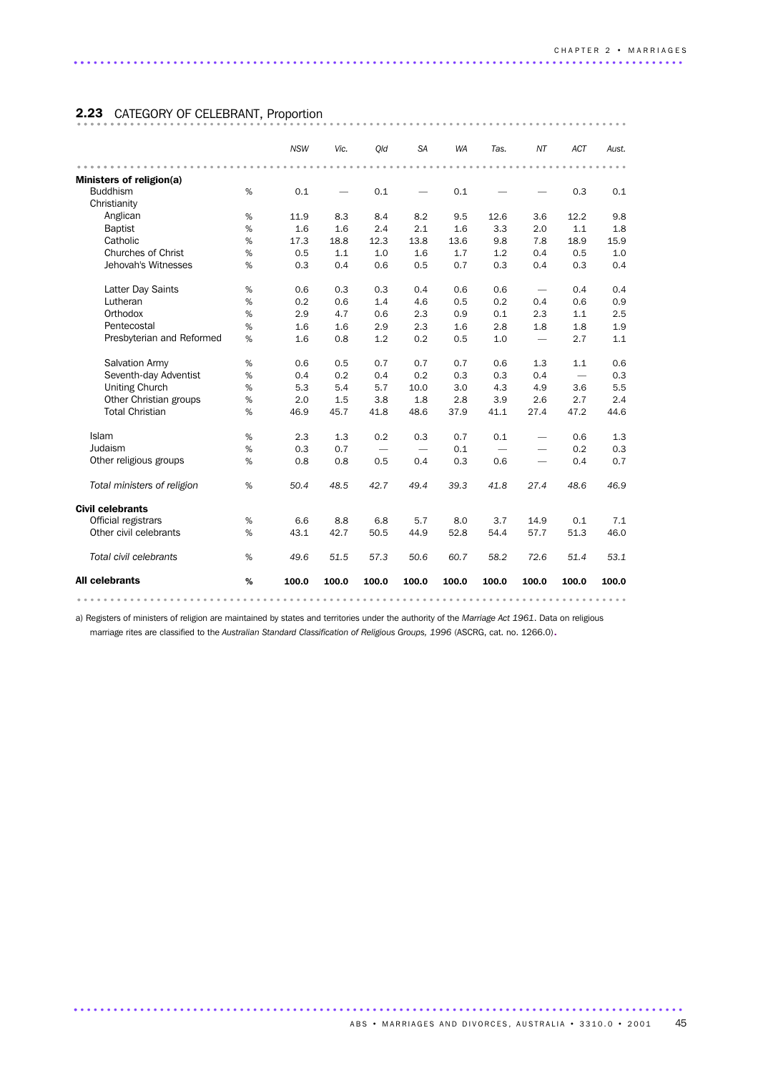### 2.23 CATEGORY OF CELEBRANT, Proportion ................................................................................... .........

|                             |      | <b>NSW</b> | Vic.  | Old                      | <b>SA</b> | <b>WA</b> | Tas.                     | NT                       | <b>ACT</b>               | Aust. |
|-----------------------------|------|------------|-------|--------------------------|-----------|-----------|--------------------------|--------------------------|--------------------------|-------|
|                             |      |            |       |                          |           |           |                          |                          |                          |       |
| Ministers of religion(a)    |      |            |       |                          |           |           |                          |                          |                          |       |
| <b>Buddhism</b>             | %    | 0.1        |       | 0.1                      |           | 0.1       |                          |                          | 0.3                      | 0.1   |
| Christianity                |      |            |       |                          |           |           |                          |                          |                          |       |
| Anglican                    | %    | 11.9       | 8.3   | 8.4                      | 8.2       | 9.5       | 12.6                     | 3.6                      | 12.2                     | 9.8   |
| <b>Baptist</b>              | %    | 1.6        | 1.6   | 2.4                      | 2.1       | 1.6       | 3.3                      | 2.0                      | 1.1                      | 1.8   |
| Catholic                    | %    | 17.3       | 18.8  | 12.3                     | 13.8      | 13.6      | 9.8                      | 7.8                      | 18.9                     | 15.9  |
| <b>Churches of Christ</b>   | %    | 0.5        | 1.1   | 1.0                      | 1.6       | 1.7       | 1.2                      | 0.4                      | 0.5                      | 1.0   |
| Jehovah's Witnesses         | %    | 0.3        | 0.4   | 0.6                      | 0.5       | 0.7       | 0.3                      | 0.4                      | 0.3                      | 0.4   |
| Latter Day Saints           | %    | 0.6        | 0.3   | 0.3                      | 0.4       | 0.6       | 0.6                      |                          | 0.4                      | 0.4   |
| Lutheran                    | %    | 0.2        | 0.6   | 1.4                      | 4.6       | 0.5       | 0.2                      | 0.4                      | 0.6                      | 0.9   |
| Orthodox                    | %    | 2.9        | 4.7   | 0.6                      | 2.3       | 0.9       | 0.1                      | 2.3                      | 1.1                      | 2.5   |
| Pentecostal                 | $\%$ | 1.6        | 1.6   | 2.9                      | 2.3       | 1.6       | 2.8                      | 1.8                      | 1.8                      | 1.9   |
| Presbyterian and Reformed   | %    | 1.6        | 0.8   | 1.2                      | 0.2       | 0.5       | 1.0                      |                          | 2.7                      | 1.1   |
| <b>Salvation Army</b>       | %    | 0.6        | 0.5   | 0.7                      | 0.7       | 0.7       | 0.6                      | 1.3                      | 1.1                      | 0.6   |
| Seventh-day Adventist       | %    | 0.4        | 0.2   | 0.4                      | 0.2       | 0.3       | 0.3                      | 0.4                      | $\overline{\phantom{0}}$ | 0.3   |
| <b>Uniting Church</b>       | $\%$ | 5.3        | 5.4   | 5.7                      | 10.0      | 3.0       | 4.3                      | 4.9                      | 3.6                      | 5.5   |
| Other Christian groups      | %    | 2.0        | 1.5   | 3.8                      | 1.8       | 2.8       | 3.9                      | 2.6                      | 2.7                      | 2.4   |
| <b>Total Christian</b>      | %    | 46.9       | 45.7  | 41.8                     | 48.6      | 37.9      | 41.1                     | 27.4                     | 47.2                     | 44.6  |
| Islam                       | %    | 2.3        | 1.3   | 0.2                      | 0.3       | 0.7       | 0.1                      |                          | 0.6                      | 1.3   |
| Judaism                     | %    | 0.3        | 0.7   | $\overline{\phantom{0}}$ |           | 0.1       | $\overline{\phantom{0}}$ |                          | 0.2                      | 0.3   |
| Other religious groups      | %    | 0.8        | 0.8   | 0.5                      | 0.4       | 0.3       | 0.6                      | $\overline{\phantom{0}}$ | 0.4                      | 0.7   |
| Total ministers of religion | %    | 50.4       | 48.5  | 42.7                     | 49.4      | 39.3      | 41.8                     | 27.4                     | 48.6                     | 46.9  |
| <b>Civil celebrants</b>     |      |            |       |                          |           |           |                          |                          |                          |       |
| Official registrars         | $\%$ | 6.6        | 8.8   | 6.8                      | 5.7       | 8.0       | 3.7                      | 14.9                     | 0.1                      | 7.1   |
| Other civil celebrants      | %    | 43.1       | 42.7  | 50.5                     | 44.9      | 52.8      | 54.4                     | 57.7                     | 51.3                     | 46.0  |
| Total civil celebrants      | %    | 49.6       | 51.5  | 57.3                     | 50.6      | 60.7      | 58.2                     | 72.6                     | 51.4                     | 53.1  |
| <b>All celebrants</b>       | %    | 100.0      | 100.0 | 100.0                    | 100.0     | 100.0     | 100.0                    | 100.0                    | 100.0                    | 100.0 |
|                             |      |            |       |                          |           |           |                          |                          |                          |       |

a) Registers of ministers of religion are maintained by states and territories under the authority of the *Marriage Act 1961*. Data on religious

............................................................................................ .

marriage rites are classified to the *Australian Standard Classification of Religious Groups, 1996* (ASCRG, cat. no. 1266.0).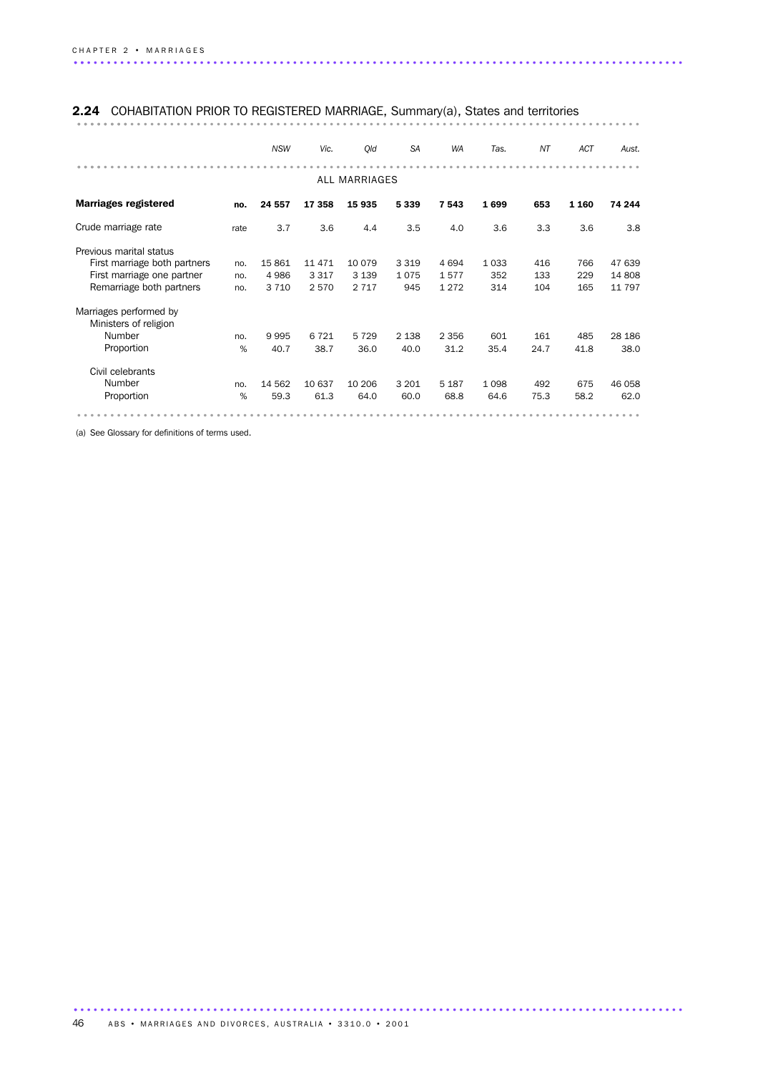### 2.24 COHABITATION PRIOR TO REGISTERED MARRIAGE, Summary(a), States and territories

|                                                 |      | <b>NSW</b> | Vic.    | Qld                  | <b>SA</b> | WA      | Tas.    | NT   | ACT     | Aust.    |
|-------------------------------------------------|------|------------|---------|----------------------|-----------|---------|---------|------|---------|----------|
|                                                 |      |            |         | <b>ALL MARRIAGES</b> |           |         |         |      |         |          |
| <b>Marriages registered</b>                     | no.  | 24 557     | 17 358  | 15935                | 5339      | 7543    | 1699    | 653  | 1 1 6 0 | 74 244   |
| Crude marriage rate                             | rate | 3.7        | 3.6     | 4.4                  | 3.5       | 4.0     | 3.6     | 3.3  | 3.6     | 3.8      |
| Previous marital status                         |      |            |         |                      |           |         |         |      |         |          |
| First marriage both partners                    | no.  | 15861      | 11 471  | 10 0 79              | 3 3 1 9   | 4694    | 1 0 3 3 | 416  | 766     | 47 639   |
| First marriage one partner                      | no.  | 4986       | 3 3 1 7 | 3 1 3 9              | 1075      | 1577    | 352     | 133  | 229     | 14 808   |
| Remarriage both partners                        | no.  | 3 7 1 0    | 2570    | 2 7 1 7              | 945       | 1 2 7 2 | 314     | 104  | 165     | 11 7 9 7 |
| Marriages performed by<br>Ministers of religion |      |            |         |                      |           |         |         |      |         |          |
| Number                                          | no.  | 9995       | 6 7 2 1 | 5729                 | 2 1 3 8   | 2 3 5 6 | 601     | 161  | 485     | 28 186   |
| Proportion                                      | %    | 40.7       | 38.7    | 36.0                 | 40.0      | 31.2    | 35.4    | 24.7 | 41.8    | 38.0     |
| Civil celebrants                                |      |            |         |                      |           |         |         |      |         |          |
| Number                                          | no.  | 14 562     | 10 637  | 10 206               | 3 2 0 1   | 5 1 8 7 | 1 0 9 8 | 492  | 675     | 46 058   |
| Proportion                                      | %    | 59.3       | 61.3    | 64.0                 | 60.0      | 68.8    | 64.6    | 75.3 | 58.2    | 62.0     |
|                                                 |      |            |         |                      |           |         |         |      |         |          |

(a) See Glossary for definitions of terms used.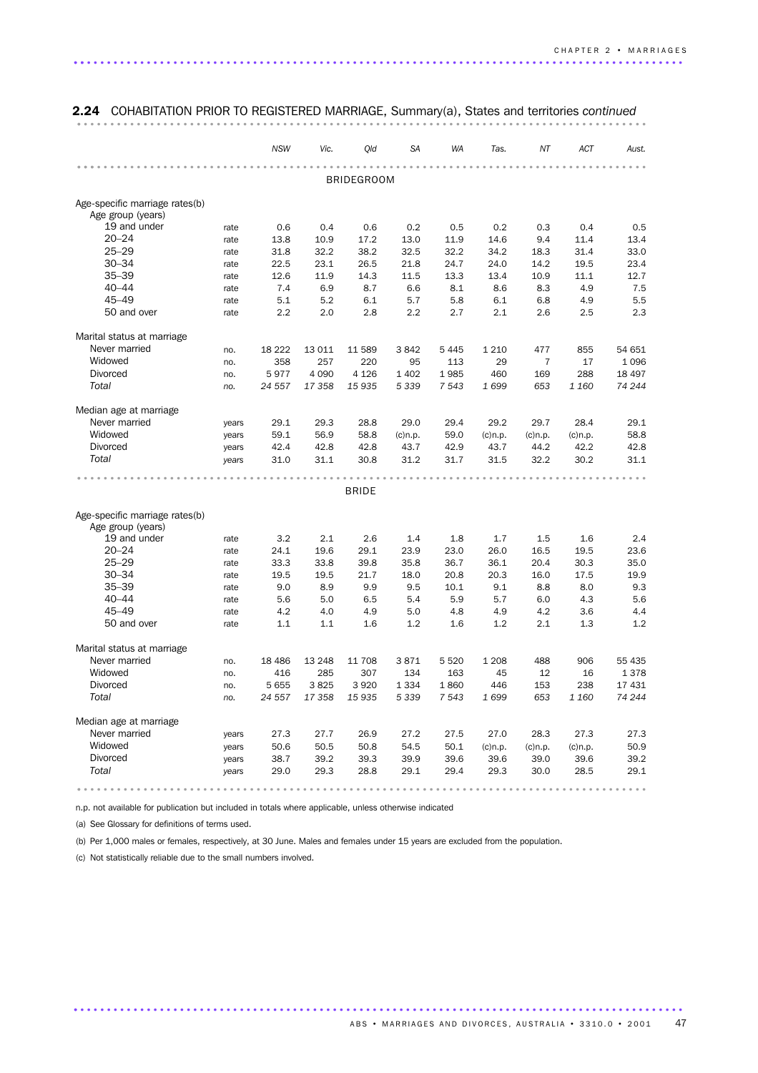|                                                     |       | <b>NSW</b> | Vic.    | Qld               | <b>SA</b>  | <b>WA</b> | Tas.       | NT             | <b>ACT</b> | Aust.  |  |  |  |  |  |
|-----------------------------------------------------|-------|------------|---------|-------------------|------------|-----------|------------|----------------|------------|--------|--|--|--|--|--|
|                                                     |       |            |         |                   |            |           |            |                |            |        |  |  |  |  |  |
|                                                     |       |            |         | <b>BRIDEGROOM</b> |            |           |            |                |            |        |  |  |  |  |  |
| Age-specific marriage rates(b)<br>Age group (years) |       |            |         |                   |            |           |            |                |            |        |  |  |  |  |  |
| 19 and under                                        | rate  | 0.6        | 0.4     | 0.6               | 0.2        | 0.5       | 0.2        | 0.3            | 0.4        | 0.5    |  |  |  |  |  |
| $20 - 24$                                           | rate  | 13.8       | 10.9    | 17.2              | 13.0       | 11.9      | 14.6       | 9.4            | 11.4       | 13.4   |  |  |  |  |  |
| $25 - 29$                                           | rate  | 31.8       | 32.2    | 38.2              | 32.5       | 32.2      | 34.2       | 18.3           | 31.4       | 33.0   |  |  |  |  |  |
| $30 - 34$                                           | rate  | 22.5       | 23.1    | 26.5              | 21.8       | 24.7      | 24.0       | 14.2           | 19.5       | 23.4   |  |  |  |  |  |
| $35 - 39$                                           | rate  | 12.6       | 11.9    | 14.3              | 11.5       | 13.3      | 13.4       | 10.9           | 11.1       | 12.7   |  |  |  |  |  |
| $40 - 44$                                           | rate  | 7.4        | 6.9     | 8.7               | 6.6        | 8.1       | 8.6        | 8.3            | 4.9        | 7.5    |  |  |  |  |  |
| $45 - 49$                                           | rate  | 5.1        | 5.2     | 6.1               | 5.7        | 5.8       | 6.1        | 6.8            | 4.9        | 5.5    |  |  |  |  |  |
| 50 and over                                         | rate  | 2.2        | 2.0     | 2.8               | 2.2        | 2.7       | 2.1        | 2.6            | 2.5        | 2.3    |  |  |  |  |  |
| Marital status at marriage                          |       |            |         |                   |            |           |            |                |            |        |  |  |  |  |  |
| Never married                                       | no.   | 18 2 22    | 13 0 11 | 11 589            | 3842       | 5445      | 1 2 1 0    | 477            | 855        | 54 651 |  |  |  |  |  |
| Widowed                                             | no.   | 358        | 257     | 220               | 95         | 113       | 29         | $\overline{7}$ | 17         | 1096   |  |  |  |  |  |
| <b>Divorced</b>                                     | no.   | 5977       | 4 0 9 0 | 4 1 2 6           | 1 4 0 2    | 1985      | 460        | 169            | 288        | 18 497 |  |  |  |  |  |
| Total                                               | no.   | 24 557     | 17 358  | 15 935            | 5 3 3 9    | 7 5 4 3   | 1699       | 653            | 1 160      | 74 244 |  |  |  |  |  |
| Median age at marriage                              |       |            |         |                   |            |           |            |                |            |        |  |  |  |  |  |
| Never married                                       | years | 29.1       | 29.3    | 28.8              | 29.0       | 29.4      | 29.2       | 29.7           | 28.4       | 29.1   |  |  |  |  |  |
| Widowed                                             | years | 59.1       | 56.9    | 58.8              | $(c)$ n.p. | 59.0      | $(c)$ n.p. | $(c)$ n.p.     | $(c)$ n.p. | 58.8   |  |  |  |  |  |
| <b>Divorced</b>                                     | years | 42.4       | 42.8    | 42.8              | 43.7       | 42.9      | 43.7       | 44.2           | 42.2       | 42.8   |  |  |  |  |  |
| Total                                               | years | 31.0       | 31.1    | 30.8              | 31.2       | 31.7      | 31.5       | 32.2           | 30.2       | 31.1   |  |  |  |  |  |
|                                                     |       |            |         |                   |            |           |            |                |            |        |  |  |  |  |  |
|                                                     |       |            |         | <b>BRIDE</b>      |            |           |            |                |            |        |  |  |  |  |  |
| Age-specific marriage rates(b)                      |       |            |         |                   |            |           |            |                |            |        |  |  |  |  |  |
| Age group (years)                                   |       |            |         |                   |            |           |            |                |            |        |  |  |  |  |  |
| 19 and under                                        | rate  | 3.2        | 2.1     | 2.6               | 1.4        | 1.8       | 1.7        | 1.5            | 1.6        | 2.4    |  |  |  |  |  |
| $20 - 24$                                           | rate  | 24.1       | 19.6    | 29.1              | 23.9       | 23.0      | 26.0       | 16.5           | 19.5       | 23.6   |  |  |  |  |  |
| $25 - 29$                                           | rate  | 33.3       | 33.8    | 39.8              | 35.8       | 36.7      | 36.1       | 20.4           | 30.3       | 35.0   |  |  |  |  |  |
| $30 - 34$                                           | rate  | 19.5       | 19.5    | 21.7              | 18.0       | 20.8      | 20.3       | 16.0           | 17.5       | 19.9   |  |  |  |  |  |
| $35 - 39$                                           | rate  | 9.0        | 8.9     | 9.9               | 9.5        | 10.1      | 9.1        | 8.8            | 8.0        | 9.3    |  |  |  |  |  |
| $40 - 44$                                           | rate  | 5.6        | 5.0     | 6.5               | 5.4        | 5.9       | 5.7        | 6.0            | 4.3        | 5.6    |  |  |  |  |  |
| $45 - 49$                                           | rate  | 4.2        | 4.0     | 4.9               | 5.0        | 4.8       | 4.9        | 4.2            | 3.6        | 4.4    |  |  |  |  |  |
| 50 and over                                         | rate  | 1.1        | 1.1     | 1.6               | 1.2        | 1.6       | 1.2        | 2.1            | 1.3        | 1.2    |  |  |  |  |  |
| Marital status at marriage                          |       |            |         |                   |            |           |            |                |            |        |  |  |  |  |  |
| Never married                                       | no.   | 18 4 8 6   | 13 248  | 11 708            | 3871       | 5520      | 1 2 0 8    | 488            | 906        | 55 435 |  |  |  |  |  |
| Widowed                                             | no.   | 416        | 285     | 307               | 134        | 163       | 45         | 12             | 16         | 1378   |  |  |  |  |  |
| <b>Divorced</b>                                     | no.   | 5655       | 3825    | 3920              | 1 3 3 4    | 1860      | 446        | 153            | 238        | 17 431 |  |  |  |  |  |
| Total                                               | no.   | 24 557     | 17 358  | 15 935            | 5 3 3 9    | 7 5 4 3   | 1699       | 653            | 1 160      | 74 244 |  |  |  |  |  |
| Median age at marriage                              |       |            |         |                   |            |           |            |                |            |        |  |  |  |  |  |
| Never married                                       | years | 27.3       | 27.7    | 26.9              | 27.2       | 27.5      | 27.0       | 28.3           | 27.3       | 27.3   |  |  |  |  |  |
| Widowed                                             | years | 50.6       | 50.5    | 50.8              | 54.5       | 50.1      | $(c)$ n.p. | $(c)$ n.p.     | $(c)$ n.p. | 50.9   |  |  |  |  |  |
| Divorced                                            | years | 38.7       | 39.2    | 39.3              | 39.9       | 39.6      | 39.6       | 39.0           | 39.6       | 39.2   |  |  |  |  |  |
| Total                                               | years | 29.0       | 29.3    | 28.8              | 29.1       | 29.4      | 29.3       | 30.0           | 28.5       | 29.1   |  |  |  |  |  |
|                                                     |       |            |         |                   |            |           |            |                |            |        |  |  |  |  |  |

2.24 COHABITATION PRIOR TO REGISTERED MARRIAGE, Summary(a), States and territories continued

n.p. not available for publication but included in totals where applicable, unless otherwise indicated

(a) See Glossary for definitions of terms used.

(b) Per 1,000 males or females, respectively, at 30 June. Males and females under 15 years are excluded from the population.

............................................................................................ .

(c) Not statistically reliable due to the small numbers involved.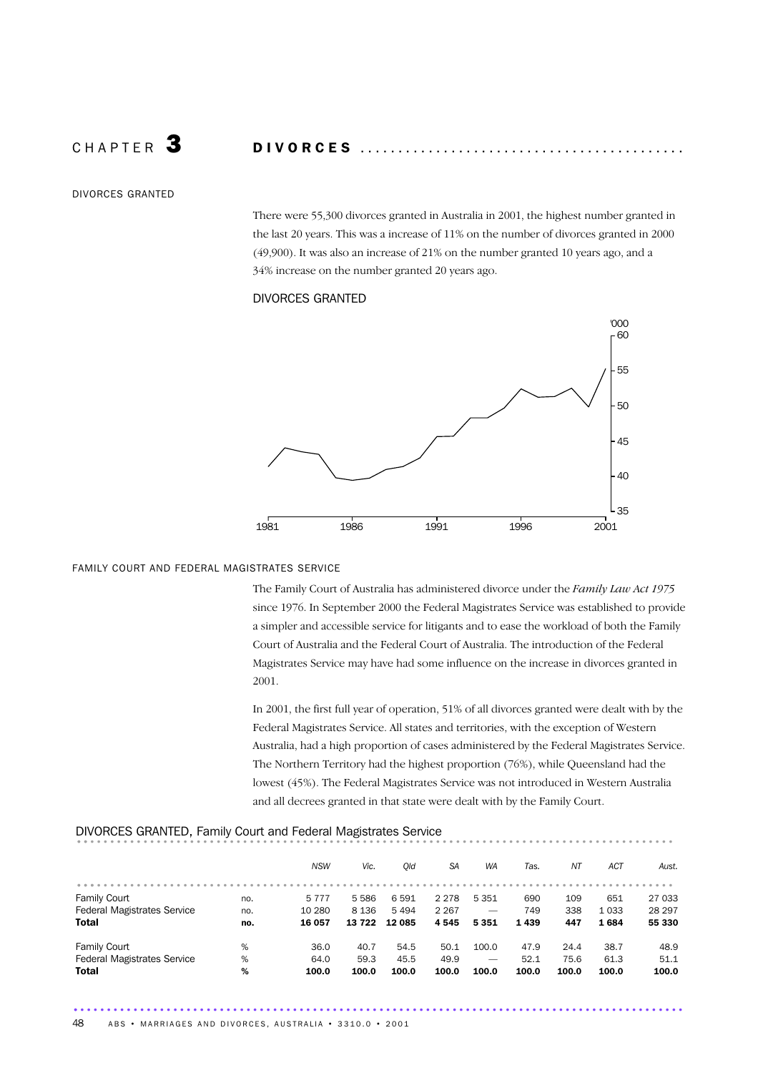C H A P T E R 3 D I V O R C E S ...........................................

DIVORCES GRANTED

There were 55,300 divorces granted in Australia in 2001, the highest number granted in the last 20 years. This was a increase of 11% on the number of divorces granted in 2000 (49,900). It was also an increase of 21% on the number granted 10 years ago, and a 34% increase on the number granted 20 years ago.

#### DIVORCES GRANTED



#### FAMILY COURT AND FEDERAL MAGISTRATES SERVICE

The Family Court of Australia has administered divorce under the *Family Law Act 1975* since 1976. In September 2000 the Federal Magistrates Service was established to provide a simpler and accessible service for litigants and to ease the workload of both the Family Court of Australia and the Federal Court of Australia. The introduction of the Federal Magistrates Service may have had some influence on the increase in divorces granted in 2001.

In 2001, the first full year of operation, 51% of all divorces granted were dealt with by the Federal Magistrates Service. All states and territories, with the exception of Western Australia, had a high proportion of cases administered by the Federal Magistrates Service. The Northern Territory had the highest proportion (76%), while Queensland had the lowest (45%). The Federal Magistrates Service was not introduced in Western Australia and all decrees granted in that state were dealt with by the Family Court.

#### DIVORCES GRANTED, Family Court and Federal Magistrates Service .......................................................................................... .. *NSW Vic. Qld SA WA Tas. NT ACT Aust.* .......................................................................................... ... Family Court no. 5 777 5 586 6 591 2 278 5 351 690 109 651 27 033 Federal Magistrates Service no. 10 280 8 136 5 494 2 267 - 749 338 1 033 28 297 Total no. 16 057 13 722 12 085 4 545 5 351 1 439 447 1 684 55 330 Family Court % 36.0 40.7 54.5 50.1 100.0 47.9 24.4 38.7 48.9 Federal Magistrates Service % 64.0 59.3 45.5 49.9 — 52.1 75.6 61.3 51.1 Total % 100.0 100.0 100.0 100.0 100.0 100.0 100.0 100.0 100.0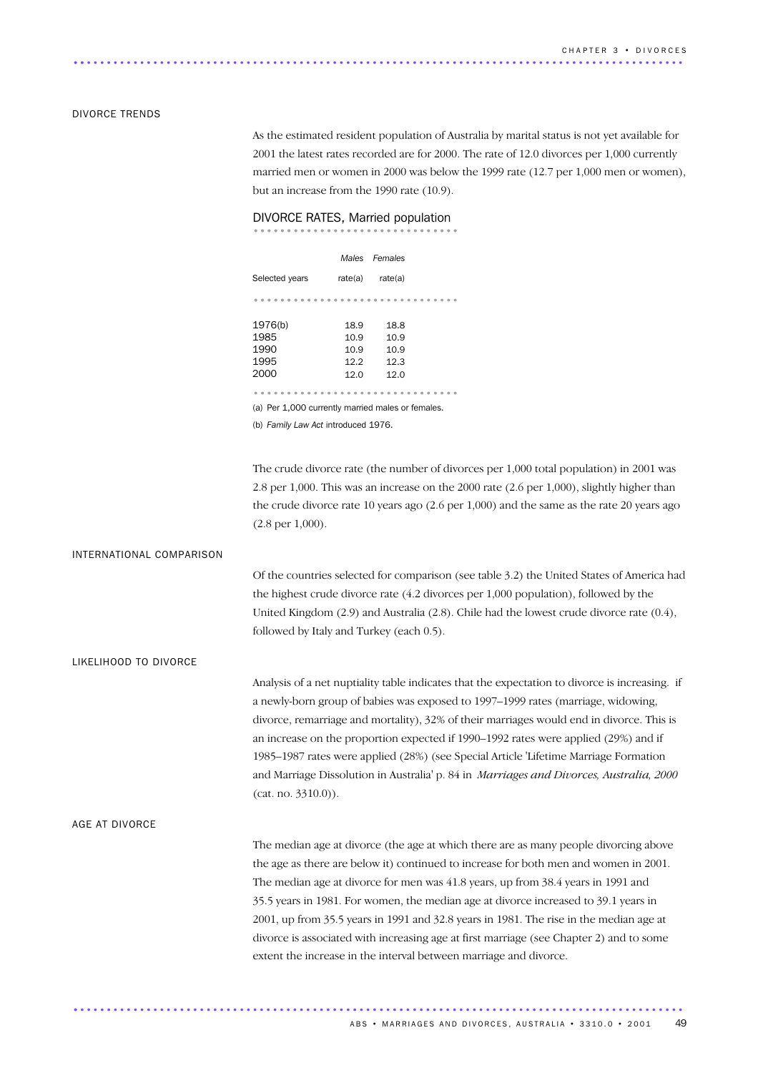#### DIVORCE TRENDS

As the estimated resident population of Australia by marital status is not yet available for 2001 the latest rates recorded are for 2000. The rate of 12.0 divorces per 1,000 currently married men or women in 2000 was below the 1999 rate (12.7 per 1,000 men or women), but an increase from the 1990 rate (10.9).

# DIVORCE RATES, Married population<br>..............................

|                |         | Males Females |  |
|----------------|---------|---------------|--|
| Selected years | rate(a) | rate(a)       |  |
|                |         |               |  |
| 1976(b)        | 18.9    | 18.8          |  |
| 1985           | 10.9    | 10.9          |  |
| 1990           | 10.9    | 10.9          |  |
| 1995           | 12.2    | 12.3          |  |
| 2000           | 12.0    | 12.0          |  |
|                |         |               |  |
|                |         |               |  |

(a) Per 1,000 currently married males or females.

(b) *Family Law Act* introduced 1976.

The crude divorce rate (the number of divorces per 1,000 total population) in 2001 was 2.8 per 1,000. This was an increase on the 2000 rate (2.6 per 1,000), slightly higher than the crude divorce rate 10 years ago (2.6 per 1,000) and the same as the rate 20 years ago (2.8 per 1,000).

#### INTERNATIONAL COMPARISON

Of the countries selected for comparison (see table 3.2) the United States of America had the highest crude divorce rate (4.2 divorces per 1,000 population), followed by the United Kingdom (2.9) and Australia (2.8). Chile had the lowest crude divorce rate (0.4), followed by Italy and Turkey (each 0.5).

LIKELIHOOD TO DIVORCE

Analysis of a net nuptiality table indicates that the expectation to divorce is increasing. if a newly-born group of babies was exposed to 1997–1999 rates (marriage, widowing, divorce, remarriage and mortality), 32% of their marriages would end in divorce. This is an increase on the proportion expected if 1990–1992 rates were applied (29%) and if 1985–1987 rates were applied (28%) (see Special Article 'Lifetime Marriage Formation and Marriage Dissolution in Australia' p. 84 in *Marriages and Divorces, Australia, 2000* (cat. no. 3310.0)).

#### AGE AT DIVORCE

The median age at divorce (the age at which there are as many people divorcing above the age as there are below it) continued to increase for both men and women in 2001. The median age at divorce for men was 41.8 years, up from 38.4 years in 1991 and 35.5 years in 1981. For women, the median age at divorce increased to 39.1 years in 2001, up from 35.5 years in 1991 and 32.8 years in 1981. The rise in the median age at divorce is associated with increasing age at first marriage (see Chapter 2) and to some extent the increase in the interval between marriage and divorce.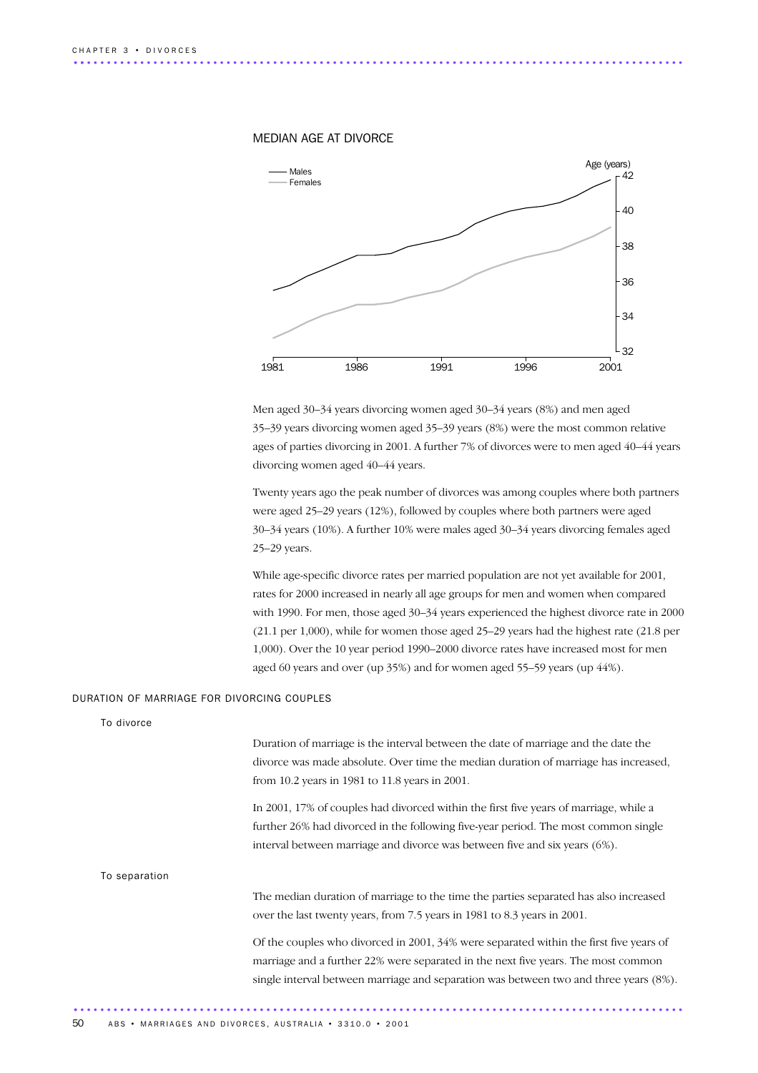



Men aged 30–34 years divorcing women aged 30–34 years (8%) and men aged 35–39 years divorcing women aged 35–39 years (8%) were the most common relative ages of parties divorcing in 2001. A further 7% of divorces were to men aged 40–44 years divorcing women aged 40–44 years.

Twenty years ago the peak number of divorces was among couples where both partners were aged 25–29 years (12%), followed by couples where both partners were aged 30–34 years (10%). A further 10% were males aged 30–34 years divorcing females aged 25–29 years.

While age-specific divorce rates per married population are not yet available for 2001, rates for 2000 increased in nearly all age groups for men and women when compared with 1990. For men, those aged 30–34 years experienced the highest divorce rate in 2000 (21.1 per 1,000), while for women those aged 25–29 years had the highest rate (21.8 per 1,000). Over the 10 year period 1990–2000 divorce rates have increased most for men aged 60 years and over (up 35%) and for women aged 55–59 years (up 44%).

#### DURATION OF MARRIAGE FOR DIVORCING COUPLES

To divorce

Duration of marriage is the interval between the date of marriage and the date the divorce was made absolute. Over time the median duration of marriage has increased, from 10.2 years in 1981 to 11.8 years in 2001.

In 2001, 17% of couples had divorced within the first five years of marriage, while a further 26% had divorced in the following five-year period. The most common single interval between marriage and divorce was between five and six years (6%).

#### To separation

The median duration of marriage to the time the parties separated has also increased over the last twenty years, from 7.5 years in 1981 to 8.3 years in 2001.

Of the couples who divorced in 2001, 34% were separated within the first five years of marriage and a further 22% were separated in the next five years. The most common single interval between marriage and separation was between two and three years (8%).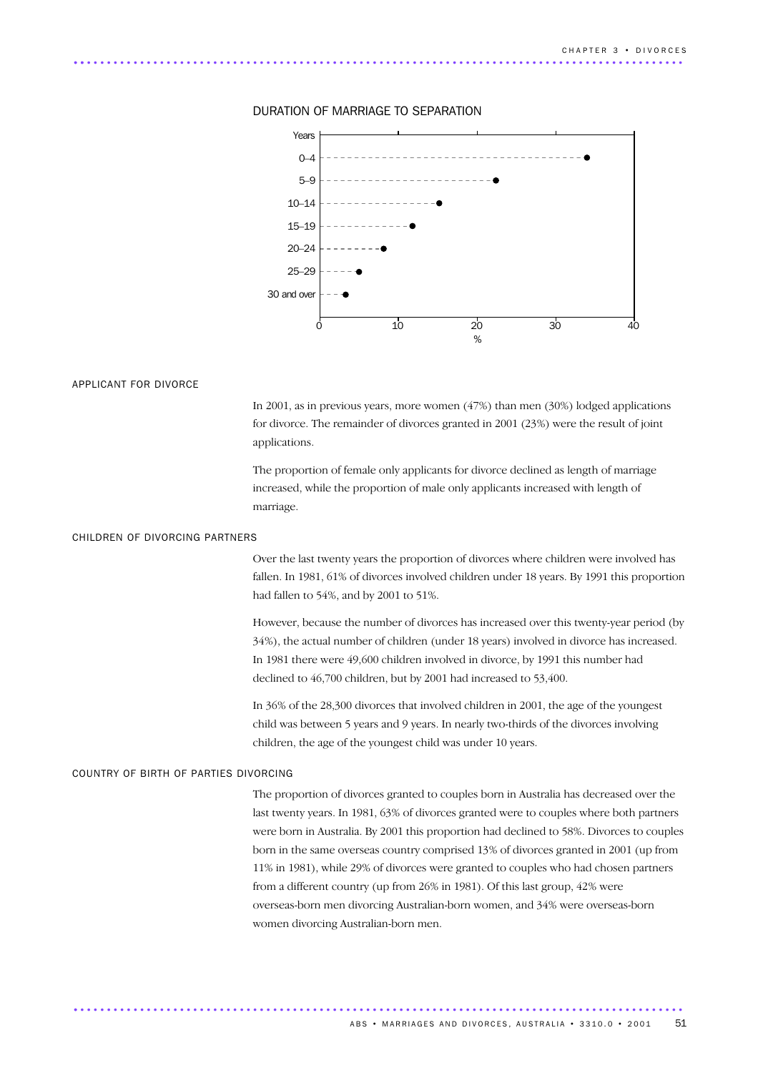

#### DURATION OF MARRIAGE TO SEPARATION

#### APPLICANT FOR DIVORCE

In 2001, as in previous years, more women (47%) than men (30%) lodged applications for divorce. The remainder of divorces granted in 2001 (23%) were the result of joint applications.

The proportion of female only applicants for divorce declined as length of marriage increased, while the proportion of male only applicants increased with length of marriage.

#### CHILDREN OF DIVORCING PARTNERS

Over the last twenty years the proportion of divorces where children were involved has fallen. In 1981, 61% of divorces involved children under 18 years. By 1991 this proportion had fallen to 54%, and by 2001 to 51%.

However, because the number of divorces has increased over this twenty-year period (by 34%), the actual number of children (under 18 years) involved in divorce has increased. In 1981 there were 49,600 children involved in divorce, by 1991 this number had declined to 46,700 children, but by 2001 had increased to 53,400.

In 36% of the 28,300 divorces that involved children in 2001, the age of the youngest child was between 5 years and 9 years. In nearly two-thirds of the divorces involving children, the age of the youngest child was under 10 years.

#### COUNTRY OF BIRTH OF PARTIES DIVORCING

The proportion of divorces granted to couples born in Australia has decreased over the last twenty years. In 1981, 63% of divorces granted were to couples where both partners were born in Australia. By 2001 this proportion had declined to 58%. Divorces to couples born in the same overseas country comprised 13% of divorces granted in 2001 (up from 11% in 1981), while 29% of divorces were granted to couples who had chosen partners from a different country (up from 26% in 1981). Of this last group, 42% were overseas-born men divorcing Australian-born women, and 34% were overseas-born women divorcing Australian-born men.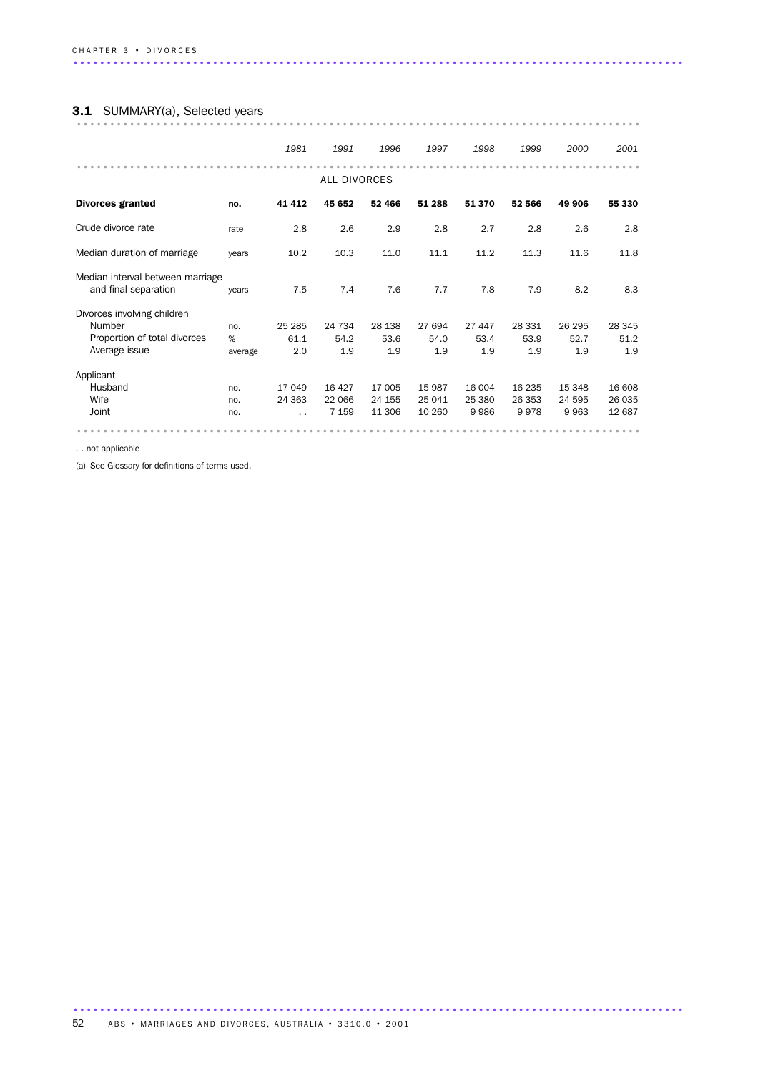# 3.1 SUMMARY(a), Selected years .....................................................................................

|                                                                                        |                     | 1981                           | 1991                         | 1996                       | 1997                       | 1998                     | 1999                     | 2000                     | 2001                       |
|----------------------------------------------------------------------------------------|---------------------|--------------------------------|------------------------------|----------------------------|----------------------------|--------------------------|--------------------------|--------------------------|----------------------------|
|                                                                                        |                     |                                | ALL DIVORCES                 |                            |                            |                          |                          |                          |                            |
| <b>Divorces granted</b>                                                                | no.                 | 41 412                         | 45 652                       | 52 466                     | 51 288                     | 51 370                   | 52 566                   | 49 906                   | 55 330                     |
| Crude divorce rate                                                                     | rate                | 2.8                            | 2.6                          | 2.9                        | 2.8                        | 2.7                      | 2.8                      | 2.6                      | 2.8                        |
| Median duration of marriage                                                            | years               | 10.2                           | 10.3                         | 11.0                       | 11.1                       | 11.2                     | 11.3                     | 11.6                     | 11.8                       |
| Median interval between marriage<br>and final separation                               | years               | 7.5                            | 7.4                          | 7.6                        | 7.7                        | 7.8                      | 7.9                      | 8.2                      | 8.3                        |
| Divorces involving children<br>Number<br>Proportion of total divorces<br>Average issue | no.<br>%<br>average | 25 285<br>61.1<br>2.0          | 24 734<br>54.2<br>1.9        | 28 138<br>53.6<br>1.9      | 27 694<br>54.0<br>1.9      | 27 447<br>53.4<br>1.9    | 28 331<br>53.9<br>1.9    | 26 295<br>52.7<br>1.9    | 28 345<br>51.2<br>1.9      |
| Applicant<br>Husband<br>Wife<br>Joint                                                  | no.<br>no.<br>no.   | 17 049<br>24 3 63<br>$\cdot$ . | 16 4 27<br>22 066<br>7 1 5 9 | 17 005<br>24 155<br>11 306 | 15 987<br>25 041<br>10 260 | 16 004<br>25 380<br>9986 | 16 235<br>26 353<br>9978 | 15 348<br>24 595<br>9963 | 16 608<br>26 035<br>12 687 |
|                                                                                        |                     |                                |                              |                            |                            |                          |                          |                          |                            |

. . not applicable

(a) See Glossary for definitions of terms used.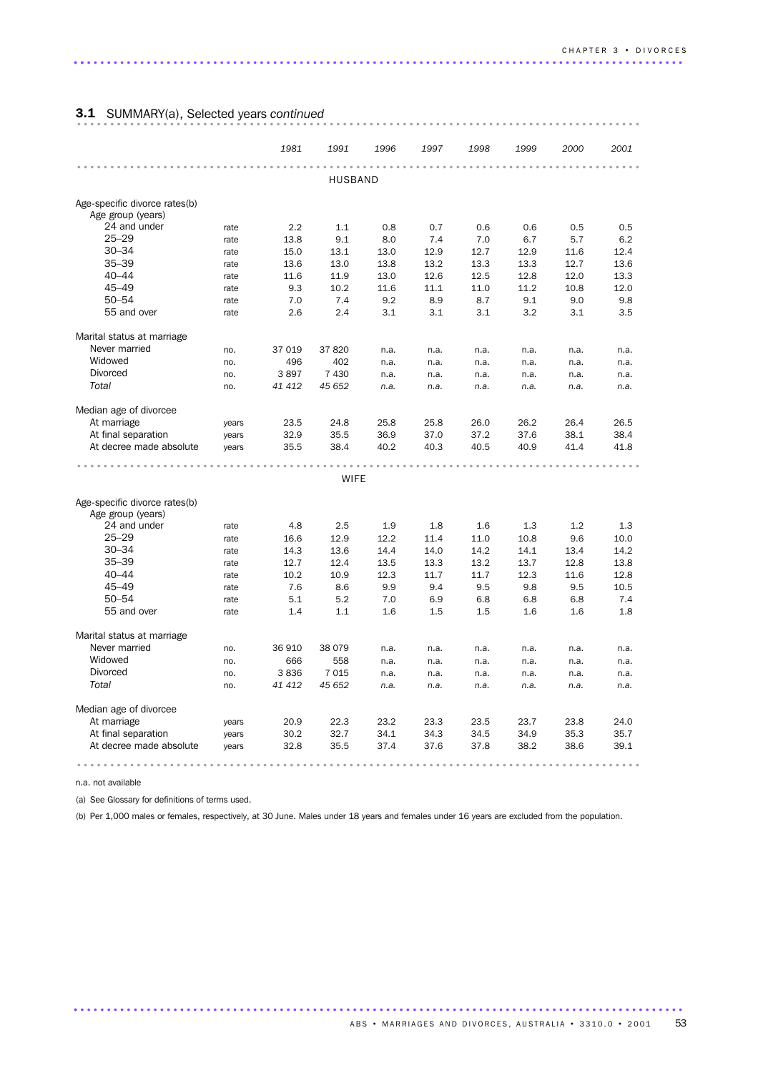### 3.1 SUMMARY(a), Selected years *continued* .....................................................................................

|                                                                                      |       | 1981   | 1991    | 1996 | 1997 | 1998 | 1999 | 2000 | 2001 |  |  |  |  |  |
|--------------------------------------------------------------------------------------|-------|--------|---------|------|------|------|------|------|------|--|--|--|--|--|
|                                                                                      |       |        | HUSBAND |      |      |      |      |      |      |  |  |  |  |  |
|                                                                                      |       |        |         |      |      |      |      |      |      |  |  |  |  |  |
| Age-specific divorce rates(b)                                                        |       |        |         |      |      |      |      |      |      |  |  |  |  |  |
| Age group (years)                                                                    |       |        |         |      |      |      |      |      |      |  |  |  |  |  |
| 24 and under                                                                         | rate  | 2.2    | 1.1     | 0.8  | 0.7  | 0.6  | 0.6  | 0.5  | 0.5  |  |  |  |  |  |
| $25 - 29$                                                                            | rate  | 13.8   | 9.1     | 8.0  | 7.4  | 7.0  | 6.7  | 5.7  | 6.2  |  |  |  |  |  |
| $30 - 34$                                                                            | rate  | 15.0   | 13.1    | 13.0 | 12.9 | 12.7 | 12.9 | 11.6 | 12.4 |  |  |  |  |  |
| $35 - 39$                                                                            | rate  | 13.6   | 13.0    | 13.8 | 13.2 | 13.3 | 13.3 | 12.7 | 13.6 |  |  |  |  |  |
| $40 - 44$                                                                            | rate  | 11.6   | 11.9    | 13.0 | 12.6 | 12.5 | 12.8 | 12.0 | 13.3 |  |  |  |  |  |
| $45 - 49$                                                                            | rate  | 9.3    | 10.2    | 11.6 | 11.1 | 11.0 | 11.2 | 10.8 | 12.0 |  |  |  |  |  |
| $50 - 54$                                                                            | rate  | 7.0    | 7.4     | 9.2  | 8.9  | 8.7  | 9.1  | 9.0  | 9.8  |  |  |  |  |  |
| 55 and over                                                                          | rate  | 2.6    | 2.4     | 3.1  | 3.1  | 3.1  | 3.2  | 3.1  | 3.5  |  |  |  |  |  |
| Marital status at marriage                                                           |       |        |         |      |      |      |      |      |      |  |  |  |  |  |
| Never married                                                                        | no.   | 37 019 | 37820   | n.a. | n.a. | n.a. | n.a. | n.a. | n.a. |  |  |  |  |  |
| Widowed                                                                              | no.   | 496    | 402     | n.a. | n.a. | n.a. | n.a. | n.a. | n.a. |  |  |  |  |  |
| <b>Divorced</b>                                                                      | no.   | 3897   | 7 4 3 0 | n.a. | n.a. | n.a. | n.a. | n.a. | n.a. |  |  |  |  |  |
| Total                                                                                | no.   | 41 412 | 45 652  | n.a. | n.a. | n.a. | n.a. | n.a. | n.a. |  |  |  |  |  |
| Median age of divorcee                                                               |       |        |         |      |      |      |      |      |      |  |  |  |  |  |
| At marriage                                                                          | years | 23.5   | 24.8    | 25.8 | 25.8 | 26.0 | 26.2 | 26.4 | 26.5 |  |  |  |  |  |
| At final separation                                                                  | years | 32.9   | 35.5    | 36.9 | 37.0 | 37.2 | 37.6 | 38.1 | 38.4 |  |  |  |  |  |
| At decree made absolute                                                              | years | 35.5   | 38.4    | 40.2 | 40.3 | 40.5 | 40.9 | 41.4 | 41.8 |  |  |  |  |  |
|                                                                                      |       |        |         |      |      |      |      |      |      |  |  |  |  |  |
| <b>WIFE</b>                                                                          |       |        |         |      |      |      |      |      |      |  |  |  |  |  |
|                                                                                      |       |        |         |      |      |      |      |      |      |  |  |  |  |  |
| Age-specific divorce rates(b)                                                        |       |        |         |      |      |      |      |      |      |  |  |  |  |  |
| Age group (years)                                                                    |       |        |         |      |      |      |      |      |      |  |  |  |  |  |
| 24 and under                                                                         | rate  | 4.8    | 2.5     | 1.9  | 1.8  | 1.6  | 1.3  | 1.2  | 1.3  |  |  |  |  |  |
| $25 - 29$                                                                            | rate  | 16.6   | 12.9    | 12.2 | 11.4 | 11.0 | 10.8 | 9.6  | 10.0 |  |  |  |  |  |
| $30 - 34$                                                                            | rate  | 14.3   | 13.6    | 14.4 | 14.0 | 14.2 | 14.1 | 13.4 | 14.2 |  |  |  |  |  |
| $35 - 39$                                                                            | rate  | 12.7   | 12.4    | 13.5 | 13.3 | 13.2 | 13.7 | 12.8 | 13.8 |  |  |  |  |  |
| $40 - 44$                                                                            | rate  | 10.2   | 10.9    | 12.3 | 11.7 | 11.7 | 12.3 | 11.6 | 12.8 |  |  |  |  |  |
| $45 - 49$                                                                            | rate  | 7.6    | 8.6     | 9.9  | 9.4  | 9.5  | 9.8  | 9.5  | 10.5 |  |  |  |  |  |
| $50 - 54$                                                                            | rate  | 5.1    | 5.2     | 7.0  | 6.9  | 6.8  | 6.8  | 6.8  | 7.4  |  |  |  |  |  |
| 55 and over                                                                          | rate  | 1.4    | 1.1     | 1.6  | 1.5  | 1.5  | 1.6  | 1.6  | 1.8  |  |  |  |  |  |
| Marital status at marriage                                                           |       |        |         |      |      |      |      |      |      |  |  |  |  |  |
| Never married                                                                        | no.   | 36 910 | 38 0 79 | n.a. | n.a. | n.a. | n.a. | n.a. | n.a. |  |  |  |  |  |
| Widowed                                                                              | no.   | 666    | 558     | n.a. | n.a. | n.a. | n.a. | n.a. | n.a. |  |  |  |  |  |
| <b>Divorced</b>                                                                      | no.   | 3836   | 7015    | n.a. | n.a. | n.a. | n.a. | n.a. | n.a. |  |  |  |  |  |
| Total                                                                                | no.   | 41 412 | 45 652  | n.a. | n.a. | n.a. | n.a. | n.a. | n.a. |  |  |  |  |  |
| Median age of divorcee                                                               |       |        |         |      |      |      |      |      |      |  |  |  |  |  |
| At marriage<br>22.3<br>23.2<br>23.3<br>23.5<br>23.7<br>23.8<br>24.0<br>20.9<br>years |       |        |         |      |      |      |      |      |      |  |  |  |  |  |
| At final separation                                                                  | years | 30.2   | 32.7    | 34.1 | 34.3 | 34.5 | 34.9 | 35.3 | 35.7 |  |  |  |  |  |
| At decree made absolute                                                              | years | 32.8   | 35.5    | 37.4 | 37.6 | 37.8 | 38.2 | 38.6 | 39.1 |  |  |  |  |  |
|                                                                                      |       |        |         |      |      |      |      |      |      |  |  |  |  |  |

n.a. not available

(a) See Glossary for definitions of terms used.

(b) Per 1,000 males or females, respectively, at 30 June. Males under 18 years and females under 16 years are excluded from the population.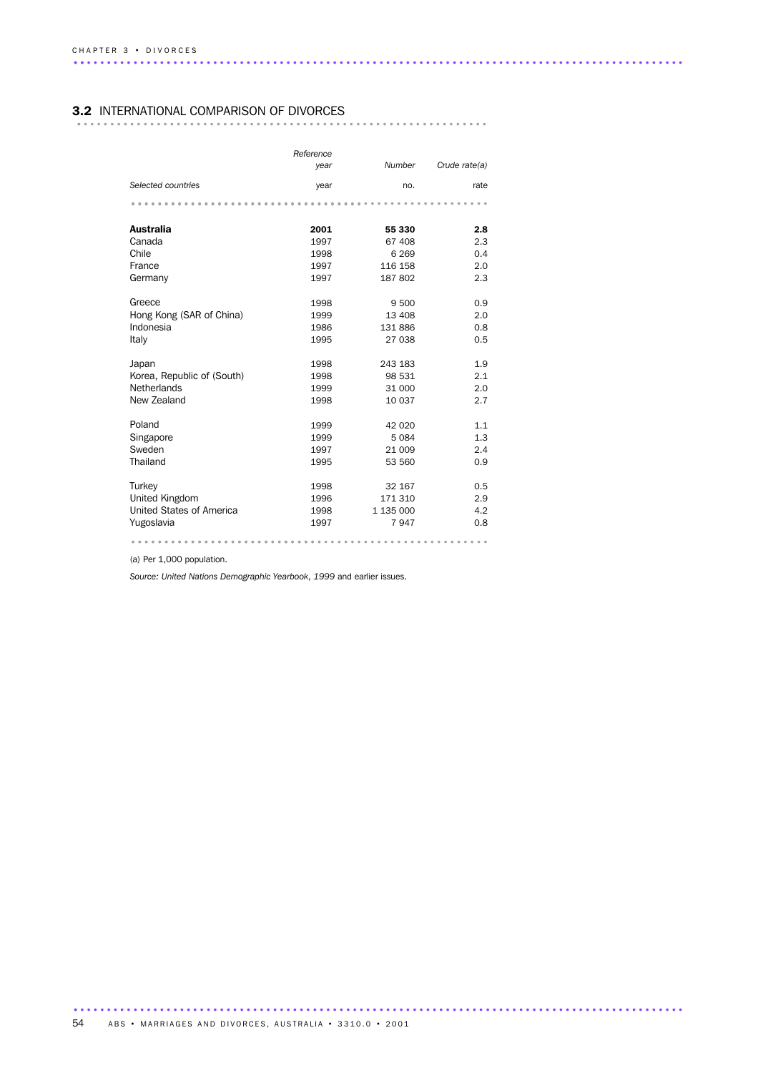#### 3.2 INTERNATIONAL COMPARISON OF DIVORCES

|                            | Reference<br>year | <b>Number</b> | Crude rate(a) |
|----------------------------|-------------------|---------------|---------------|
| Selected countries         | year              | no.           | rate          |
|                            |                   |               |               |
| <b>Australia</b>           | 2001              | 55 330        | 2.8           |
| Canada                     | 1997              | 67 408        | 2.3           |
| Chile                      | 1998              | 6 2 6 9       | 0.4           |
| France                     | 1997              | 116 158       | 2.0           |
| Germany                    | 1997              | 187 802       | 2.3           |
| Greece                     | 1998              | 9500          | 0.9           |
| Hong Kong (SAR of China)   | 1999              | 13 408        | 2.0           |
| Indonesia                  | 1986              | 131 886       | 0.8           |
| Italy                      | 1995              | 27 038        | 0.5           |
| Japan                      | 1998              | 243 183       | 1.9           |
| Korea, Republic of (South) | 1998              | 98 531        | 2.1           |
| Netherlands                | 1999              | 31 000        | 2.0           |
| New Zealand                | 1998              | 10 037        | 2.7           |
| Poland                     | 1999              | 42 0 20       | 1.1           |
| Singapore                  | 1999              | 5084          | 1.3           |
| Sweden                     | 1997              | 21 009        | 2.4           |
| Thailand                   | 1995              | 53 560        | 0.9           |
| Turkey                     | 1998              | 32 167        | 0.5           |
| United Kingdom             | 1996              | 171 310       | 2.9           |
| United States of America   | 1998              | 1 135 000     | 4.2           |
| Yugoslavia                 | 1997              | 7947          | 0.8           |
|                            |                   |               |               |

(a) Per 1,000 population.

*Source: United Nations Demographic Yearbook*, *1999* and earlier issues.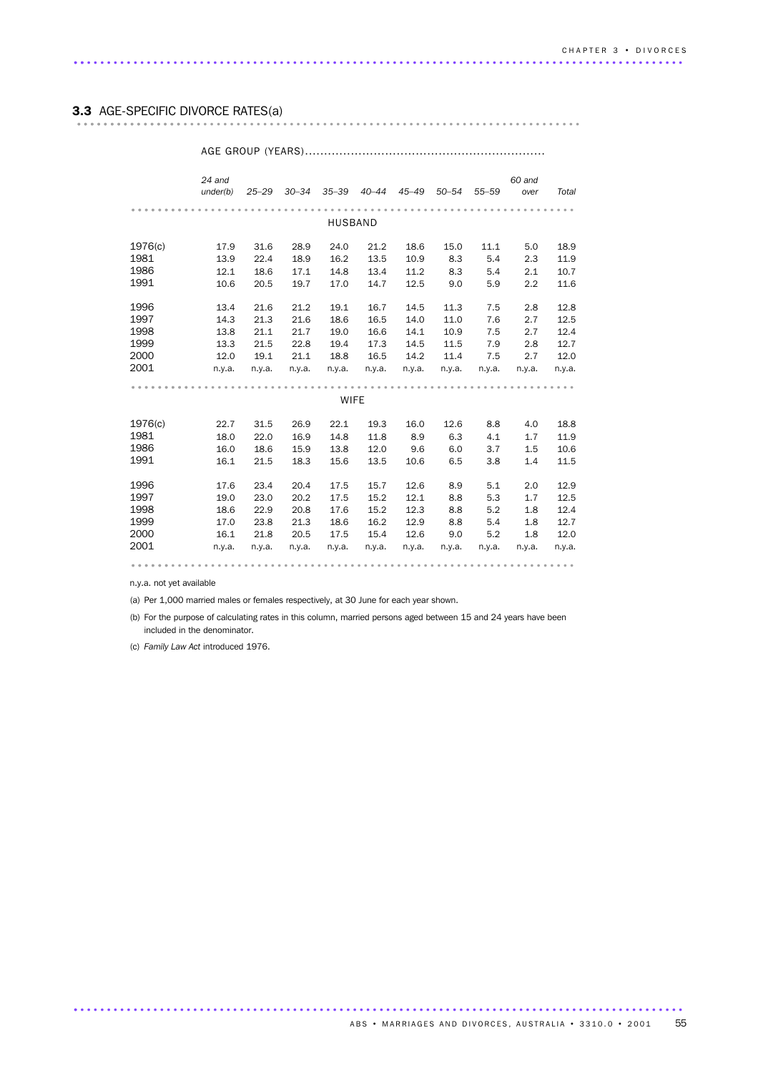### 3.3 AGE-SPECIFIC DIVORCE RATES(a) ............................................................................ ................

#### *24 and under(b) 25–29 30–34 35–39 40–44 45–49 50–54 55–59 60 and over Total* ................................................................... ......... HUSBAND 1976(c) 17.9 31.6 28.9 24.0 21.2 18.6 15.0 11.1 5.0 18.9 1981 13.9 22.4 18.9 16.2 13.5 10.9 8.3 5.4 2.3 11.9 1986 12.1 18.6 17.1 14.8 13.4 11.2 8.3 5.4 2.1 10.7 1991 10.6 20.5 19.7 17.0 14.7 12.5 9.0 5.9 2.2 11.6 1996 13.4 21.6 21.2 19.1 16.7 14.5 11.3 7.5 2.8 12.8 1997 14.3 21.3 21.6 18.6 16.5 14.0 11.0 7.6 2.7 12.5 1998 13.8 21.1 21.7 19.0 16.6 14.1 10.9 7.5 2.7 12.4 1999 13.3 21.5 22.8 19.4 17.3 14.5 11.5 7.9 2.8 12.7 2000 12.0 19.1 21.1 18.8 16.5 14.2 11.4 7.5 2.7 12.0 2001 n.y.a. n.y.a. n.y.a. n.y.a. n.y.a. n.y.a. n.y.a. n.y.a. n.y.a. n.y.a. ................................................................... ......... WIFE 1976(c) 22.7 31.5 26.9 22.1 19.3 16.0 12.6 8.8 4.0 18.8 1981 18.0 22.0 16.9 14.8 11.8 8.9 6.3 4.1 1.7 11.9 1986 16.0 18.6 15.9 13.8 12.0 9.6 6.0 3.7 1.5 10.6 1991 16.0 18.6 15.9 13.8 12.0 9.6 6.0 3.7 1.5 10.6<br>1991 16.1 21.5 18.3 15.6 13.5 10.6 6.5 3.8 1.4 11.5 1996 17.6 23.4 20.4 17.5 15.7 12.6 8.9 5.1 2.0 12.9 1997 19.0 23.0 20.2 17.5 15.2 12.1 8.8 5.3 1.7 12.5 1998 18.6 22.9 20.8 17.6 15.2 12.3 8.8 5.2 1.8 12.4 1999 17.0 23.8 21.3 18.6 16.2 12.9 8.8 5.4 1.8 12.7 2000 16.1 21.8 20.5 17.5 15.4 12.6 9.0 5.2 1.8 12.0 2001 n.y.a. n.y.a. n.y.a. n.y.a. n.y.a. n.y.a. n.y.a. n.y.a. n.y.a. n.y.a. ................................................................... ......

AGE GROUP (YEARS)...............................................................

n.y.a. not yet available

(a) Per 1,000 married males or females respectively, at 30 June for each year shown.

(b) For the purpose of calculating rates in this column, married persons aged between 15 and 24 years have been included in the denominator.

(c) *Family Law Act* introduced 1976.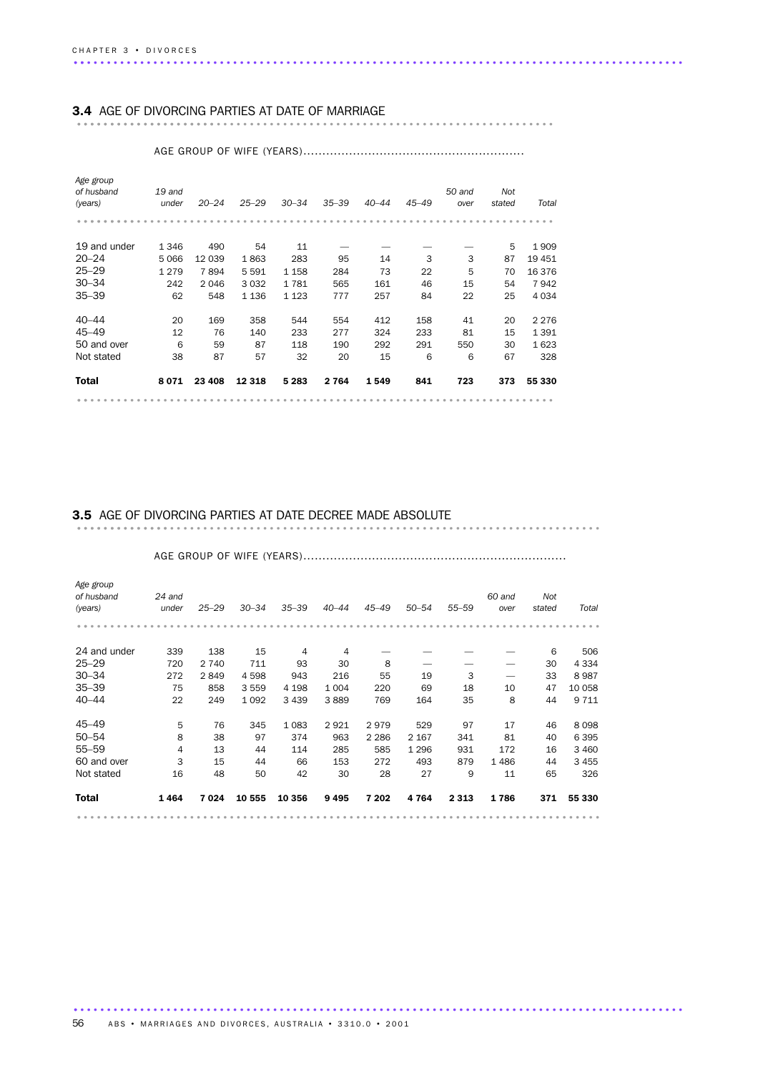### 3.4 AGE OF DIVORCING PARTIES AT DATE OF MARRIAGE ........................................................................ .....................

| 55 330  |
|---------|
| 328     |
| 1623    |
| 1 3 9 1 |
| 2 2 7 6 |
| 4 0 3 4 |
| 7942    |
| 16 376  |
| 19 451  |
| 1909    |
|         |
| Total   |
|         |
|         |

AGE GROUP OF WIFE (YEARS)..........................................................

# 3.5 AGE OF DIVORCING PARTIES AT DATE DECREE MADE ABSOLUTE ............................................................................... ..............

| Age group<br>of husband<br>(years) | $24$ and<br>under | $25 - 29$ | $30 - 34$ | $35 - 39$ | $40 - 44$ | $45 - 49$ | $50 - 54$ | $55 - 59$ | 60 and<br>over | Not<br>stated | Total   |  |  |  |  |
|------------------------------------|-------------------|-----------|-----------|-----------|-----------|-----------|-----------|-----------|----------------|---------------|---------|--|--|--|--|
|                                    |                   |           |           |           |           |           |           |           |                |               |         |  |  |  |  |
| 24 and under                       | 339               | 138       | 15        | 4         | 4         |           |           |           |                | 6             | 506     |  |  |  |  |
| $25 - 29$                          | 720               | 2 7 4 0   | 711       | 93        | 30        | 8         |           |           |                | 30            | 4 3 3 4 |  |  |  |  |
| $30 - 34$                          | 272               | 2849      | 4 5 9 8   | 943       | 216       | 55        | 19        | 3         |                | 33            | 8987    |  |  |  |  |
| $35 - 39$                          | 75                | 858       | 3 5 5 9   | 4 1 9 8   | 1 0 0 4   | 220       | 69        | 18        | 10             | 47            | 10 058  |  |  |  |  |
| $40 - 44$                          | 22                | 249       | 1 0 9 2   | 3 4 3 9   | 3889      | 769       | 164       | 35        | 8              | 44            | 9 7 1 1 |  |  |  |  |
| 45–49                              | 5                 | 76        | 345       | 1083      | 2921      | 2979      | 529       | 97        | 17             | 46            | 8098    |  |  |  |  |
| $50 - 54$                          | 8                 | 38        | 97        | 374       | 963       | 2 2 8 6   | 2 1 6 7   | 341       | 81             | 40            | 6 3 9 5 |  |  |  |  |
| $55 - 59$                          | 4                 | 13        | 44        | 114       | 285       | 585       | 1 2 9 6   | 931       | 172            | 16            | 3 4 6 0 |  |  |  |  |
| 60 and over                        | 3                 | 15        | 44        | 66        | 153       | 272       | 493       | 879       | 1 4 8 6        | 44            | 3 4 5 5 |  |  |  |  |
| Not stated                         | 16                | 48        | 50        | 42        | 30        | 28        | 27        | 9         | 11             | 65            | 326     |  |  |  |  |
| <b>Total</b>                       | 1464              | 7024      | 10 555    | 10 356    | 9495      | 7 202     | 4764      | 2 3 1 3   | 1786           | 371           | 55 330  |  |  |  |  |
|                                    |                   |           |           |           |           |           |           |           |                |               |         |  |  |  |  |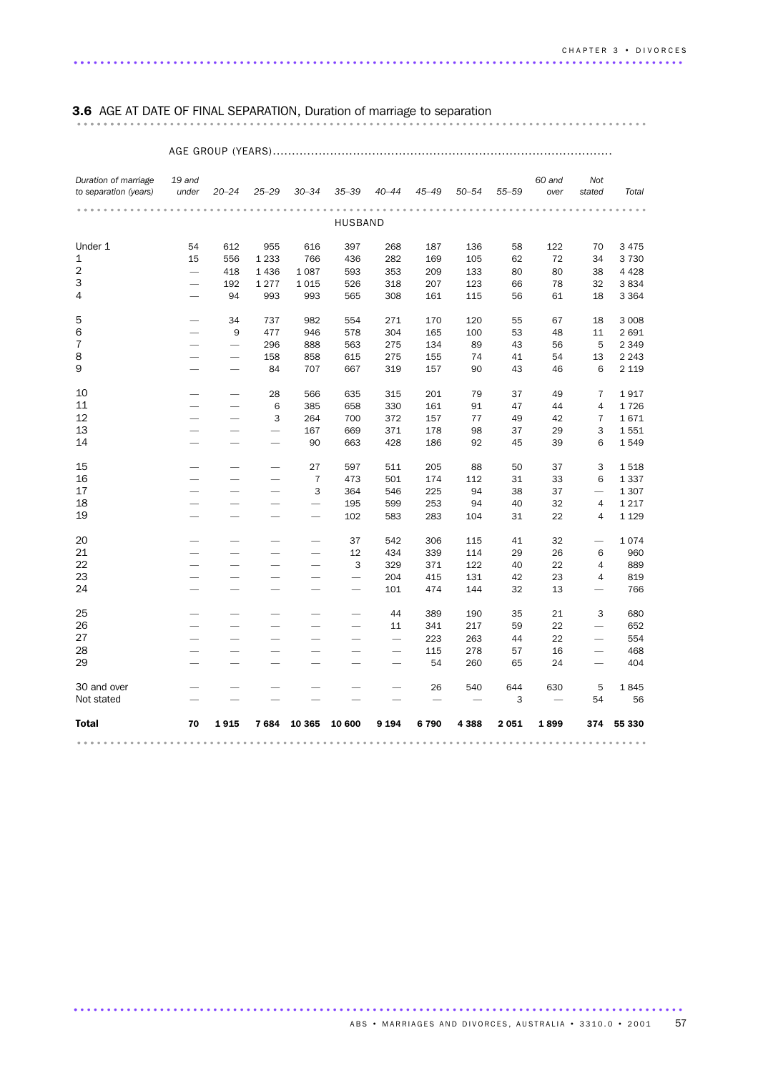### 3.6 AGE AT DATE OF FINAL SEPARATION, Duration of marriage to separation ...................................................................................... .......

#### AGE GROUP (YEARS)......................................................................................... *Duration of marriage to separation (years) 19 and under 20–24 25–29 30–34 35–39 40–44 45–49 50–54 55–59 60 and over Not stated Total* ...................................................................................... ... HUSBAND Under 1 54 612 955 616 397 268 187 136 58 122 70 3 475 1 15 556 1 233 766 436 282 169 105 62 72 34 3 730 2 — 418 1 436 1 087 593 353 209 133 80 80 38 4 428 3 — 192 1 277 1 015 526 318 207 123 66 78 32 3 834 4 — 94 993 993 565 308 161 115 56 61 18 3 364 5 — 34 737 982 554 271 170 120 55 67 18 3 008 6 — 9 477 946 578 304 165 100 53 48 11 2 691 7 — — 296 888 563 275 134 89 43 56 5 2 349 8 — — 158 858 615 275 155 74 41 54 13 2 243 9 — — 84 707 667 319 157 90 43 46 6 2 119 10 — — 28 566 635 315 201 79 37 49 7 1 917 11 — — 6 385 658 330 161 91 47 44 4 1 726 12 — — 3 264 700 372 157 77 49 42 7 1 671 13 ——— 167 669 371 178 98 37 29 3 1 551 14 ——— 90 663 428 186 92 45 39 6 1 549 15 ——— 27 597 511 205 88 50 37 3 1 518 16 ——— 7 473 501 174 112 31 33 6 1 337 17 ——— 3 364 546 225 94 38 37 — 1 307 18 ———— 195 599 253 94 40 32 4 1 217

 ———— 102 583 283 104 31 22 4 1 129 ———— 37 542 306 115 41 32 — 1 074 ———— 12 434 339 114 29 26 6 960 ———— 3 329 371 122 40 22 4 889 ————— 204 415 131 42 23 4 819 ————— 101 474 144 32 13 — 766 ————— 44 389 190 35 21 3 680 ————— 11 341 217 59 22 — 652 —————— 223 263 44 22 — 554 —————— 115 278 57 16 — 468 —————— 54 260 65 24 — 404 30 and over —————— 26 540 644 630 5 1 845 Not stated — — — — — — 3 — 56 Total 70 1 915 7 684 10 365 10 600 9 194 6 790 4 388 2 051 1 899 374 55 330 ...................................................................................... ...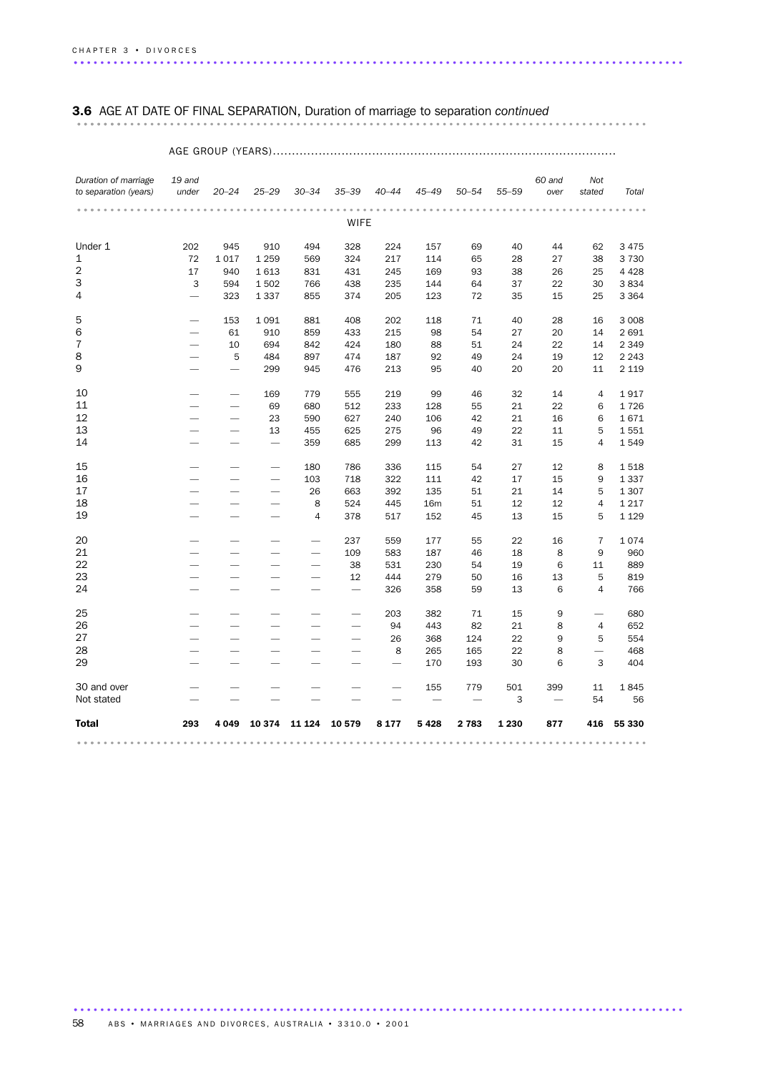### 3.6 AGE AT DATE OF FINAL SEPARATION, Duration of marriage to separation *continued* ...................................................................................... .......

### AGE GROUP (YEARS)..........................................................................................

| Duration of marriage  | 19 and                   |                          |                          |                          |            |                   |                     |                          |           | 60 and   | Not                      |                  |
|-----------------------|--------------------------|--------------------------|--------------------------|--------------------------|------------|-------------------|---------------------|--------------------------|-----------|----------|--------------------------|------------------|
| to separation (years) | under                    | $20 - 24$                | $25 - 29$                | $30 - 34$                | $35 - 39$  | $40 - 44$         | $45 - 49$           | $50 - 54$                | $55 - 59$ | over     | stated                   | Total            |
|                       |                          |                          |                          |                          |            |                   |                     |                          |           |          |                          |                  |
|                       |                          |                          |                          |                          | WIFE       |                   |                     |                          |           |          |                          |                  |
| Under 1               | 202                      | 945                      | 910                      | 494                      | 328        | 224               | 157                 | 69                       | 40        | 44       | 62                       | 3 4 7 5          |
| $1\,$                 | 72                       | 1017                     | 1 2 5 9                  | 569                      | 324        | 217               | 114                 | 65                       | 28        | 27       | 38                       | 3730             |
| 2                     | 17                       | 940                      | 1613                     | 831                      | 431        | 245               | 169                 | 93                       | 38        | 26       | 25                       | 4 4 2 8          |
| 3                     | 3                        | 594                      | 1502                     | 766                      | 438        | 235               | 144                 | 64                       | 37        | 22       | 30                       | 3834             |
| 4                     |                          | 323                      | 1 3 3 7                  | 855                      | 374        | 205               | 123                 | 72                       | 35        | 15       | 25                       | 3 3 6 4          |
| 5                     |                          |                          |                          |                          |            |                   |                     |                          |           |          |                          |                  |
|                       |                          | 153<br>61                | 1091<br>910              | 881<br>859               | 408<br>433 | 202<br>215        | 118<br>98           | 71<br>54                 | 40<br>27  | 28<br>20 | 16<br>14                 | 3 0 0 8<br>2 691 |
| 6<br>7                | $\overline{\phantom{0}}$ | 10                       | 694                      | 842                      | 424        | 180               | 88                  |                          | 24        | 22       |                          | 2 3 4 9          |
| 8                     |                          | 5                        | 484                      | 897                      | 474        | 187               | 92                  | 51<br>49                 | 24        | 19       | 14<br>12                 | 2 2 4 3          |
| 9                     |                          | $\overline{\phantom{0}}$ | 299                      | 945                      | 476        | 213               | 95                  | 40                       | 20        | 20       | 11                       | 2 1 1 9          |
|                       |                          |                          |                          |                          |            |                   |                     |                          |           |          |                          |                  |
| 10                    |                          | -                        | 169                      | 779                      | 555        | 219               | 99                  | 46                       | 32        | 14       | 4                        | 1917             |
| 11                    |                          |                          | 69                       | 680                      | 512        | 233               | 128                 | 55                       | 21        | 22       | 6                        | 1726             |
| 12                    |                          |                          | 23                       | 590                      | 627        | 240               | 106                 | 42                       | 21        | 16       | 6                        | 1671             |
| 13                    | $\overline{\phantom{a}}$ | -                        | 13                       | 455                      | 625        | 275               | 96                  | 49                       | 22        | 11       | 5                        | 1551             |
| 14                    |                          |                          |                          | 359                      | 685        | 299               | 113                 | 42                       | 31        | 15       | 4                        | 1549             |
|                       |                          |                          |                          |                          |            |                   |                     |                          |           |          |                          |                  |
| 15                    |                          |                          | $\overline{\phantom{0}}$ | 180                      | 786        | 336               | 115                 | 54                       | 27        | 12       | 8                        | 1518             |
| 16                    |                          |                          |                          | 103                      | 718        | 322               | 111                 | 42                       | 17        | 15       | 9                        | 1 3 3 7          |
| 17                    |                          |                          | -                        | 26                       | 663        | 392               | 135                 | 51                       | 21        | 14       | 5                        | 1 3 0 7          |
| 18                    | -                        |                          | -                        | 8                        | 524        | 445               | <b>16m</b>          | 51                       | 12        | 12       | 4                        | 1 2 1 7          |
| 19                    |                          |                          |                          | $\overline{4}$           | 378        | 517               | 152                 | 45                       | 13        | 15       | 5                        | 1 1 2 9          |
| 20                    |                          |                          |                          |                          | 237        | 559               | 177                 | 55                       | 22        | 16       | $\overline{7}$           | 1074             |
| 21                    |                          |                          |                          |                          | 109        | 583               | 187                 | 46                       | 18        | 8        | 9                        | 960              |
| 22                    |                          |                          |                          |                          | 38         | 531               | 230                 | 54                       | 19        | 6        | 11                       | 889              |
| 23                    |                          |                          | -                        | $\overline{\phantom{0}}$ | 12         | 444               | 279                 | 50                       | 16        | 13       | 5                        | 819              |
| 24                    |                          |                          |                          |                          |            | 326               | 358                 | 59                       | 13        | 6        | $\overline{4}$           | 766              |
|                       |                          |                          |                          |                          |            |                   |                     |                          |           |          |                          |                  |
| 25                    |                          |                          |                          |                          |            | 203               | 382                 | 71                       | 15        | 9        | $\overline{\phantom{0}}$ | 680              |
| 26                    |                          |                          |                          |                          |            | 94                | 443                 | 82                       | 21        | 8        | $\overline{4}$           | 652              |
| 27                    |                          |                          |                          |                          |            | 26                | 368                 | 124                      | 22        | 9        | 5                        | 554              |
| 28                    | $\overline{\phantom{0}}$ |                          |                          |                          | -          | 8                 | 265                 | 165                      | 22        | 8        | $\overline{\phantom{0}}$ | 468              |
| 29                    | $\overline{\phantom{0}}$ |                          |                          |                          |            |                   | 170                 | 193                      | 30        | 6        | 3                        | 404              |
| 30 and over           |                          |                          |                          |                          |            |                   | 155                 | 779                      | 501       | 399      | 11                       | 1845             |
| Not stated            |                          |                          |                          |                          |            |                   |                     |                          | 3         |          | 54                       | 56               |
|                       |                          |                          |                          |                          |            |                   |                     |                          |           |          |                          |                  |
| <b>Total</b>          | 293                      | 4 0 4 9                  | 10 374                   | 11 124                   | 10 579     | 8 1 7 7           | 5428                | 2 7 8 3                  | 1 2 3 0   | 877      | 416                      | 55 330           |
|                       |                          |                          |                          |                          |            | $- - - - - - - -$ | $-0$ $-0$ $-0$ $-0$ | $-0$ $-0$ $-0$ $-0$ $-0$ |           |          |                          |                  |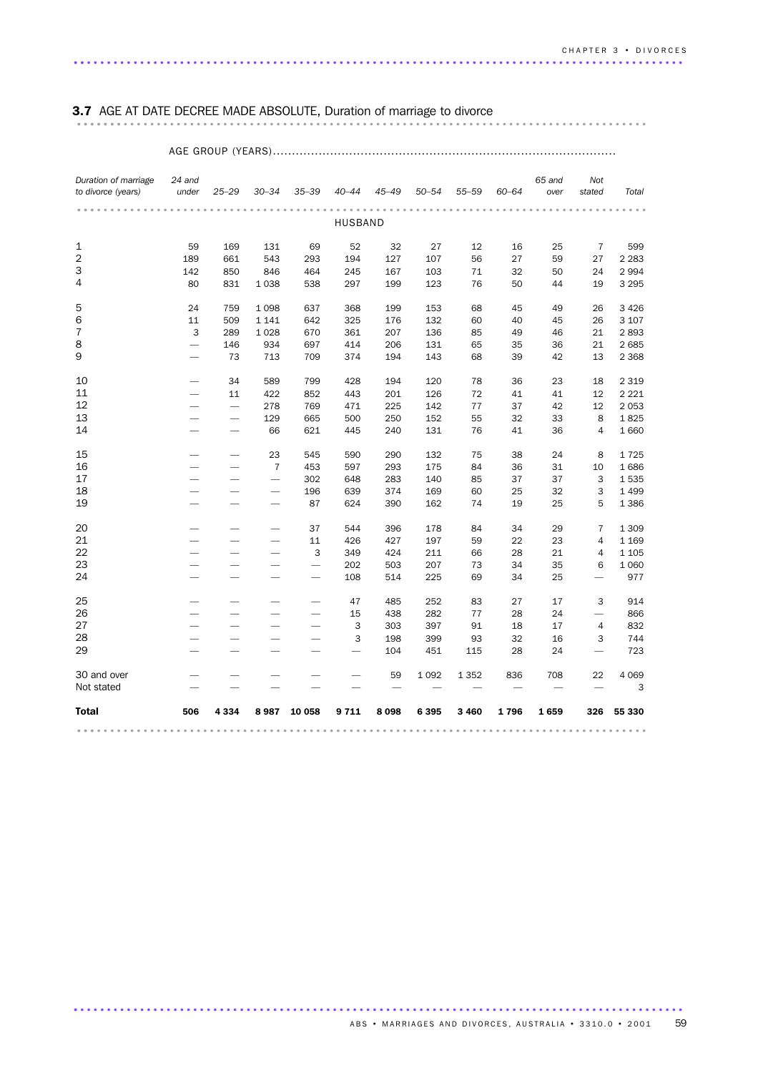### 3.7 AGE AT DATE DECREE MADE ABSOLUTE, Duration of marriage to divorce ...................................................................................... .......

#### AGE GROUP (YEARS).......................................................................................... *Duration of marriage 24 and to divorce (years) under 25–29 30–34 35–39 40–44 45–49 50–54 55–59 60–64 65 and over Not stated Total* ...................................................................................... ... HUSBAND 59 169 131 69 52 32 27 12 16 25 7 599 189 661 543 293 194 127 107 56 27 59 27 2 283 142 850 846 464 245 167 103 71 32 50 24 2 994 80 831 1 038 538 297 199 123 76 50 44 19 3 295 24 759 1 098 637 368 199 153 68 45 49 26 3 426 11 509 1 141 642 325 176 132 60 40 45 26 3 107 3 289 1 028 670 361 207 136 85 49 46 21 2 893 — 146 934 697 414 206 131 65 35 36 21 2 685 — 73 713 709 374 194 143 68 39 42 13 2 368 — 34 589 799 428 194 120 78 36 23 18 2 319 — 11 422 852 443 201 126 72 41 41 12 2 221 — — 278 769 471 225 142 77 37 42 12 2 053 — — 129 665 500 250 152 55 32 33 8 1 825 — — 66 621 445 240 131 76 41 36 4 1 660 — — 23 545 590 290 132 75 38 24 8 1 725 — — 7 453 597 293 175 84 36 31 10 1 686 ——— 302 648 283 140 85 37 37 3 1 535 ——— 196 639 374 169 60 25 32 3 1 499 ——— 87 624 390 162 74 19 25 5 1 386 ——— 37 544 396 178 84 34 29 7 1 309 ——— 11 426 427 197 59 22 23 4 1 169 ——— 3 349 424 211 66 28 21 4 1 105 ———— 202 503 207 73 34 35 6 1 060 ———— 108 514 225 69 34 25 — 977 ———— 47 485 252 83 27 17 3 914 ———— 15 438 282 77 28 24 — 866 ———— 3 303 397 91 18 17 4 832 ———— 3 198 399 93 32 16 3 744 ————— 104 451 115 28 24 — 723 30 and over ————— 59 1 092 1 352 836 708 22 4 069 Not stated  $\qquad \qquad -\qquad \qquad -\qquad \qquad -\qquad \qquad -\qquad \qquad -\qquad \qquad -\qquad \qquad -\qquad \qquad -\qquad \qquad -\qquad \qquad -\qquad \qquad -\qquad \qquad 3$ Total 506 4 334 8 987 10 058 9 711 8 098 6 395 3 460 1 796 1 659 326 55 330 ...................................................................................... ...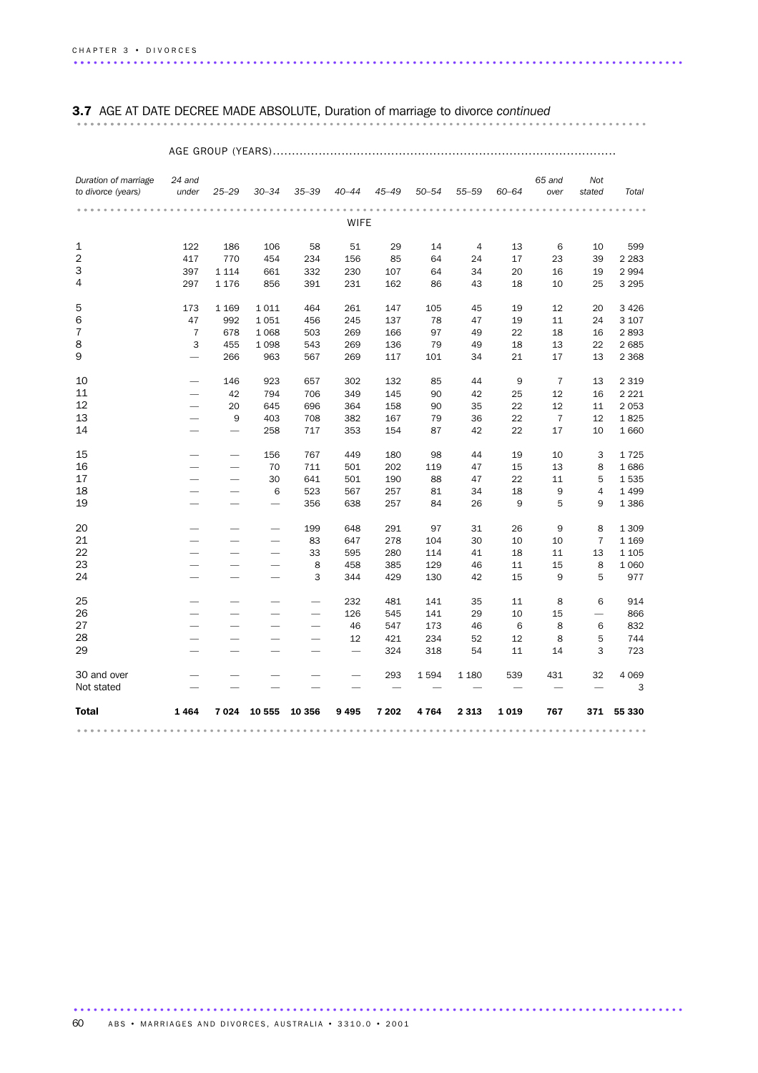### 3.7 AGE AT DATE DECREE MADE ABSOLUTE, Duration of marriage to divorce *continued* ...................................................................................... .......

### AGE GROUP (YEARS)..........................................................................................

| Duration of marriage<br>to divorce (years) | 24 and<br>under          | $25 - 29$                | $30 - 34$                | $35 - 39$                | $40 - 44$   | $45 - 49$ | $50 - 54$ | $55 - 59$      | $60 - 64$ | 65 and<br>over | Not<br>stated  | Total   |
|--------------------------------------------|--------------------------|--------------------------|--------------------------|--------------------------|-------------|-----------|-----------|----------------|-----------|----------------|----------------|---------|
|                                            |                          |                          |                          |                          |             |           |           |                |           |                |                |         |
|                                            |                          |                          |                          |                          | <b>WIFE</b> |           |           |                |           |                |                |         |
| 1                                          | 122                      | 186                      | 106                      | 58                       | 51          | 29        | 14        | $\overline{4}$ | 13        | 6              | 10             | 599     |
| 2                                          | 417                      | 770                      | 454                      | 234                      | 156         | 85        | 64        | 24             | 17        | 23             | 39             | 2 2 8 3 |
| 3                                          | 397                      | 1 1 1 4                  | 661                      | 332                      | 230         | 107       | 64        | 34             | 20        | 16             | 19             | 2 9 9 4 |
| 4                                          | 297                      | 1 1 7 6                  | 856                      | 391                      | 231         | 162       | 86        | 43             | 18        | 10             | 25             | 3 2 9 5 |
| 5                                          | 173                      | 1 1 6 9                  | 1011                     | 464                      | 261         | 147       | 105       | 45             | 19        | 12             | 20             | 3 4 2 6 |
| 6                                          | 47                       | 992                      | 1051                     | 456                      | 245         | 137       | 78        | 47             | 19        | 11             | 24             | 3 107   |
| 7                                          | $\overline{7}$           | 678                      | 1 0 6 8                  | 503                      | 269         | 166       | 97        | 49             | 22        | 18             | 16             | 2893    |
| 8                                          | 3                        | 455                      | 1 0 9 8                  | 543                      | 269         | 136       | 79        | 49             | 18        | 13             | 22             | 2 6 8 5 |
| 9                                          |                          | 266                      | 963                      | 567                      | 269         | 117       | 101       | 34             | 21        | 17             | 13             | 2 3 6 8 |
| 10                                         |                          | 146                      | 923                      | 657                      | 302         | 132       | 85        | 44             | 9         | $\overline{7}$ | 13             | 2 3 1 9 |
| 11                                         | $\overline{\phantom{0}}$ | 42                       | 794                      | 706                      | 349         | 145       | 90        | 42             | 25        | 12             | 16             | 2 2 2 1 |
| 12                                         |                          | 20                       | 645                      | 696                      | 364         | 158       | 90        | 35             | 22        | 12             | 11             | 2 0 5 3 |
| 13                                         | $\overline{\phantom{0}}$ | 9                        | 403                      | 708                      | 382         | 167       | 79        | 36             | 22        | $\overline{7}$ | 12             | 1825    |
| 14                                         |                          | $\overline{\phantom{0}}$ | 258                      | 717                      | 353         | 154       | 87        | 42             | 22        | 17             | 10             | 1 6 6 0 |
| 15                                         |                          | $\overline{\phantom{0}}$ | 156                      | 767                      | 449         | 180       | 98        | 44             | 19        | 10             | 3              | 1725    |
| 16                                         |                          | $\overline{\phantom{0}}$ | 70                       | 711                      | 501         | 202       | 119       | 47             | 15        | 13             | 8              | 1686    |
| 17                                         |                          | -                        | 30                       | 641                      | 501         | 190       | 88        | 47             | 22        | 11             | 5              | 1535    |
| 18                                         | $\overline{\phantom{0}}$ |                          | 6                        | 523                      | 567         | 257       | 81        | 34             | 18        | 9              | 4              | 1 4 9 9 |
| 19                                         |                          |                          | $\overline{\phantom{0}}$ | 356                      | 638         | 257       | 84        | 26             | 9         | 5              | 9              | 1 3 8 6 |
| 20                                         |                          |                          |                          | 199                      | 648         | 291       | 97        | 31             | 26        | 9              | 8              | 1 309   |
| 21                                         |                          |                          |                          | 83                       | 647         | 278       | 104       | 30             | 10        | 10             | $\overline{7}$ | 1 1 6 9 |
| 22                                         |                          |                          |                          | 33                       | 595         | 280       | 114       | 41             | 18        | 11             | 13             | 1 1 0 5 |
| 23                                         |                          |                          |                          | 8                        | 458         | 385       | 129       | 46             | 11        | 15             | 8              | 1 0 6 0 |
| 24                                         |                          |                          | $\overline{\phantom{0}}$ | 3                        | 344         | 429       | 130       | 42             | 15        | 9              | 5              | 977     |
| 25                                         |                          |                          |                          | -                        | 232         | 481       | 141       | 35             | 11        | 8              | 6              | 914     |
| 26                                         | $\overline{\phantom{0}}$ |                          |                          |                          | 126         | 545       | 141       | 29             | 10        | 15             | —              | 866     |
| 27                                         | $\overline{\phantom{0}}$ |                          |                          | $\overline{\phantom{0}}$ | 46          | 547       | 173       | 46             | 6         | 8              | 6              | 832     |
| 28                                         |                          |                          |                          |                          | 12          | 421       | 234       | 52             | 12        | 8              | 5              | 744     |
| 29                                         |                          |                          |                          |                          |             | 324       | 318       | 54             | 11        | 14             | 3              | 723     |
| 30 and over                                |                          |                          |                          |                          |             | 293       | 1594      | 1 1 8 0        | 539       | 431            | 32             | 4 0 6 9 |
| Not stated                                 |                          |                          |                          |                          |             |           |           |                |           |                |                | 3       |
| <b>Total</b>                               | 1464                     | 7024                     | 10 555                   | 10 356                   | 9495        | 7 202     | 4764      | 2 3 1 3        | 1019      | 767            | 371            | 55 330  |
|                                            |                          |                          |                          |                          |             |           |           |                |           |                |                |         |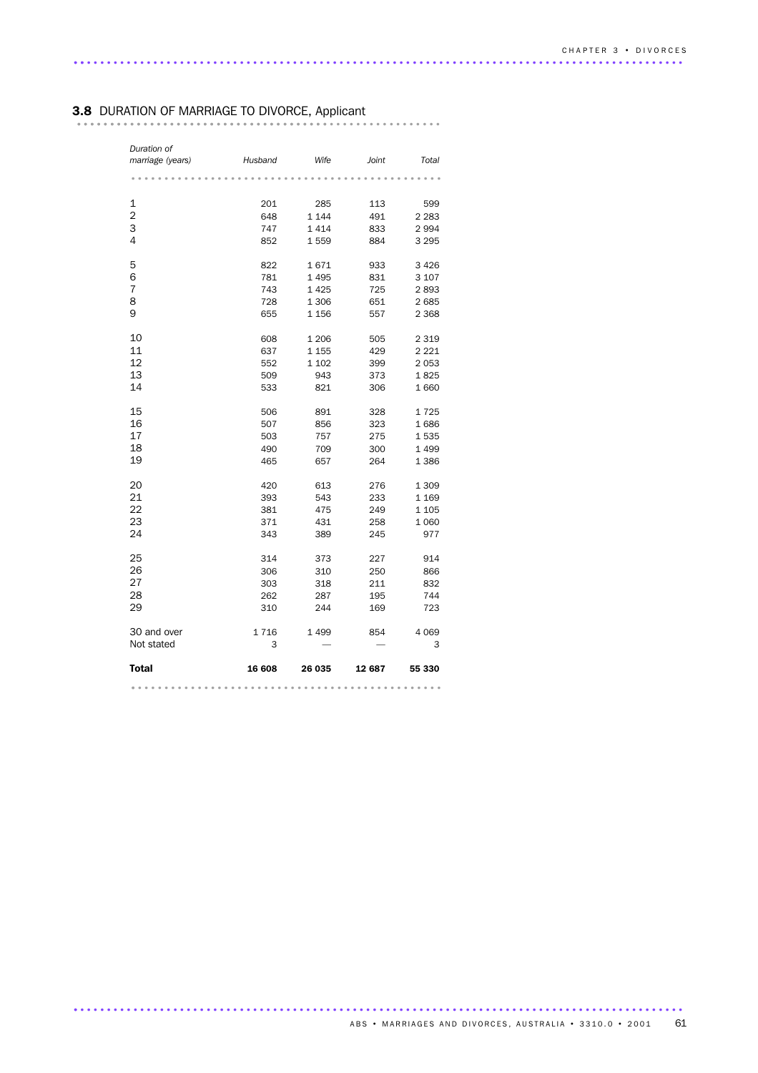### 3.8 DURATION OF MARRIAGE TO DIVORCE, Applicant ..................................

| Duration of<br>marriage (years) | Husband | Wife    | Joint  | Total   |
|---------------------------------|---------|---------|--------|---------|
|                                 |         |         |        |         |
| 1                               | 201     | 285     | 113    | 599     |
| $\overline{2}$                  | 648     | 1 1 4 4 | 491    | 2 2 8 3 |
| 3                               | 747     | 1414    | 833    | 2994    |
| 4                               | 852     | 1559    | 884    | 3 2 9 5 |
| 5                               | 822     | 1671    | 933    | 3 4 2 6 |
| 6                               | 781     | 1495    | 831    | 3 1 0 7 |
| $\overline{7}$                  | 743     | 1425    | 725    | 2893    |
| 8                               | 728     | 1 3 0 6 | 651    | 2685    |
| 9                               | 655     | 1 1 5 6 | 557    | 2 3 6 8 |
| 10                              | 608     | 1 2 0 6 | 505    | 2 3 1 9 |
| 11                              | 637     | 1 1 5 5 | 429    | 2 2 2 1 |
| 12                              | 552     | 1 1 0 2 | 399    | 2053    |
| 13                              | 509     | 943     | 373    | 1825    |
| 14                              | 533     | 821     | 306    | 1660    |
| 15                              | 506     | 891     | 328    | 1725    |
| 16                              | 507     | 856     | 323    | 1686    |
| 17                              | 503     | 757     | 275    | 1535    |
| 18                              | 490     | 709     | 300    | 1 4 9 9 |
| 19                              | 465     | 657     | 264    | 1 3 8 6 |
| 20                              | 420     | 613     | 276    | 1 3 0 9 |
| 21                              | 393     | 543     | 233    | 1 1 6 9 |
| 22                              | 381     | 475     | 249    | 1 1 0 5 |
| 23                              | 371     | 431     | 258    | 1 0 6 0 |
| 24                              | 343     | 389     | 245    | 977     |
| 25                              | 314     | 373     | 227    | 914     |
| 26                              | 306     | 310     | 250    | 866     |
| 27                              | 303     | 318     | 211    | 832     |
| 28                              | 262     | 287     | 195    | 744     |
| 29                              | 310     | 244     | 169    | 723     |
| 30 and over                     | 1716    | 1499    | 854    | 4 0 6 9 |
| Not stated                      | 3       |         |        | 3       |
| Total                           | 16 608  | 26 035  | 12 687 | 55 330  |
|                                 |         |         |        |         |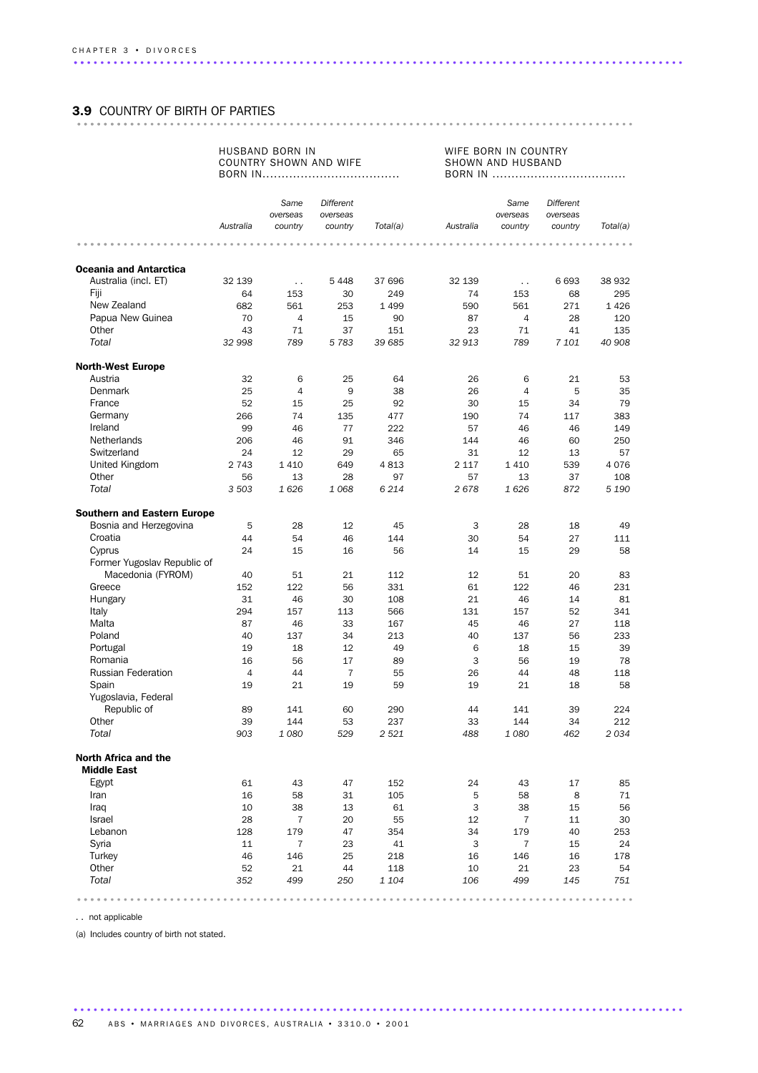### 3.9 COUNTRY OF BIRTH OF PARTIES .................................................................................... .........

#### HUSBAND BORN IN COUNTRY SHOWN AND WIFE BORN IN....................................

WIFE BORN IN COUNTRY SHOWN AND HUSBAND BORN IN ...................................

|                                    | Australia | Same<br>overseas<br>country | Different<br>overseas<br>country | Total(a)  | Australia     | Same<br>overseas<br>country | Different<br>overseas<br>country | Total(a)  |
|------------------------------------|-----------|-----------------------------|----------------------------------|-----------|---------------|-----------------------------|----------------------------------|-----------|
|                                    |           | .                           |                                  | $- - - -$ | 0.0.0.0.0.0.0 | .                           |                                  |           |
|                                    |           |                             |                                  |           |               |                             |                                  |           |
| <b>Oceania and Antarctica</b>      |           |                             |                                  |           |               |                             |                                  |           |
| Australia (incl. ET)               | 32 139    | $\ddotsc$                   | 5 4 4 8                          | 37 696    | 32 139        | $\ddot{\phantom{a}}$        | 6 6 9 3                          | 38 932    |
| Fiji                               | 64        | 153                         | 30                               | 249       | 74            | 153                         | 68                               | 295       |
| New Zealand                        | 682       | 561                         | 253                              | 1 4 9 9   | 590           | 561                         | 271                              | 1426      |
| Papua New Guinea<br>Other          | 70        | $\overline{4}$              | 15                               | 90        | 87            | $\overline{4}$              | 28                               | 120       |
|                                    | 43        | 71                          | 37                               | 151       | 23            | 71                          | 41                               | 135       |
| Total                              | 32 998    | 789                         | 5783                             | 39 685    | 32 913        | 789                         | 7 101                            | 40 908    |
| <b>North-West Europe</b>           |           |                             |                                  |           |               |                             |                                  |           |
| Austria                            | 32        | 6                           | 25                               | 64        | 26            | 6                           | 21                               | 53        |
| Denmark                            | 25        | $\overline{4}$              | 9                                | 38        | 26            | $\overline{4}$              | 5                                | 35        |
| France                             | 52        | 15                          | 25                               | 92        | 30            | 15                          | 34                               | 79        |
| Germany                            | 266       | 74                          | 135                              | 477       | 190           | 74                          | 117                              | 383       |
| Ireland                            | 99        | 46                          | 77                               | 222       | 57            | 46                          | 46                               | 149       |
| <b>Netherlands</b>                 | 206       | 46                          | 91                               | 346       | 144           | 46                          | 60                               | 250       |
| Switzerland                        | 24        | 12                          | 29                               | 65        | 31            | 12                          | 13                               | 57        |
| United Kingdom                     | 2 7 4 3   | 1410                        | 649                              | 4813      | 2 1 1 7       | 1410                        | 539                              | 4076      |
| Other                              | 56        | 13                          | 28                               | 97        | 57            | 13                          | 37                               | 108       |
| Total                              | 3 503     | 1626                        | 1068                             | 6 2 1 4   | 2678          | 1626                        | 872                              | 5 1 9 0   |
| <b>Southern and Eastern Europe</b> |           |                             |                                  |           |               |                             |                                  |           |
| Bosnia and Herzegovina             | 5         | 28                          | 12                               | 45        | 3             | 28                          | 18                               | 49        |
| Croatia                            | 44        | 54                          | 46                               | 144       | 30            | 54                          | 27                               | 111       |
| Cyprus                             | 24        | 15                          | 16                               | 56        | 14            | 15                          | 29                               | 58        |
| Former Yugoslav Republic of        |           |                             |                                  |           |               |                             |                                  |           |
| Macedonia (FYROM)                  | 40        | 51                          | 21                               | 112       | 12            | 51                          | 20                               | 83        |
| Greece                             | 152       | 122                         | 56                               | 331       | 61            | 122                         | 46                               | 231       |
| Hungary                            | 31        | 46                          | 30                               | 108       | 21            | 46                          | 14                               | 81        |
| Italy                              | 294       | 157                         | 113                              | 566       | 131           | 157                         | 52                               | 341       |
| Malta                              | 87        | 46                          | 33                               | 167       | 45            | 46                          | 27                               | 118       |
| Poland                             | 40        | 137                         | 34                               | 213       | 40            | 137                         | 56                               | 233       |
| Portugal                           | 19        | 18                          | 12                               | 49        | 6             | 18                          | 15                               | 39        |
| Romania                            | 16        | 56                          | 17                               | 89        | 3             | 56                          | 19                               | 78        |
| <b>Russian Federation</b>          | 4         | 44                          | $\overline{7}$                   | 55        | 26            | 44                          | 48                               | 118       |
| Spain                              | 19        | 21                          | 19                               | 59        | 19            | 21                          | 18                               | 58        |
| Yugoslavia, Federal                |           |                             |                                  |           |               |                             |                                  |           |
| Republic of                        | 89        | 141                         | 60                               | 290       | 44            | 141                         | 39                               | 224       |
| Other                              | 39        | 144                         | 53                               | 237       | 33            | 144                         | 34                               | 212       |
| Total                              | 903       | 1080                        | 529                              | 2 5 2 1   | 488           | 1080                        | 462                              | 2034      |
| North Africa and the               |           |                             |                                  |           |               |                             |                                  |           |
| <b>Middle East</b>                 |           |                             |                                  |           |               |                             |                                  |           |
| Egypt                              | 61        | 43                          | 47                               | 152       | 24            | 43                          | 17                               | 85        |
| Iran                               | 16        | 58                          | 31                               | 105       | 5             | 58                          | 8                                | 71        |
| Iraq                               | 10        | 38                          | 13                               | 61        | $\mathsf 3$   | 38                          | 15                               | 56        |
| Israel                             | 28        | $\overline{7}$              | 20                               | 55        | 12            | $\overline{7}$              | 11                               | 30        |
| Lebanon                            | 128       | 179                         | 47                               | 354       | 34            | 179                         | 40                               | 253       |
| Syria                              | 11        | $\overline{7}$              | 23                               | 41        | 3             | $\overline{7}$              | 15                               | 24        |
| Turkey                             | 46        | 146                         | 25                               | 218       | 16            | 146                         | 16                               | 178       |
| Other                              | 52        | 21                          | 44                               | 118       | 10            | 21                          | 23                               | 54        |
| Total                              | 352       | 499                         | 250                              | 1 1 0 4   | 106           | 499                         | 145                              | 751       |
|                                    |           |                             |                                  |           |               |                             |                                  | $-0.0000$ |

. . not applicable

(a) Includes country of birth not stated.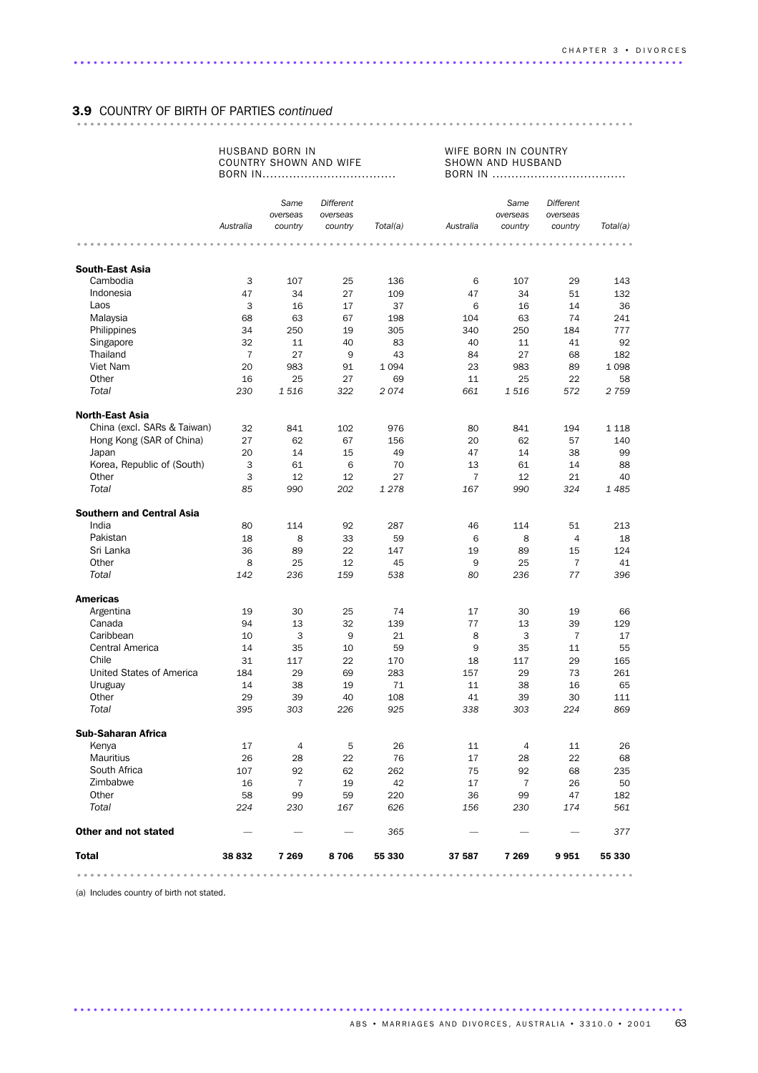# 3.9 COUNTRY OF BIRTH OF PARTIES *continued* .................................................................................... .........

#### HUSBAND BORN IN COUNTRY SHOWN AND WIFE BORN IN...................................

WIFE BORN IN COUNTRY SHOWN AND HUSBAND BORN IN ...................................

|                                    |                | Same<br>overseas | Different<br>overseas |          |                | Same<br>overseas | Different<br>overseas |          |
|------------------------------------|----------------|------------------|-----------------------|----------|----------------|------------------|-----------------------|----------|
|                                    | Australia      | country          | country               | Total(a) | Australia      | country          | country               | Total(a) |
|                                    |                |                  |                       |          |                |                  |                       |          |
|                                    |                |                  |                       |          |                |                  |                       |          |
| <b>South-East Asia</b><br>Cambodia | 3              | 107              | 25                    | 136      | 6              | 107              | 29                    | 143      |
| Indonesia                          | 47             | 34               | 27                    | 109      | 47             | 34               | 51                    | 132      |
| Laos                               | 3              | 16               | 17                    | 37       | 6              | 16               | 14                    | 36       |
| Malaysia                           | 68             | 63               | 67                    | 198      | 104            | 63               | 74                    | 241      |
| Philippines                        | 34             | 250              | 19                    | 305      | 340            | 250              | 184                   | 777      |
| Singapore                          | 32             | 11               | 40                    | 83       | 40             | 11               | 41                    | 92       |
| Thailand                           | $\overline{7}$ | 27               | 9                     | 43       | 84             | 27               | 68                    | 182      |
| Viet Nam                           | 20             | 983              | 91                    | 1 0 9 4  | 23             | 983              | 89                    | 1 0 9 8  |
| Other                              | 16             | 25               | 27                    | 69       | 11             | 25               | 22                    | 58       |
| Total                              | 230            | 1 516            | 322                   | 2074     | 661            | 1516             | 572                   | 2 7 5 9  |
|                                    |                |                  |                       |          |                |                  |                       |          |
| <b>North-East Asia</b>             |                |                  |                       |          |                |                  |                       |          |
| China (excl. SARs & Taiwan)        | 32             | 841              | 102                   | 976      | 80             | 841              | 194                   | 1 1 1 8  |
| Hong Kong (SAR of China)           | 27             | 62               | 67                    | 156      | 20             | 62               | 57                    | 140      |
| Japan                              | 20             | 14               | 15                    | 49       | 47             | 14               | 38                    | 99       |
| Korea, Republic of (South)         | 3              | 61               | 6                     | 70       | 13             | 61               | 14                    | 88       |
| Other                              | 3              | 12               | 12                    | 27       | $\overline{7}$ | 12               | 21                    | 40       |
| Total                              | 85             | 990              | 202                   | 1 2 7 8  | 167            | 990              | 324                   | 1485     |
| <b>Southern and Central Asia</b>   |                |                  |                       |          |                |                  |                       |          |
| India                              | 80             | 114              | 92                    | 287      | 46             | 114              | 51                    | 213      |
| Pakistan                           | 18             | 8                | 33                    | 59       | 6              | 8                | $\overline{4}$        | 18       |
| Sri Lanka                          | 36             | 89               | 22                    | 147      | 19             | 89               | 15                    | 124      |
| Other                              | 8              | 25               | 12                    | 45       | 9              | 25               | $\overline{7}$        | 41       |
| Total                              | 142            | 236              | 159                   | 538      | 80             | 236              | 77                    | 396      |
| <b>Americas</b>                    |                |                  |                       |          |                |                  |                       |          |
| Argentina                          | 19             | 30               | 25                    | 74       | 17             | 30               | 19                    | 66       |
| Canada                             | 94             | 13               | 32                    | 139      | 77             | 13               | 39                    | 129      |
| Caribbean                          | 10             | 3                | 9                     | 21       | 8              | 3                | 7                     | 17       |
| Central America                    | 14             | 35               | 10                    | 59       | 9              | 35               | 11                    | 55       |
| Chile                              | 31             | 117              | 22                    | 170      | 18             | 117              | 29                    | 165      |
| United States of America           | 184            | 29               | 69                    | 283      | 157            | 29               | 73                    | 261      |
| Uruguay                            | 14             | 38               | 19                    | 71       | 11             | 38               | 16                    | 65       |
| Other                              | 29             | 39               | 40                    | 108      | 41             | 39               | 30                    | 111      |
| Total                              | 395            | 303              | 226                   | 925      | 338            | 303              | 224                   | 869      |
| <b>Sub-Saharan Africa</b>          |                |                  |                       |          |                |                  |                       |          |
| Kenya                              | 17             | 4                | 5                     | 26       | 11             | 4                | 11                    | 26       |
| Mauritius                          | 26             | 28               | 22                    | 76       | 17             | 28               | 22                    | 68       |
| South Africa                       | 107            | 92               | 62                    | 262      | 75             | 92               | 68                    | 235      |
| Zimbabwe                           | 16             | 7                | 19                    | 42       | 17             | 7                | 26                    | 50       |
| Other                              | 58             | 99               | 59                    | 220      | 36             | 99               | 47                    | 182      |
| Total                              | 224            | 230              | 167                   | 626      | 156            | 230              | 174                   | 561      |
| Other and not stated               |                |                  |                       | 365      |                |                  |                       | 377      |
| <b>Total</b>                       | 38 832         | 7 2 6 9          | 8706                  | 55 330   | 37 587         | 7 269            | 9951                  | 55 330   |
|                                    |                |                  |                       |          |                |                  |                       |          |

............................................................................................ .

(a) Includes country of birth not stated.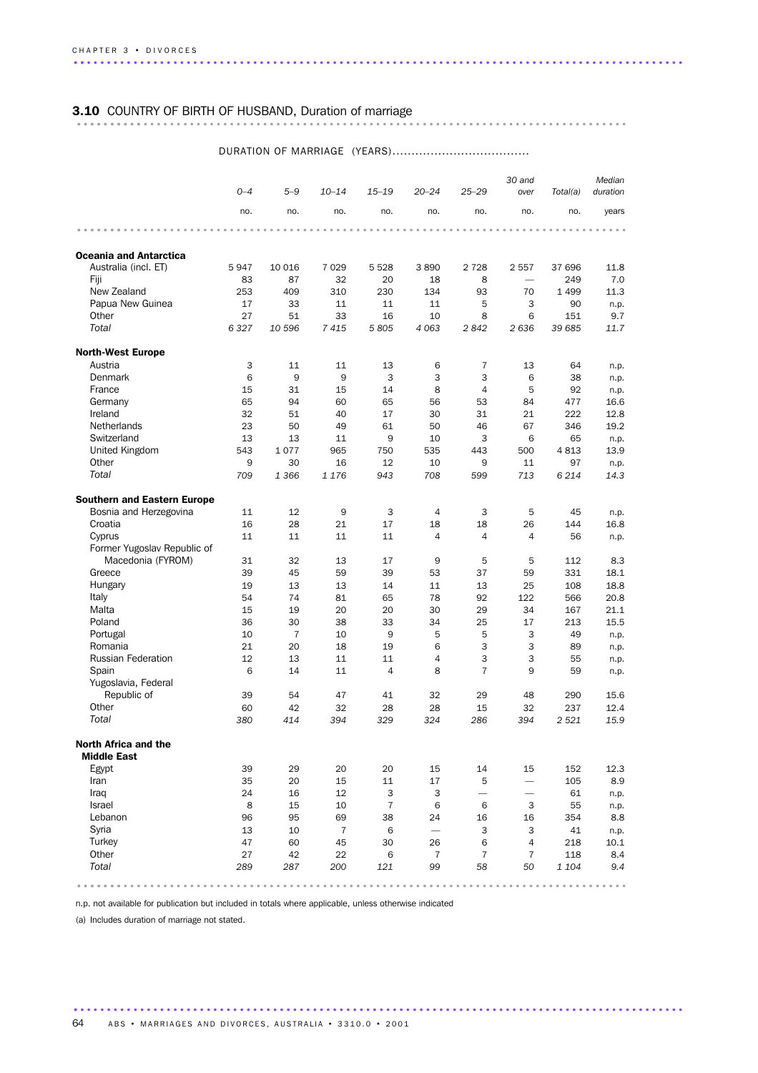### 3.10 COUNTRY OF BIRTH OF HUSBAND, Duration of marriage ................................................................................... ..........

#### DURATION OF MARRIAGE (YEARS).................................... *0–4 5–9 10–14 15–19 20–24 25–29 30 and over Total(a) duration Median* no. no. no. no. no. no. no. no. years ................................................................................... ....... Oceania and Antarctica Australia (incl. ET) 5 947 10 016 7 029 5 528 3 890 2 728 2 557 37 696 11.8 Fiji 83 87 32 20 18 8 — 249 7.0 New Zealand 253 409 310 230 134 93 70 1 499 11.3 Papua New Guinea 17 33 11 11 11 5 3 90 n.p. Other 27 51 33 16 10 8 6 151 9.7 *Total 6 327 10 596 7 415 5 805 4 063 2 842 2 636 39 685 11.7* North-West Europe Austria 3 11 11 13 6 7 13 64 n.p. Denmark 6 9 9 3 3 3 6 38 n.p. France 2010 15 31 15 14 8 4 5 92 n.p. Germany 65 94 60 65 56 53 84 477 16.6 Ireland 32 51 40 17 30 31 21 222 12.8 Netherlands 23 50 49 61 50 46 67 346 19.2 Switzerland 13 13 13 11 9 10 3 6 65 n.p. United Kingdom 543 1 077 965 750 535 443 500 4 813 13.9 Other 9 30 16 12 10 9 11 97 n.p. *Total 709 1 366 1 176 943 708 599 713 6 214 14.3* Southern and Eastern Europe Bosnia and Herzegovina  $11$   $12$   $9$   $3$   $4$   $3$   $5$   $45$  n.p. Croatia 16 28 21 17 18 18 26 144 16.8 Cyprus 11 11 11 11 4 4 4 56 n.p. Former Yugoslav Republic of Macedonia (FYROM) 31 32 13 17 9 5 5 112 8.3 Greece 39 45 59 39 53 37 59 331 18.1 Hungary 19 13 13 14 11 13 25 108 18.8 Italy 54 74 81 65 78 92 122 566 20.8 Malta 15 19 20 20 30 29 34 167 21.1 Poland 36 30 38 33 34 25 17 213 15.5 Portugal 10 7 10 9 5 5 3 49 n.p. Romania 21 20 18 19 6 3 3 89 n.p. Russian Federation **12** 13 11 11 4 3 3 55 n.p. Spain 6 14 11 4 8 7 9 59 n.p. Yugoslavia, Federal Republic of 39 54 47 41 32 29 48 290 15.6 Other 60 42 32 28 28 15 32 237 12.4 *Total 380 414 394 329 324 286 394 2 521 15.9* North Africa and the Middle East Egypt 39 29 20 20 15 14 15 152 12.3 Iran 35 20 15 11 17 5 — 105 8.9 Iraq 24 16 12 3 3 — — 61 n.p. Israel 8 15 10 7 6 6 3 55 n.p. Lebanon 96 95 69 38 24 16 16 354 8.8 Syria 13 10 7 6 — 3 3 41 n.p. Turkey 47 60 45 30 26 6 4 218 10.1 Other 27 42 22 6 7 7 7 118 8.4 *Total 289 287 200 121 99 58 50 1 104 9.4* ................................................................................... .......

n.p. not available for publication but included in totals where applicable, unless otherwise indicated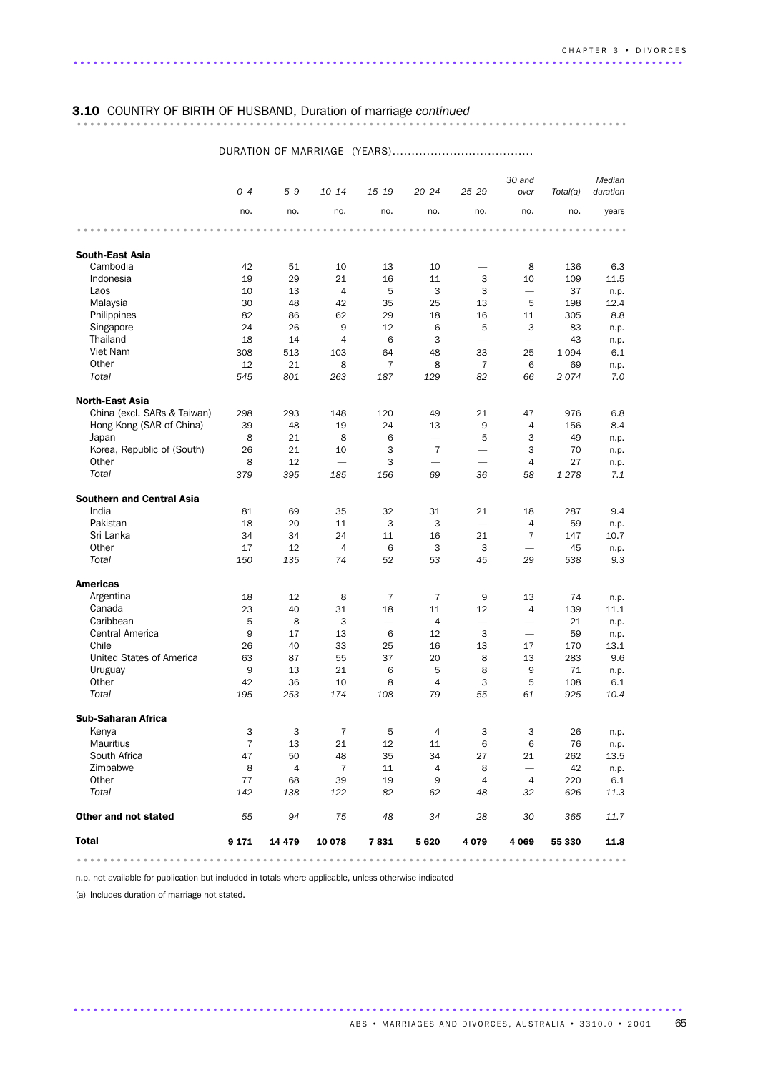# 3.10 COUNTRY OF BIRTH OF HUSBAND, Duration of marriage *continued* ................................................................................... ..........

|                                  | $O - 4$ | $5 - 9$                 | $10 - 14$                | $15 - 19$                | $20 - 24$                | $25 - 29$                | 30 and<br>over           | Total(a) | Median<br>duration |
|----------------------------------|---------|-------------------------|--------------------------|--------------------------|--------------------------|--------------------------|--------------------------|----------|--------------------|
|                                  | no.     | no.                     | no.                      | no.                      | no.                      | no.                      | no.                      | no.      | years              |
|                                  |         |                         |                          |                          |                          |                          |                          |          |                    |
| <b>South-East Asia</b>           |         |                         |                          |                          |                          |                          |                          |          |                    |
| Cambodia                         | 42      | 51                      | 10                       | 13                       | 10                       | $\overline{\phantom{0}}$ | 8                        | 136      | 6.3                |
| Indonesia                        | 19      | 29                      | 21                       | 16                       | 11                       | 3                        | 10                       | 109      | 11.5               |
| Laos                             | 10      | 13                      | $\overline{4}$           | 5                        | 3                        | 3                        | $\overline{\phantom{0}}$ | 37       | n.p.               |
| Malaysia                         | 30      | 48                      | 42                       | 35                       | 25                       | 13                       | 5                        | 198      | 12.4               |
| Philippines                      | 82      | 86                      | 62                       | 29                       | 18                       | 16                       | 11                       | 305      | 8.8                |
| Singapore                        | 24      | 26                      | 9                        | 12                       | 6                        | 5                        | 3                        | 83       | n.p.               |
| Thailand                         | 18      | 14                      | $\overline{4}$           | 6                        | 3                        | $\overline{\phantom{0}}$ | $\overline{\phantom{0}}$ | 43       | n.p.               |
| Viet Nam                         | 308     | 513                     | 103                      | 64                       | 48                       | 33                       | 25                       | 1 0 9 4  | 6.1                |
| Other                            | 12      | 21                      | 8                        | $\overline{7}$           | 8                        | $\overline{7}$           | 6                        | 69       | n.p.               |
| Total                            | 545     | 801                     | 263                      | 187                      | 129                      | 82                       | 66                       | 2074     | 7.0                |
| <b>North-East Asia</b>           |         |                         |                          |                          |                          |                          |                          |          |                    |
| China (excl. SARs & Taiwan)      | 298     | 293                     | 148                      | 120                      | 49                       | 21                       | 47                       | 976      | 6.8                |
| Hong Kong (SAR of China)         | 39      | 48                      | 19                       | 24                       | 13                       | 9                        | $\overline{4}$           | 156      | 8.4                |
| Japan                            | 8       | 21                      | 8                        | 6                        |                          | 5                        | 3                        | 49       | n.p.               |
| Korea, Republic of (South)       | 26      | 21                      | 10                       | 3                        | $\overline{7}$           |                          | 3                        | 70       | n.p.               |
| Other                            | 8       | 12                      | $\overline{\phantom{0}}$ | 3                        | $\overline{\phantom{0}}$ |                          | 4                        | 27       | n.p.               |
| Total                            | 379     | 395                     | 185                      | 156                      | 69                       | 36                       | 58                       | 1 2 7 8  | 7.1                |
| <b>Southern and Central Asia</b> |         |                         |                          |                          |                          |                          |                          |          |                    |
| India                            | 81      | 69                      | 35                       | 32                       | 31                       | 21                       | 18                       | 287      | 9.4                |
| Pakistan                         | 18      | 20                      | 11                       | 3                        | 3                        |                          | $\overline{4}$           | 59       | n.p.               |
| Sri Lanka                        | 34      | 34                      | 24                       | 11                       | 16                       | 21                       | 7                        | 147      | 10.7               |
| Other                            | 17      | 12                      | $\overline{4}$           | 6                        | 3                        | 3                        |                          | 45       | n.p.               |
| Total                            | 150     | 135                     | 74                       | 52                       | 53                       | 45                       | 29                       | 538      | 9.3                |
| <b>Americas</b>                  |         |                         |                          |                          |                          |                          |                          |          |                    |
| Argentina                        | 18      | 12                      | 8                        | 7                        | 7                        | 9                        | 13                       | 74       | n.p.               |
| Canada                           | 23      | 40                      | 31                       | 18                       | 11                       | 12                       | $\overline{4}$           | 139      | 11.1               |
| Caribbean                        | 5       | 8                       | 3                        | $\overline{\phantom{0}}$ | 4                        | $\overline{\phantom{0}}$ | $\overline{\phantom{0}}$ | 21       | n.p.               |
| Central America                  | 9       | 17                      | 13                       | 6                        | 12                       | 3                        |                          | 59       | n.p.               |
| Chile                            | 26      | 40                      | 33                       | 25                       | 16                       | 13                       | 17                       | 170      | 13.1               |
| United States of America         | 63      | 87                      | 55                       | 37                       | 20                       | 8                        | 13                       | 283      | 9.6                |
| Uruguay                          | 9       | 13                      | 21                       | 6                        | 5                        | 8                        | 9                        | 71       | n.p.               |
| Other                            | 42      | 36                      | 10                       | 8                        | $\overline{4}$           | 3                        | 5                        | 108      | 6.1                |
| Total                            | 195     | 253                     | 174                      | 108                      | 79                       | 55                       | 61                       | 925      | 10.4               |
| <b>Sub-Saharan Africa</b>        |         |                         |                          |                          |                          |                          |                          |          |                    |
| Kenya                            | 3       | $\overline{\mathbf{3}}$ | $\overline{7}$           | - 5                      | $\overline{4}$           | 3                        | 3                        | 26       | n.p.               |
| Mauritius                        | 7       | 13                      | 21                       | 12                       | 11                       | 6                        | 6                        | 76       | n.p.               |
| South Africa                     | 47      | 50                      | 48                       | 35                       | 34                       | 27                       | 21                       | 262      | 13.5               |
| Zimbabwe                         | 8       | $\overline{4}$          | $\overline{7}$           | 11                       | $\overline{4}$           | 8                        | $\overline{\phantom{0}}$ | 42       | n.p.               |
| Other                            | 77      | 68                      | 39                       | 19                       | 9                        | $\overline{4}$           | $\overline{4}$           | 220      | 6.1                |
| Total                            | 142     | 138                     | 122                      | 82                       | 62                       | 48                       | 32                       | 626      | 11.3               |
| Other and not stated             | 55      | 94                      | 75                       | 48                       | 34                       | 28                       | 30                       | 365      | 11.7               |
| <b>Total</b>                     | 9 1 7 1 | 14 4 79                 | 10 078                   | 7831                     | 5 6 2 0                  | 4 0 7 9                  | 4 0 6 9                  | 55 330   | 11.8               |
|                                  |         |                         |                          |                          |                          |                          |                          |          |                    |

............................................................................................ .

#### DURATION OF MARRIAGE (YEARS).....................................

n.p. not available for publication but included in totals where applicable, unless otherwise indicated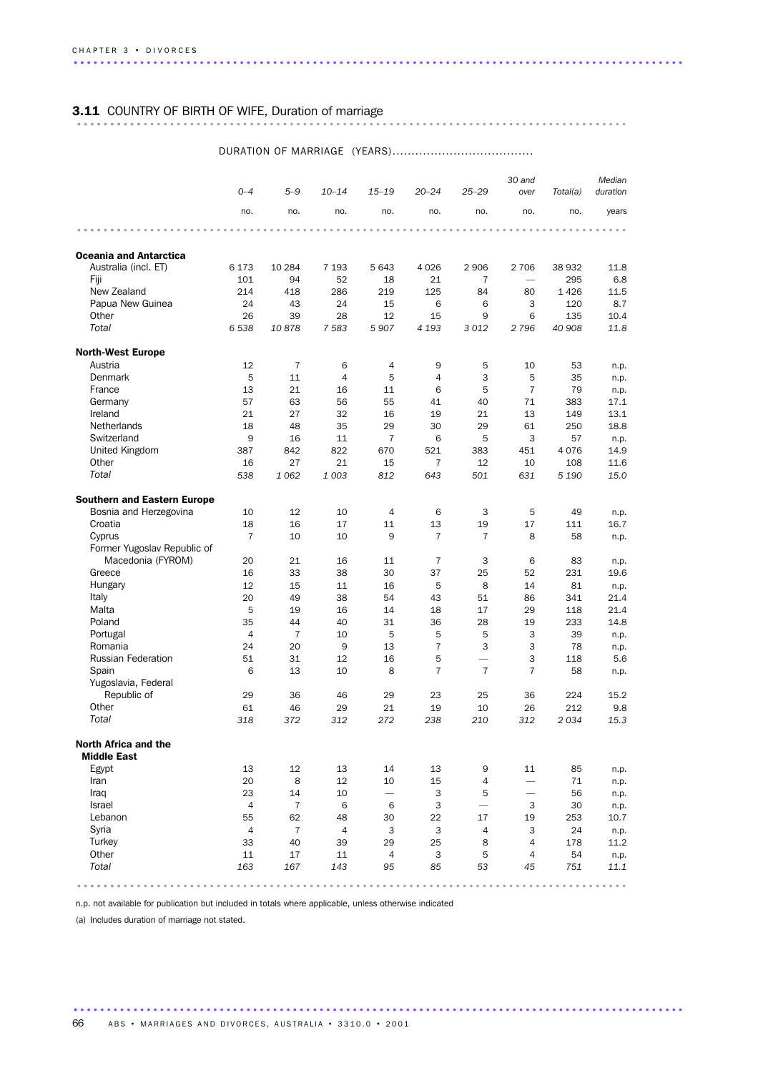### 3.11 COUNTRY OF BIRTH OF WIFE, Duration of marriage ................................................................................... ..........

#### DURATION OF MARRIAGE (YEARS)..................................... *0–4 5–9 10–14 15–19 20–24 25–29 30 and over Total(a) Median duration* no. no. no. no. no. no. no. no. years ................................................................................... ....... Oceania and Antarctica Australia (incl. ET) 6 173 10 284 7 193 5 643 4 026 2 906 2 706 38 932 11.8 Fiji 101 94 52 18 21 7 — 295 6.8 New Zealand 214 418 286 219 125 84 80 1 426 11.5 Papua New Guinea 24 43 24 15 6 6 3 120 8.7 Other 26 39 28 12 15 9 6 135 10.4 *Total 6 538 10 878 7 583 5 907 4 193 3 012 2 796 40 908 11.8* North-West Europe Austria 12 7 6 4 9 5 10 53 n.p. Denmark 5 11 4 5 4 3 5 35 n.p. France 20 13 21 16 11 6 5 7 79 n.p. Germany 57 63 56 55 41 40 71 383 17.1 Ireland 21 27 32 16 19 21 13 149 13.1 Netherlands 18 48 35 29 30 29 61 250 18.8 Switzerland 9 16 11 7 6 5 3 57 n.p. United Kingdom 387 842 822 670 521 383 451 4 076 14.9 Other 16 27 21 15 7 12 10 108 11.6 *Total 538 1 062 1 003 812 643 501 631 5 190 15.0* Southern and Eastern Europe Bosnia and Herzegovina 10 12 10 4 6 3 5 49 n.p.<br>Croatia 18 16 17 11 13 19 17 11 16.7 Croatia 18 16 17 11 13 19 17 111 16.7 Cyprus 7 10 10 9 7 7 8 58 n.p. Former Yugoslav Republic of Macedonia (FYROM) 20 21 16 11 7 3 6 83 n.p. Greece 16 33 38 30 37 25 52 231 19.6 Hungary 12 15 11 16 5 8 14 81 n.p. Italy 20 49 38 54 43 51 86 341 21.4 Malta 5 19 16 14 18 17 29 118 21.4 Poland 35 44 40 31 36 28 19 233 14.8 Portugal 4 7 10 5 5 5 3 39 n.p. Romania 24 20 9 13 7 3 3 78 n.p. Russian Federation 51 31 12 16 5 — 3 118 5.6 Spain 6 13 10 8 7 7 7 58 n.p. Yugoslavia, Federal Republic of 29 36 46 29 23 25 36 224 15.2 Other 61 46 29 21 19 10 26 212 9.8 *Total 318 372 312 272 238 210 312 2 034 15.3* North Africa and the Middle East Egypt 13 12 13 14 13 9 11 85 n.p. Iran 20 8 12 10 15 4 — 71 n.p. Iraq 23 14 10 — 3 5 — 56 n.p. Israel 47663 — 3 30 n.p. Lebanon 55 62 48 30 22 17 19 253 10.7 Syria 4 7 4 3 3 4 3 24 n.p. Turkey 33 40 39 29 25 8 4 178 11.2 Other 11 11 17 11 4 3 5 4 54 n.p. *Total 163 167 143 95 85 53 45 751 11.1* ................................................................................... .......

n.p. not available for publication but included in totals where applicable, unless otherwise indicated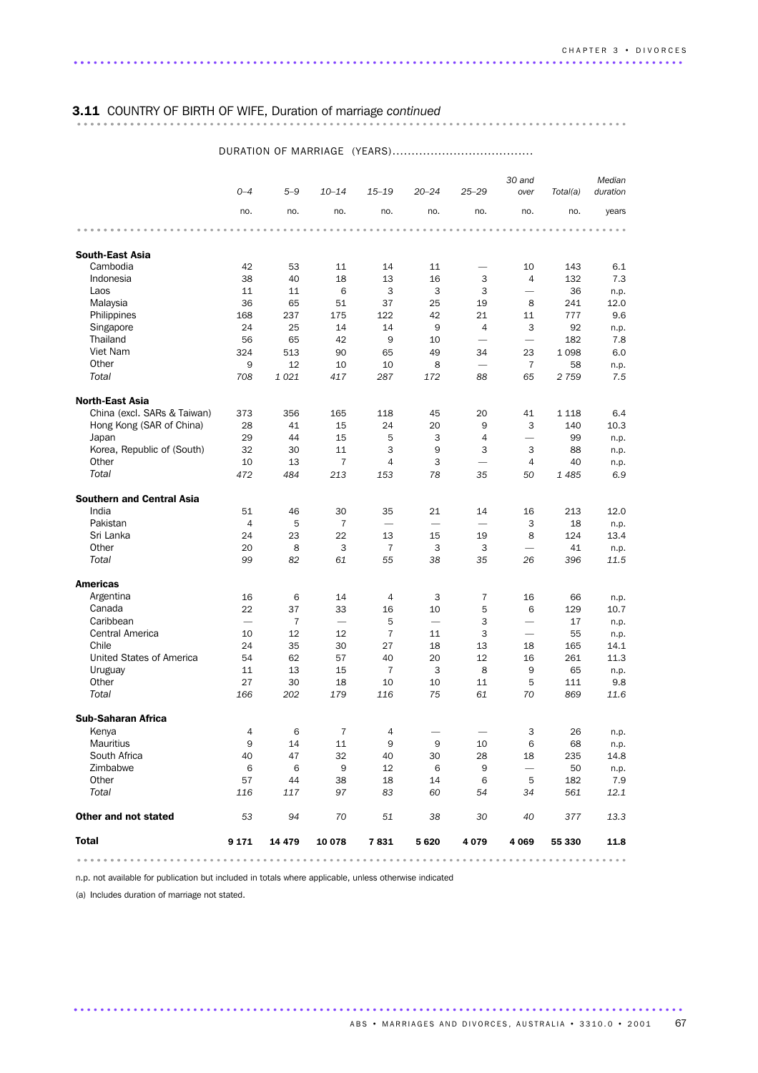### 3.11 COUNTRY OF BIRTH OF WIFE, Duration of marriage *continued* ................................................................................... ..........

|                                  |                          |                |                |                |                          |                          | 30 and                   |           | Median       |
|----------------------------------|--------------------------|----------------|----------------|----------------|--------------------------|--------------------------|--------------------------|-----------|--------------|
|                                  | $O - 4$                  | $5 - 9$        | $10 - 14$      | $15 - 19$      | $20 - 24$                | $25 - 29$                | over                     | Total(a)  | duration     |
|                                  | no.                      | no.            | no.            | no.            | no.                      | no.                      | no.                      | no.       | years        |
|                                  |                          |                |                |                |                          |                          |                          |           |              |
| <b>South-East Asia</b>           |                          |                |                |                |                          |                          |                          |           |              |
| Cambodia                         | 42                       | 53             | 11             | 14             | 11                       |                          | 10                       | 143       | 6.1          |
| Indonesia                        | 38                       | 40             | 18             | 13             | 16                       | 3                        | $\overline{4}$           | 132       | 7.3          |
| Laos                             | 11                       | 11             | 6              | 3              | 3                        | 3                        | $\overline{\phantom{0}}$ | 36        | n.p.         |
| Malaysia                         | 36                       | 65             | 51             | 37             | 25                       | 19                       | 8                        | 241       | 12.0         |
| Philippines                      | 168                      | 237            | 175            | 122            | 42                       | 21                       | 11                       | 777       | 9.6          |
| Singapore                        | 24                       | 25             | 14             | 14             | 9                        | $\overline{4}$           | 3                        | 92        | n.p.         |
| Thailand                         | 56                       | 65             | 42             | 9              | 10                       | $\overline{\phantom{0}}$ |                          | 182       | 7.8          |
| Viet Nam                         | 324                      | 513            | 90             | 65             | 49                       | 34                       | 23                       | 1098      | 6.0          |
| Other<br>Total                   | 9                        | 12             | 10             | 10             | 8                        | $\overline{\phantom{0}}$ | $\overline{7}$           | 58        | n.p.         |
|                                  | 708                      | 1021           | 417            | 287            | 172                      | 88                       | 65                       | 2 7 5 9   | 7.5          |
| <b>North-East Asia</b>           |                          |                |                |                |                          |                          |                          |           |              |
| China (excl. SARs & Taiwan)      | 373                      | 356            | 165            | 118            | 45                       | 20                       | 41                       | 1 1 1 8   | 6.4          |
| Hong Kong (SAR of China)         | 28                       | 41             | 15             | 24             | 20                       | 9                        | 3                        | 140       | 10.3         |
| Japan                            | 29                       | 44             | 15             | 5              | 3                        | 4                        | $\overline{\phantom{0}}$ | 99        | n.p.         |
| Korea, Republic of (South)       | 32                       | 30             | 11             | 3              | 9                        | 3                        | 3                        | 88        | n.p.         |
| Other                            | 10                       | 13             | 7              | 4              | 3                        | $\overline{\phantom{0}}$ | $\overline{4}$           | 40        | n.p.         |
| Total                            | 472                      | 484            | 213            | 153            | 78                       | 35                       | 50                       | 1485      | 6.9          |
| <b>Southern and Central Asia</b> |                          |                |                |                |                          |                          |                          |           |              |
| India                            | 51                       | 46             | 30             | 35             | 21                       | 14                       | 16                       | 213       | 12.0         |
| Pakistan                         | $\overline{4}$           | 5              | 7              |                | $\overline{\phantom{0}}$ |                          | 3                        | 18        | n.p.         |
| Sri Lanka                        | 24                       | 23             | 22             | 13             | 15                       | 19                       | 8                        | 124       | 13.4         |
| Other                            | 20                       | 8              | 3              | $\overline{7}$ | 3                        | 3                        | $\overline{\phantom{0}}$ | 41        | n.p.         |
| Total                            | 99                       | 82             | 61             | 55             | 38                       | 35                       | 26                       | 396       | 11.5         |
| <b>Americas</b>                  |                          |                |                |                |                          |                          |                          |           |              |
| Argentina                        | 16                       | 6              | 14             | 4              | 3                        | 7                        | 16                       | 66        | n.p.         |
| Canada                           | 22                       | 37             | 33             | 16             | 10                       | 5                        | 6                        | 129       | 10.7         |
| Caribbean                        | $\overline{\phantom{0}}$ | $\overline{7}$ |                | 5              | $\overline{\phantom{0}}$ | 3                        | $\overline{\phantom{0}}$ | 17        | n.p.         |
| Central America                  | 10                       | 12             | 12             | 7              | 11                       | 3                        |                          | 55        | n.p.         |
| Chile                            | 24                       | 35             | 30             | 27             | 18                       | 13                       | 18                       | 165       | 14.1         |
| United States of America         | 54                       | 62             | 57             | 40             | 20                       | 12                       | 16                       | 261       | 11.3         |
| Uruguay                          | 11                       | 13             | 15             | $\overline{7}$ | 3                        | 8                        | 9                        | 65        | n.p.         |
| Other                            | 27                       | 30             | 18             | 10             | 10                       | 11                       | 5                        | 111       | 9.8          |
| Total                            | 166                      | 202            | 179            | 116            | 75                       | 61                       | 70                       | 869       | 11.6         |
| <b>Sub-Saharan Africa</b>        |                          |                |                |                |                          |                          |                          |           |              |
|                                  |                          |                |                |                |                          |                          |                          | 26        |              |
| Kenya<br><b>Mauritius</b>        | 4<br>9                   | 6<br>14        | $\overline{7}$ | 9              | 9                        |                          | 3                        |           | n.p.         |
| South Africa                     | 40                       | 47             | 11<br>32       | 40             | 30                       | 10<br>28                 | 6<br>18                  | 68<br>235 | n.p.<br>14.8 |
| Zimbabwe                         | 6                        | - 6            | 9              | 12             | 6                        | 9                        |                          | 50        |              |
| Other                            | 57                       | 44             | 38             | 18             | 14                       | - 6                      | 5                        | 182       | n.p.<br>7.9  |
| Total                            | 116                      | 117            | 97             | 83             | 60                       | 54                       | 34                       | 561       | 12.1         |
| Other and not stated             | 53                       | 94             | 70             | 51             | 38                       | 30                       | 40                       | 377       | 13.3         |
| <b>Total</b>                     | 9 1 7 1                  | 14 479         | 10 078         | 7 831          | 5 6 2 0                  | 4 0 7 9                  | 4 0 6 9                  | 55 330    | 11.8         |
|                                  |                          |                |                |                |                          |                          |                          |           |              |

............................................................................................ .

#### DURATION OF MARRIAGE (YEARS).....................................

n.p. not available for publication but included in totals where applicable, unless otherwise indicated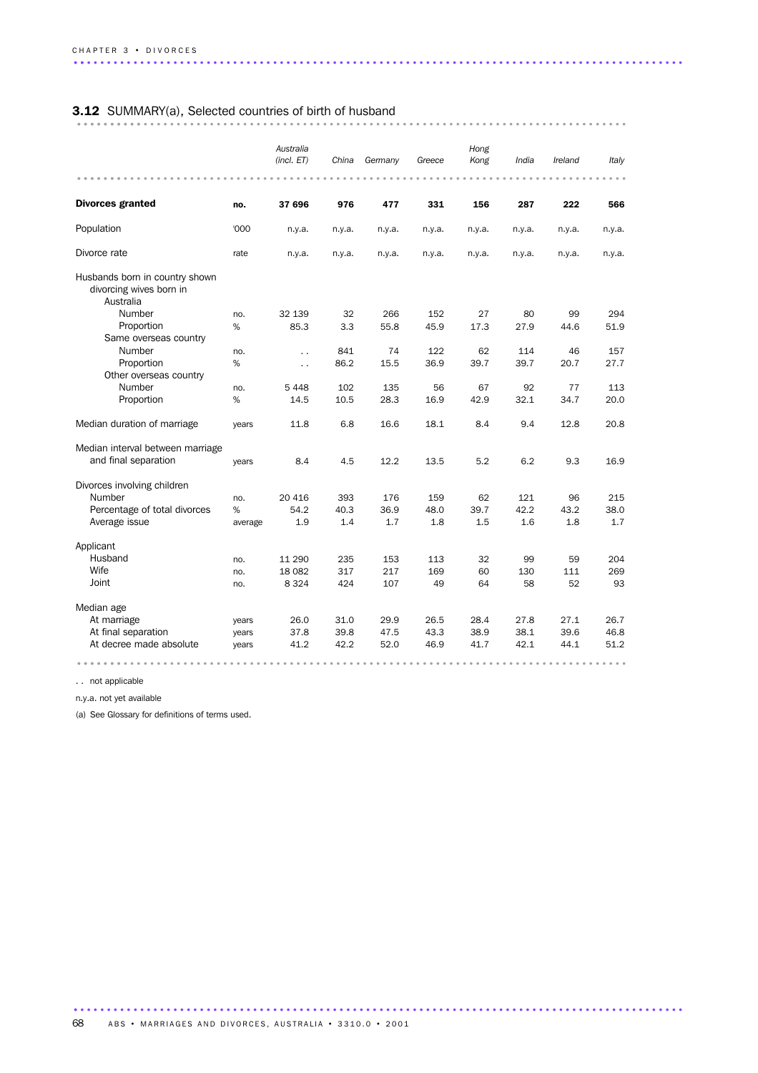# 3.12 SUMMARY(a), Selected countries of birth of husband ................................................................................... ..........

|                                                                        |         | Australia<br>(incl. ET) | China  | Germany | Greece | Hong<br>Kong | India  | Ireland | Italy  |
|------------------------------------------------------------------------|---------|-------------------------|--------|---------|--------|--------------|--------|---------|--------|
| <b>Divorces granted</b>                                                | no.     | 37 696                  | 976    | 477     | 331    | 156          | 287    | 222     | 566    |
| Population                                                             | '000    | n.y.a.                  | n.y.a. | n.y.a.  | n.y.a. | n.y.a.       | n.y.a. | n.y.a.  | n.y.a. |
| Divorce rate                                                           | rate    | n.y.a.                  | n.y.a. | n.y.a.  | n.y.a. | n.y.a.       | n.y.a. | n.y.a.  | n.y.a. |
| Husbands born in country shown<br>divorcing wives born in<br>Australia |         |                         |        |         |        |              |        |         |        |
| Number                                                                 | no.     | 32 139                  | 32     | 266     | 152    | 27           | 80     | 99      | 294    |
| Proportion                                                             | %       | 85.3                    | 3.3    | 55.8    | 45.9   | 17.3         | 27.9   | 44.6    | 51.9   |
| Same overseas country                                                  |         |                         |        |         |        |              |        |         |        |
| Number                                                                 | no.     | $\ddot{\phantom{0}}$    | 841    | 74      | 122    | 62           | 114    | 46      | 157    |
| Proportion                                                             | %       | $\ddot{\phantom{0}}$    | 86.2   | 15.5    | 36.9   | 39.7         | 39.7   | 20.7    | 27.7   |
| Other overseas country                                                 |         |                         |        |         |        |              |        |         |        |
| Number                                                                 | no.     | 5 4 4 8                 | 102    | 135     | 56     | 67           | 92     | 77      | 113    |
| Proportion                                                             | %       | 14.5                    | 10.5   | 28.3    | 16.9   | 42.9         | 32.1   | 34.7    | 20.0   |
| Median duration of marriage                                            | years   | 11.8                    | 6.8    | 16.6    | 18.1   | 8.4          | 9.4    | 12.8    | 20.8   |
| Median interval between marriage                                       |         |                         |        |         |        |              |        |         |        |
| and final separation                                                   | years   | 8.4                     | 4.5    | 12.2    | 13.5   | 5.2          | 6.2    | 9.3     | 16.9   |
| Divorces involving children                                            |         |                         |        |         |        |              |        |         |        |
| Number                                                                 | no.     | 20 416                  | 393    | 176     | 159    | 62           | 121    | 96      | 215    |
| Percentage of total divorces                                           | %       | 54.2                    | 40.3   | 36.9    | 48.0   | 39.7         | 42.2   | 43.2    | 38.0   |
| Average issue                                                          | average | 1.9                     | 1.4    | 1.7     | 1.8    | 1.5          | 1.6    | 1.8     | 1.7    |
| Applicant                                                              |         |                         |        |         |        |              |        |         |        |
| Husband                                                                | no.     | 11 290                  | 235    | 153     | 113    | 32           | 99     | 59      | 204    |
| Wife                                                                   | no.     | 18 082                  | 317    | 217     | 169    | 60           | 130    | 111     | 269    |
| Joint                                                                  | no.     | 8 3 2 4                 | 424    | 107     | 49     | 64           | 58     | 52      | 93     |
| Median age                                                             |         |                         |        |         |        |              |        |         |        |
| At marriage                                                            | years   | 26.0                    | 31.0   | 29.9    | 26.5   | 28.4         | 27.8   | 27.1    | 26.7   |
| At final separation                                                    | years   | 37.8                    | 39.8   | 47.5    | 43.3   | 38.9         | 38.1   | 39.6    | 46.8   |
| At decree made absolute                                                | years   | 41.2                    | 42.2   | 52.0    | 46.9   | 41.7         | 42.1   | 44.1    | 51.2   |
|                                                                        |         |                         |        |         |        |              |        |         |        |

. . not applicable

n.y.a. not yet available

(a) See Glossary for definitions of terms used.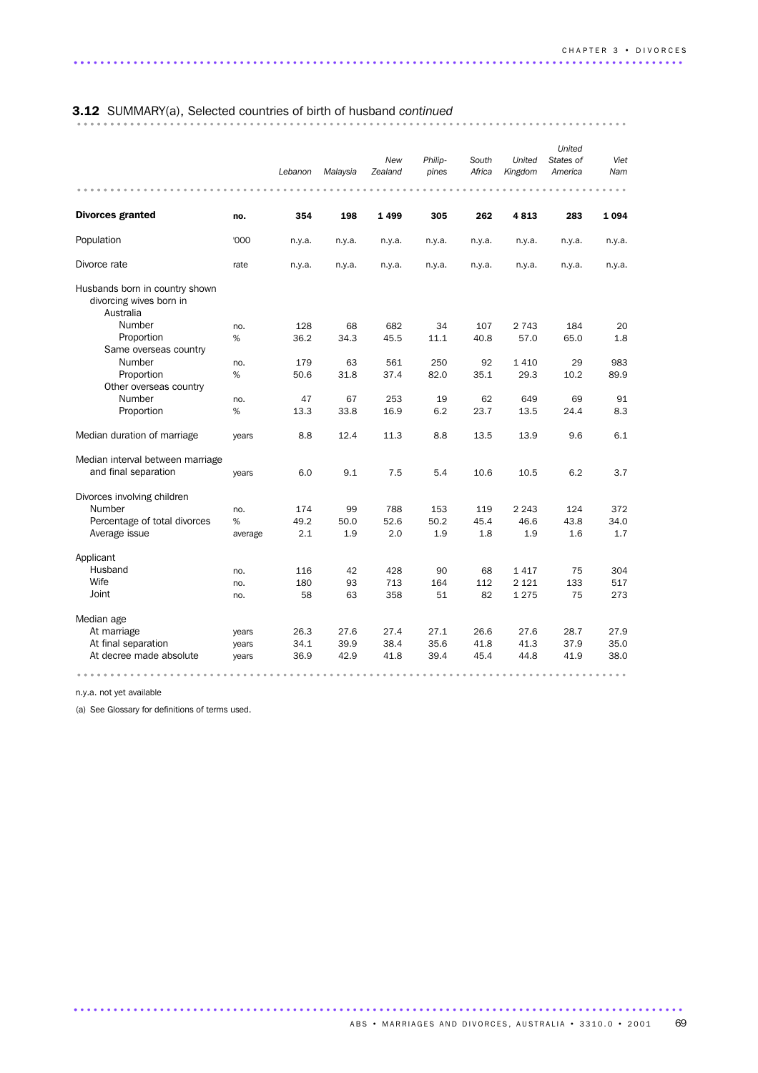# 3.12 SUMMARY(a), Selected countries of birth of husband *continued* ................................................................................... ..........

|                                                                        |         | Lebanon | Malaysia | New<br>Zealand | Philip-<br>pines | South<br>Africa | United<br>Kingdom | United<br>States of<br>America | Viet<br>Nam |
|------------------------------------------------------------------------|---------|---------|----------|----------------|------------------|-----------------|-------------------|--------------------------------|-------------|
|                                                                        |         |         |          |                |                  |                 |                   |                                |             |
| <b>Divorces granted</b>                                                | no.     | 354     | 198      | 1499           | 305              | 262             | 4813              | 283                            | 1094        |
| Population                                                             | '000    | n.y.a.  | n.y.a.   | n.y.a.         | n.y.a.           | n.y.a.          | n.y.a.            | n.y.a.                         | n.y.a.      |
| Divorce rate                                                           | rate    | n.y.a.  | n.y.a.   | n.y.a.         | n.y.a.           | n.y.a.          | n.y.a.            | n.y.a.                         | n.y.a.      |
| Husbands born in country shown<br>divorcing wives born in<br>Australia |         |         |          |                |                  |                 |                   |                                |             |
| Number                                                                 | no.     | 128     | 68       | 682            | 34               | 107             | 2 7 4 3           | 184                            | 20          |
| Proportion                                                             | %       | 36.2    | 34.3     | 45.5           | 11.1             | 40.8            | 57.0              | 65.0                           | 1.8         |
| Same overseas country                                                  |         |         |          |                |                  |                 |                   |                                |             |
| Number                                                                 | no.     | 179     | 63       | 561            | 250              | 92              | 1 4 1 0           | 29                             | 983         |
| Proportion                                                             | $\%$    | 50.6    | 31.8     | 37.4           | 82.0             | 35.1            | 29.3              | 10.2                           | 89.9        |
| Other overseas country                                                 |         |         |          |                |                  |                 |                   |                                |             |
| Number                                                                 | no.     | 47      | 67       | 253            | 19               | 62              | 649               | 69                             | 91          |
| Proportion                                                             | %       | 13.3    | 33.8     | 16.9           | 6.2              | 23.7            | 13.5              | 24.4                           | 8.3         |
| Median duration of marriage                                            | years   | 8.8     | 12.4     | 11.3           | 8.8              | 13.5            | 13.9              | 9.6                            | 6.1         |
| Median interval between marriage                                       |         |         |          |                |                  |                 |                   |                                |             |
| and final separation                                                   | years   | 6.0     | 9.1      | 7.5            | 5.4              | 10.6            | 10.5              | 6.2                            | 3.7         |
| Divorces involving children                                            |         |         |          |                |                  |                 |                   |                                |             |
| Number                                                                 | no.     | 174     | 99       | 788            | 153              | 119             | 2 2 4 3           | 124                            | 372         |
| Percentage of total divorces                                           | %       | 49.2    | 50.0     | 52.6           | 50.2             | 45.4            | 46.6              | 43.8                           | 34.0        |
| Average issue                                                          | average | 2.1     | 1.9      | 2.0            | 1.9              | 1.8             | 1.9               | 1.6                            | 1.7         |
| Applicant                                                              |         |         |          |                |                  |                 |                   |                                |             |
| Husband                                                                | no.     | 116     | 42       | 428            | 90               | 68              | 1417              | 75                             | 304         |
| Wife                                                                   | no.     | 180     | 93       | 713            | 164              | 112             | 2 1 2 1           | 133                            | 517         |
| Joint                                                                  | no.     | 58      | 63       | 358            | 51               | 82              | 1 2 7 5           | 75                             | 273         |
| Median age                                                             |         |         |          |                |                  |                 |                   |                                |             |
| At marriage                                                            | years   | 26.3    | 27.6     | 27.4           | 27.1             | 26.6            | 27.6              | 28.7                           | 27.9        |
| At final separation                                                    | years   | 34.1    | 39.9     | 38.4           | 35.6             | 41.8            | 41.3              | 37.9                           | 35.0        |
| At decree made absolute                                                | years   | 36.9    | 42.9     | 41.8           | 39.4             | 45.4            | 44.8              | 41.9                           | 38.0        |
|                                                                        |         |         |          |                |                  |                 |                   |                                |             |

............................................................................................ .

n.y.a. not yet available

(a) See Glossary for definitions of terms used.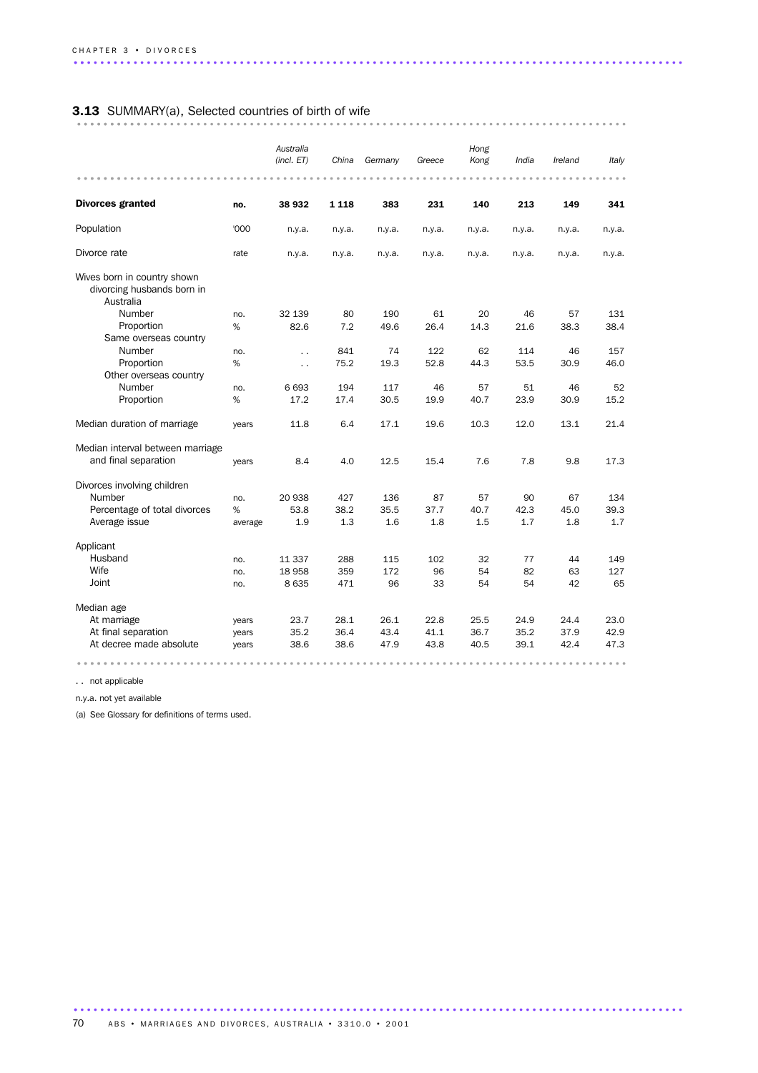# 3.13 SUMMARY(a), Selected countries of birth of wife ................................................................................... ..........

|                                                                        |                | Australia<br>(incl. ET) | China   | Germany | Greece | Hong<br>Kong | India  | Ireland | Italy  |
|------------------------------------------------------------------------|----------------|-------------------------|---------|---------|--------|--------------|--------|---------|--------|
| <b>Divorces granted</b>                                                | no.            | 38 932                  | 1 1 1 8 | 383     | 231    | 140          | 213    | 149     | 341    |
| Population                                                             | '000           | n.y.a.                  | n.y.a.  | n.y.a.  | n.y.a. | n.y.a.       | n.y.a. | n.y.a.  | n.y.a. |
| Divorce rate                                                           | rate           | n.y.a.                  | n.y.a.  | n.y.a.  | n.y.a. | n.y.a.       | n.y.a. | n.y.a.  | n.y.a. |
| Wives born in country shown<br>divorcing husbands born in<br>Australia |                |                         |         |         |        |              |        |         |        |
| Number                                                                 | no.            | 32 139                  | 80      | 190     | 61     | 20           | 46     | 57      | 131    |
| Proportion                                                             | %              | 82.6                    | 7.2     | 49.6    | 26.4   | 14.3         | 21.6   | 38.3    | 38.4   |
| Same overseas country                                                  |                |                         |         |         |        |              |        |         |        |
| Number                                                                 | no.            | $\ddot{\phantom{0}}$    | 841     | 74      | 122    | 62           | 114    | 46      | 157    |
| Proportion                                                             | %              | $\ddot{\phantom{a}}$    | 75.2    | 19.3    | 52.8   | 44.3         | 53.5   | 30.9    | 46.0   |
| Other overseas country                                                 |                |                         |         |         |        |              |        |         |        |
| Number                                                                 | no.            | 6 6 9 3                 | 194     | 117     | 46     | 57           | 51     | 46      | 52     |
| Proportion                                                             | %              | 17.2                    | 17.4    | 30.5    | 19.9   | 40.7         | 23.9   | 30.9    | 15.2   |
| Median duration of marriage                                            | years          | 11.8                    | 6.4     | 17.1    | 19.6   | 10.3         | 12.0   | 13.1    | 21.4   |
| Median interval between marriage                                       |                |                         |         |         |        |              |        |         |        |
| and final separation                                                   | years          | 8.4                     | 4.0     | 12.5    | 15.4   | 7.6          | 7.8    | 9.8     | 17.3   |
| Divorces involving children                                            |                |                         |         |         |        |              |        |         |        |
| Number                                                                 | no.            | 20 938                  | 427     | 136     | 87     | 57           | 90     | 67      | 134    |
| Percentage of total divorces                                           | %              | 53.8                    | 38.2    | 35.5    | 37.7   | 40.7         | 42.3   | 45.0    | 39.3   |
| Average issue                                                          | average        | 1.9                     | 1.3     | 1.6     | 1.8    | 1.5          | 1.7    | 1.8     | 1.7    |
| Applicant                                                              |                |                         |         |         |        |              |        |         |        |
| Husband                                                                | no.            | 11 337                  | 288     | 115     | 102    | 32           | 77     | 44      | 149    |
| Wife                                                                   | no.            | 18 958                  | 359     | 172     | 96     | 54           | 82     | 63      | 127    |
| Joint                                                                  | no.            | 8 6 3 5                 | 471     | 96      | 33     | 54           | 54     | 42      | 65     |
| Median age                                                             |                |                         |         |         |        |              |        |         |        |
| At marriage                                                            |                | 23.7                    | 28.1    | 26.1    | 22.8   | 25.5         | 24.9   | 24.4    | 23.0   |
| At final separation                                                    | years          | 35.2                    | 36.4    | 43.4    | 41.1   | 36.7         | 35.2   | 37.9    | 42.9   |
| At decree made absolute                                                | years<br>years | 38.6                    | 38.6    | 47.9    | 43.8   | 40.5         | 39.1   | 42.4    | 47.3   |
|                                                                        |                |                         |         |         |        |              |        |         |        |
|                                                                        |                |                         |         |         |        |              |        |         |        |

. . not applicable

n.y.a. not yet available

(a) See Glossary for definitions of terms used.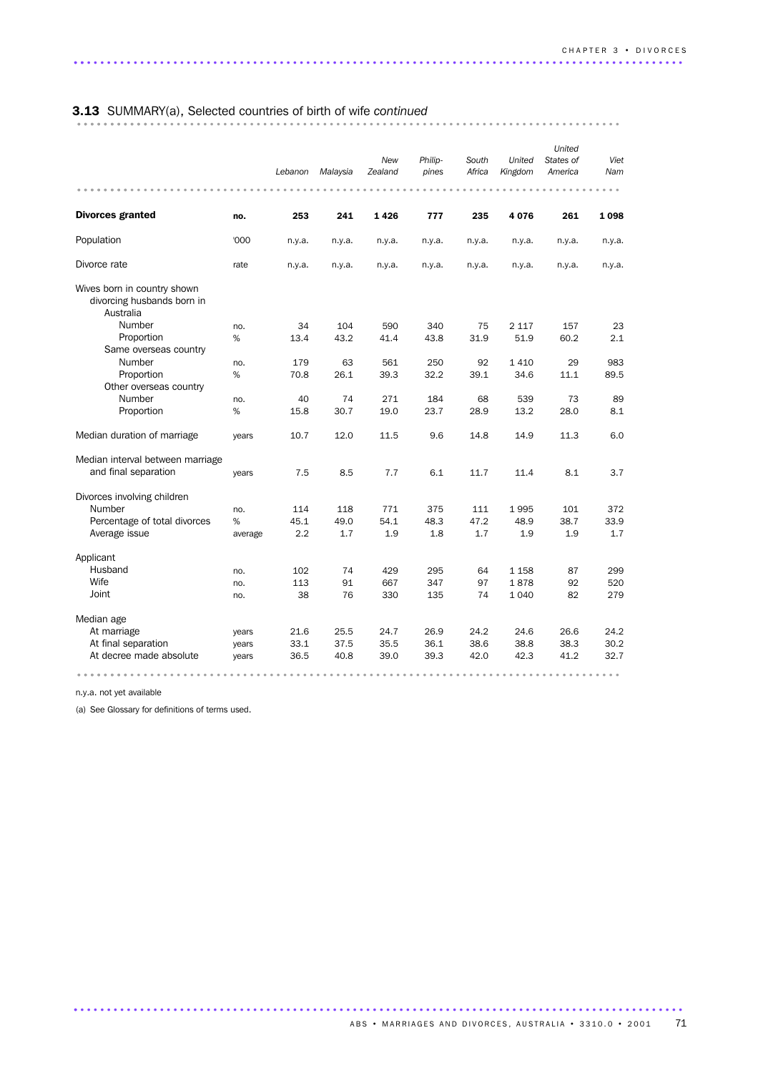# 3.13 SUMMARY(a), Selected countries of birth of wife *continued* .................................................................................. ...........

|                                                                        |         | Lebanon | Malaysia | New<br>Zealand | Philip-<br>pines | South<br>Africa | United<br>Kingdom | United<br>States of<br>America | Viet<br>Nam |
|------------------------------------------------------------------------|---------|---------|----------|----------------|------------------|-----------------|-------------------|--------------------------------|-------------|
|                                                                        |         |         |          |                |                  |                 |                   |                                |             |
| <b>Divorces granted</b>                                                | no.     | 253     | 241      | 1426           | 777              | 235             | 4076              | 261                            | 1098        |
| Population                                                             | '000    | n.y.a.  | n.y.a.   | n.y.a.         | n.y.a.           | n.y.a.          | n.y.a.            | n.y.a.                         | n.y.a.      |
| Divorce rate                                                           | rate    | n.y.a.  | n.y.a.   | n.y.a.         | n.y.a.           | n.y.a.          | n.y.a.            | n.y.a.                         | n.y.a.      |
| Wives born in country shown<br>divorcing husbands born in<br>Australia |         |         |          |                |                  |                 |                   |                                |             |
| Number                                                                 | no.     | 34      | 104      | 590            | 340              | 75              | 2 1 1 7           | 157                            | 23          |
| Proportion                                                             | %       | 13.4    | 43.2     | 41.4           | 43.8             | 31.9            | 51.9              | 60.2                           | 2.1         |
| Same overseas country                                                  |         |         |          |                |                  |                 |                   |                                |             |
| Number                                                                 | no.     | 179     | 63       | 561            | 250              | 92              | 1410              | 29                             | 983         |
| Proportion                                                             | %       | 70.8    | 26.1     | 39.3           | 32.2             | 39.1            | 34.6              | 11.1                           | 89.5        |
| Other overseas country                                                 |         |         |          |                |                  |                 |                   |                                |             |
| Number                                                                 | no.     | 40      | 74       | 271            | 184              | 68              | 539               | 73                             | 89          |
| Proportion                                                             | %       | 15.8    | 30.7     | 19.0           | 23.7             | 28.9            | 13.2              | 28.0                           | 8.1         |
| Median duration of marriage                                            | years   | 10.7    | 12.0     | 11.5           | 9.6              | 14.8            | 14.9              | 11.3                           | 6.0         |
| Median interval between marriage                                       |         |         |          |                |                  |                 |                   |                                |             |
| and final separation                                                   | years   | 7.5     | 8.5      | 7.7            | 6.1              | 11.7            | 11.4              | 8.1                            | 3.7         |
| Divorces involving children                                            |         |         |          |                |                  |                 |                   |                                |             |
| Number                                                                 | no.     | 114     | 118      | 771            | 375              | 111             | 1995              | 101                            | 372         |
| Percentage of total divorces                                           | %       | 45.1    | 49.0     | 54.1           | 48.3             | 47.2            | 48.9              | 38.7                           | 33.9        |
| Average issue                                                          | average | 2.2     | 1.7      | 1.9            | 1.8              | 1.7             | 1.9               | 1.9                            | 1.7         |
| Applicant                                                              |         |         |          |                |                  |                 |                   |                                |             |
| Husband                                                                | no.     | 102     | 74       | 429            | 295              | 64              | 1 1 5 8           | 87                             | 299         |
| Wife                                                                   | no.     | 113     | 91       | 667            | 347              | 97              | 1878              | 92                             | 520         |
| Joint                                                                  | no.     | 38      | 76       | 330            | 135              | 74              | 1 0 4 0           | 82                             | 279         |
| Median age                                                             |         |         |          |                |                  |                 |                   |                                |             |
| At marriage                                                            | years   | 21.6    | 25.5     | 24.7           | 26.9             | 24.2            | 24.6              | 26.6                           | 24.2        |
| At final separation                                                    | years   | 33.1    | 37.5     | 35.5           | 36.1             | 38.6            | 38.8              | 38.3                           | 30.2        |
| At decree made absolute                                                | years   | 36.5    | 40.8     | 39.0           | 39.3             | 42.0            | 42.3              | 41.2                           | 32.7        |
|                                                                        |         |         |          |                |                  |                 |                   |                                |             |

............................................................................................ .

n.y.a. not yet available

(a) See Glossary for definitions of terms used.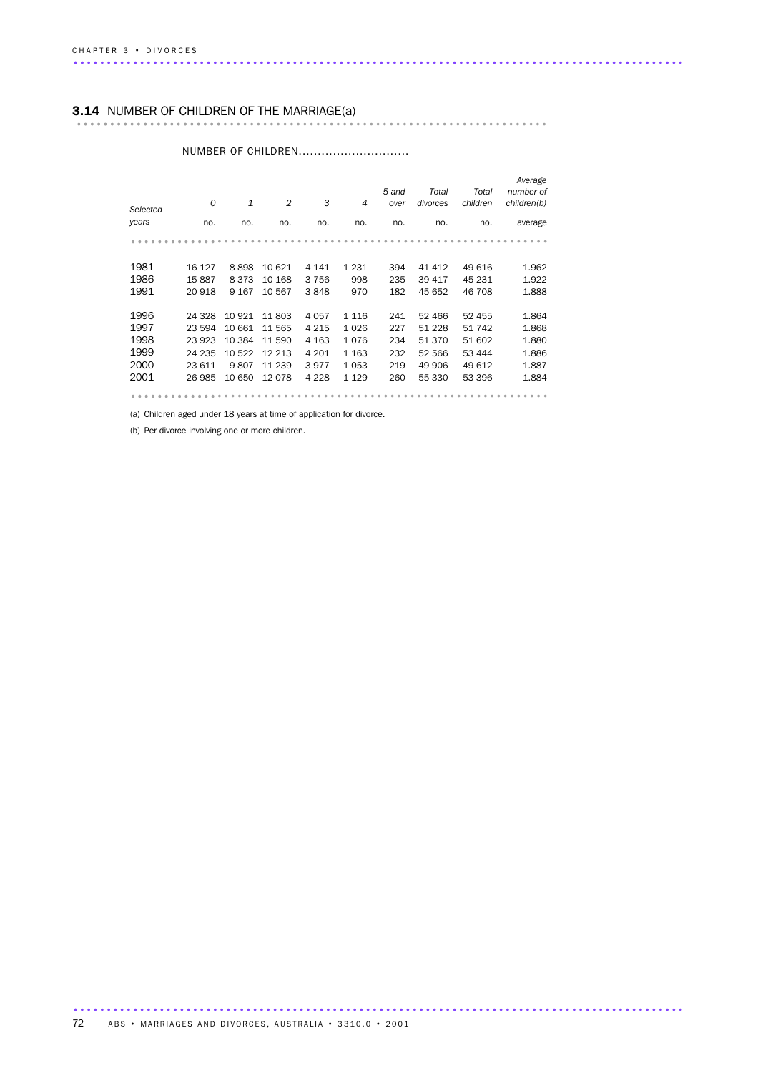### 3.14 NUMBER OF CHILDREN OF THE MARRIAGE(a) ....................................................................... ......................

| $\Omega$ | $\mathbf{1}$ | $\overline{2}$ | 3       | 4       | 5 and<br>over | Total<br>divorces | Total<br>children | Average<br>number of<br>children(b) |
|----------|--------------|----------------|---------|---------|---------------|-------------------|-------------------|-------------------------------------|
| no.      | no.          | no.            | no.     | no.     | no.           | no.               | no.               | average                             |
|          |              |                |         |         |               |                   |                   |                                     |
|          |              |                |         |         |               |                   |                   |                                     |
| 16 127   | 8898         | 10 621         | 4 1 4 1 | 1 2 3 1 | 394           | 41 412            | 49 616            | 1.962                               |
| 15887    | 8373         | 10 168         | 3756    | 998     | 235           | 39 417            | 45 231            | 1.922                               |
| 20918    | 9 1 6 7      | 10 567         | 3848    | 970     | 182           | 45 652            | 46 708            | 1.888                               |
|          |              |                |         |         |               |                   |                   |                                     |
| 24 328   | 10 921       | 11803          | 4057    | 1 1 1 6 | 241           | 52 466            | 52 455            | 1.864                               |
| 23 594   | 10 661       | 11 565         | 4 2 1 5 | 1026    | 227           | 51 2 28           | 51 742            | 1.868                               |
| 23 923   | 10 3 84      | 11 590         | 4 1 6 3 | 1076    | 234           | 51 370            | 51 602            | 1.880                               |
| 24 235   | 10 522       | 12 213         | 4 2 0 1 | 1 1 6 3 | 232           | 52 566            | 53 444            | 1.886                               |
| 23 611   | 9807         | 11 239         | 3977    | 1053    | 219           | 49 906            | 49 612            | 1.887                               |
| 26 985   | 10 650       | 12078          | 4 2 2 8 | 1 1 2 9 | 260           | 55 330            | 53 396            | 1.884                               |
|          |              |                |         |         |               |                   |                   |                                     |
|          |              |                |         |         |               |                   |                   |                                     |

#### NUMBER OF CHILDREN..............................

(a) Children aged under 18 years at time of application for divorce.

(b) Per divorce involving one or more children.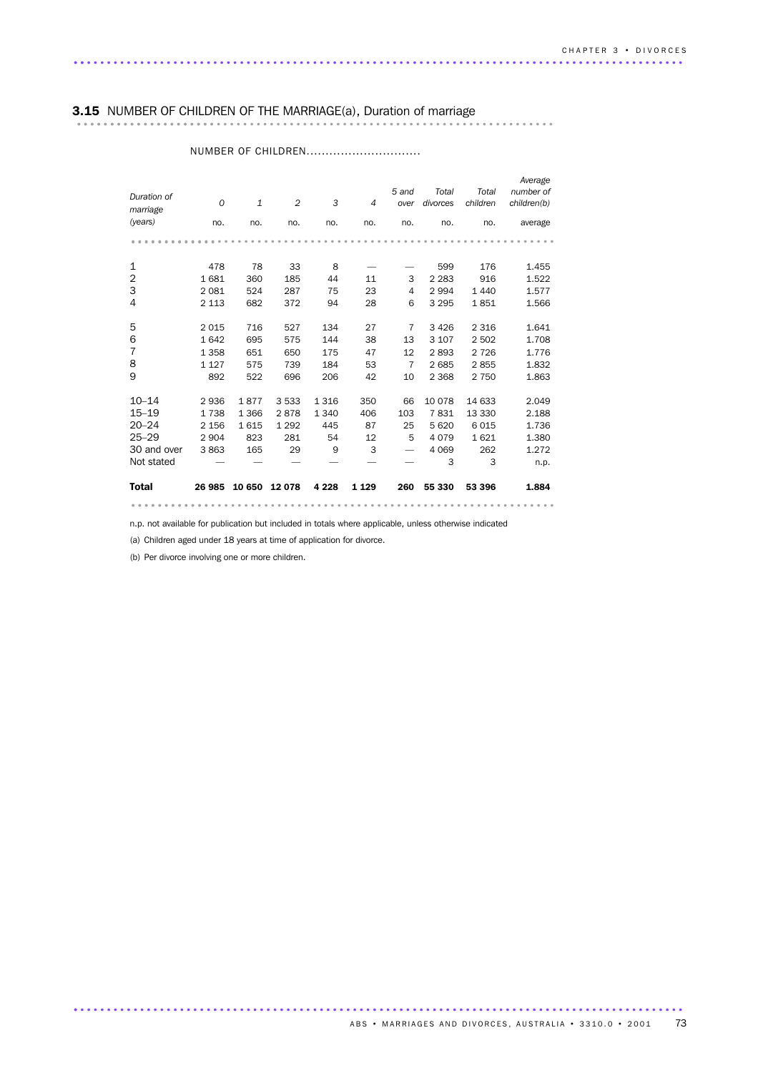## 3.15 NUMBER OF CHILDREN OF THE MARRIAGE(a), Duration of marriage ........................................................................ .....................

| Duration of<br>marriage<br>(years) | $\Omega$<br>no. | $\mathbf{1}$<br>no. | $\overline{2}$<br>no. | 3<br>no. | $\overline{4}$<br>no. | 5 and<br>over<br>no.     | Total<br>divorces<br>no. | Total<br>children<br>no. | Average<br>number of<br>children(b)<br>average |
|------------------------------------|-----------------|---------------------|-----------------------|----------|-----------------------|--------------------------|--------------------------|--------------------------|------------------------------------------------|
|                                    |                 |                     |                       |          |                       |                          |                          |                          |                                                |
|                                    |                 |                     |                       |          |                       |                          |                          |                          |                                                |
| 1                                  | 478             | 78                  | 33                    | 8        |                       |                          | 599                      | 176                      | 1.455                                          |
| $\overline{2}$                     | 1681            | 360                 | 185                   | 44       | 11                    | 3                        | 2 2 8 3                  | 916                      | 1.522                                          |
| 3                                  | 2 0 8 1         | 524                 | 287                   | 75       | 23                    | $\overline{4}$           | 2994                     | 1440                     | 1.577                                          |
| 4                                  | 2 1 1 3         | 682                 | 372                   | 94       | 28                    | 6                        | 3 2 9 5                  | 1851                     | 1.566                                          |
|                                    |                 |                     |                       |          |                       |                          |                          |                          |                                                |
| 5                                  | 2015            | 716                 | 527                   | 134      | 27                    | 7                        | 3426                     | 2 3 1 6                  | 1.641                                          |
| 6                                  | 1642            | 695                 | 575                   | 144      | 38                    | 13                       | 3 1 0 7                  | 2 5 0 2                  | 1.708                                          |
| $\overline{7}$                     | 1 3 5 8         | 651                 | 650                   | 175      | 47                    | 12                       | 2893                     | 2 7 2 6                  | 1.776                                          |
| 8                                  | 1 1 2 7         | 575                 | 739                   | 184      | 53                    | 7                        | 2685                     | 2855                     | 1.832                                          |
| 9                                  | 892             | 522                 | 696                   | 206      | 42                    | 10                       | 2 3 6 8                  | 2 7 5 0                  | 1.863                                          |
|                                    |                 |                     |                       |          |                       |                          |                          |                          |                                                |
| $10 - 14$                          | 2936            | 1877                | 3533                  | 1316     | 350                   | 66                       | 10 0 78                  | 14 633                   | 2.049                                          |
| $15 - 19$                          | 1738            | 1 3 6 6             | 2878                  | 1 3 4 0  | 406                   | 103                      | 7831                     | 13 330                   | 2.188                                          |
| $20 - 24$                          | 2 1 5 6         | 1615                | 1 2 9 2               | 445      | 87                    | 25                       | 5 6 20                   | 6015                     | 1.736                                          |
| $25 - 29$                          | 2 9 0 4         | 823                 | 281                   | 54       | 12                    | 5                        | 4079                     | 1621                     | 1.380                                          |
| 30 and over                        | 3863            | 165                 | 29                    | 9        | 3                     | $\overline{\phantom{0}}$ | 4 0 6 9                  | 262                      | 1.272                                          |
| Not stated                         |                 |                     |                       |          |                       |                          | 3                        | 3                        | n.p.                                           |
| <b>Total</b>                       | 26 985          | 10 650              | 12078                 | 4 2 2 8  | 1 1 2 9               | 260                      | 55 330                   | 53 396                   | 1.884                                          |

#### NUMBER OF CHILDREN...............................

n.p. not available for publication but included in totals where applicable, unless otherwise indicated

................................................................ ............

............................................................................................ .

(a) Children aged under 18 years at time of application for divorce.

(b) Per divorce involving one or more children.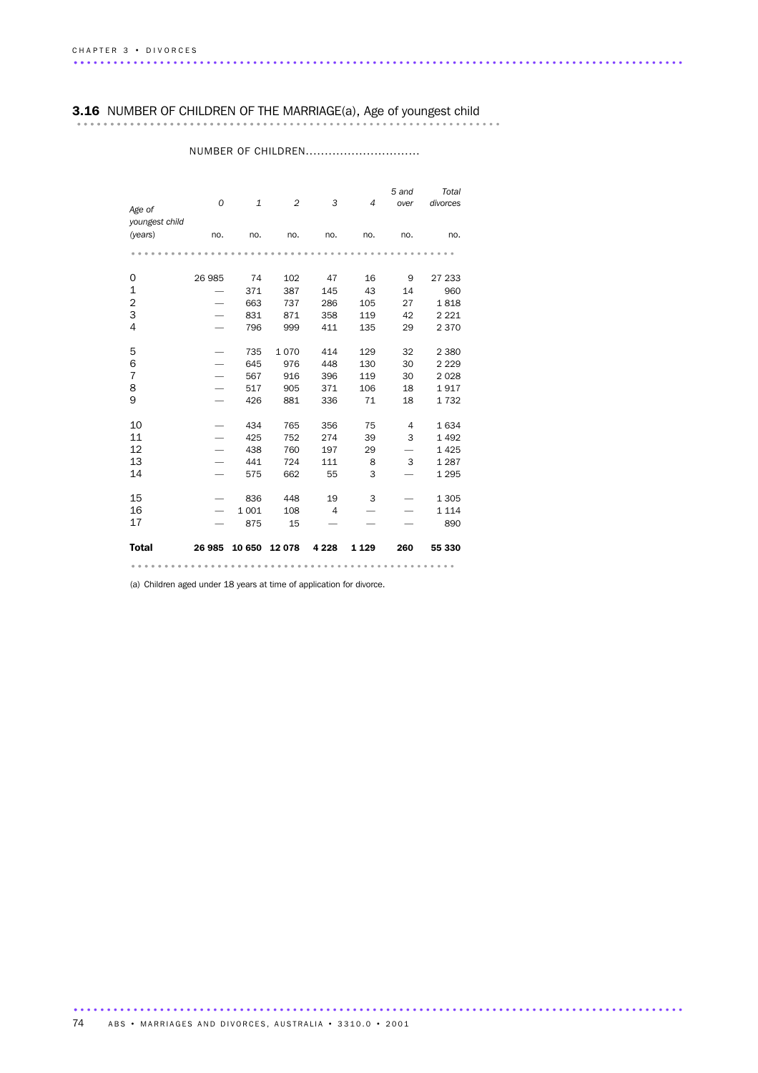### 3.16 NUMBER OF CHILDREN OF THE MARRIAGE(a), Age of youngest child

| Age of                    | $\overline{O}$ | $\mathbf{1}$ | $\overline{2}$ | 3              | $\overline{4}$ | 5 and<br>over | Total<br>divorces |
|---------------------------|----------------|--------------|----------------|----------------|----------------|---------------|-------------------|
| youngest child<br>(years) | no.            | no.          | no.            | no.            | no.            | no.           | no.               |
|                           |                |              |                |                |                |               |                   |
| 0                         | 26 985         | 74           | 102            | 47             | 16             | 9             | 27 233            |
| 1                         |                | 371          | 387            | 145            | 43             | 14            | 960               |
| 2                         |                | 663          | 737            | 286            | 105            | 27            | 1818              |
| 3                         |                | 831          | 871            | 358            | 119            | 42            | 2 2 2 1           |
| 4                         |                | 796          | 999            | 411            | 135            | 29            | 2 3 7 0           |
| 5                         |                | 735          | 1070           | 414            | 129            | 32            | 2 3 8 0           |
| 6                         |                | 645          | 976            | 448            | 130            | 30            | 2 2 2 9           |
| $\overline{7}$            |                | 567          | 916            | 396            | 119            | 30            | 2 0 2 8           |
| 8                         |                | 517          | 905            | 371            | 106            | 18            | 1917              |
| 9                         |                | 426          | 881            | 336            | 71             | 18            | 1732              |
| 10                        |                | 434          | 765            | 356            | 75             | 4             | 1634              |
| 11                        |                | 425          | 752            | 274            | 39             | 3             | 1 4 9 2           |
| 12                        |                | 438          | 760            | 197            | 29             |               | 1 4 2 5           |
| 13                        |                | 441          | 724            | 111            | 8              | 3             | 1 2 8 7           |
| 14                        |                | 575          | 662            | 55             | 3              |               | 1 2 9 5           |
| 15                        |                | 836          | 448            | 19             | 3              |               | 1 3 0 5           |
| 16                        |                | 1 0 0 1      | 108            | $\overline{4}$ |                |               | 1 1 1 4           |
| 17                        |                | 875          | 15             |                |                |               | 890               |
| <b>Total</b>              | 26 985         | 10 650       | 12 078         | 4 2 2 8        | 1 1 2 9        | 260           | 55 330            |
|                           |                |              |                |                |                |               |                   |

### NUMBER OF CHILDREN...............................

(a) Children aged under 18 years at time of application for divorce.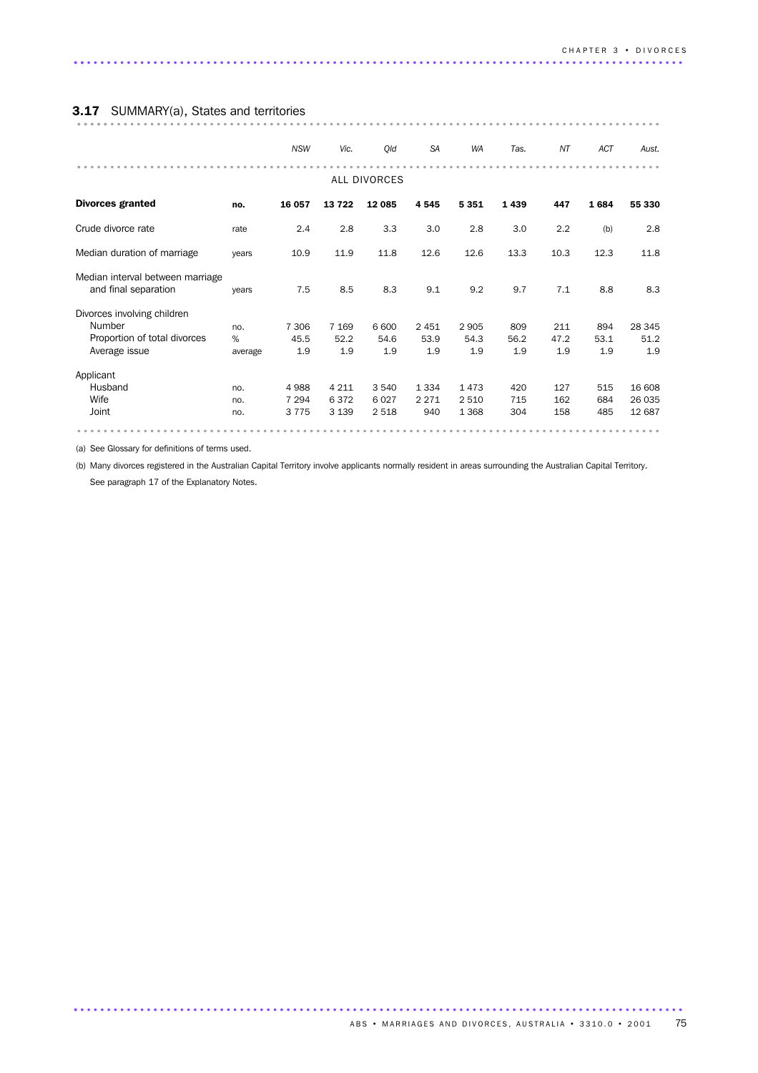### 3.17 SUMMARY(a), States and territories

|                                                          |         | <b>NSW</b> | Vic.    | Qld          | <b>SA</b> | <b>WA</b> | Tas. | NT   | ACT  | Aust.  |
|----------------------------------------------------------|---------|------------|---------|--------------|-----------|-----------|------|------|------|--------|
|                                                          |         |            |         | ALL DIVORCES |           |           |      |      |      |        |
| <b>Divorces granted</b>                                  | no.     | 16 057     | 13722   | 12 085       | 4545      | 5 3 5 1   | 1439 | 447  | 1684 | 55 330 |
| Crude divorce rate                                       | rate    | 2.4        | 2.8     | 3.3          | 3.0       | 2.8       | 3.0  | 2.2  | (b)  | 2.8    |
| Median duration of marriage                              | years   | 10.9       | 11.9    | 11.8         | 12.6      | 12.6      | 13.3 | 10.3 | 12.3 | 11.8   |
| Median interval between marriage<br>and final separation | years   | 7.5        | 8.5     | 8.3          | 9.1       | 9.2       | 9.7  | 7.1  | 8.8  | 8.3    |
| Divorces involving children                              |         |            |         |              |           |           |      |      |      |        |
| Number                                                   | no.     | 7 306      | 7 1 6 9 | 6 600        | 2 4 5 1   | 2 9 0 5   | 809  | 211  | 894  | 28 345 |
| Proportion of total divorces                             | %       | 45.5       | 52.2    | 54.6         | 53.9      | 54.3      | 56.2 | 47.2 | 53.1 | 51.2   |
| Average issue                                            | average | 1.9        | 1.9     | 1.9          | 1.9       | 1.9       | 1.9  | 1.9  | 1.9  | 1.9    |
| Applicant                                                |         |            |         |              |           |           |      |      |      |        |
| Husband                                                  | no.     | 4988       | 4 2 1 1 | 3 5 4 0      | 1 3 3 4   | 1473      | 420  | 127  | 515  | 16 608 |
| Wife                                                     | no.     | 7 2 9 4    | 6372    | 6027         | 2 2 7 1   | 2 5 1 0   | 715  | 162  | 684  | 26 035 |
| Joint                                                    | no.     | 3775       | 3 1 3 9 | 2518         | 940       | 1 3 6 8   | 304  | 158  | 485  | 12 687 |
|                                                          |         |            |         |              |           |           |      |      |      |        |

(a) See Glossary for definitions of terms used.

(b) Many divorces registered in the Australian Capital Territory involve applicants normally resident in areas surrounding the Australian Capital Territory. See paragraph 17 of the Explanatory Notes.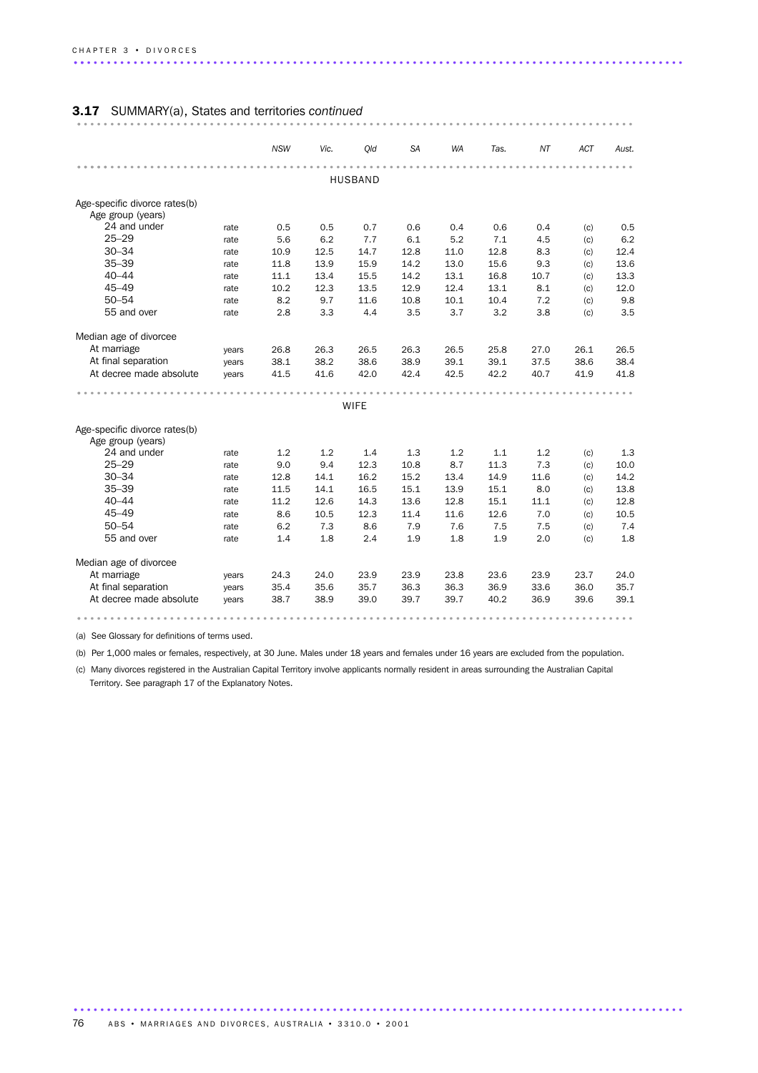### 3.17 SUMMARY(a), States and territories *continued* .................................................................................... .

|                                   |       | <b>NSW</b> | Vic. | Old         | SA   | <b>WA</b> | Tas. | ΝT         | <b>ACT</b> | Aust.       |  |
|-----------------------------------|-------|------------|------|-------------|------|-----------|------|------------|------------|-------------|--|
|                                   |       |            |      |             |      |           |      |            |            |             |  |
| <b>HUSBAND</b>                    |       |            |      |             |      |           |      |            |            |             |  |
| Age-specific divorce rates(b)     |       |            |      |             |      |           |      |            |            |             |  |
| Age group (years)                 |       |            |      |             |      |           |      |            |            |             |  |
| 24 and under                      | rate  | 0.5        | 0.5  | 0.7         | 0.6  | 0.4       | 0.6  | 0.4        | (c)        | 0.5         |  |
| $25 - 29$                         | rate  | 5.6        | 6.2  | 7.7         | 6.1  | 5.2       | 7.1  | 4.5        | (c)        | 6.2         |  |
| $30 - 34$                         | rate  | 10.9       | 12.5 | 14.7        | 12.8 | 11.0      | 12.8 | 8.3        | (c)        | 12.4        |  |
| $35 - 39$                         | rate  | 11.8       | 13.9 | 15.9        | 14.2 | 13.0      | 15.6 | 9.3        | (c)        | 13.6        |  |
| $40 - 44$                         | rate  | 11.1       | 13.4 | 15.5        | 14.2 | 13.1      | 16.8 | 10.7       | (c)        | 13.3        |  |
| $45 - 49$                         | rate  | 10.2       | 12.3 | 13.5        | 12.9 | 12.4      | 13.1 | 8.1        | (c)        | 12.0        |  |
| $50 - 54$                         | rate  | 8.2        | 9.7  | 11.6        | 10.8 | 10.1      | 10.4 | 7.2        | (c)        | 9.8         |  |
| 55 and over                       | rate  | 2.8        | 3.3  | 4.4         | 3.5  | 3.7       | 3.2  | 3.8        | (c)        | 3.5         |  |
| Median age of divorcee            |       |            |      |             |      |           |      |            |            |             |  |
| At marriage                       | years | 26.8       | 26.3 | 26.5        | 26.3 | 26.5      | 25.8 | 27.0       | 26.1       | 26.5        |  |
| At final separation               | years | 38.1       | 38.2 | 38.6        | 38.9 | 39.1      | 39.1 | 37.5       | 38.6       | 38.4        |  |
| At decree made absolute           | years | 41.5       | 41.6 | 42.0        | 42.4 | 42.5      | 42.2 | 40.7       | 41.9       | 41.8        |  |
|                                   |       |            |      |             |      |           |      |            |            |             |  |
|                                   |       |            |      | <b>WIFE</b> |      |           |      |            |            |             |  |
| Age-specific divorce rates(b)     |       |            |      |             |      |           |      |            |            |             |  |
| Age group (years)<br>24 and under |       |            |      |             |      |           | 1.1  |            |            |             |  |
| $25 - 29$                         | rate  | 1.2        | 1.2  | 1.4         | 1.3  | 1.2       |      | 1.2<br>7.3 | (c)        | 1.3<br>10.0 |  |
| $30 - 34$                         | rate  | 9.0        | 9.4  | 12.3        | 10.8 | 8.7       | 11.3 |            | (c)        |             |  |
| $35 - 39$                         | rate  | 12.8       | 14.1 | 16.2        | 15.2 | 13.4      | 14.9 | 11.6       | (c)        | 14.2        |  |
|                                   | rate  | 11.5       | 14.1 | 16.5        | 15.1 | 13.9      | 15.1 | 8.0        | (c)        | 13.8        |  |
| $40 - 44$                         | rate  | 11.2       | 12.6 | 14.3        | 13.6 | 12.8      | 15.1 | 11.1       | (c)        | 12.8        |  |
| $45 - 49$                         | rate  | 8.6        | 10.5 | 12.3        | 11.4 | 11.6      | 12.6 | 7.0        | (c)        | 10.5        |  |
| $50 - 54$                         | rate  | 6.2        | 7.3  | 8.6         | 7.9  | 7.6       | 7.5  | 7.5        | (c)        | 7.4         |  |
| 55 and over                       | rate  | 1.4        | 1.8  | 2.4         | 1.9  | 1.8       | 1.9  | 2.0        | (c)        | 1.8         |  |
| Median age of divorcee            |       |            |      |             |      |           |      |            |            |             |  |
| At marriage                       | years | 24.3       | 24.0 | 23.9        | 23.9 | 23.8      | 23.6 | 23.9       | 23.7       | 24.0        |  |
| At final separation               | years | 35.4       | 35.6 | 35.7        | 36.3 | 36.3      | 36.9 | 33.6       | 36.0       | 35.7        |  |
| At decree made absolute           | years | 38.7       | 38.9 | 39.0        | 39.7 | 39.7      | 40.2 | 36.9       | 39.6       | 39.1        |  |
|                                   |       |            |      |             |      |           |      |            |            |             |  |

(a) See Glossary for definitions of terms used.

(b) Per 1,000 males or females, respectively, at 30 June. Males under 18 years and females under 16 years are excluded from the population.

(c) Many divorces registered in the Australian Capital Territory involve applicants normally resident in areas surrounding the Australian Capital Territory. See paragraph 17 of the Explanatory Notes.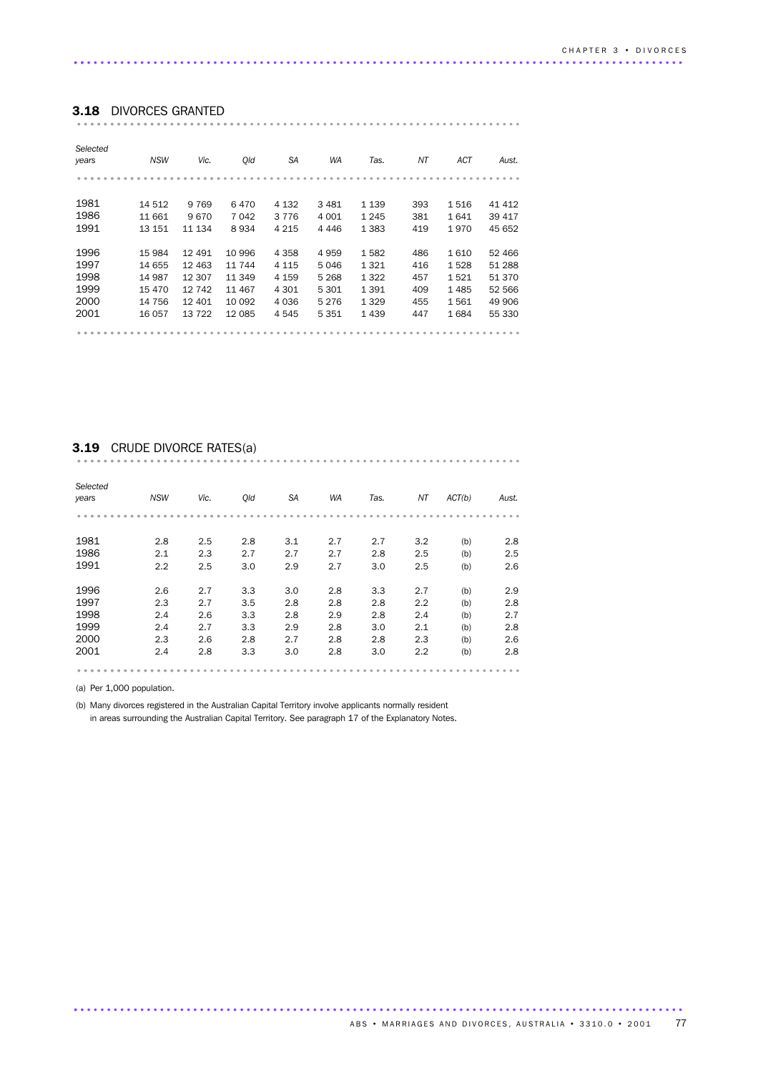### 3.18 DIVORCES GRANTED ................................................................... ..........................

| Selected<br>years | <b>NSW</b> | Vic.     | Old    | SA      | WA      | Tas.    | NΤ  | ACT  | Aust.  |
|-------------------|------------|----------|--------|---------|---------|---------|-----|------|--------|
|                   |            |          |        |         |         |         |     |      |        |
|                   |            |          |        |         |         |         |     |      |        |
| 1981              | 14 512     | 9 7 6 9  | 6470   | 4 1 3 2 | 3481    | 1 1 3 9 | 393 | 1516 | 41 412 |
| 1986              | 11 661     | 9670     | 7 042  | 3 7 7 6 | 4 0 0 1 | 1 2 4 5 | 381 | 1641 | 39 417 |
| 1991              | 13 151     | 11 134   | 8934   | 4 2 1 5 | 4 4 4 6 | 1 3 8 3 | 419 | 1970 | 45 652 |
|                   |            |          |        |         |         |         |     |      |        |
| 1996              | 15 984     | 12 4 9 1 | 10 996 | 4 3 5 8 | 4959    | 1582    | 486 | 1610 | 52 466 |
| 1997              | 14 655     | 12 4 63  | 11 744 | 4 1 1 5 | 5046    | 1 3 2 1 | 416 | 1528 | 51 288 |
| 1998              | 14 987     | 12 307   | 11 349 | 4 159   | 5 2 6 8 | 1 3 2 2 | 457 | 1521 | 51 370 |
| 1999              | 15 470     | 12742    | 11 467 | 4 3 0 1 | 5 301   | 1 3 9 1 | 409 | 1485 | 52 566 |
| 2000              | 14 756     | 12 401   | 10 092 | 4 0 3 6 | 5 2 7 6 | 1 3 2 9 | 455 | 1561 | 49 906 |
| 2001              | 16 057     | 13722    | 12 085 | 4545    | 5 3 5 1 | 1439    | 447 | 1684 | 55 330 |
|                   |            |          |        |         |         |         |     |      |        |

# 3.19 CRUDE DIVORCE RATES(a) ................................................................... ..........................

| Selected<br>years | <b>NSW</b> | Vic. | Old | <b>SA</b> | <b>WA</b> | Tas. | ΝT  | ACT(b) | Aust. |
|-------------------|------------|------|-----|-----------|-----------|------|-----|--------|-------|
|                   |            |      |     |           |           |      |     |        |       |
|                   |            |      |     |           |           |      |     |        |       |
| 1981              | 2.8        | 2.5  | 2.8 | 3.1       | 2.7       | 2.7  | 3.2 | (b)    | 2.8   |
| 1986              | 2.1        | 2.3  | 2.7 | 2.7       | 2.7       | 2.8  | 2.5 | (b)    | 2.5   |
| 1991              | 2.2        | 2.5  | 3.0 | 2.9       | 2.7       | 3.0  | 2.5 | (b)    | 2.6   |
|                   |            |      |     |           |           |      |     |        |       |
| 1996              | 2.6        | 2.7  | 3.3 | 3.0       | 2.8       | 3.3  | 2.7 | (b)    | 2.9   |
| 1997              | 2.3        | 2.7  | 3.5 | 2.8       | 2.8       | 2.8  | 2.2 | (b)    | 2.8   |
| 1998              | 2.4        | 2.6  | 3.3 | 2.8       | 2.9       | 2.8  | 2.4 | (b)    | 2.7   |
| 1999              | 2.4        | 2.7  | 3.3 | 2.9       | 2.8       | 3.0  | 2.1 | (b)    | 2.8   |
| 2000              | 2.3        | 2.6  | 2.8 | 2.7       | 2.8       | 2.8  | 2.3 | (b)    | 2.6   |
| 2001              | 2.4        | 2.8  | 3.3 | 3.0       | 2.8       | 3.0  | 2.2 | (b)    | 2.8   |
|                   |            |      |     |           |           |      |     |        |       |

(a) Per 1,000 population.

(b) Many divorces registered in the Australian Capital Territory involve applicants normally resident

in areas surrounding the Australian Capital Territory. See paragraph 17 of the Explanatory Notes.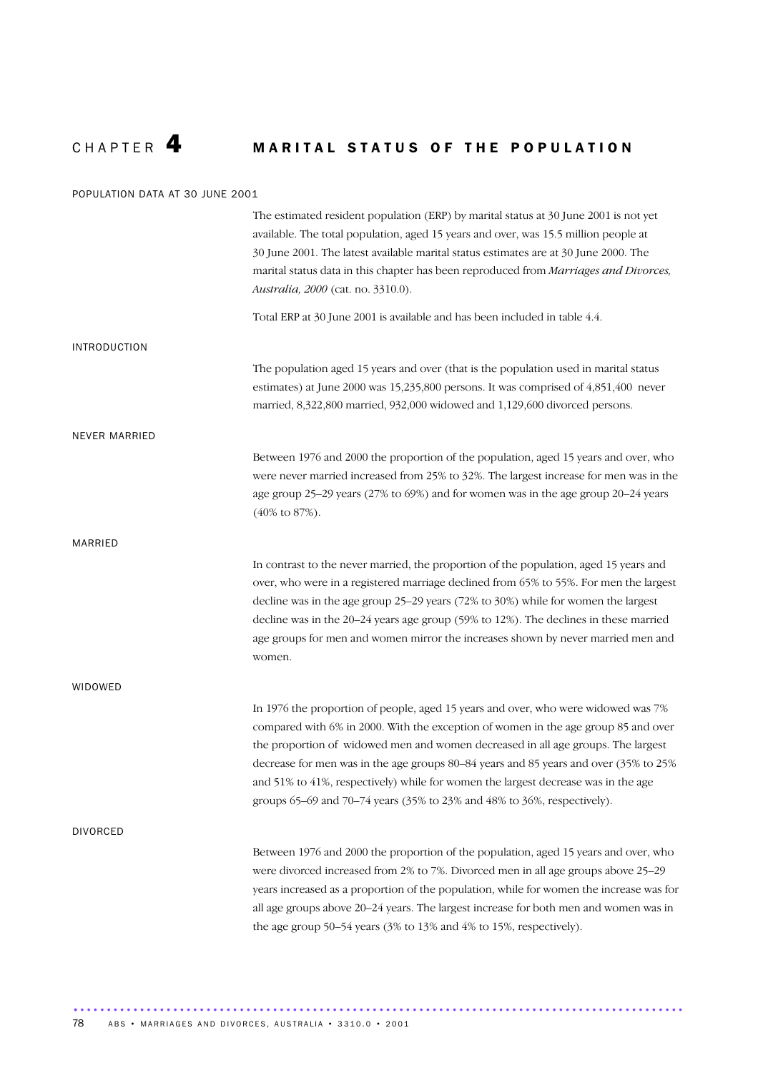# CHAPTER 4 MARITAL STATUS OF THE POPULATION

#### POPULATION DATA AT 30 JUNE 2001

|                      | The estimated resident population (ERP) by marital status at 30 June 2001 is not yet<br>available. The total population, aged 15 years and over, was 15.5 million people at<br>30 June 2001. The latest available marital status estimates are at 30 June 2000. The<br>marital status data in this chapter has been reproduced from Marriages and Divorces,<br>Australia, 2000 (cat. no. 3310.0).                                                                                                                   |
|----------------------|---------------------------------------------------------------------------------------------------------------------------------------------------------------------------------------------------------------------------------------------------------------------------------------------------------------------------------------------------------------------------------------------------------------------------------------------------------------------------------------------------------------------|
|                      | Total ERP at 30 June 2001 is available and has been included in table 4.4.                                                                                                                                                                                                                                                                                                                                                                                                                                          |
| <b>INTRODUCTION</b>  |                                                                                                                                                                                                                                                                                                                                                                                                                                                                                                                     |
|                      | The population aged 15 years and over (that is the population used in marital status<br>estimates) at June 2000 was 15,235,800 persons. It was comprised of 4,851,400 never<br>married, 8,322,800 married, 932,000 widowed and 1,129,600 divorced persons.                                                                                                                                                                                                                                                          |
| <b>NEVER MARRIED</b> |                                                                                                                                                                                                                                                                                                                                                                                                                                                                                                                     |
|                      | Between 1976 and 2000 the proportion of the population, aged 15 years and over, who<br>were never married increased from 25% to 32%. The largest increase for men was in the<br>age group 25-29 years (27% to 69%) and for women was in the age group 20-24 years<br>$(40\% \text{ to } 87\%).$                                                                                                                                                                                                                     |
| MARRIED              |                                                                                                                                                                                                                                                                                                                                                                                                                                                                                                                     |
|                      | In contrast to the never married, the proportion of the population, aged 15 years and<br>over, who were in a registered marriage declined from 65% to 55%. For men the largest<br>decline was in the age group 25-29 years (72% to 30%) while for women the largest<br>decline was in the $20-24$ years age group (59% to $12\%$ ). The declines in these married<br>age groups for men and women mirror the increases shown by never married men and<br>women.                                                     |
| WIDOWED              |                                                                                                                                                                                                                                                                                                                                                                                                                                                                                                                     |
|                      | In 1976 the proportion of people, aged 15 years and over, who were widowed was 7%<br>compared with 6% in 2000. With the exception of women in the age group 85 and over<br>the proportion of widowed men and women decreased in all age groups. The largest<br>decrease for men was in the age groups 80-84 years and 85 years and over (35% to 25%<br>and 51% to 41%, respectively) while for women the largest decrease was in the age<br>groups 65-69 and 70-74 years (35% to 23% and 48% to 36%, respectively). |
| <b>DIVORCED</b>      |                                                                                                                                                                                                                                                                                                                                                                                                                                                                                                                     |
|                      | Between 1976 and 2000 the proportion of the population, aged 15 years and over, who<br>were divorced increased from 2% to 7%. Divorced men in all age groups above 25–29<br>years increased as a proportion of the population, while for women the increase was for<br>all age groups above 20-24 years. The largest increase for both men and women was in<br>the age group 50-54 years (3% to 13% and 4% to 15%, respectively).                                                                                   |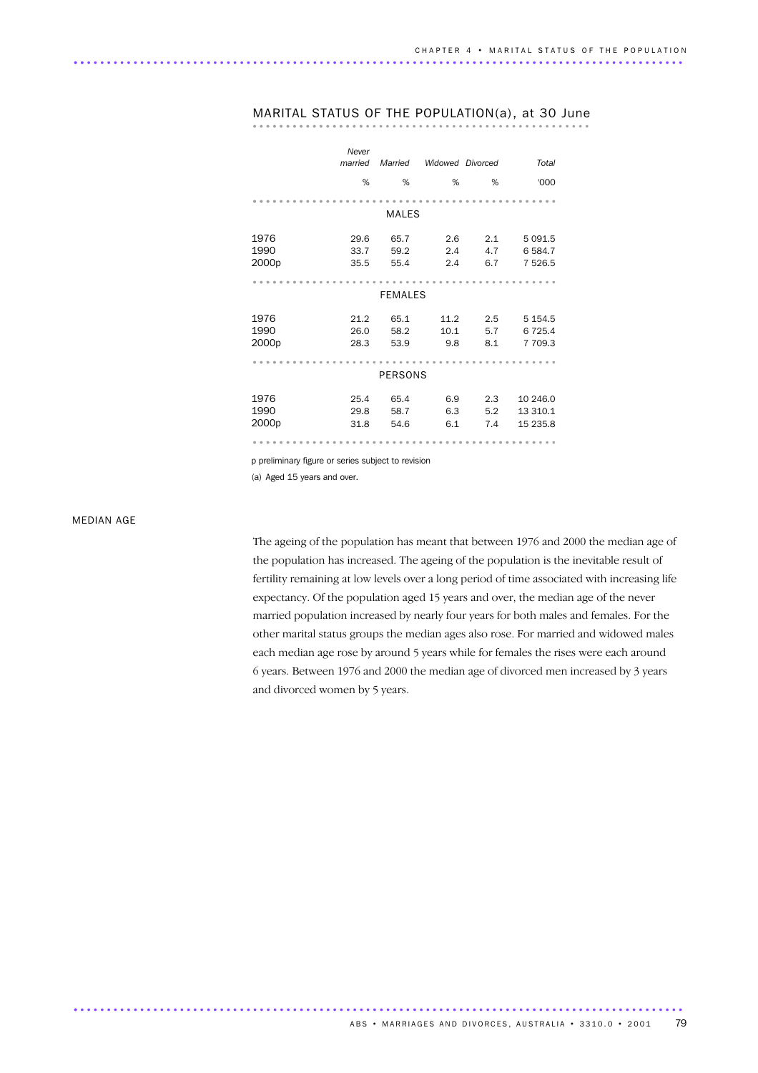|                   | Never   |                |                  |     |             |
|-------------------|---------|----------------|------------------|-----|-------------|
|                   | married | Married        | Widowed Divorced |     | Total       |
|                   | %       | %              | %                | %   | '000        |
|                   |         |                |                  |     |             |
|                   |         | MALES          |                  |     |             |
| 1976              | 29.6    | 65.7           | 2.6              | 2.1 | 5 0 9 1.5   |
| 1990              | 33.7    | 59.2           | 2.4              | 4.7 | 6584.7      |
| 2000p             | 35.5    | 55.4           | 2.4              | 6.7 | 7 5 2 6.5   |
|                   |         |                |                  |     |             |
|                   |         | <b>FEMALES</b> |                  |     |             |
| 1976              | 21.2    | 65.1           | 11.2             | 2.5 | 5 1 5 4 . 5 |
| 1990              | 26.0    | 58.2           | 10.1             | 5.7 | 6 7 2 5.4   |
| 2000p             | 28.3    | 53.9           | 9.8              | 8.1 | 7 709.3     |
|                   |         |                |                  |     |             |
|                   |         | <b>PERSONS</b> |                  |     |             |
| 1976              | 25.4    | 65.4           | 6.9              | 2.3 | 10 246.0    |
| 1990              | 29.8    | 58.7           | 6.3              | 5.2 | 13 310.1    |
| 2000 <sub>p</sub> | 31.8    | 54.6           | 6.1              | 7.4 | 15 235.8    |
|                   |         |                |                  |     |             |

# MARITAL STATUS OF THE POPULATION(a), at 30 June ................................................... .................

p preliminary figure or series subject to revision

(a) Aged 15 years and over.

#### MEDIAN AGE

The ageing of the population has meant that between 1976 and 2000 the median age of the population has increased. The ageing of the population is the inevitable result of fertility remaining at low levels over a long period of time associated with increasing life expectancy. Of the population aged 15 years and over, the median age of the never married population increased by nearly four years for both males and females. For the other marital status groups the median ages also rose. For married and widowed males each median age rose by around 5 years while for females the rises were each around 6 years. Between 1976 and 2000 the median age of divorced men increased by 3 years and divorced women by 5 years.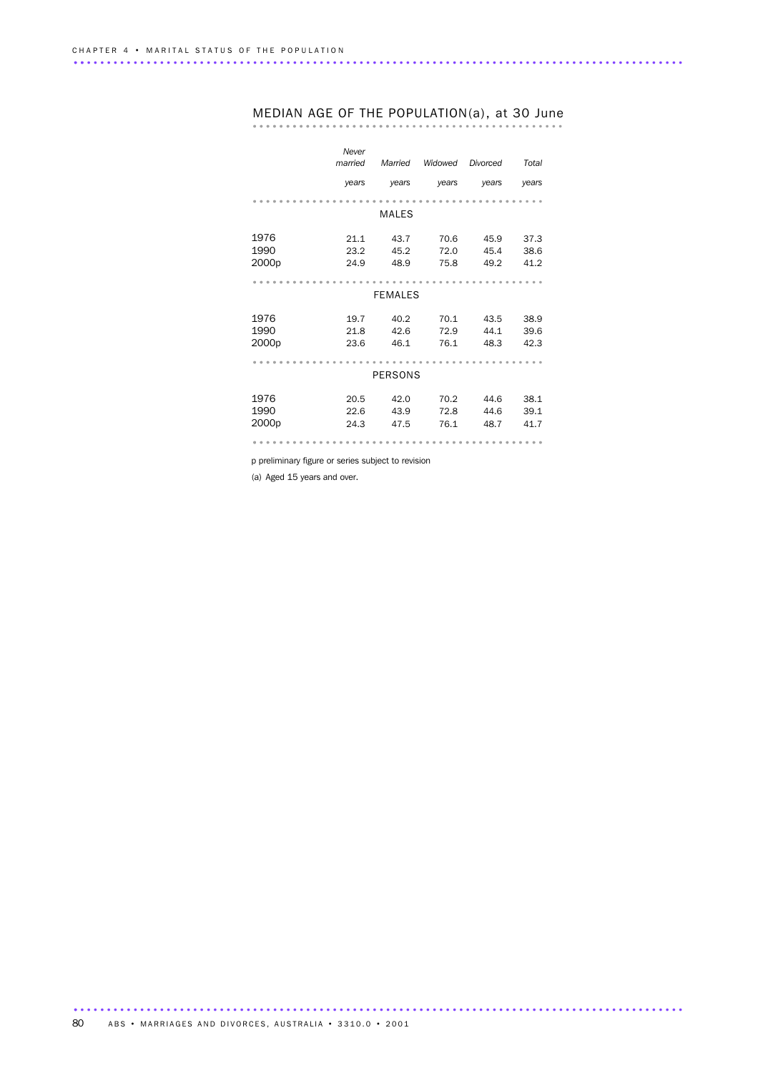|                   | Never<br>married | Married        | Widowed | Divorced | Total |
|-------------------|------------------|----------------|---------|----------|-------|
|                   | years            | years          | years   | years    | years |
|                   |                  |                |         |          |       |
|                   |                  | <b>MALES</b>   |         |          |       |
| 1976              | 21.1             | 43.7           | 70.6    | 45.9     | 37.3  |
| 1990              | 23.2             | 45.2           | 72.0    | 45.4     | 38.6  |
| 2000 <sub>p</sub> | 24.9             | 48.9           | 75.8    | 49.2     | 41.2  |
|                   |                  |                |         |          |       |
|                   |                  | <b>FEMALES</b> |         |          |       |
| 1976              | 19.7             | 40.2           | 70.1    | 43.5     | 38.9  |
| 1990              | 21.8             | 42.6           | 72.9    | 44.1     | 39.6  |
| 2000p             | 23.6             | 46.1           | 76.1    | 48.3     | 42.3  |
|                   |                  |                |         |          |       |
|                   |                  | <b>PERSONS</b> |         |          |       |
| 1976              | 20.5             | 42.0           | 70.2    | 44.6     | 38.1  |
| 1990              | 22.6             | 43.9           | 72.8    | 44.6     | 39.1  |
| 2000 <sub>p</sub> | 24.3             | 47.5           | 76.1    | 48.7     | 41.7  |
|                   |                  |                |         |          |       |

# MEDIAN AGE OF THE POPULATION(a), at 30 June ............................................... .....................

p preliminary figure or series subject to revision

(a) Aged 15 years and over.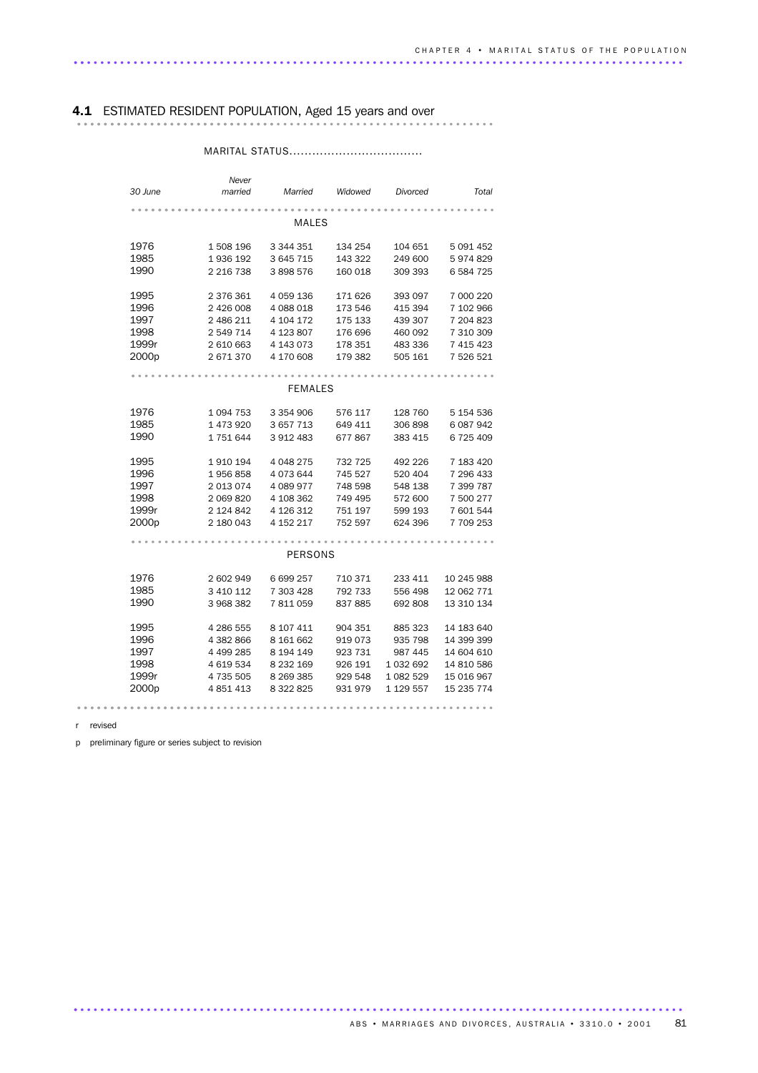# 4.1 ESTIMATED RESIDENT POPULATION, Aged 15 years and over ............................................................... ..............................

### MARITAL STATUS...................................

|                   | Never         |               |         |           |            |
|-------------------|---------------|---------------|---------|-----------|------------|
| 30 June           | married       | Married       | Widowed | Divorced  | Total      |
|                   |               |               |         |           |            |
|                   |               | <b>MALES</b>  |         |           |            |
|                   |               |               |         |           |            |
| 1976              | 1 508 196     | 3 344 351     | 134 254 | 104 651   | 5 091 452  |
| 1985              | 1936 192      | 3 645 715     | 143 322 | 249 600   | 5974829    |
| 1990              | 2 2 16 7 38   | 3 898 576     | 160 018 | 309 393   | 6 584 725  |
|                   |               |               |         |           |            |
| 1995              | 2 376 361     | 4 059 136     | 171 626 | 393 097   | 7 000 220  |
| 1996              | 2 426 008     | 4 088 018     | 173 546 | 415 394   | 7 102 966  |
| 1997              | 2 486 211     | 4 104 172     | 175 133 | 439 307   | 7 204 823  |
| 1998              | 2 549 714     | 4 123 807     | 176 696 | 460 092   | 7 310 309  |
| 1999r             | 2 610 663     | 4 143 073     | 178 351 | 483 336   | 7 415 423  |
| 2000p             | 2 671 370     | 4 170 608     | 179 382 | 505 161   | 7 526 521  |
|                   |               |               |         |           |            |
|                   |               | FEMALES       |         |           |            |
|                   |               |               |         |           |            |
| 1976              | 1 0 9 4 7 5 3 | 3 3 5 4 9 0 6 | 576 117 | 128 760   | 5 154 536  |
| 1985              | 1 473 920     | 3 657 713     | 649 411 | 306 898   | 6 087 942  |
| 1990              | 1751644       | 3 912 483     | 677867  | 383 415   | 6725409    |
|                   |               |               |         |           |            |
| 1995              | 1910194       | 4 048 275     | 732 725 | 492 226   | 7 183 420  |
| 1996              | 1956858       | 4073644       | 745 527 | 520 404   | 7 296 433  |
| 1997              | 2 013 074     | 4 089 977     | 748 598 | 548 138   | 7 399 787  |
| 1998              | 2 069 820     | 4 108 362     | 749 495 | 572 600   | 7 500 277  |
| 1999r             | 2 124 842     | 4 126 312     | 751 197 | 599 193   | 7 601 544  |
| 2000 <sub>p</sub> | 2 180 043     | 4 152 217     | 752 597 | 624 396   | 7709253    |
|                   |               |               |         |           |            |
|                   |               | PERSONS       |         |           |            |
|                   |               |               |         |           |            |
| 1976              | 2 602 949     | 6 699 257     | 710 371 | 233 411   | 10 245 988 |
| 1985              | 3 410 112     | 7 303 428     | 792 733 | 556 498   | 12 062 771 |
| 1990              | 3 968 382     | 7811059       | 837 885 | 692 808   | 13 310 134 |
|                   |               |               |         |           |            |
| 1995              | 4 286 555     | 8 107 411     | 904 351 | 885 323   | 14 183 640 |
| 1996              | 4 382 866     | 8 161 662     | 919 073 | 935 798   | 14 399 399 |
| 1997              | 4 499 285     | 8 194 149     | 923 731 | 987 445   | 14 604 610 |
| 1998              | 4 619 534     | 8 2 3 2 1 6 9 | 926 191 | 1 032 692 | 14 810 586 |
| 1999r             | 4 735 505     | 8 2 6 3 3 8 5 | 929 548 | 1 082 529 | 15 016 967 |
| 2000p             | 4 851 413     | 8 3 2 8 2 5   | 931 979 | 1 129 557 | 15 235 774 |
|                   |               |               |         |           |            |
|                   |               |               |         |           |            |

r revised

p preliminary figure or series subject to revision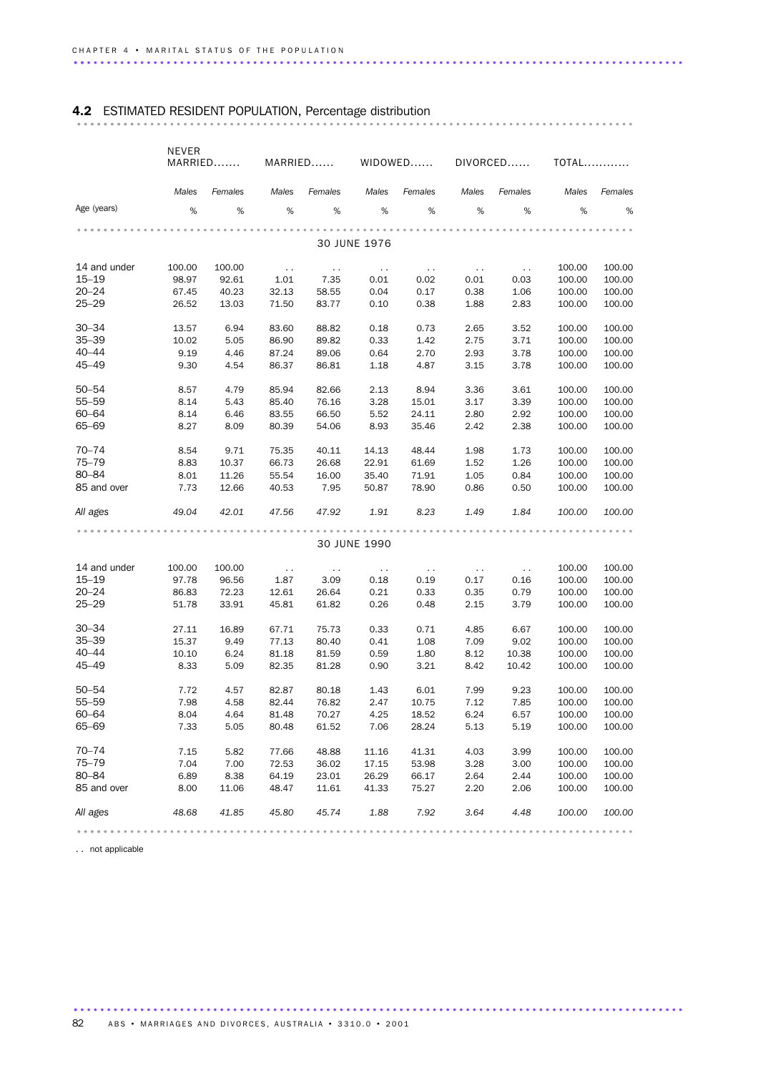## 4.2 ESTIMATED RESIDENT POPULATION, Percentage distribution .................................................................................... .........

|              | NEVER<br>MARRIED MARRIED WIDOWED DIVORCED |         |                         |                         |               |               |                 |               | <b>TOTAL</b> |         |
|--------------|-------------------------------------------|---------|-------------------------|-------------------------|---------------|---------------|-----------------|---------------|--------------|---------|
|              | Males                                     | Females | Males                   | Females                 | Males         | Females       | Males           | Females       | Males        | Females |
| Age (years)  | %                                         | $\%$    | %                       | %                       | %             | %             | %               | $\%$          | %            | $\%$    |
|              |                                           |         |                         |                         | 30 JUNE 1976  |               |                 |               |              |         |
|              |                                           |         |                         |                         |               |               |                 |               |              |         |
| 14 and under | 100.00                                    | 100.00  | $\sim 100$              | $\sim 100$ km s $^{-1}$ | $\sim$ $\sim$ | $\sim 100$    | $\sim$ 10 $\pm$ | $\sim 10$     | 100.00       | 100.00  |
| $15 - 19$    | 98.97                                     | 92.61   | 1.01                    | 7.35                    | 0.01          | 0.02          | 0.01            | 0.03          | 100.00       | 100.00  |
| $20 - 24$    | 67.45                                     | 40.23   | 32.13                   | 58.55                   | 0.04          | 0.17          | 0.38            | 1.06          | 100.00       | 100.00  |
| $25 - 29$    | 26.52                                     | 13.03   | 71.50                   | 83.77                   | 0.10          | 0.38          | 1.88            | 2.83          | 100.00       | 100.00  |
| $30 - 34$    | 13.57                                     | 6.94    | 83.60                   | 88.82                   | 0.18          | 0.73          | 2.65            | 3.52          | 100.00       | 100.00  |
| $35 - 39$    | 10.02                                     | 5.05    | 86.90                   | 89.82                   | 0.33          | 1.42          | 2.75            | 3.71          | 100.00       | 100.00  |
| $40 - 44$    | 9.19                                      | 4.46    | 87.24                   | 89.06                   | 0.64          | 2.70          | 2.93            | 3.78          | 100.00       | 100.00  |
| 45–49        | 9.30                                      | 4.54    | 86.37                   | 86.81                   | 1.18          | 4.87          | 3.15            | 3.78          | 100.00       | 100.00  |
| $50 - 54$    | 8.57                                      | 4.79    | 85.94                   | 82.66                   | 2.13          | 8.94          | 3.36            | 3.61          | 100.00       | 100.00  |
| $55 - 59$    | 8.14                                      | 5.43    | 85.40                   | 76.16                   | 3.28          | 15.01         | 3.17            | 3.39          | 100.00       | 100.00  |
| $60 - 64$    | 8.14                                      | 6.46    | 83.55                   | 66.50                   | 5.52          | 24.11         | 2.80            | 2.92          | 100.00       | 100.00  |
| 65-69        | 8.27                                      | 8.09    | 80.39                   | 54.06                   | 8.93          | 35.46         | 2.42            | 2.38          | 100.00       | 100.00  |
| 70-74        | 8.54                                      | 9.71    | 75.35                   | 40.11                   | 14.13         | 48.44         | 1.98            | 1.73          | 100.00       | 100.00  |
| $75 - 79$    | 8.83                                      | 10.37   | 66.73                   | 26.68                   | 22.91         | 61.69         | 1.52            | 1.26          | 100.00       | 100.00  |
| 80-84        | 8.01                                      | 11.26   | 55.54                   | 16.00                   | 35.40         | 71.91         | 1.05            | 0.84          | 100.00       | 100.00  |
| 85 and over  | 7.73                                      | 12.66   | 40.53                   | 7.95                    | 50.87         | 78.90         | 0.86            | 0.50          | 100.00       | 100.00  |
| All ages     | 49.04                                     | 42.01   | 47.56                   | 47.92                   | 1.91          | 8.23          | 1.49            | 1.84          | 100.00       | 100.00  |
|              |                                           |         |                         |                         |               |               |                 |               |              |         |
|              |                                           |         |                         |                         | 30 JUNE 1990  |               |                 |               |              |         |
| 14 and under | 100.00                                    | 100.00  | $\sim 100$ km s $^{-1}$ | $\sim 100$              | $\sim$ $\sim$ | $\sim$ $\sim$ | $\sim$ 10 $\pm$ | $\sim$ $\sim$ | 100.00       | 100.00  |
| $15 - 19$    | 97.78                                     | 96.56   | 1.87                    | 3.09                    | 0.18          | 0.19          | 0.17            | 0.16          | 100.00       | 100.00  |
| $20 - 24$    | 86.83                                     | 72.23   | 12.61                   | 26.64                   | 0.21          | 0.33          | 0.35            | 0.79          | 100.00       | 100.00  |
| $25 - 29$    | 51.78                                     | 33.91   | 45.81                   | 61.82                   | 0.26          | 0.48          | 2.15            | 3.79          | 100.00       | 100.00  |
| $30 - 34$    | 27.11                                     | 16.89   | 67.71                   | 75.73                   | 0.33          | 0.71          | 4.85            | 6.67          | 100.00       | 100.00  |
| $35 - 39$    | 15.37                                     | 9.49    | 77.13                   | 80.40                   | 0.41          | 1.08          | 7.09            | 9.02          | 100.00       | 100.00  |
| $40 - 44$    | 10.10                                     | 6.24    | 81.18                   | 81.59                   | 0.59          | 1.80          | 8.12            | 10.38         | 100.00       | 100.00  |
| $45 - 49$    | 8.33                                      | 5.09    | 82.35                   | 81.28                   | 0.90          | 3.21          | 8.42            | 10.42         | 100.00       | 100.00  |
| $50 - 54$    | 7.72                                      | 4.57    | 82.87                   | 80.18                   | 1.43          | 6.01          | 7.99            | 9.23          | 100.00       | 100.00  |
| $55 - 59$    | 7.98                                      | 4.58    | 82.44                   | 76.82                   | 2.47          | 10.75         | 7.12            | 7.85          | 100.00       | 100.00  |
| $60 - 64$    | 8.04                                      | 4.64    | 81.48                   | 70.27                   | 4.25          | 18.52         | 6.24            | 6.57          | 100.00       | 100.00  |
| 65-69        | 7.33                                      | 5.05    | 80.48                   | 61.52                   | 7.06          | 28.24         | 5.13            | 5.19          | 100.00       | 100.00  |
| 70-74        | 7.15                                      | 5.82    | 77.66                   | 48.88                   | 11.16         | 41.31         | 4.03            | 3.99          | 100.00       | 100.00  |
| $75 - 79$    | 7.04                                      | 7.00    | 72.53                   | 36.02                   | 17.15         | 53.98         | 3.28            | 3.00          | 100.00       | 100.00  |
| 80-84        | 6.89                                      | 8.38    | 64.19                   | 23.01                   | 26.29         | 66.17         | 2.64            | 2.44          | 100.00       | 100.00  |
| 85 and over  | 8.00                                      | 11.06   | 48.47                   | 11.61                   | 41.33         | 75.27         | 2.20            | 2.06          | 100.00       | 100.00  |
| All ages     | 48.68                                     | 41.85   | 45.80                   | 45.74                   | 1.88          | 7.92          | 3.64            | 4.48          | 100.00       | 100.00  |
|              |                                           |         |                         |                         |               |               |                 |               |              |         |

............................................................................................ .

.. not applicable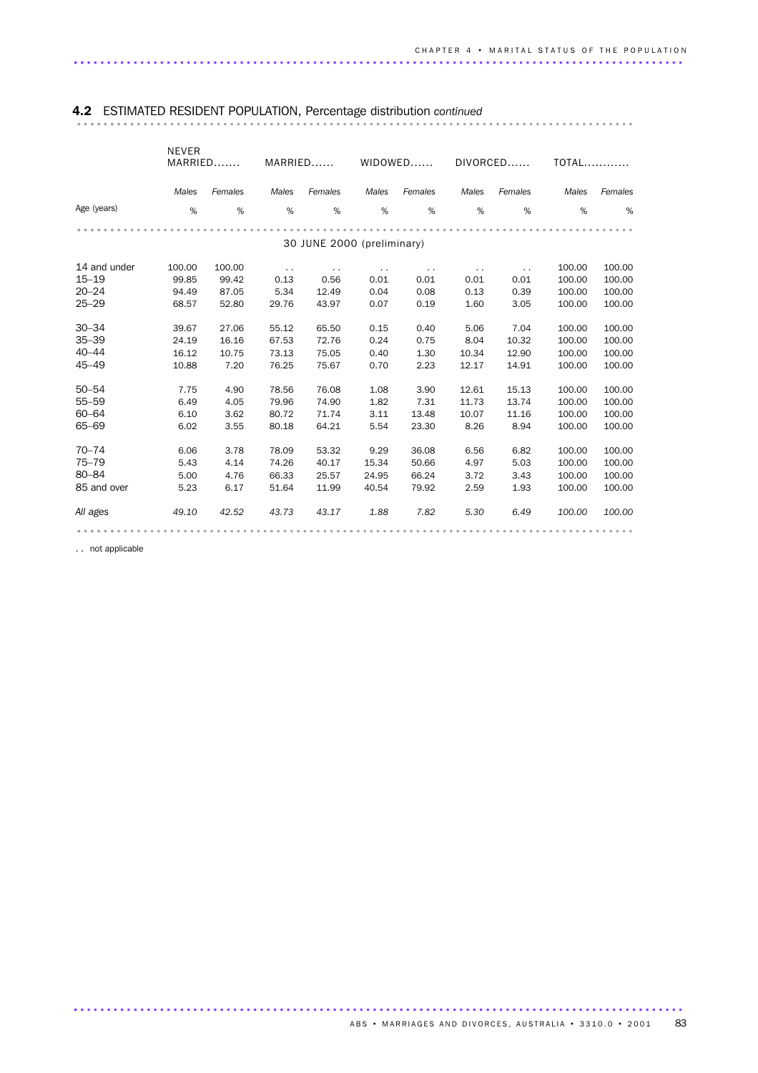### NEVER MARRIED....... MARRIED...... WIDOWED...... DIVORCED...... TOTAL............ Age (years) *Males Females Males Females Males Females Males Females Males Females* %% %% %% %% %% .................................................................................... ...... 30 JUNE 2000 (preliminary) 14 and under 100.00 100.00 . . . . . . . . . . . . 100.00 100.00 15–19 99.85 99.42 0.13 0.56 0.01 0.01 0.01 0.01 100.00 100.00 20–24 94.49 87.05 5.34 12.49 0.04 0.08 0.13 0.39 100.00 100.00 25–29 68.57 52.80 29.76 43.97 0.07 0.19 1.60 3.05 100.00 100.00 30–34 39.67 27.06 55.12 65.50 0.15 0.40 5.06 7.04 100.00 100.00 24.19 16.16 67.53 72.76 0.24 0.75 40–44 16.12 10.75 73.13 75.05 0.40 1.30 10.34 12.90 100.00 100.00 45–49 10.88 7.20 76.25 75.67 0.70 2.23 12.17 14.91 100.00 100.00 50–54 7.75 4.90 78.56 76.08 1.08 3.90 12.61 15.13 100.00 100.00 55–59 6.49 4.05 79.96 74.90 1.82 7.31 11.73 13.74 100.00 100.00 60–64 6.10 3.62 80.72 71.74 3.11 13.48 10.07 11.16 100.00 100.00 65–69 6.02 3.55 80.18 64.21 5.54 23.30 8.26 8.94 100.00 100.00 70–74 6.06 3.78 78.09 53.32 9.29 36.08 6.56 6.82 100.00 100.00 75–79 5.43 4.14 74.26 40.17 15.34 50.66 4.97 5.03 100.00 100.00 80–84 5.00 4.76 66.33 25.57 24.95 66.24 3.72 3.43 100.00 100.00 85 and over 5.23 6.17 51.64 11.99 40.54 79.92 2.59 1.93 100.00 100.00 *All ages 49.10 42.52 43.73 43.17 1.88 7.82 5.30 6.49 100.00 100.00* .................................................................................... ......

### 4.2 ESTIMATED RESIDENT POPULATION, Percentage distribution *continued* .................................................................................... .........

. . not applicable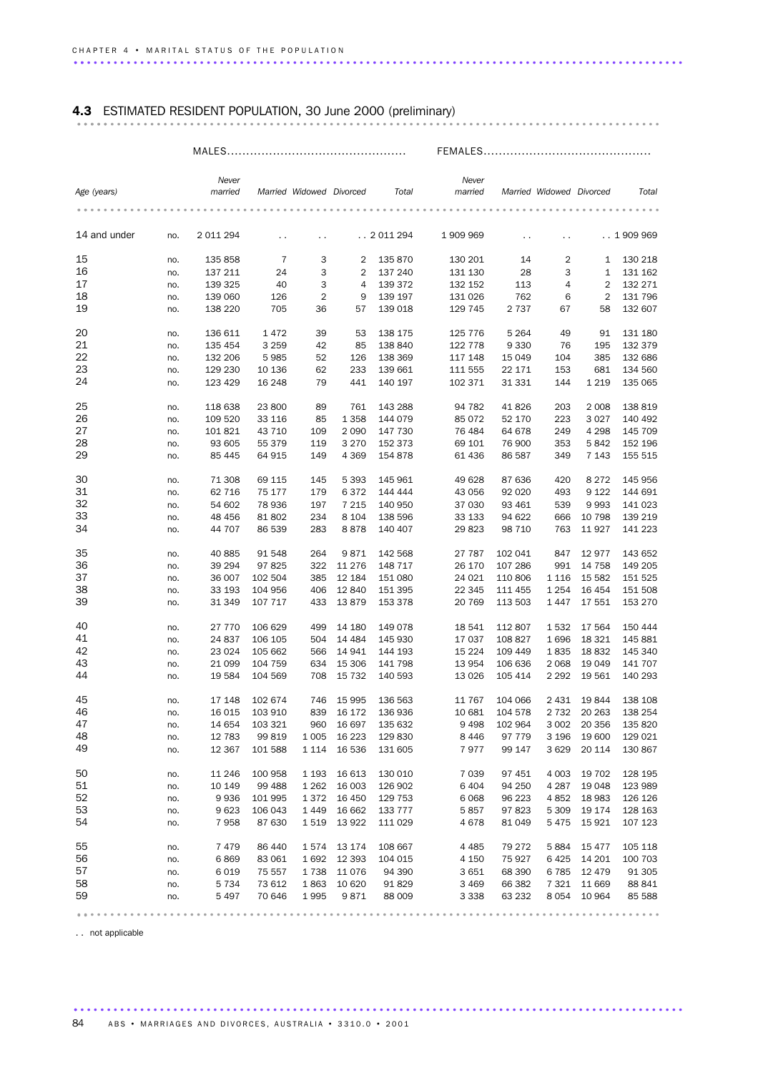## 4.3 ESTIMATED RESIDENT POPULATION, 30 June 2000 (preliminary) ........................................................................................ .....

|--|

#### MALES............................................... FEMALES............................................

|              |     | Never     |         |                                                                           |                |                     | Never         |                                                                   |                          |                |                                                                   |
|--------------|-----|-----------|---------|---------------------------------------------------------------------------|----------------|---------------------|---------------|-------------------------------------------------------------------|--------------------------|----------------|-------------------------------------------------------------------|
| Age (years)  |     | married   |         | Married Widowed Divorced                                                  |                | Total               | married       |                                                                   | Married Widowed Divorced |                | Total                                                             |
|              |     |           |         |                                                                           |                |                     |               |                                                                   |                          |                |                                                                   |
|              |     |           |         |                                                                           |                |                     |               |                                                                   |                          |                |                                                                   |
|              |     |           |         |                                                                           |                |                     |               |                                                                   |                          |                |                                                                   |
| 14 and under | no. | 2 011 294 | $\sim$  | . .                                                                       |                | . . 2011294         | 1 909 969     | $\sim$                                                            | $\sim$                   |                | . . 1909969                                                       |
|              |     |           |         |                                                                           |                |                     |               |                                                                   |                          |                |                                                                   |
| 15           |     |           | 7       | 3                                                                         |                |                     |               |                                                                   |                          |                | 130 218                                                           |
|              | no. | 135 858   |         |                                                                           | $\overline{2}$ | 135 870             | 130 201       | 14                                                                | $\overline{\mathbf{c}}$  | 1              |                                                                   |
| 16           | no. | 137 211   | 24      | 3                                                                         | 2              | 137 240             | 131 130       | 28                                                                | 3                        | $\mathbf{1}$   | 131 162                                                           |
| 17           | no. | 139 325   | 40      | 3                                                                         | 4              | 139 372             | 132 152       | 113                                                               | 4                        | $\overline{2}$ | 132 271                                                           |
| 18           | no. | 139 060   | 126     | $\sqrt{2}$                                                                | 9              | 139 197             | 131 026       | 762                                                               | 6                        | $\overline{2}$ | 131 796                                                           |
| 19           | no. | 138 220   | 705     | 36                                                                        | 57             | 139 018             | 129 745       | 2 737                                                             | 67                       | 58             | 132 607                                                           |
|              |     |           |         |                                                                           |                |                     |               |                                                                   |                          |                |                                                                   |
| 20           | no. | 136 611   | 1472    | 39                                                                        | 53             | 138 175             | 125 776       | 5 2 6 4                                                           | 49                       | 91             | 131 180                                                           |
| 21           |     |           | 3 2 5 9 |                                                                           |                |                     | 122 778       | 9 3 3 0                                                           |                          |                | 132 379                                                           |
|              | no. | 135 454   |         | 42                                                                        | 85             | 138 840             |               |                                                                   | 76                       | 195            |                                                                   |
| 22           | no. | 132 206   | 5985    | 52                                                                        | 126            | 138 369             | 117 148       | 15 049                                                            | 104                      | 385            | 132 686                                                           |
| 23           | no. | 129 230   | 10 136  | 62                                                                        | 233            | 139 661             | 111 555       | 22 171                                                            | 153                      | 681            | 134 560                                                           |
| 24           | no. | 123 429   | 16 248  | 79                                                                        | 441            | 140 197             | 102 371       | 31 331                                                            | 144                      | 1 2 1 9        | 135 065                                                           |
|              |     |           |         |                                                                           |                |                     |               |                                                                   |                          |                |                                                                   |
| 25           | no. | 118 638   | 23 800  | 89                                                                        | 761            | 143 288             | 94 782        | 41826                                                             | 203                      | 2 0 0 8        | 138 819                                                           |
| 26           | no. | 109 520   | 33 116  | 85                                                                        | 1 3 5 8        | 144 079             | 85 0 72       | 52 170                                                            | 223                      | 3027           | 140 492                                                           |
| 27           |     |           |         |                                                                           |                |                     |               |                                                                   |                          |                |                                                                   |
|              | no. | 101 821   | 43 710  | 109                                                                       | 2 0 9 0        | 147 730             | 76 484        | 64 678                                                            | 249                      | 4 2 9 8        | 145 709                                                           |
| 28           | no. | 93 605    | 55 379  | 119                                                                       | 3 2 7 0        | 152 373             | 69 101        | 76 900                                                            | 353                      | 5842           | 152 196                                                           |
| 29           | no. | 85 445    | 64 915  | 149                                                                       | 4 3 6 9        | 154 878             | 61 436        | 86 587                                                            | 349                      | 7 1 4 3        | 155 515                                                           |
|              |     |           |         |                                                                           |                |                     |               |                                                                   |                          |                |                                                                   |
| 30           | no. | 71 308    | 69 115  | 145                                                                       | 5 3 9 3        | 145 961             | 49 628        | 87 636                                                            | 420                      | 8 2 7 2        | 145 956                                                           |
| 31           | no. | 62 716    | 75 177  | 179                                                                       | 6372           | 144 444             | 43 056        | 92 020                                                            | 493                      | 9 1 2 2        | 144 691                                                           |
| 32           |     | 54 602    | 78 936  | 197                                                                       | 7 2 1 5        | 140 950             | 37 030        | 93 461                                                            | 539                      | 9993           | 141 023                                                           |
|              | no. |           |         |                                                                           |                |                     |               |                                                                   |                          |                |                                                                   |
| 33           | no. | 48 456    | 81802   | 234                                                                       | 8 1 0 4        | 138 596             | 33 133        | 94 622                                                            | 666                      | 10 798         | 139 219                                                           |
| 34           | no. | 44 707    | 86 539  | 283                                                                       | 8878           | 140 407             | 29823         | 98 710                                                            | 763                      | 11927          | 141 223                                                           |
|              |     |           |         |                                                                           |                |                     |               |                                                                   |                          |                |                                                                   |
| 35           | no. | 40 885    | 91 548  | 264                                                                       | 9871           | 142 568             | 27 787        | 102 041                                                           | 847                      | 12977          | 143 652                                                           |
| 36           | no. | 39 294    | 97825   | 322                                                                       | 11 276         | 148 717             | 26 170        | 107 286                                                           | 991                      | 14 7 58        | 149 205                                                           |
| 37           | no. | 36 007    | 102 504 | 385                                                                       | 12 184         | 151 080             | 24 0 21       | 110 806                                                           | 1 1 1 6                  | 15 5 82        | 151 525                                                           |
| 38           |     |           |         |                                                                           |                |                     |               |                                                                   |                          |                |                                                                   |
|              | no. | 33 193    | 104 956 | 406                                                                       | 12 840         | 151 395             | 22 345        | 111 455                                                           | 1 2 5 4                  | 16 4 54        | 151 508                                                           |
| 39           | no. | 31 349    | 107 717 | 433                                                                       | 13879          | 153 378             | 20 769        | 113 503                                                           | 1447                     | 17 551         | 153 270                                                           |
|              |     |           |         |                                                                           |                |                     |               |                                                                   |                          |                |                                                                   |
| 40           | no. | 27 770    | 106 629 | 499                                                                       | 14 180         | 149 078             | 18 541        | 112 807                                                           | 1532                     | 17 5 64        | 150 444                                                           |
| 41           | no. | 24 837    | 106 105 | 504                                                                       | 14 4 84        | 145 930             | 17 037        | 108 827                                                           | 1696                     | 18 3 21        | 145 881                                                           |
| 42           | no. | 23 0 24   | 105 662 | 566                                                                       | 14 941         | 144 193             | 15 2 24       | 109 449                                                           | 1835                     | 18832          | 145 340                                                           |
| 43           | no. | 21 099    | 104 759 | 634                                                                       | 15 306         | 141 798             | 13 9 54       | 106 636                                                           | 2 0 6 8                  | 19 049         | 141 707                                                           |
| 44           |     |           | 104 569 |                                                                           |                | 140 593             |               | 105 414                                                           |                          |                |                                                                   |
|              | no. | 19 584    |         | 708                                                                       | 15 7 32        |                     | 13 0 26       |                                                                   | 2 2 9 2                  | 19 561         | 140 293                                                           |
|              |     |           |         |                                                                           |                |                     |               |                                                                   |                          |                |                                                                   |
| 45           | no. | 17 148    | 102 674 | 746                                                                       | 15 995         | 136 563             | 11 767        | 104 066                                                           | 2 4 3 1                  | 19844          | 138 108                                                           |
| 46           | no. | 16 015    | 103 910 | 839                                                                       | 16 172         | 136 936             | 10 681        | 104 578                                                           | 2 7 3 2                  | 20 26 3        | 138 254                                                           |
| 47           | no. | 14 654    | 103 321 | 960                                                                       | 16 697         | 135 632             | 9498          | 102 964                                                           | 3 0 0 2                  | 20 356         | 135 820                                                           |
| 48           | no. | 12 783    | 99819   | 1 0 0 5                                                                   | 16 223         | 129 830             | 8 4 4 6       | 97 779                                                            | 3 1 9 6                  | 19 600         | 129 021                                                           |
| 49           |     |           |         |                                                                           |                |                     |               |                                                                   |                          |                |                                                                   |
|              | no. | 12 367    | 101 588 | 1 1 1 4                                                                   | 16 536         | 131 605             | 7977          | 99 147                                                            | 3629                     | 20 114         | 130 867                                                           |
|              |     |           |         |                                                                           |                |                     |               |                                                                   |                          |                |                                                                   |
| 50           | no. | 11 246    | 100 958 | 1 1 9 3                                                                   | 16 613         | 130 010             | 7 0 3 9       | 97 451                                                            | 4 0 0 3                  | 19 702         | 128 195                                                           |
| 51           | no. | 10 149    | 99 4 88 | 1 2 6 2                                                                   | 16 003         | 126 902             | 6404          | 94 250                                                            | 4 2 8 7                  | 19 048         | 123 989                                                           |
| 52           | no. | 9936      | 101 995 | 1372                                                                      | 16 450         | 129 753             | 6068          | 96 223                                                            | 4 8 5 2                  | 18 983         | 126 126                                                           |
| 53           | no. | 9623      | 106 043 | 1449                                                                      | 16 662         | 133 777             | 5857          | 97 823                                                            | 5 3 0 9                  | 19 174         | 128 163                                                           |
| 54           | no. | 7958      | 87 630  | 1519                                                                      | 13 922         | 111 029             | 4678          | 81 049                                                            | 5475                     | 15 9 21        | 107 123                                                           |
|              |     |           |         |                                                                           |                |                     |               |                                                                   |                          |                |                                                                   |
|              |     |           |         |                                                                           |                |                     |               |                                                                   |                          |                |                                                                   |
| 55           | no. | 7479      | 86 440  | 1574                                                                      | 13 174         | 108 667             | 4 4 8 5       | 79 272                                                            | 5884                     | 15 4 7 7       | 105 118                                                           |
| 56           | no. | 6869      | 83 061  | 1692                                                                      | 12 393         | 104 015             | 4 150         | 75 927                                                            | 6425                     | 14 201         | 100 703                                                           |
| 57           | no. | 6019      | 75 557  | 1738                                                                      | 11 076         | 94 390              | 3 6 5 1       | 68 390                                                            | 6 7 8 5                  | 12479          | 91 305                                                            |
| 58           | no. | 5 7 3 4   | 73 612  | 1863                                                                      | 10 620         | 91829               | 3 4 6 9       | 66 382                                                            | 7 3 2 1                  | 11 669         | 88 841                                                            |
| 59           | no. | 5 4 9 7   | 70 646  | 1995                                                                      | 9871           | 88 009              | 3 3 3 8       | 63 232                                                            | 8 0 5 4                  | 10 964         | 85 588                                                            |
|              |     |           |         |                                                                           |                |                     |               |                                                                   |                          |                |                                                                   |
|              |     |           |         | $\begin{array}{cccccccccccccc} 0 & 0 & 0 & 0 & 0 & 0 & 0 & 0 \end{array}$ |                | $0 - 0 - 0 - 0 - 0$ | $0$ 0 0 0 0 0 | $\begin{array}{cccccccccccccc} 0 & 0 & 0 & 0 & 0 & 0 \end{array}$ |                          |                | $\begin{array}{cccccccccccccc} 0 & 0 & 0 & 0 & 0 & 0 \end{array}$ |

............................................................................................ .

. . not applicable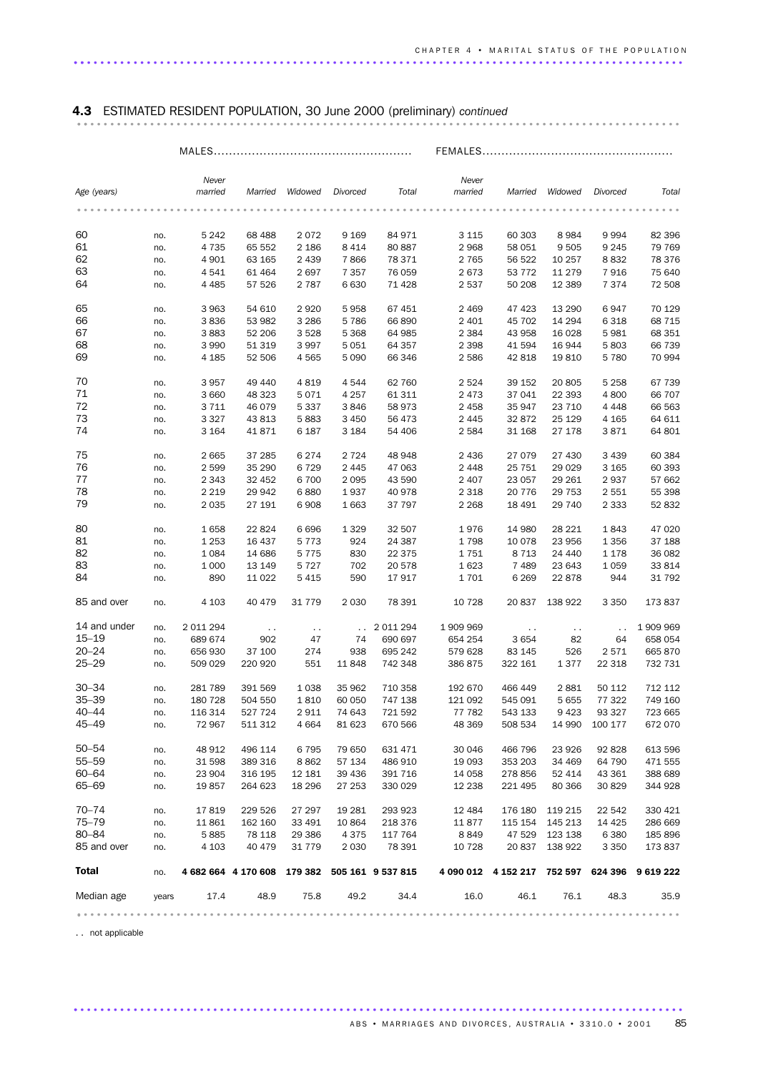## 4.3 ESTIMATED RESIDENT POPULATION, 30 June 2000 (preliminary) *continued* ........................................................................................... ..

|              |            | $MALES$          |                     |               |                |                           | FEMALES          |                                     |               |               |           |
|--------------|------------|------------------|---------------------|---------------|----------------|---------------------------|------------------|-------------------------------------|---------------|---------------|-----------|
|              |            |                  |                     |               |                |                           |                  |                                     |               |               |           |
| Age (years)  |            | Never<br>married | Married             | Widowed       | Divorced       | Total                     | Never<br>married | Married                             | Widowed       | Divorced      | Total     |
|              |            |                  |                     |               |                |                           |                  |                                     |               |               |           |
| 60           | no.        | 5 2 4 2          | 68 488              | 2072          | 9 1 6 9        | 84 971                    | 3 1 1 5          | 60 30 3                             | 8 9 8 4       | 9994          | 82 396    |
| 61           | no.        | 4 7 3 5          | 65 552              | 2 1 8 6       | 8 4 1 4        | 80 887                    | 2968             | 58 051                              | 9 5 0 5       | 9 2 4 5       | 79 769    |
| 62           | no.        | 4 9 0 1          | 63 165              | 2 4 3 9       | 7866           | 78 371                    | 2 7 6 5          | 56 522                              | 10 257        | 8832          | 78 376    |
| 63           |            | 4541             | 61 464              | 2697          | 7 3 5 7        | 76 059                    | 2673             | 53 7 7 2                            | 11 279        | 7916          | 75 640    |
| 64           | no.<br>no. | 4 4 8 5          | 57 526              | 2 7 8 7       | 6630           | 71 4 28                   | 2537             | 50 208                              | 12 3 8 9      | 7 3 7 4       | 72 508    |
|              |            |                  |                     |               |                |                           |                  |                                     |               |               |           |
| 65           | no.        | 3963             | 54 610              | 2920          | 5958           | 67 451                    | 2 4 6 9          | 47 4 23                             | 13 290        | 6947          | 70 129    |
| 66           | no.        | 3836             | 53 982              | 3 2 8 6       | 5786           | 66 890                    | 2 4 0 1          | 45 702                              | 14 294        | 6 3 1 8       | 68 715    |
| 67           | no.        | 3883             | 52 206              | 3 5 28        | 5 3 6 8        | 64 985                    | 2 3 8 4          | 43 958                              | 16 0 28       | 5981          | 68 351    |
| 68           | no.        | 3 9 9 0          | 51 319              | 3 9 9 7       | 5051           | 64 357                    | 2 3 9 8          | 41 594                              | 16 944        | 5803          | 66 739    |
| 69           | no.        | 4 1 8 5          | 52 506              | 4 5 6 5       | 5 0 9 0        | 66 346                    | 2586             | 42 818                              | 19810         | 5780          | 70 994    |
| 70           | no.        | 3957             | 49 440              | 4819          | 4544           | 62 760                    | 2524             | 39 152                              | 20 805        | 5 2 5 8       | 67 739    |
| 71           | no.        | 3 6 6 0          | 48 323              | 5071          | 4 2 5 7        | 61 311                    | 2 4 7 3          | 37 041                              | 22 393        | 4 800         | 66 707    |
| 72           |            |                  |                     | 5 3 3 7       |                | 58 973                    | 2 4 5 8          | 35 947                              |               |               | 66 563    |
|              | no.        | 3711             | 46 079              |               | 3846           |                           |                  |                                     | 23 710        | 4 4 4 8       |           |
| 73           | no.        | 3 3 2 7          | 43 813              | 5883          | 3 4 5 0        | 56 473                    | 2 4 4 5          | 32872                               | 25 1 29       | 4 1 65        | 64 611    |
| 74           | no.        | 3 1 6 4          | 41871               | 6 187         | 3 1 8 4        | 54 406                    | 2 5 8 4          | 31 168                              | 27 178        | 3871          | 64 801    |
| 75           | no.        | 2665             | 37 285              | 6 2 7 4       | 2 7 2 4        | 48 948                    | 2 4 3 6          | 27 0 79                             | 27 430        | 3 4 3 9       | 60 384    |
| 76           | no.        | 2599             | 35 290              | 6729          | 2 4 4 5        | 47 063                    | 2448             | 25 751                              | 29 0 29       | 3 1 6 5       | 60 393    |
| 77           | no.        | 2 3 4 3          | 32 452              | 6 700         | 2 0 9 5        | 43 590                    | 2 4 0 7          | 23 057                              | 29 261        | 2937          | 57 662    |
| 78           |            |                  |                     |               |                |                           |                  |                                     |               |               |           |
|              | no.        | 2 2 1 9          | 29 942              | 6880          | 1937           | 40 978                    | 2 3 1 8          | 20 7 7 6                            | 29 7 53       | 2 5 5 1       | 55 398    |
| 79           | no.        | 2 0 3 5          | 27 191              | 6908          | 1 6 6 3        | 37 797                    | 2 2 6 8          | 18 491                              | 29 740        | 2 3 3 3       | 52 832    |
| 80           | no.        | 1658             | 22 824              | 6696          | 1 3 2 9        | 32 507                    | 1976             | 14 980                              | 28 221        | 1843          | 47 0 20   |
| 81           | no.        | 1 2 5 3          | 16 437              | 5 7 7 3       | 924            | 24 387                    | 1798             | 10 0 78                             | 23 956        | 1 3 5 6       | 37 188    |
| 82           | no.        | 1084             | 14 686              | 5 7 7 5       | 830            | 22 3 7 5                  | 1751             | 8 7 1 3                             | 24 440        | 1 1 7 8       | 36 082    |
| 83           |            | 1 0 0 0          | 13 149              | 5 7 2 7       | 702            | 20 578                    | 1623             | 7489                                | 23 643        | 1 0 5 9       | 33 814    |
|              | no.        |                  |                     |               |                |                           |                  |                                     |               |               |           |
| 84           | no.        | 890              | 11 0 22             | 5 4 1 5       | 590            | 17917                     | 1701             | 6 2 6 9                             | 22 878        | 944           | 31 792    |
| 85 and over  | no.        | 4 1 0 3          | 40 479              | 31 7 7 9      | 2 0 3 0        | 78 391                    | 10 7 28          | 20 837                              | 138 922       | 3 3 5 0       | 173 837   |
| 14 and under | no.        | 2 011 294        | $\sim$ $\sim$       | $\sim$ $\sim$ | $\sim 10^{-1}$ | 2 011 294                 | 1 909 969        | $\sim$ $\sim$                       | $\sim$ $\sim$ | $\sim$ $\sim$ | 1 909 969 |
| $15 - 19$    | no.        | 689 674          | 902                 | 47            | 74             | 690 697                   | 654 254          | 3654                                | 82            | 64            | 658 054   |
| $20 - 24$    | no.        | 656 930          | 37 100              | 274           | 938            | 695 242                   | 579 628          | 83 145                              | 526           | 2571          | 665 870   |
| $25 - 29$    |            |                  |                     |               |                | 742 348                   |                  |                                     |               |               |           |
|              | no.        | 509 029          | 220 920             | 551           | 11848          |                           | 386 875          | 322 161                             | 1377          | 22 318        | 732 731   |
| $30 - 34$    | no.        | 281 789          | 391 569             | 1 0 3 8       | 35 962         | 710 358                   | 192 670          | 466 449                             | 2881          | 50 112        | 712 112   |
| $35 - 39$    | no.        | 180 728          | 504 550             | 1810          | 60 050         | 747 138                   | 121 092          | 545 091                             | 5 6 5 5       | 77 322        | 749 160   |
| $40 - 44$    | no.        | 116 314          | 527 724             | 2911          | 74 643         | 721 592                   | 77 782           | 543 133                             | 9423          | 93 327        | 723 665   |
| 45–49        | no.        | 72 967           | 511 312             | 4 6 6 4       | 81 623         | 670 566                   | 48 369           | 508 534                             | 14 990        | 100 177       | 672 070   |
| $50 - 54$    | no.        | 48 912           | 496 114             | 6 7 9 5       | 79 650         | 631 471                   | 30 046           | 466 796                             | 23 9 26       | 92 828        | 613 596   |
| $55 - 59$    | no.        | 31 598           | 389 316             | 8862          | 57 134         | 486 910                   | 19 0 93          | 353 203                             | 34 469        | 64 790        | 471 555   |
| 60-64        |            |                  |                     |               |                |                           |                  |                                     |               |               |           |
|              | no.        | 23 904           | 316 195             | 12 181        | 39 436         | 391 716                   | 14 0 58          | 278 856                             | 52 414        | 43 361        | 388 689   |
| 65-69        | no.        | 19857            | 264 623             | 18 29 6       | 27 253         | 330 029                   | 12 2 38          | 221 495                             | 80 366        | 30 829        | 344 928   |
| $70 - 74$    | no.        | 17819            | 229 526             | 27 297        | 19 281         | 293 923                   | 12 4 84          | 176 180                             | 119 215       | 22 542        | 330 421   |
| $75 - 79$    | no.        | 11861            | 162 160             | 33 491        | 10 864         | 218 376                   | 11877            | 115 154                             | 145 213       | 14 4 25       | 286 669   |
| 80-84        | no.        | 5885             | 78 118              | 29 386        | 4375           | 117 764                   | 8849             | 47 529                              | 123 138       | 6 3 8 0       | 185 896   |
| 85 and over  | no.        | 4 1 0 3          | 40 479              | 31 7 7 9      | 2 0 3 0        | 78 391                    | 10 7 28          | 20 837                              | 138 922       | 3 3 5 0       | 173 837   |
| <b>Total</b> | no.        |                  | 4 682 664 4 170 608 |               |                | 179 382 505 161 9 537 815 |                  | 4 090 012 4 152 217 752 597 624 396 |               |               | 9 619 222 |
| Median age   | years      | 17.4             | 48.9                | 75.8          | 49.2           | 34.4                      | 16.0             | 46.1                                | 76.1          | 48.3          | 35.9      |
|              |            |                  |                     |               |                |                           |                  |                                     |               |               | .         |
|              |            |                  |                     |               |                |                           |                  |                                     |               |               |           |

............................................................................................ .

. . not applicable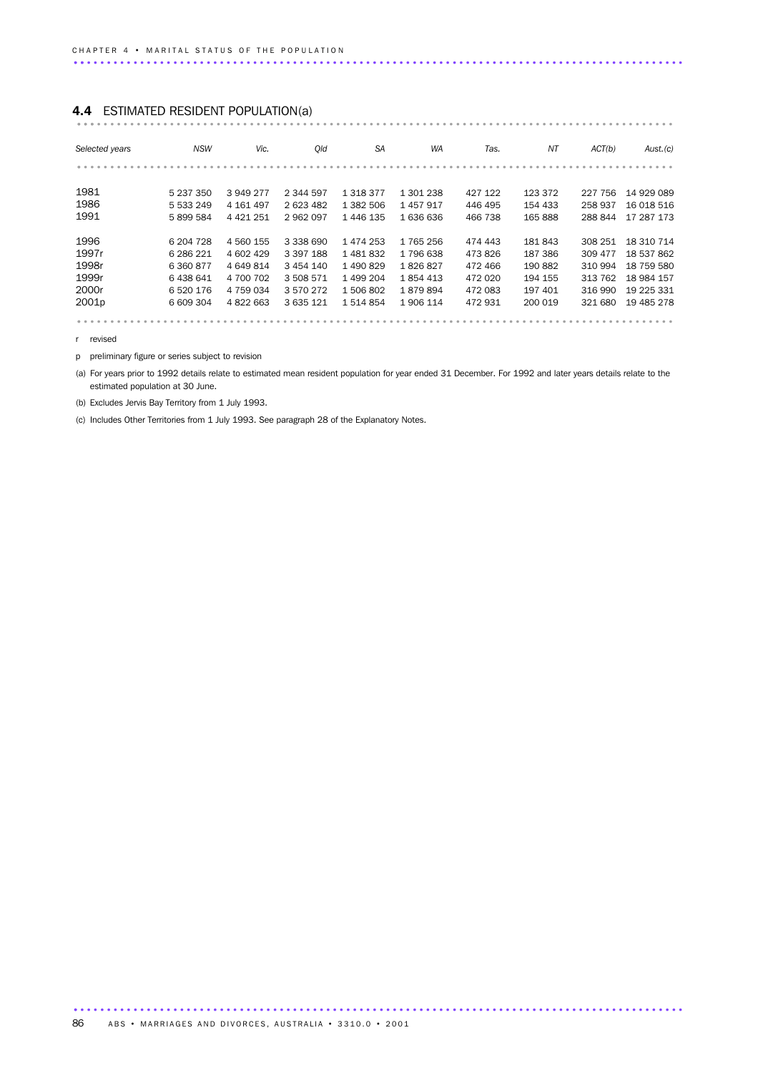## 4.4 ESTIMATED RESIDENT POPULATION(a) .......................................................................................... ...

| Selected years    | <b>NSW</b> | Vic.          | Old           | <b>SA</b>     | <b>WA</b> | Tas.    | ΝT      | ACT(b)  | Aust.(c)   |
|-------------------|------------|---------------|---------------|---------------|-----------|---------|---------|---------|------------|
|                   |            |               |               |               |           |         |         |         |            |
|                   |            |               |               |               |           |         |         |         |            |
| 1981              | 5 237 350  | 3949277       | 2 344 597     | 1 3 1 8 3 7 7 | 1 301 238 | 427 122 | 123 372 | 227 756 | 14 929 089 |
| 1986              | 5 533 249  | 4 161 497     | 2 623 482     | 1 382 506     | 1457917   | 446 495 | 154 433 | 258 937 | 16 018 516 |
| 1991              | 5899584    | 4 4 2 1 2 5 1 | 2962097       | 1 446 135     | 1 636 636 | 466 738 | 165 888 | 288844  | 17 287 173 |
|                   |            |               |               |               |           |         |         |         |            |
| 1996              | 6 204 7 28 | 4 560 155     | 3 338 690     | 1474253       | 1765256   | 474 443 | 181843  | 308 251 | 18 310 714 |
| 1997r             | 6 286 221  | 4 602 429     | 3 397 188     | 1481832       | 1796638   | 473826  | 187 386 | 309 477 | 18 537 862 |
| 1998r             | 6 360 877  | 4 649 814     | 3 4 5 4 1 4 0 | 1490829       | 1826827   | 472 466 | 190 882 | 310 994 | 18 759 580 |
| 1999r             | 6438641    | 4 700 702     | 3 508 571     | 1 499 204     | 1854413   | 472 020 | 194 155 | 313 762 | 18 984 157 |
| 2000r             | 6520176    | 4 759 034     | 3570272       | 1 506 802     | 1879894   | 472 083 | 197 401 | 316 990 | 19 225 331 |
| 2001 <sub>p</sub> | 6 609 304  | 4 822 663     | 3 635 121     | 1514854       | 1 906 114 | 472931  | 200 019 | 321 680 | 19 485 278 |
|                   |            |               |               |               |           |         |         |         |            |

r revised

p preliminary figure or series subject to revision

(a) For years prior to 1992 details relate to estimated mean resident population for year ended 31 December. For 1992 and later years details relate to the estimated population at 30 June.

(b) Excludes Jervis Bay Territory from 1 July 1993.

(c) Includes Other Territories from 1 July 1993. See paragraph 28 of the Explanatory Notes.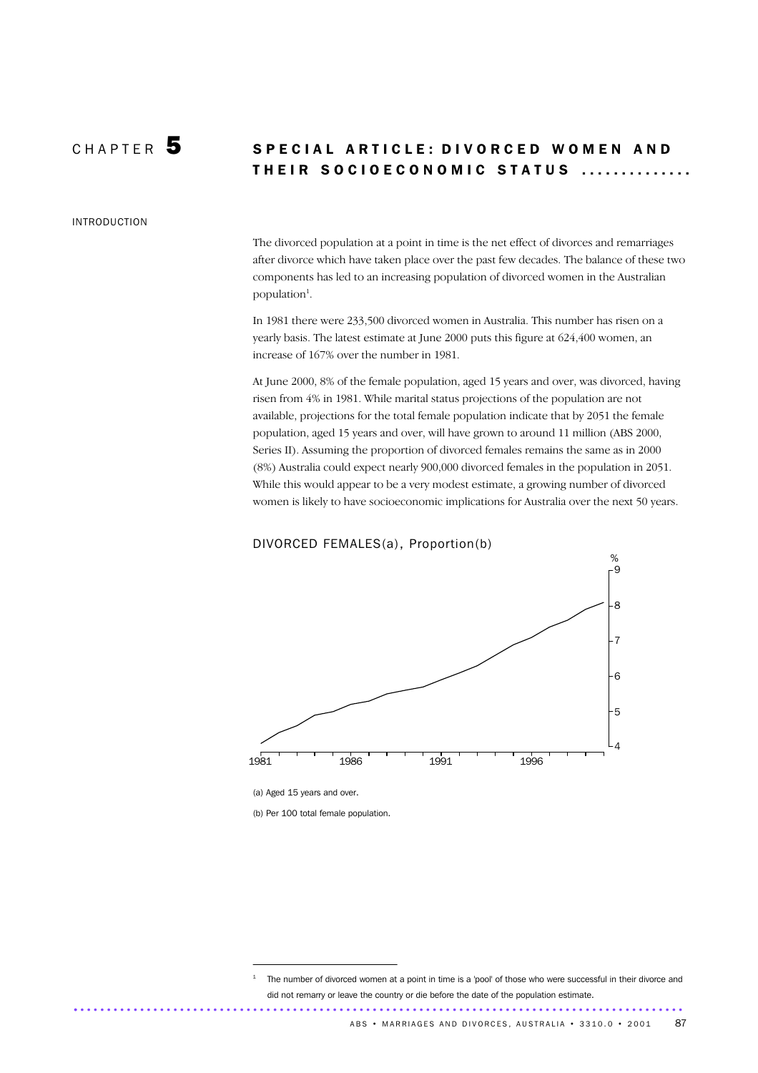### CHAPTER 5 SPECIAL ARTICLE: DIVORCED WOMEN AND THEIR SOCIOECONOMIC STATUS ..............

#### INTRODUCTION

The divorced population at a point in time is the net effect of divorces and remarriages after divorce which have taken place over the past few decades. The balance of these two components has led to an increasing population of divorced women in the Australian population<sup>1</sup>.

In 1981 there were 233,500 divorced women in Australia. This number has risen on a yearly basis. The latest estimate at June 2000 puts this figure at 624,400 women, an increase of 167% over the number in 1981.

At June 2000, 8% of the female population, aged 15 years and over, was divorced, having risen from 4% in 1981. While marital status projections of the population are not available, projections for the total female population indicate that by 2051 the female population, aged 15 years and over, will have grown to around 11 million (ABS 2000, Series II). Assuming the proportion of divorced females remains the same as in 2000 (8%) Australia could expect nearly 900,000 divorced females in the population in 2051. While this would appear to be a very modest estimate, a growing number of divorced women is likely to have socioeconomic implications for Australia over the next 50 years.

#### DIVORCED FEMALES(a), Proportion(b)



(a) Aged 15 years and over.

(b) Per 100 total female population.

The number of divorced women at a point in time is a 'pool' of those who were successful in their divorce and did not remarry or leave the country or die before the date of the population estimate. ............................................................................................ .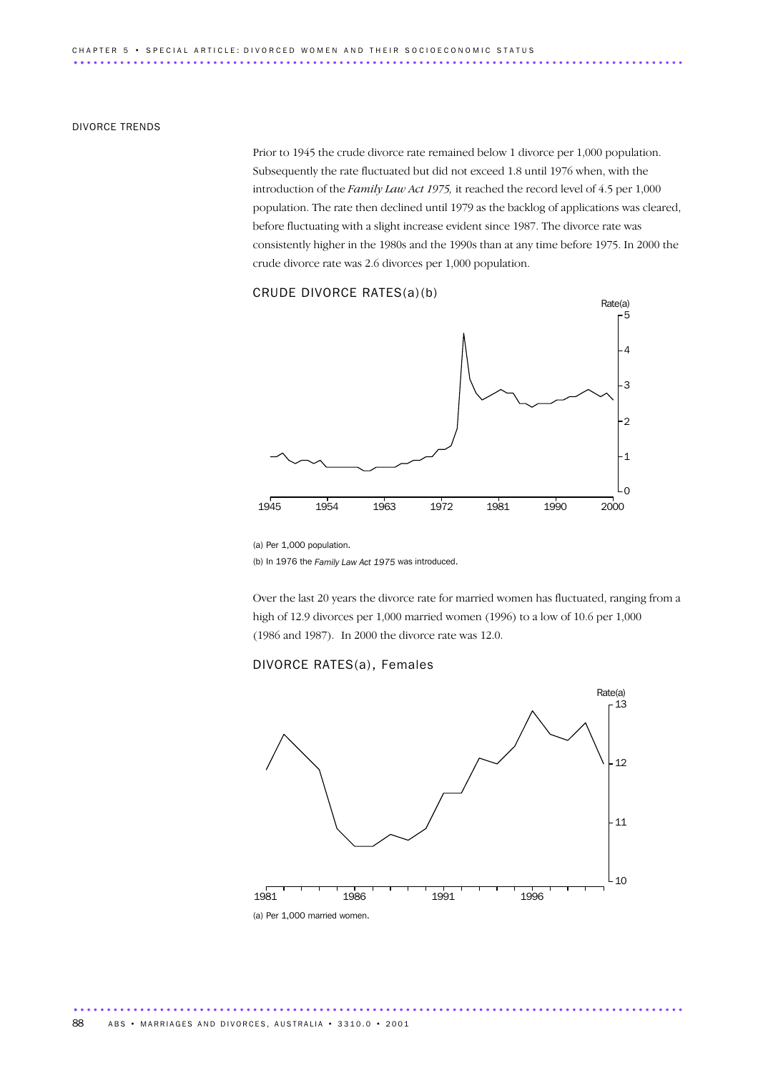#### DIVORCE TRENDS

Prior to 1945 the crude divorce rate remained below 1 divorce per 1,000 population. Subsequently the rate fluctuated but did not exceed 1.8 until 1976 when, with the introduction of the *Family Law Act 1975,* it reached the record level of 4.5 per 1,000 population. The rate then declined until 1979 as the backlog of applications was cleared, before fluctuating with a slight increase evident since 1987. The divorce rate was consistently higher in the 1980s and the 1990s than at any time before 1975. In 2000 the crude divorce rate was 2.6 divorces per 1,000 population.

### CRUDE DIVORCE RATES(a)(b)



<sup>(</sup>a) Per 1,000 population.

(b) In 1976 the *Family Law Act 1975* was introduced.

Over the last 20 years the divorce rate for married women has fluctuated, ranging from a high of 12.9 divorces per 1,000 married women (1996) to a low of 10.6 per 1,000 (1986 and 1987). In 2000 the divorce rate was 12.0.

#### DIVORCE RATES(a), Females

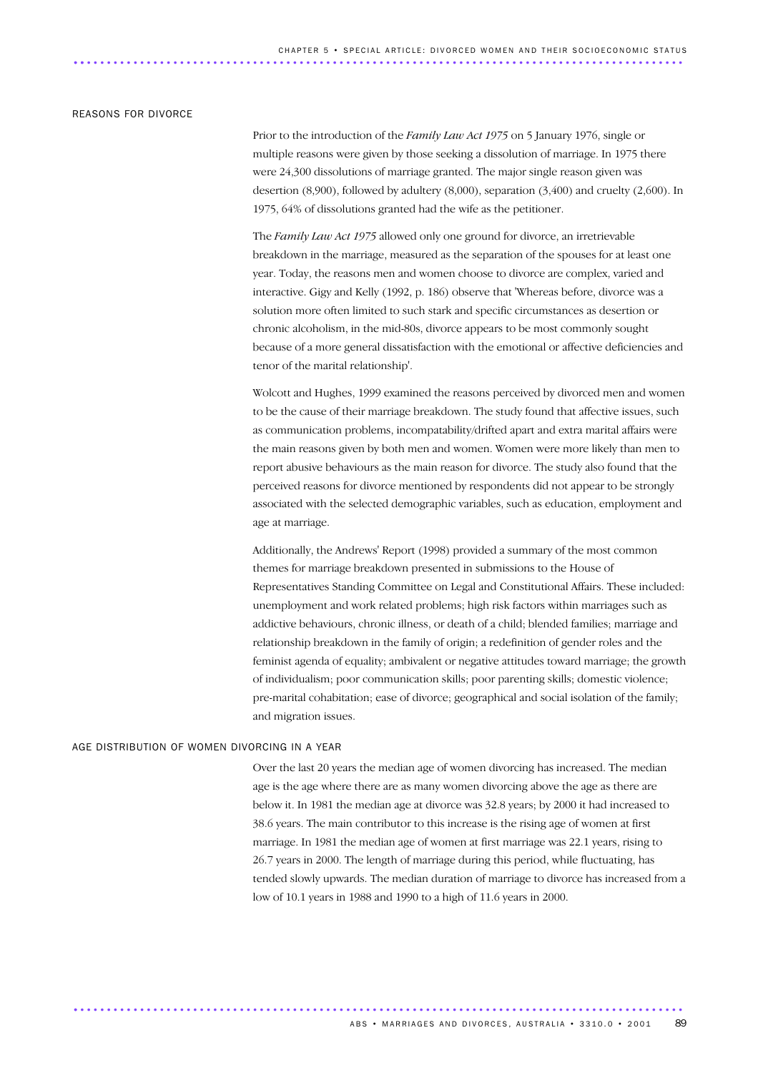#### REASONS FOR DIVORCE

Prior to the introduction of the *Family Law Act 1975* on 5 January 1976, single or multiple reasons were given by those seeking a dissolution of marriage. In 1975 there were 24,300 dissolutions of marriage granted. The major single reason given was desertion (8,900), followed by adultery (8,000), separation (3,400) and cruelty (2,600). In 1975, 64% of dissolutions granted had the wife as the petitioner.

The *Family Law Act 1975* allowed only one ground for divorce, an irretrievable breakdown in the marriage, measured as the separation of the spouses for at least one year. Today, the reasons men and women choose to divorce are complex, varied and interactive. Gigy and Kelly (1992, p. 186) observe that 'Whereas before, divorce was a solution more often limited to such stark and specific circumstances as desertion or chronic alcoholism, in the mid-80s, divorce appears to be most commonly sought because of a more general dissatisfaction with the emotional or affective deficiencies and tenor of the marital relationship'.

Wolcott and Hughes, 1999 examined the reasons perceived by divorced men and women to be the cause of their marriage breakdown. The study found that affective issues, such as communication problems, incompatability/drifted apart and extra marital affairs were the main reasons given by both men and women. Women were more likely than men to report abusive behaviours as the main reason for divorce. The study also found that the perceived reasons for divorce mentioned by respondents did not appear to be strongly associated with the selected demographic variables, such as education, employment and age at marriage.

Additionally, the Andrews' Report (1998) provided a summary of the most common themes for marriage breakdown presented in submissions to the House of Representatives Standing Committee on Legal and Constitutional Affairs. These included: unemployment and work related problems; high risk factors within marriages such as addictive behaviours, chronic illness, or death of a child; blended families; marriage and relationship breakdown in the family of origin; a redefinition of gender roles and the feminist agenda of equality; ambivalent or negative attitudes toward marriage; the growth of individualism; poor communication skills; poor parenting skills; domestic violence; pre-marital cohabitation; ease of divorce; geographical and social isolation of the family; and migration issues.

#### AGE DISTRIBUTION OF WOMEN DIVORCING IN A YEAR

Over the last 20 years the median age of women divorcing has increased. The median age is the age where there are as many women divorcing above the age as there are below it. In 1981 the median age at divorce was 32.8 years; by 2000 it had increased to 38.6 years. The main contributor to this increase is the rising age of women at first marriage. In 1981 the median age of women at first marriage was 22.1 years, rising to 26.7 years in 2000. The length of marriage during this period, while fluctuating, has tended slowly upwards. The median duration of marriage to divorce has increased from a low of 10.1 years in 1988 and 1990 to a high of 11.6 years in 2000.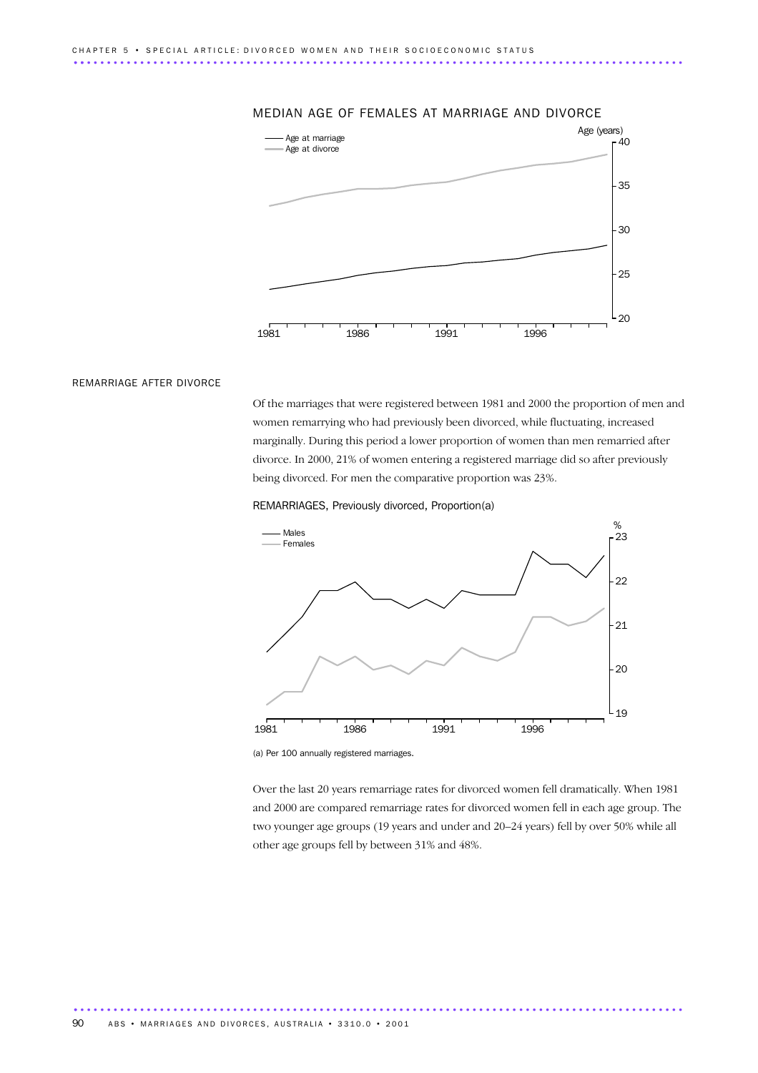

#### MEDIAN AGE OF FEMALES AT MARRIAGE AND DIVORCE

#### REMARRIAGE AFTER DIVORCE

Of the marriages that were registered between 1981 and 2000 the proportion of men and women remarrying who had previously been divorced, while fluctuating, increased marginally. During this period a lower proportion of women than men remarried after divorce. In 2000, 21% of women entering a registered marriage did so after previously being divorced. For men the comparative proportion was 23%.





(a) Per 100 annually registered marriages.

............................................................................................ .

Over the last 20 years remarriage rates for divorced women fell dramatically. When 1981 and 2000 are compared remarriage rates for divorced women fell in each age group. The two younger age groups (19 years and under and 20–24 years) fell by over 50% while all other age groups fell by between 31% and 48%.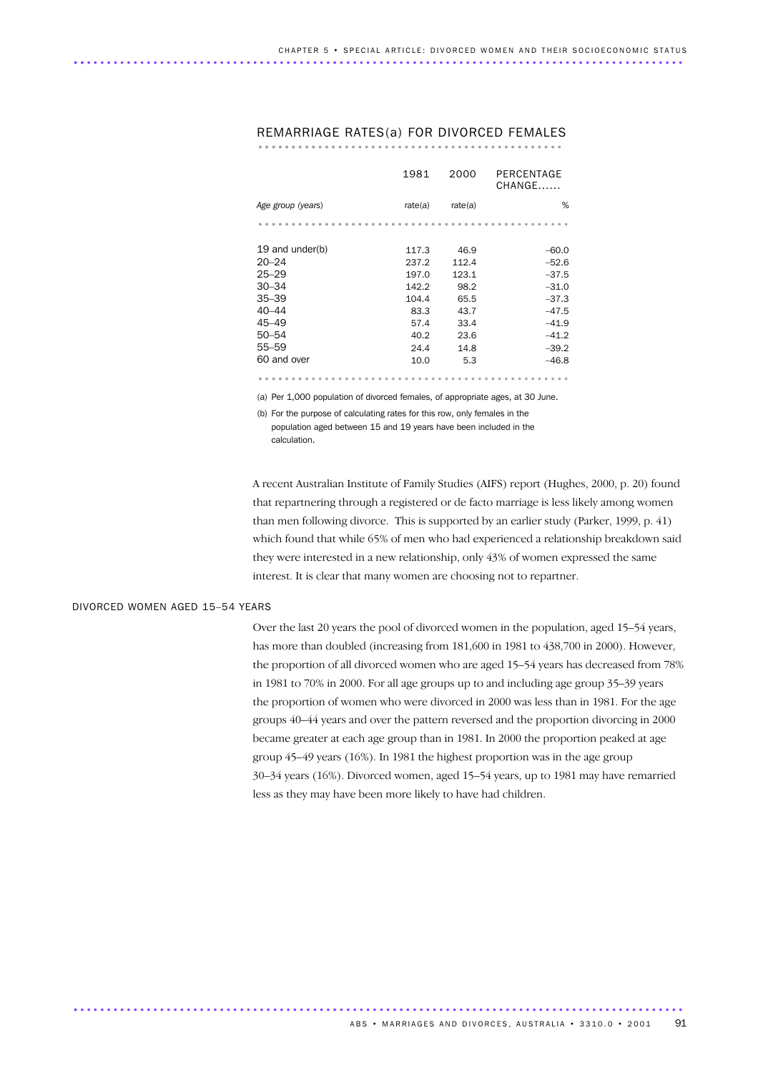|                   | 1981    | 2000    | PERCENTAGE<br>CHANGE |
|-------------------|---------|---------|----------------------|
| Age group (years) | rate(a) | rate(a) | %                    |
|                   |         |         |                      |
| 19 and under(b)   | 117.3   | 46.9    | $-60.0$              |
| $20 - 24$         | 237.2   | 112.4   | $-52.6$              |
| $25 - 29$         | 197.0   | 123.1   | $-37.5$              |
| $30 - 34$         | 142.2   | 98.2    | $-31.0$              |
| $35 - 39$         | 104.4   | 65.5    | $-37.3$              |
| $40 - 44$         | 83.3    | 43.7    | $-47.5$              |
| $45 - 49$         | 57.4    | 33.4    | $-41.9$              |
| $50 - 54$         | 40.2    | 23.6    | $-41.2$              |
| $55 - 59$         | 24.4    | 14.8    | $-39.2$              |
| 60 and over       | 10.0    | 5.3     | $-46.8$              |
| .                 |         |         | .                    |

# REMARRIAGE RATES(a) FOR DIVORCED FEMALES .............................................. ............

(a) Per 1,000 population of divorced females, of appropriate ages, at 30 June.

(b) For the purpose of calculating rates for this row, only females in the population aged between 15 and 19 years have been included in the

calculation.

A recent Australian Institute of Family Studies (AIFS) report (Hughes, 2000, p. 20) found that repartnering through a registered or de facto marriage is less likely among women than men following divorce. This is supported by an earlier study (Parker, 1999, p. 41) which found that while 65% of men who had experienced a relationship breakdown said they were interested in a new relationship, only 43% of women expressed the same interest. It is clear that many women are choosing not to repartner.

#### DIVORCED WOMEN AGED 15–54 YEARS

Over the last 20 years the pool of divorced women in the population, aged 15–54 years, has more than doubled (increasing from 181,600 in 1981 to 438,700 in 2000). However, the proportion of all divorced women who are aged 15–54 years has decreased from 78% in 1981 to 70% in 2000. For all age groups up to and including age group 35–39 years the proportion of women who were divorced in 2000 was less than in 1981. For the age groups 40–44 years and over the pattern reversed and the proportion divorcing in 2000 became greater at each age group than in 1981. In 2000 the proportion peaked at age group 45–49 years (16%). In 1981 the highest proportion was in the age group 30–34 years (16%). Divorced women, aged 15–54 years, up to 1981 may have remarried less as they may have been more likely to have had children.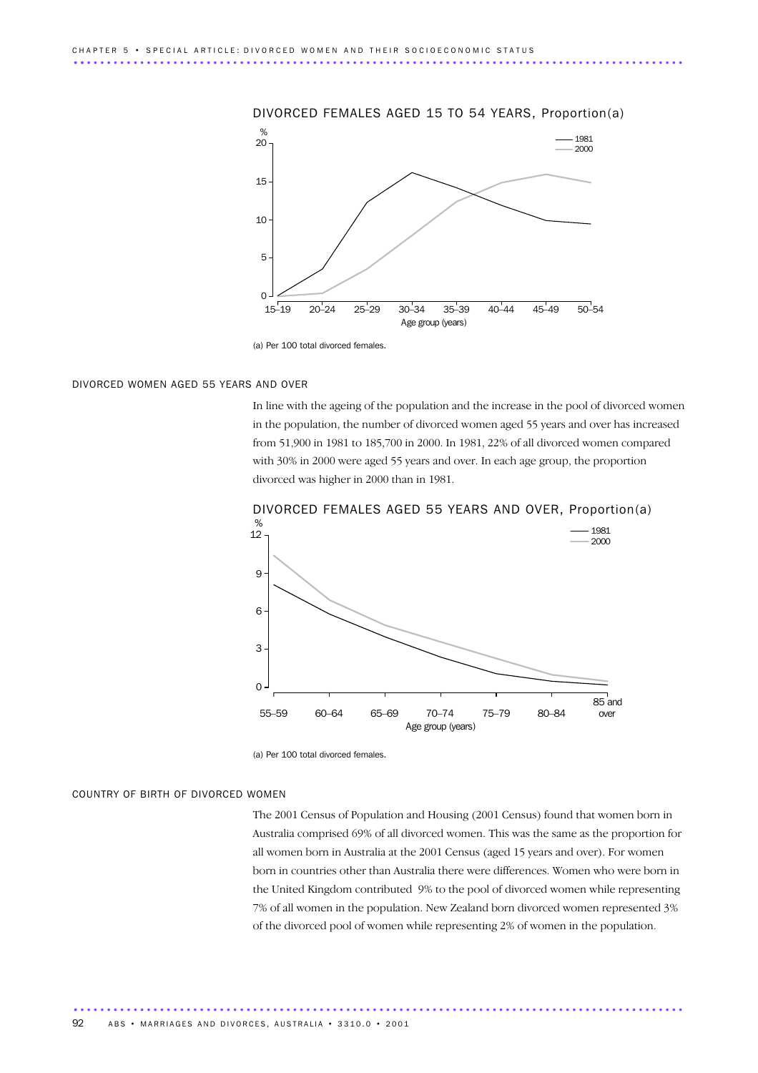#### DIVORCED FEMALES AGED 15 TO 54 YEARS, Proportion(a)



<sup>(</sup>a) Per 100 total divorced females.

#### DIVORCED WOMEN AGED 55 YEARS AND OVER

In line with the ageing of the population and the increase in the pool of divorced women in the population, the number of divorced women aged 55 years and over has increased from 51,900 in 1981 to 185,700 in 2000. In 1981, 22% of all divorced women compared with 30% in 2000 were aged 55 years and over. In each age group, the proportion divorced was higher in 2000 than in 1981.



DIVORCED FEMALES AGED 55 YEARS AND OVER, Proportion(a)

............................................................................................ .

#### COUNTRY OF BIRTH OF DIVORCED WOMEN

The 2001 Census of Population and Housing (2001 Census) found that women born in Australia comprised 69% of all divorced women. This was the same as the proportion for all women born in Australia at the 2001 Census (aged 15 years and over). For women born in countries other than Australia there were differences. Women who were born in the United Kingdom contributed 9% to the pool of divorced women while representing 7% of all women in the population. New Zealand born divorced women represented 3% of the divorced pool of women while representing 2% of women in the population.

<sup>(</sup>a) Per 100 total divorced females.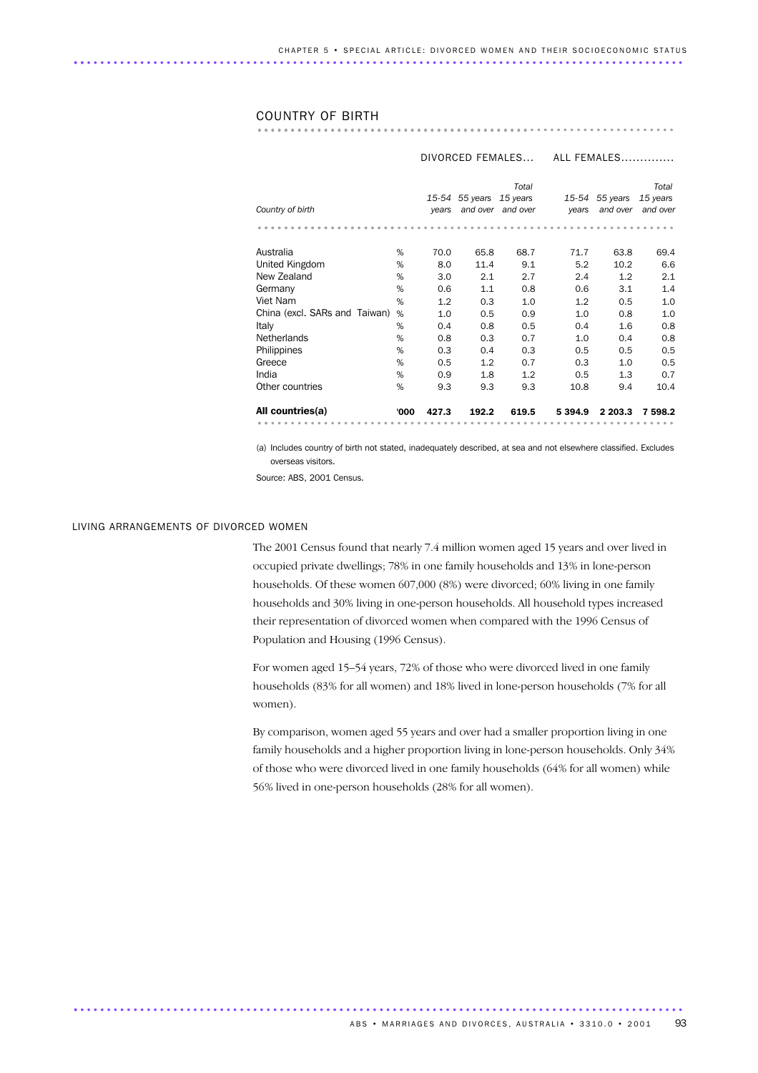#### COUNTRY OF BIRTH

............................................................... .........................................

|                               |      | DIVORCED FEMALES |                |                   | ALL FEMALES |                            |                      |
|-------------------------------|------|------------------|----------------|-------------------|-------------|----------------------------|----------------------|
|                               |      |                  |                | Total<br>15 years |             |                            | Total                |
| Country of birth              |      | vears            | 15-54 55 years | and over and over | years       | 15-54 55 years<br>and over | 15 years<br>and over |
|                               |      |                  |                |                   |             |                            |                      |
| Australia                     | %    | 70.0             | 65.8           | 68.7              | 71.7        | 63.8                       | 69.4                 |
| United Kingdom                | %    | 8.0              | 11.4           | 9.1               | 5.2         | 10.2                       | 6.6                  |
| New Zealand                   | %    | 3.0              | 2.1            | 2.7               | 2.4         | 1.2                        | 2.1                  |
| Germany                       | %    | 0.6              | 1.1            | 0.8               | 0.6         | 3.1                        | 1.4                  |
| Viet Nam                      | %    | 1.2              | 0.3            | 1.0               | 1.2         | 0.5                        | 1.0                  |
| China (excl. SARs and Taiwan) | %    | 1.0              | 0.5            | 0.9               | 1.0         | 0.8                        | 1.0                  |
| Italy                         | %    | 0.4              | 0.8            | 0.5               | 0.4         | 1.6                        | 0.8                  |
| <b>Netherlands</b>            | %    | 0.8              | 0.3            | 0.7               | 1.0         | 0.4                        | 0.8                  |
| Philippines                   | %    | 0.3              | 0.4            | 0.3               | 0.5         | 0.5                        | 0.5                  |
| Greece                        | %    | 0.5              | 1.2            | 0.7               | 0.3         | 1.0                        | 0.5                  |
| India                         | %    | 0.9              | 1.8            | 1.2               | 0.5         | 1.3                        | 0.7                  |
| Other countries               | %    | 9.3              | 9.3            | 9.3               | 10.8        | 9.4                        | 10.4                 |
| All countries(a)              | '000 | 427.3            | 192.2          | 619.5             | 5 3 9 4 . 9 | 2 2 0 3 .3                 | 7598.2               |
|                               |      |                  |                |                   |             |                            |                      |

(a) Includes country of birth not stated, inadequately described, at sea and not elsewhere classified. Excludes overseas visitors.

Source: ABS, 2001 Census.

#### LIVING ARRANGEMENTS OF DIVORCED WOMEN

The 2001 Census found that nearly 7.4 million women aged 15 years and over lived in occupied private dwellings; 78% in one family households and 13% in lone-person households. Of these women 607,000 (8%) were divorced; 60% living in one family households and 30% living in one-person households. All household types increased their representation of divorced women when compared with the 1996 Census of Population and Housing (1996 Census).

For women aged 15–54 years, 72% of those who were divorced lived in one family households (83% for all women) and 18% lived in lone-person households (7% for all women).

By comparison, women aged 55 years and over had a smaller proportion living in one family households and a higher proportion living in lone-person households. Only 34% of those who were divorced lived in one family households (64% for all women) while 56% lived in one-person households (28% for all women).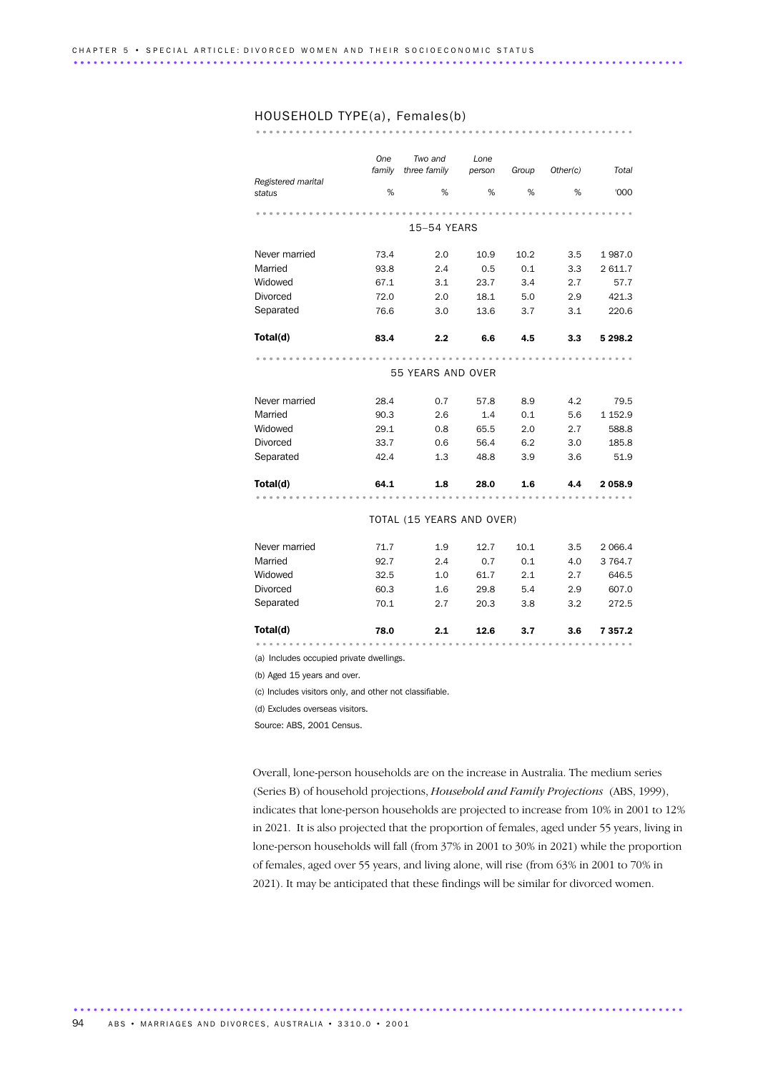HOUSEHOLD TYPE(a), Females(b) ......................................................... ...............................................

|                                          | One    | Two and                   | Lone   |       |          |           |  |  |  |  |  |
|------------------------------------------|--------|---------------------------|--------|-------|----------|-----------|--|--|--|--|--|
|                                          | family | three family              | person | Group | Other(c) | Total     |  |  |  |  |  |
| Registered marital<br>status             | %      | %                         | %      | %     | %        | '000      |  |  |  |  |  |
|                                          |        |                           |        |       |          |           |  |  |  |  |  |
|                                          |        |                           |        |       |          |           |  |  |  |  |  |
|                                          |        | 15-54 YEARS               |        |       |          |           |  |  |  |  |  |
| Never married                            | 73.4   | 2.0                       | 10.9   | 10.2  | 3.5      | 1987.0    |  |  |  |  |  |
| Married                                  | 93.8   | 2.4                       | 0.5    | 0.1   | 3.3      | 2 611.7   |  |  |  |  |  |
| Widowed                                  | 67.1   | 3.1                       | 23.7   | 3.4   | 2.7      | 57.7      |  |  |  |  |  |
| <b>Divorced</b>                          | 72.0   | 2.0                       | 18.1   | 5.0   | 2.9      | 421.3     |  |  |  |  |  |
| Separated                                | 76.6   | 3.0                       | 13.6   | 3.7   | 3.1      | 220.6     |  |  |  |  |  |
| Total(d)                                 | 83.4   | 2.2                       | 6.6    | 4.5   | 3.3      | 5 2 9 8.2 |  |  |  |  |  |
|                                          |        |                           |        |       |          |           |  |  |  |  |  |
|                                          |        | 55 YEARS AND OVER         |        |       |          |           |  |  |  |  |  |
| Never married                            | 28.4   | 0.7                       | 57.8   | 8.9   | 4.2      | 79.5      |  |  |  |  |  |
| Married                                  | 90.3   | 2.6                       | 1.4    | 0.1   | 5.6      | 1 152.9   |  |  |  |  |  |
| Widowed                                  | 29.1   | 0.8                       | 65.5   | 2.0   | 2.7      | 588.8     |  |  |  |  |  |
| Divorced                                 | 33.7   | 0.6                       | 56.4   | 6.2   | 3.0      | 185.8     |  |  |  |  |  |
| Separated                                | 42.4   | 1.3                       | 48.8   | 3.9   | 3.6      | 51.9      |  |  |  |  |  |
| Total(d)                                 | 64.1   | 1.8                       | 28.0   | 1.6   | 4.4      | 2 058.9   |  |  |  |  |  |
|                                          |        |                           |        |       |          |           |  |  |  |  |  |
|                                          |        | TOTAL (15 YEARS AND OVER) |        |       |          |           |  |  |  |  |  |
| Never married                            | 71.7   | 1.9                       | 12.7   | 10.1  | 3.5      | 2 0 6 6.4 |  |  |  |  |  |
| Married                                  | 92.7   | 2.4                       | 0.7    | 0.1   | 4.0      | 3 7 64.7  |  |  |  |  |  |
| Widowed                                  | 32.5   | 1.0                       | 61.7   | 2.1   | 2.7      | 646.5     |  |  |  |  |  |
| Divorced                                 | 60.3   | 1.6                       | 29.8   | 5.4   | 2.9      | 607.0     |  |  |  |  |  |
| Separated                                | 70.1   | 2.7                       | 20.3   | 3.8   | 3.2      | 272.5     |  |  |  |  |  |
| Total(d)                                 | 78.0   | 2.1                       | 12.6   | 3.7   | 3.6      | 7 357.2   |  |  |  |  |  |
|                                          |        |                           |        |       |          |           |  |  |  |  |  |
| (a) Includes occupied private dwellings. |        |                           |        |       |          |           |  |  |  |  |  |
| (b) Aged 15 years and over.              |        |                           |        |       |          |           |  |  |  |  |  |

(c) Includes visitors only, and other not classifiable.

(d) Excludes overseas visitors.

Source: ABS, 2001 Census.

Overall, lone-person households are on the increase in Australia. The medium series (Series B) of household projections, *Household and Family Projections* (ABS, 1999), indicates that lone-person households are projected to increase from 10% in 2001 to 12% in 2021. It is also projected that the proportion of females, aged under 55 years, living in lone-person households will fall (from 37% in 2001 to 30% in 2021) while the proportion of females, aged over 55 years, and living alone, will rise (from 63% in 2001 to 70% in 2021). It may be anticipated that these findings will be similar for divorced women.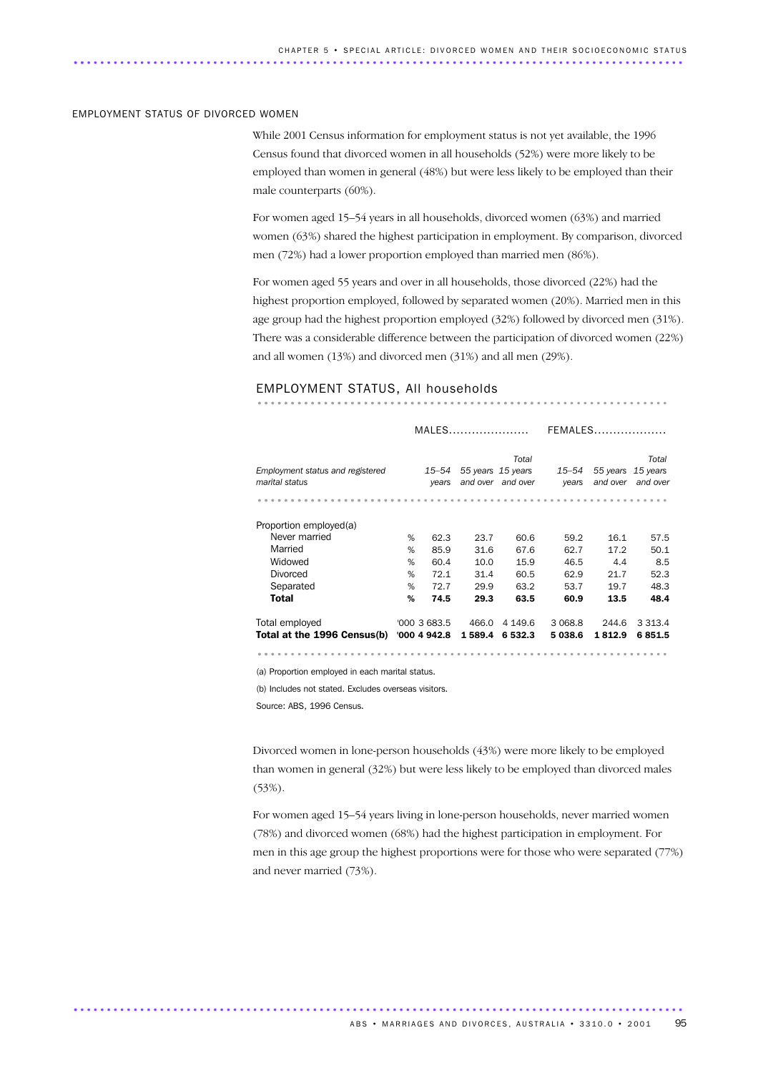#### EMPLOYMENT STATUS OF DIVORCED WOMEN

While 2001 Census information for employment status is not yet available, the 1996 Census found that divorced women in all households (52%) were more likely to be employed than women in general (48%) but were less likely to be employed than their male counterparts (60%).

For women aged 15–54 years in all households, divorced women (63%) and married women (63%) shared the highest participation in employment. By comparison, divorced men (72%) had a lower proportion employed than married men (86%).

For women aged 55 years and over in all households, those divorced (22%) had the highest proportion employed, followed by separated women (20%). Married men in this age group had the highest proportion employed (32%) followed by divorced men (31%). There was a considerable difference between the participation of divorced women (22%) and all women (13%) and divorced men (31%) and all men (29%).

# EMPLOYMENT STATUS, All households .............................................................. ..........................................

|                                                    |   | $MALES$        |                   |                            | FEMALES            |                      |                               |  |
|----------------------------------------------------|---|----------------|-------------------|----------------------------|--------------------|----------------------|-------------------------------|--|
| Employment status and registered<br>marital status |   | 15–54<br>years | 55 years 15 years | Total<br>and over and over | $15 - 54$<br>years | 55 years<br>and over | Total<br>15 years<br>and over |  |
| Proportion employed(a)                             |   |                |                   |                            |                    |                      |                               |  |
| Never married                                      | % | 62.3           | 23.7              | 60.6                       | 59.2               | 16.1                 | 57.5                          |  |
| Married                                            | % | 85.9           | 31.6              | 67.6                       | 62.7               | 17.2                 | 50.1                          |  |
| Widowed                                            | % | 60.4           | 10.0              | 15.9                       | 46.5               | 4.4                  | 8.5                           |  |
| Divorced                                           | % | 72.1           | 31.4              | 60.5                       | 62.9               | 21.7                 | 52.3                          |  |
| Separated                                          | % | 72.7           | 29.9              | 63.2                       | 53.7               | 19.7                 | 48.3                          |  |
| Total                                              | % | 74.5           | 29.3              | 63.5                       | 60.9               | 13.5                 | 48.4                          |  |
| Total employed                                     |   | '0003683.5     | 466.0             | 4 149.6                    | 3 0 68.8           | 244.6                | 3 3 1 3 . 4                   |  |
| Total at the 1996 Census(b)                        |   | '000 4 942.8   | 1589.4            | 6 532.3                    | 5038.6             | 1812.9               | 6851.5                        |  |
|                                                    |   |                |                   |                            |                    |                      |                               |  |

(a) Proportion employed in each marital status.

(b) Includes not stated. Excludes overseas visitors.

Source: ABS, 1996 Census.

Divorced women in lone-person households (43%) were more likely to be employed than women in general (32%) but were less likely to be employed than divorced males (53%).

For women aged 15–54 years living in lone-person households, never married women (78%) and divorced women (68%) had the highest participation in employment. For men in this age group the highest proportions were for those who were separated (77%) and never married (73%).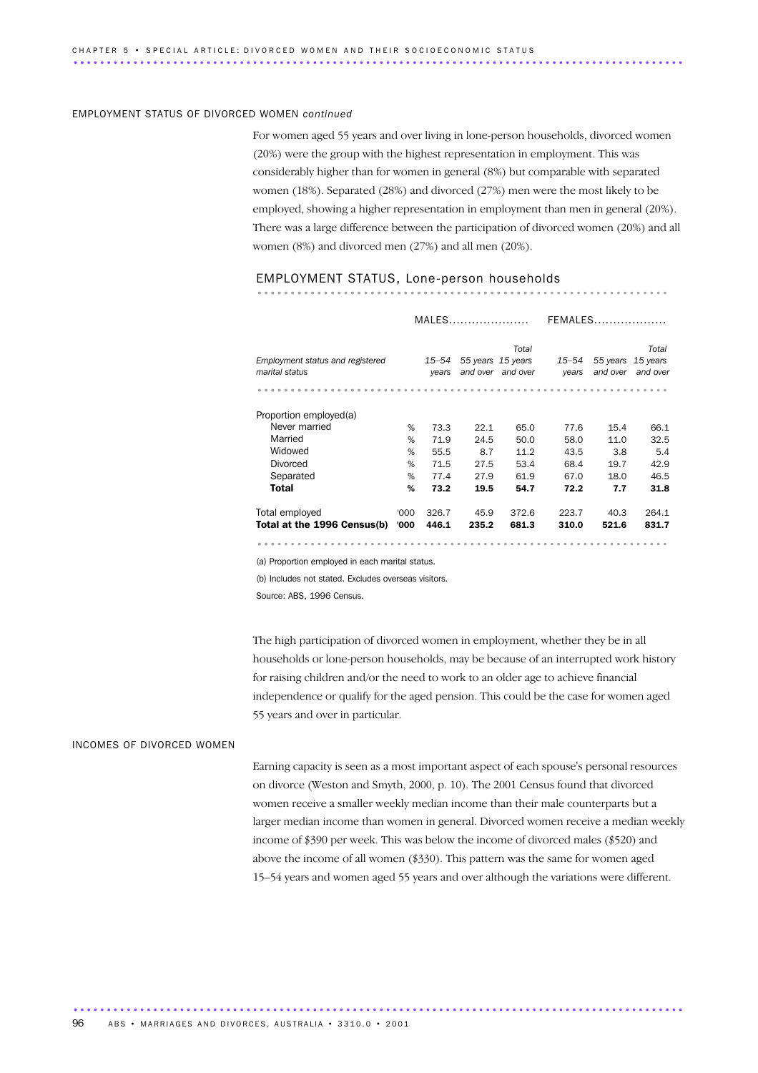#### EMPLOYMENT STATUS OF DIVORCED WOMEN *continued*

For women aged 55 years and over living in lone-person households, divorced women (20%) were the group with the highest representation in employment. This was considerably higher than for women in general (8%) but comparable with separated women (18%). Separated (28%) and divorced (27%) men were the most likely to be employed, showing a higher representation in employment than men in general (20%). There was a large difference between the participation of divorced women (20%) and all women (8%) and divorced men (27%) and all men (20%).

# EMPLOYMENT STATUS, Lone-person households .............................................................. ..........................................

|                                                    |      |                | MALES |                                                 | FEMALES        |                      |                               |  |
|----------------------------------------------------|------|----------------|-------|-------------------------------------------------|----------------|----------------------|-------------------------------|--|
| Employment status and registered<br>marital status |      | 15–54<br>years |       | Total<br>55 years 15 years<br>and over and over | 15–54<br>years | 55 years<br>and over | Total<br>15 years<br>and over |  |
|                                                    |      |                |       |                                                 |                |                      |                               |  |
| Proportion employed(a)                             |      |                |       |                                                 |                |                      |                               |  |
| Never married                                      | %    | 73.3           | 22.1  | 65.0                                            | 77.6           | 15.4                 | 66.1                          |  |
| Married                                            | %    | 71.9           | 24.5  | 50.0                                            | 58.0           | 11.0                 | 32.5                          |  |
| Widowed                                            | %    | 55.5           | 8.7   | 11.2                                            | 43.5           | 3.8                  | 5.4                           |  |
| <b>Divorced</b>                                    | %    | 71.5           | 27.5  | 53.4                                            | 68.4           | 19.7                 | 42.9                          |  |
| Separated                                          | %    | 77.4           | 27.9  | 61.9                                            | 67.0           | 18.0                 | 46.5                          |  |
| <b>Total</b>                                       | %    | 73.2           | 19.5  | 54.7                                            | 72.2           | 7.7                  | 31.8                          |  |
| Total employed                                     | '000 | 326.7          | 45.9  | 372.6                                           | 223.7          | 40.3                 | 264.1                         |  |
| Total at the 1996 Census(b)                        | '000 | 446.1          | 235.2 | 681.3                                           | 310.0          | 521.6                | 831.7                         |  |
|                                                    |      |                |       |                                                 |                |                      |                               |  |

(a) Proportion employed in each marital status.

(b) Includes not stated. Excludes overseas visitors.

Source: ABS, 1996 Census.

The high participation of divorced women in employment, whether they be in all households or lone-person households, may be because of an interrupted work history for raising children and/or the need to work to an older age to achieve financial independence or qualify for the aged pension. This could be the case for women aged 55 years and over in particular.

#### INCOMES OF DIVORCED WOMEN

Earning capacity is seen as a most important aspect of each spouse's personal resources on divorce (Weston and Smyth, 2000, p. 10). The 2001 Census found that divorced women receive a smaller weekly median income than their male counterparts but a larger median income than women in general. Divorced women receive a median weekly income of \$390 per week. This was below the income of divorced males (\$520) and above the income of all women (\$330). This pattern was the same for women aged 15–54 years and women aged 55 years and over although the variations were different.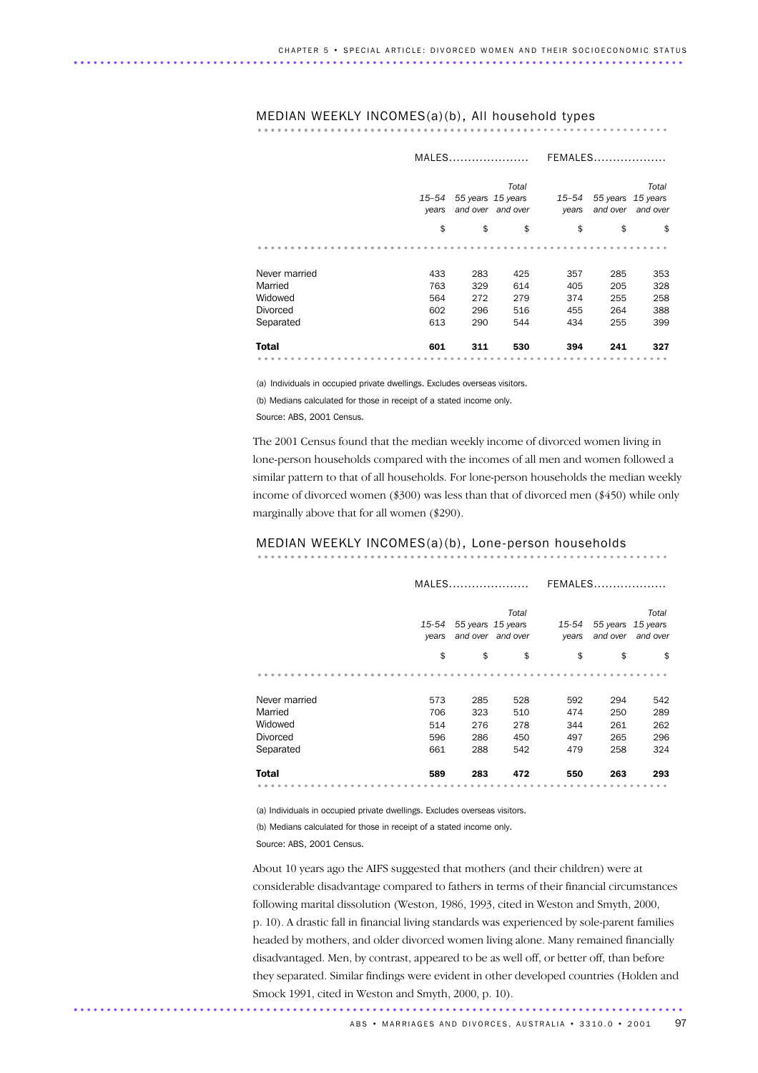# MEDIAN WEEKLY INCOMES(a)(b), All household types .............................................................. ..........................................

|                 |                                                                   | MALES |     |                    | FEMALES                          |     |  |  |
|-----------------|-------------------------------------------------------------------|-------|-----|--------------------|----------------------------------|-----|--|--|
|                 | Total<br>55 years 15 years<br>15–54<br>and over and over<br>years |       |     | $15 - 54$<br>years | 55 years<br>15 years<br>and over |     |  |  |
|                 | \$                                                                | \$    | \$  | \$                 | \$                               | \$  |  |  |
|                 |                                                                   |       |     |                    |                                  |     |  |  |
| Never married   | 433                                                               | 283   | 425 | 357                | 285                              | 353 |  |  |
| Married         | 763                                                               | 329   | 614 | 405                | 205                              | 328 |  |  |
| Widowed         | 564                                                               | 272   | 279 | 374                | 255                              | 258 |  |  |
| <b>Divorced</b> | 602                                                               | 296   | 516 | 455                | 264                              | 388 |  |  |
| Separated       | 613                                                               | 290   | 544 | 434                | 255                              | 399 |  |  |
| <b>Total</b>    | 601                                                               | 311   | 530 | 394                | 241                              | 327 |  |  |
|                 |                                                                   |       |     |                    |                                  |     |  |  |

(a) Individuals in occupied private dwellings. Excludes overseas visitors.

(b) Medians calculated for those in receipt of a stated income only.

Source: ABS, 2001 Census.

The 2001 Census found that the median weekly income of divorced women living in lone-person households compared with the incomes of all men and women followed a similar pattern to that of all households. For lone-person households the median weekly income of divorced women (\$300) was less than that of divorced men (\$450) while only marginally above that for all women (\$290).

# MEDIAN WEEKLY INCOMES(a)(b), Lone-person households .............................................................. ..........................................

|                 | MALES                                                                |     |     |                | <b>FEMALES</b>                   |                             |  |  |
|-----------------|----------------------------------------------------------------------|-----|-----|----------------|----------------------------------|-----------------------------|--|--|
|                 | Total<br>55 years 15 years<br>15-54<br>and over<br>and over<br>years |     |     | 15-54<br>years | 55 years<br>15 years<br>and over |                             |  |  |
|                 | \$                                                                   | \$  | \$  | \$             | \$                               | \$                          |  |  |
|                 |                                                                      |     |     |                |                                  |                             |  |  |
| Never married   | 573                                                                  | 285 | 528 | 592            | 294                              | 542                         |  |  |
| Married         | 706                                                                  | 323 | 510 | 474            | 250                              | 289                         |  |  |
| Widowed         | 514                                                                  | 276 | 278 | 344            | 261                              | 262                         |  |  |
| <b>Divorced</b> | 596                                                                  | 286 | 450 | 497            | 265                              | 296                         |  |  |
| Separated       | 661                                                                  | 288 | 542 | 479            | 258                              | 324                         |  |  |
| <b>Total</b>    | 589                                                                  | 283 | 472 | 550            | 263                              | 293                         |  |  |
| .               |                                                                      |     |     |                | $\bullet$<br>$ -$<br>٠           | $\circ$<br>$-$<br>$\bullet$ |  |  |

(a) Individuals in occupied private dwellings. Excludes overseas visitors.

(b) Medians calculated for those in receipt of a stated income only.

Source: ABS, 2001 Census.

About 10 years ago the AIFS suggested that mothers (and their children) were at considerable disadvantage compared to fathers in terms of their financial circumstances following marital dissolution (Weston, 1986, 1993, cited in Weston and Smyth, 2000, p. 10). A drastic fall in financial living standards was experienced by sole-parent families headed by mothers, and older divorced women living alone. Many remained financially disadvantaged. Men, by contrast, appeared to be as well off, or better off, than before they separated. Similar findings were evident in other developed countries (Holden and Smock 1991, cited in Weston and Smyth, 2000, p. 10).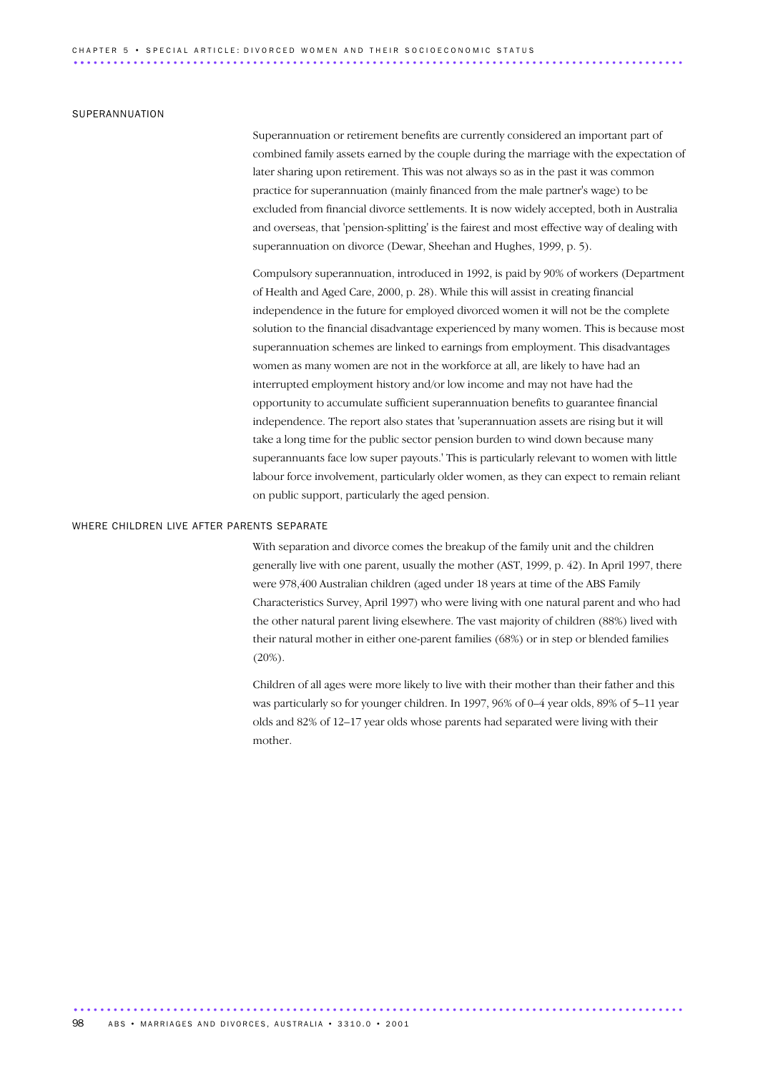#### SUPERANNUATION

Superannuation or retirement benefits are currently considered an important part of combined family assets earned by the couple during the marriage with the expectation of later sharing upon retirement. This was not always so as in the past it was common practice for superannuation (mainly financed from the male partner's wage) to be excluded from financial divorce settlements. It is now widely accepted, both in Australia and overseas, that 'pension-splitting' is the fairest and most effective way of dealing with superannuation on divorce (Dewar, Sheehan and Hughes, 1999, p. 5).

Compulsory superannuation, introduced in 1992, is paid by 90% of workers (Department of Health and Aged Care, 2000, p. 28). While this will assist in creating financial independence in the future for employed divorced women it will not be the complete solution to the financial disadvantage experienced by many women. This is because most superannuation schemes are linked to earnings from employment. This disadvantages women as many women are not in the workforce at all, are likely to have had an interrupted employment history and/or low income and may not have had the opportunity to accumulate sufficient superannuation benefits to guarantee financial independence. The report also states that 'superannuation assets are rising but it will take a long time for the public sector pension burden to wind down because many superannuants face low super payouts.' This is particularly relevant to women with little labour force involvement, particularly older women, as they can expect to remain reliant on public support, particularly the aged pension.

#### WHERE CHILDREN LIVE AFTER PARENTS SEPARATE

With separation and divorce comes the breakup of the family unit and the children generally live with one parent, usually the mother (AST, 1999, p. 42). In April 1997, there were 978,400 Australian children (aged under 18 years at time of the ABS Family Characteristics Survey, April 1997) who were living with one natural parent and who had the other natural parent living elsewhere. The vast majority of children (88%) lived with their natural mother in either one-parent families (68%) or in step or blended families  $(20\%)$ .

Children of all ages were more likely to live with their mother than their father and this was particularly so for younger children. In 1997, 96% of 0–4 year olds, 89% of 5–11 year olds and 82% of 12–17 year olds whose parents had separated were living with their mother.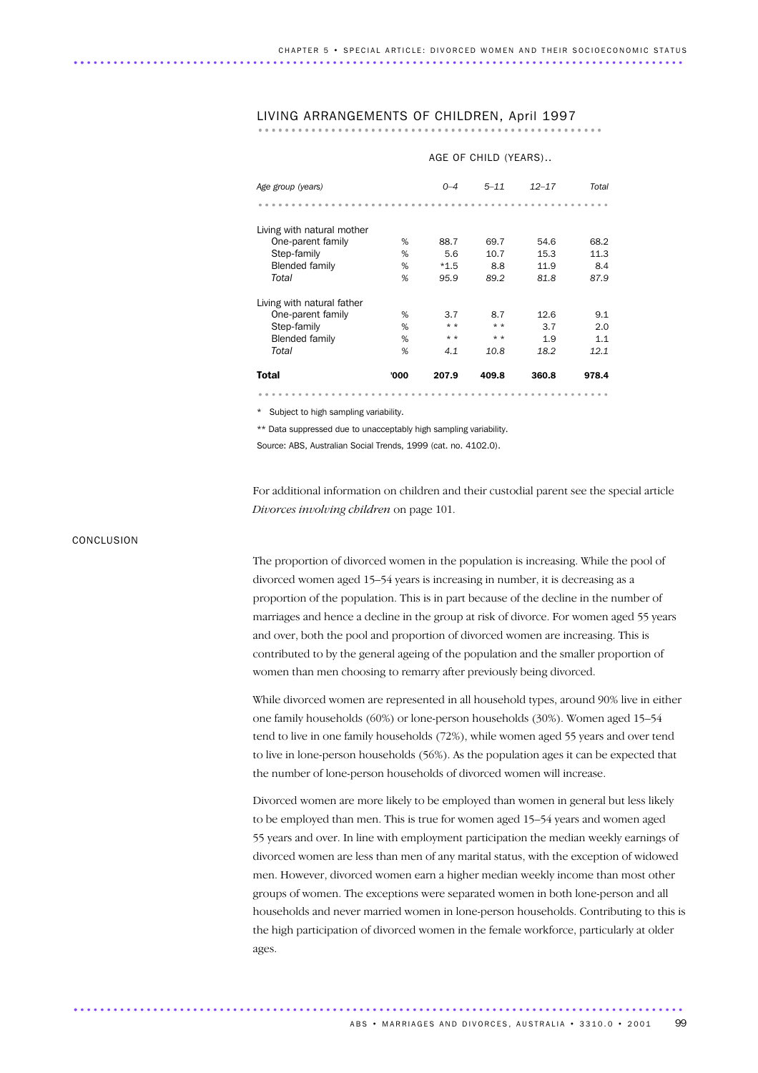# LIVING ARRANGEMENTS OF CHILDREN, April 1997 ....................................................

|                            | AGE OF CHILD (YEARS) |         |          |           |       |  |  |  |  |
|----------------------------|----------------------|---------|----------|-----------|-------|--|--|--|--|
| Age group (years)          |                      | $0 - 4$ | $5 - 11$ | $12 - 17$ | Total |  |  |  |  |
|                            |                      |         |          |           |       |  |  |  |  |
| Living with natural mother |                      |         |          |           |       |  |  |  |  |
| One-parent family          | %                    | 88.7    | 69.7     | 54.6      | 68.2  |  |  |  |  |
| Step-family                | %                    | 5.6     | 10.7     | 15.3      | 11.3  |  |  |  |  |
| <b>Blended family</b>      | %                    | $*1.5$  | 8.8      | 11.9      | 8.4   |  |  |  |  |
| Total                      | %                    | 95.9    | 89.2     | 81.8      | 87.9  |  |  |  |  |
| Living with natural father |                      |         |          |           |       |  |  |  |  |
| One-parent family          | %                    | 3.7     | 8.7      | 12.6      | 9.1   |  |  |  |  |
| Step-family                | %                    | $* *$   | $* *$    | 3.7       | 2.0   |  |  |  |  |
| <b>Blended family</b>      | %                    | $* *$   | $* *$    | 1.9       | 1.1   |  |  |  |  |
| Total                      | %                    | 4.1     | 10.8     | 18.2      | 12.1  |  |  |  |  |
| Total                      | '000                 | 207.9   | 409.8    | 360.8     | 978.4 |  |  |  |  |
|                            |                      |         |          |           |       |  |  |  |  |

\* Subject to high sampling variability.

\*\* Data suppressed due to unacceptably high sampling variability.

Source: ABS, Australian Social Trends, 1999 (cat. no. 4102.0).

............................................................................................ .

For additional information on children and their custodial parent see the special article *Divorces involving children* on page 101.

#### **CONCLUSION**

The proportion of divorced women in the population is increasing. While the pool of divorced women aged 15–54 years is increasing in number, it is decreasing as a proportion of the population. This is in part because of the decline in the number of marriages and hence a decline in the group at risk of divorce. For women aged 55 years and over, both the pool and proportion of divorced women are increasing. This is contributed to by the general ageing of the population and the smaller proportion of women than men choosing to remarry after previously being divorced.

While divorced women are represented in all household types, around 90% live in either one family households (60%) or lone-person households (30%). Women aged 15–54 tend to live in one family households (72%), while women aged 55 years and over tend to live in lone-person households (56%). As the population ages it can be expected that the number of lone-person households of divorced women will increase.

Divorced women are more likely to be employed than women in general but less likely to be employed than men. This is true for women aged 15–54 years and women aged 55 years and over. In line with employment participation the median weekly earnings of divorced women are less than men of any marital status, with the exception of widowed men. However, divorced women earn a higher median weekly income than most other groups of women. The exceptions were separated women in both lone-person and all households and never married women in lone-person households. Contributing to this is the high participation of divorced women in the female workforce, particularly at older ages.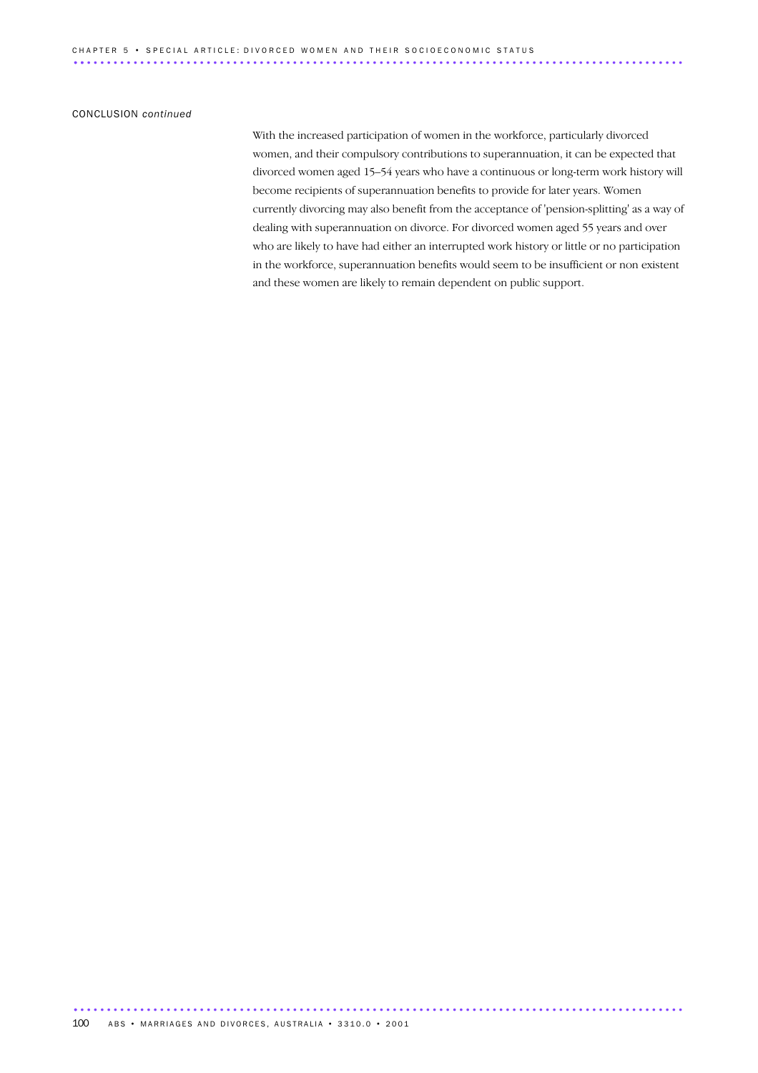#### CONCLUSION *continued*

With the increased participation of women in the workforce, particularly divorced women, and their compulsory contributions to superannuation, it can be expected that divorced women aged 15–54 years who have a continuous or long-term work history will become recipients of superannuation benefits to provide for later years. Women currently divorcing may also benefit from the acceptance of 'pension-splitting' as a way of dealing with superannuation on divorce. For divorced women aged 55 years and over who are likely to have had either an interrupted work history or little or no participation in the workforce, superannuation benefits would seem to be insufficient or non existent and these women are likely to remain dependent on public support.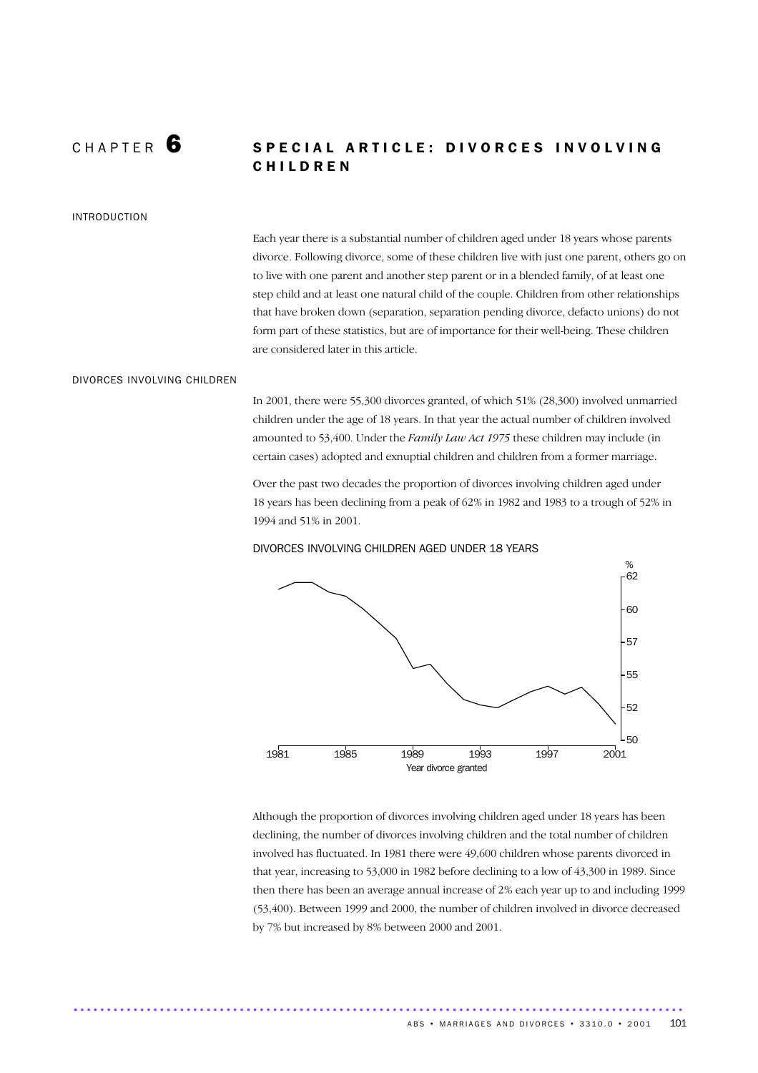### CHAPTER 6 SPECIAL ARTICLE: DIVORCES INVOLVING C H I L D R E N

#### INTRODUCTION

Each year there is a substantial number of children aged under 18 years whose parents divorce. Following divorce, some of these children live with just one parent, others go on to live with one parent and another step parent or in a blended family, of at least one step child and at least one natural child of the couple. Children from other relationships that have broken down (separation, separation pending divorce, defacto unions) do not form part of these statistics, but are of importance for their well-being. These children are considered later in this article.

#### DIVORCES INVOLVING CHILDREN

In 2001, there were 55,300 divorces granted, of which 51% (28,300) involved unmarried children under the age of 18 years. In that year the actual number of children involved amounted to 53,400. Under the *Family Law Act 1975* these children may include (in certain cases) adopted and exnuptial children and children from a former marriage.

Over the past two decades the proportion of divorces involving children aged under 18 years has been declining from a peak of 62% in 1982 and 1983 to a trough of 52% in 1994 and 51% in 2001.



DIVORCES INVOLVING CHILDREN AGED UNDER 18 YEARS

Although the proportion of divorces involving children aged under 18 years has been declining, the number of divorces involving children and the total number of children involved has fluctuated. In 1981 there were 49,600 children whose parents divorced in that year, increasing to 53,000 in 1982 before declining to a low of 43,300 in 1989. Since then there has been an average annual increase of 2% each year up to and including 1999 (53,400). Between 1999 and 2000, the number of children involved in divorce decreased by 7% but increased by 8% between 2000 and 2001.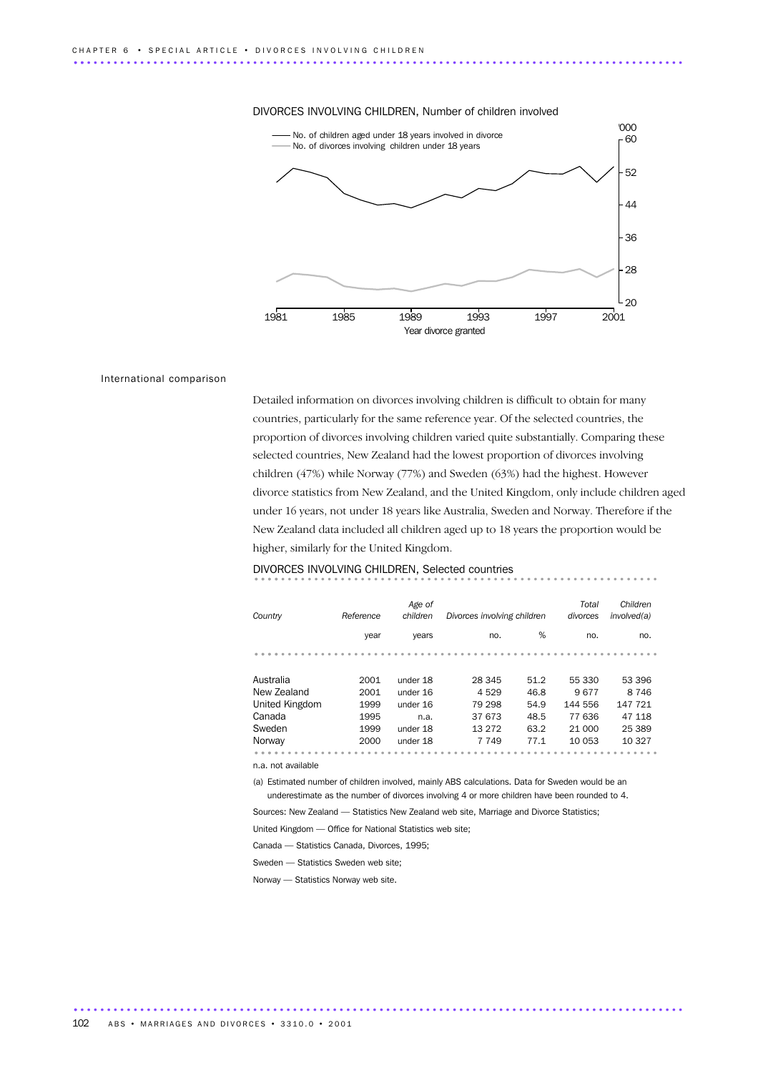### DIVORCES INVOLVING CHILDREN, Number of children involved 1981 1985 1989 1993 1997 2001 Year divorce granted  $^{000}_{-60}$ 20 28 36 44 52 No. of children aged under 18 years involved in divorce No. of divorces involving children under 18 years

### International comparison

Detailed information on divorces involving children is difficult to obtain for many countries, particularly for the same reference year. Of the selected countries, the proportion of divorces involving children varied quite substantially. Comparing these selected countries, New Zealand had the lowest proportion of divorces involving children (47%) while Norway (77%) and Sweden (63%) had the highest. However divorce statistics from New Zealand, and the United Kingdom, only include children aged under 16 years, not under 18 years like Australia, Sweden and Norway. Therefore if the New Zealand data included all children aged up to 18 years the proportion would be higher, similarly for the United Kingdom.

# DIVORCES INVOLVING CHILDREN, Selected countries ............................................................. ....

| Country        | Reference | Age of<br>children | Divorces involving children |      | Total<br>divorces | Children<br>involved(a) |
|----------------|-----------|--------------------|-----------------------------|------|-------------------|-------------------------|
|                | year      | years              | no.                         | %    | no.               | no.                     |
|                |           |                    |                             |      |                   |                         |
| Australia      | 2001      | under 18           | 28 345                      | 51.2 | 55 330            | 53 396                  |
| New Zealand    | 2001      | under 16           | 4529                        | 46.8 | 9677              | 8 7 4 6                 |
| United Kingdom | 1999      | under 16           | 79 298                      | 54.9 | 144 556           | 147 721                 |
| Canada         | 1995      | n.a.               | 37 673                      | 48.5 | 77 636            | 47 118                  |
| Sweden         | 1999      | under 18           | 13 27 2                     | 63.2 | 21 000            | 25 389                  |
| Norway         | 2000      | under 18           | 7 7 4 9                     | 77.1 | 10 053            | 10 327                  |
|                |           |                    |                             |      |                   |                         |

n.a. not available

(a) Estimated number of children involved, mainly ABS calculations. Data for Sweden would be an underestimate as the number of divorces involving 4 or more children have been rounded to 4.

Sources: New Zealand — Statistics New Zealand web site, Marriage and Divorce Statistics;

United Kingdom — Office for National Statistics web site;

............................................................................................ .

Canada — Statistics Canada, Divorces, 1995;

Sweden — Statistics Sweden web site;

Norway — Statistics Norway web site.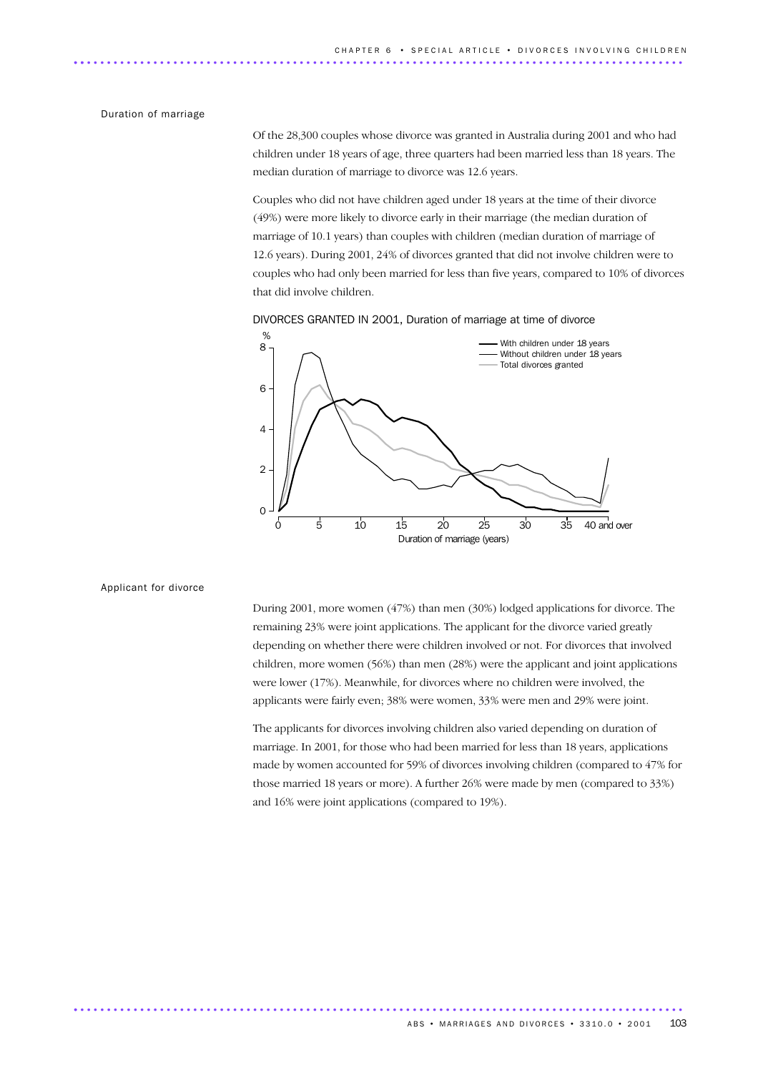#### Duration of marriage

Of the 28,300 couples whose divorce was granted in Australia during 2001 and who had children under 18 years of age, three quarters had been married less than 18 years. The median duration of marriage to divorce was 12.6 years.

Couples who did not have children aged under 18 years at the time of their divorce (49%) were more likely to divorce early in their marriage (the median duration of marriage of 10.1 years) than couples with children (median duration of marriage of 12.6 years). During 2001, 24% of divorces granted that did not involve children were to couples who had only been married for less than five years, compared to 10% of divorces that did involve children.





Applicant for divorce

During 2001, more women (47%) than men (30%) lodged applications for divorce. The remaining 23% were joint applications. The applicant for the divorce varied greatly depending on whether there were children involved or not. For divorces that involved children, more women (56%) than men (28%) were the applicant and joint applications were lower (17%). Meanwhile, for divorces where no children were involved, the applicants were fairly even; 38% were women, 33% were men and 29% were joint.

The applicants for divorces involving children also varied depending on duration of marriage. In 2001, for those who had been married for less than 18 years, applications made by women accounted for 59% of divorces involving children (compared to 47% for those married 18 years or more). A further 26% were made by men (compared to 33%) and 16% were joint applications (compared to 19%).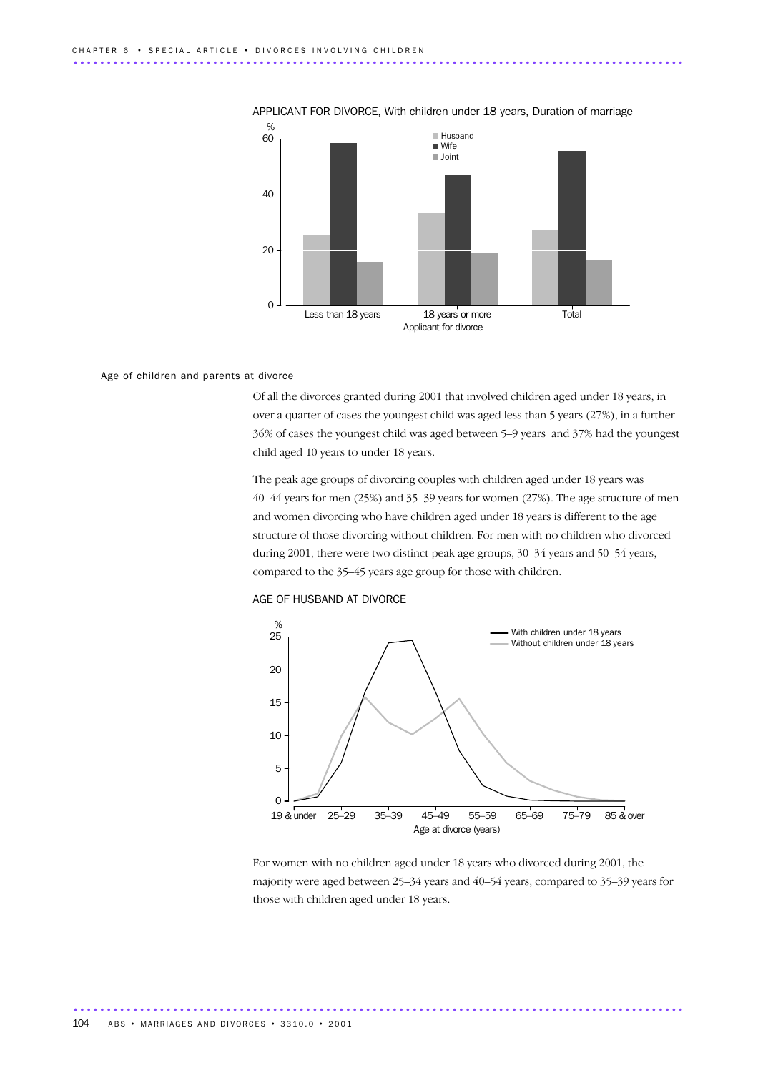

### APPLICANT FOR DIVORCE, With children under 18 years, Duration of marriage

#### Age of children and parents at divorce

Of all the divorces granted during 2001 that involved children aged under 18 years, in over a quarter of cases the youngest child was aged less than 5 years (27%), in a further 36% of cases the youngest child was aged between 5–9 years and 37% had the youngest child aged 10 years to under 18 years.

The peak age groups of divorcing couples with children aged under 18 years was 40–44 years for men (25%) and 35–39 years for women (27%). The age structure of men and women divorcing who have children aged under 18 years is different to the age structure of those divorcing without children. For men with no children who divorced during 2001, there were two distinct peak age groups, 30–34 years and 50–54 years, compared to the 35–45 years age group for those with children.





For women with no children aged under 18 years who divorced during 2001, the majority were aged between 25–34 years and 40–54 years, compared to 35–39 years for those with children aged under 18 years.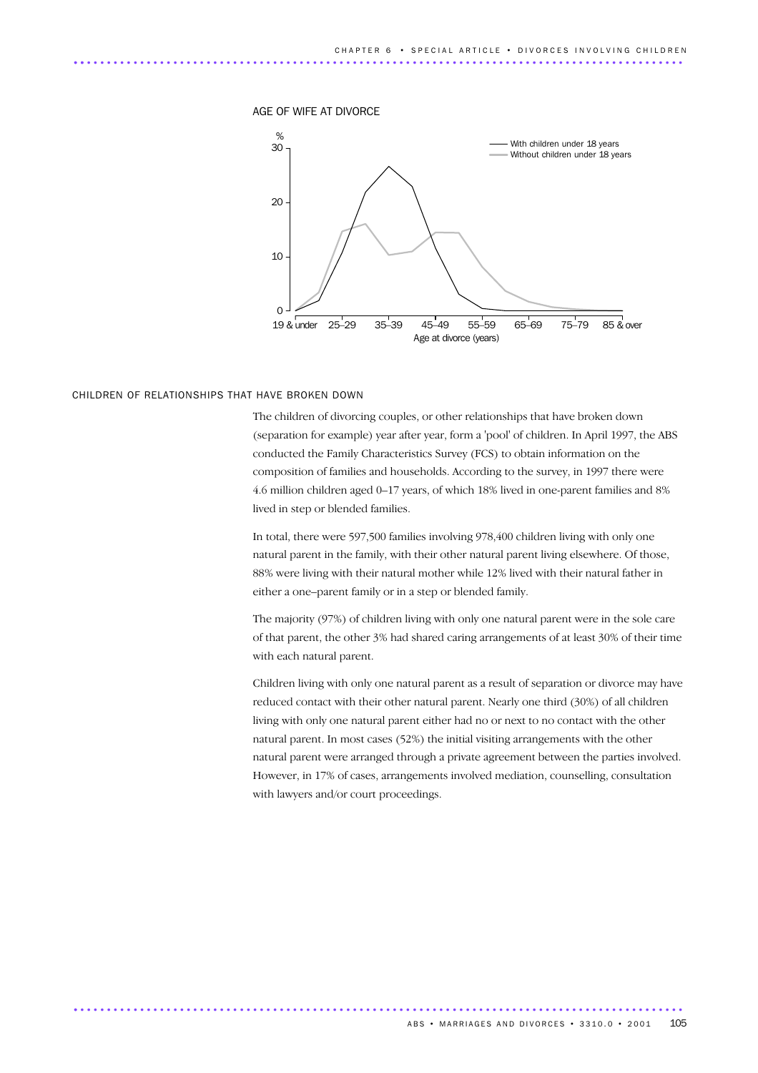

#### CHILDREN OF RELATIONSHIPS THAT HAVE BROKEN DOWN

The children of divorcing couples, or other relationships that have broken down (separation for example) year after year, form a 'pool' of children. In April 1997, the ABS conducted the Family Characteristics Survey (FCS) to obtain information on the composition of families and households. According to the survey, in 1997 there were 4.6 million children aged 0–17 years, of which 18% lived in one-parent families and 8% lived in step or blended families.

In total, there were 597,500 families involving 978,400 children living with only one natural parent in the family, with their other natural parent living elsewhere. Of those, 88% were living with their natural mother while 12% lived with their natural father in either a one–parent family or in a step or blended family.

The majority (97%) of children living with only one natural parent were in the sole care of that parent, the other 3% had shared caring arrangements of at least 30% of their time with each natural parent.

Children living with only one natural parent as a result of separation or divorce may have reduced contact with their other natural parent. Nearly one third (30%) of all children living with only one natural parent either had no or next to no contact with the other natural parent. In most cases (52%) the initial visiting arrangements with the other natural parent were arranged through a private agreement between the parties involved. However, in 17% of cases, arrangements involved mediation, counselling, consultation with lawyers and/or court proceedings.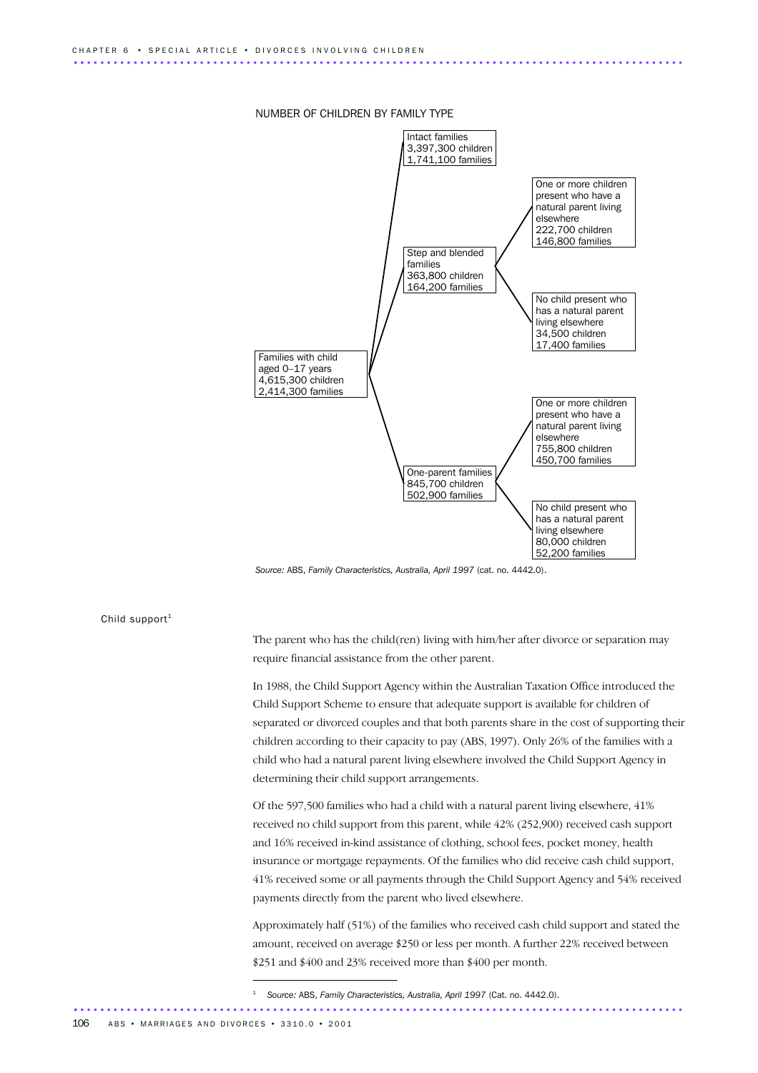#### NUMBER OF CHILDREN BY FAMILY TYPE



*Source:* ABS, *Family Characteristics, Australia, April 1997* (cat. no. 4442.0).

Child support $1$ 

The parent who has the child(ren) living with him/her after divorce or separation may require financial assistance from the other parent.

In 1988, the Child Support Agency within the Australian Taxation Office introduced the Child Support Scheme to ensure that adequate support is available for children of separated or divorced couples and that both parents share in the cost of supporting their children according to their capacity to pay (ABS, 1997). Only 26% of the families with a child who had a natural parent living elsewhere involved the Child Support Agency in determining their child support arrangements.

Of the 597,500 families who had a child with a natural parent living elsewhere, 41% received no child support from this parent, while 42% (252,900) received cash support and 16% received in-kind assistance of clothing, school fees, pocket money, health insurance or mortgage repayments. Of the families who did receive cash child support, 41% received some or all payments through the Child Support Agency and 54% received payments directly from the parent who lived elsewhere.

Approximately half (51%) of the families who received cash child support and stated the amount, received on average \$250 or less per month. A further 22% received between \$251 and \$400 and 23% received more than \$400 per month.

<sup>1</sup> *Source:* ABS, *Family Characteristics, Australia, April 1997* (Cat. no. 4442.0). ............................................................................................ .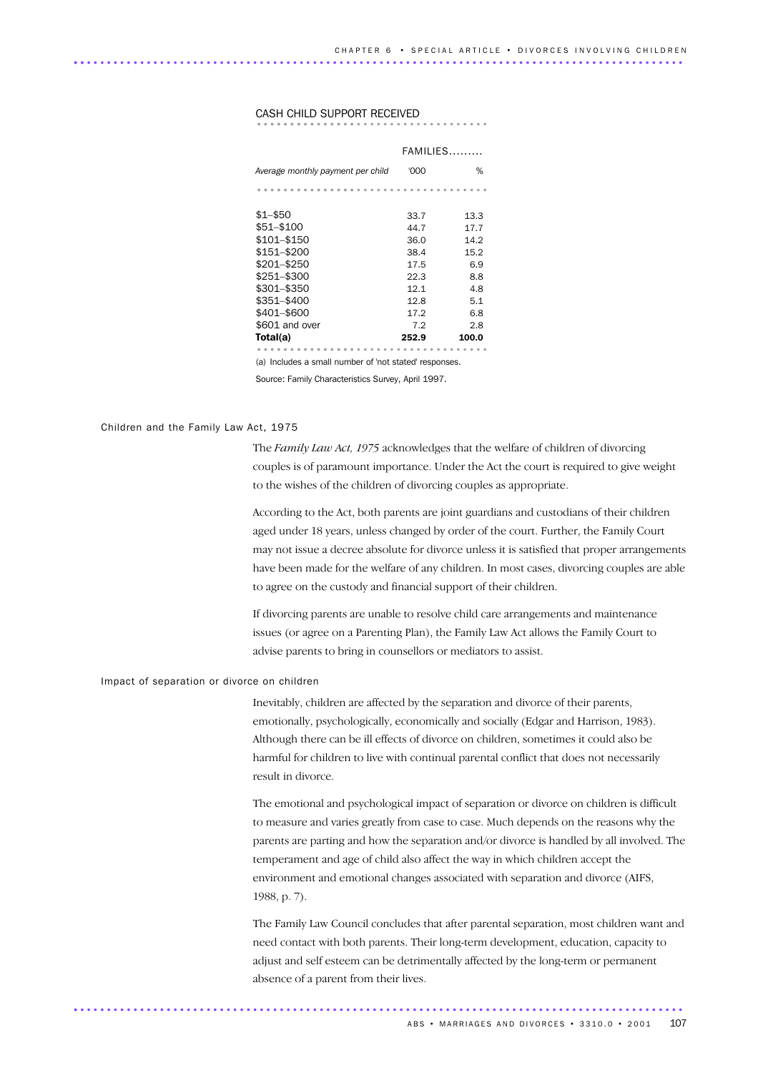CASH CHILD SUPPORT RECEIVED ................................... ...............

|                                                        | $FAMILIES$ |       |  |  |  |  |
|--------------------------------------------------------|------------|-------|--|--|--|--|
| Average monthly payment per child                      | '000       | %     |  |  |  |  |
|                                                        |            |       |  |  |  |  |
| $$1 - $50$                                             | 33.7       | 13.3  |  |  |  |  |
| \$51-\$100                                             | 44.7       | 17.7  |  |  |  |  |
| \$101-\$150                                            | 36.0       | 14.2  |  |  |  |  |
| \$151–\$200                                            | 38.4       | 15.2  |  |  |  |  |
| \$201–\$250                                            | 17.5       | 6.9   |  |  |  |  |
| \$251-\$300                                            | 22.3       | 8.8   |  |  |  |  |
| \$301-\$350                                            | 12.1       | 4.8   |  |  |  |  |
| \$351-\$400                                            | 12.8       | 5.1   |  |  |  |  |
| \$401-\$600                                            | 17.2       | 6.8   |  |  |  |  |
| \$601 and over                                         | 7.2        | 2.8   |  |  |  |  |
| Total(a)                                               | 252.9      | 100.0 |  |  |  |  |
|                                                        |            |       |  |  |  |  |
| (a) Includes a small number of 'not stated' responses. |            |       |  |  |  |  |

Source: Family Characteristics Survey, April 1997.

Children and the Family Law Act, 1975

The *Family Law Act, 1975* acknowledges that the welfare of children of divorcing couples is of paramount importance. Under the Act the court is required to give weight to the wishes of the children of divorcing couples as appropriate.

According to the Act, both parents are joint guardians and custodians of their children aged under 18 years, unless changed by order of the court. Further, the Family Court may not issue a decree absolute for divorce unless it is satisfied that proper arrangements have been made for the welfare of any children. In most cases, divorcing couples are able to agree on the custody and financial support of their children.

If divorcing parents are unable to resolve child care arrangements and maintenance issues (or agree on a Parenting Plan), the Family Law Act allows the Family Court to advise parents to bring in counsellors or mediators to assist.

Impact of separation or divorce on children

Inevitably, children are affected by the separation and divorce of their parents, emotionally, psychologically, economically and socially (Edgar and Harrison, 1983). Although there can be ill effects of divorce on children, sometimes it could also be harmful for children to live with continual parental conflict that does not necessarily result in divorce.

The emotional and psychological impact of separation or divorce on children is difficult to measure and varies greatly from case to case. Much depends on the reasons why the parents are parting and how the separation and/or divorce is handled by all involved. The temperament and age of child also affect the way in which children accept the environment and emotional changes associated with separation and divorce (AIFS, 1988, p. 7).

The Family Law Council concludes that after parental separation, most children want and need contact with both parents. Their long-term development, education, capacity to adjust and self esteem can be detrimentally affected by the long-term or permanent absence of a parent from their lives.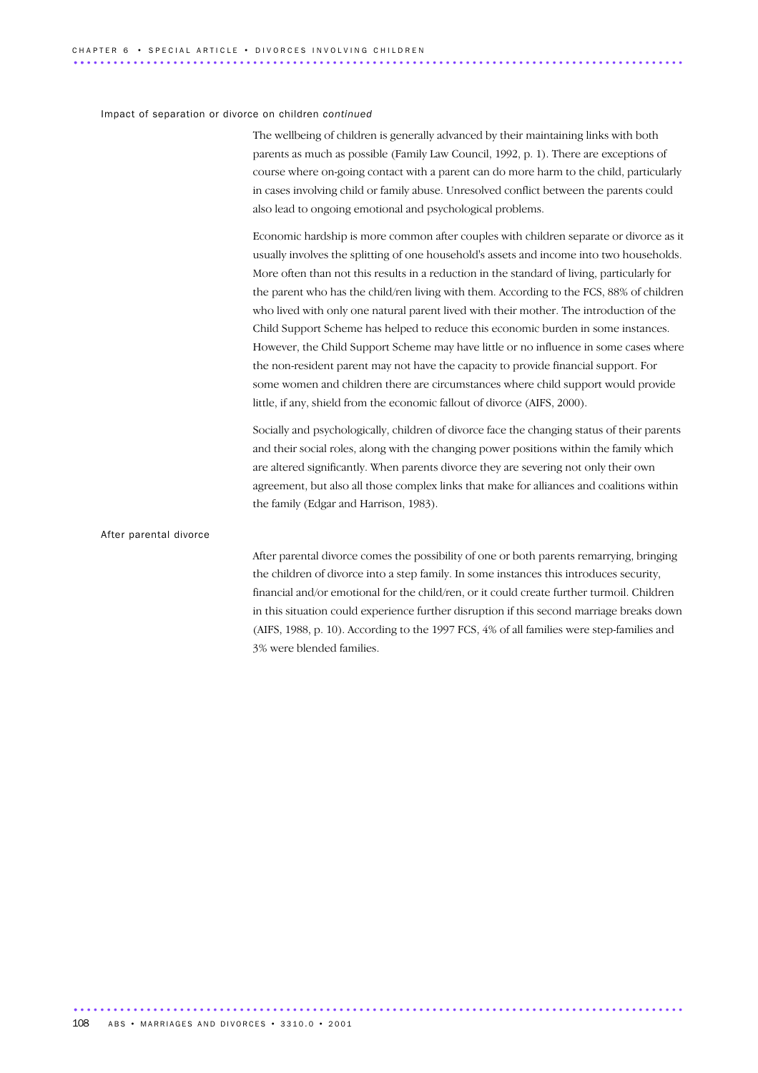#### Impact of separation or divorce on children *continued*

The wellbeing of children is generally advanced by their maintaining links with both parents as much as possible (Family Law Council, 1992, p. 1). There are exceptions of course where on-going contact with a parent can do more harm to the child, particularly in cases involving child or family abuse. Unresolved conflict between the parents could also lead to ongoing emotional and psychological problems.

Economic hardship is more common after couples with children separate or divorce as it usually involves the splitting of one household's assets and income into two households. More often than not this results in a reduction in the standard of living, particularly for the parent who has the child/ren living with them. According to the FCS, 88% of children who lived with only one natural parent lived with their mother. The introduction of the Child Support Scheme has helped to reduce this economic burden in some instances. However, the Child Support Scheme may have little or no influence in some cases where the non-resident parent may not have the capacity to provide financial support. For some women and children there are circumstances where child support would provide little, if any, shield from the economic fallout of divorce (AIFS, 2000).

Socially and psychologically, children of divorce face the changing status of their parents and their social roles, along with the changing power positions within the family which are altered significantly. When parents divorce they are severing not only their own agreement, but also all those complex links that make for alliances and coalitions within the family (Edgar and Harrison, 1983).

#### After parental divorce

After parental divorce comes the possibility of one or both parents remarrying, bringing the children of divorce into a step family. In some instances this introduces security, financial and/or emotional for the child/ren, or it could create further turmoil. Children in this situation could experience further disruption if this second marriage breaks down (AIFS, 1988, p. 10). According to the 1997 FCS, 4% of all families were step-families and 3% were blended families.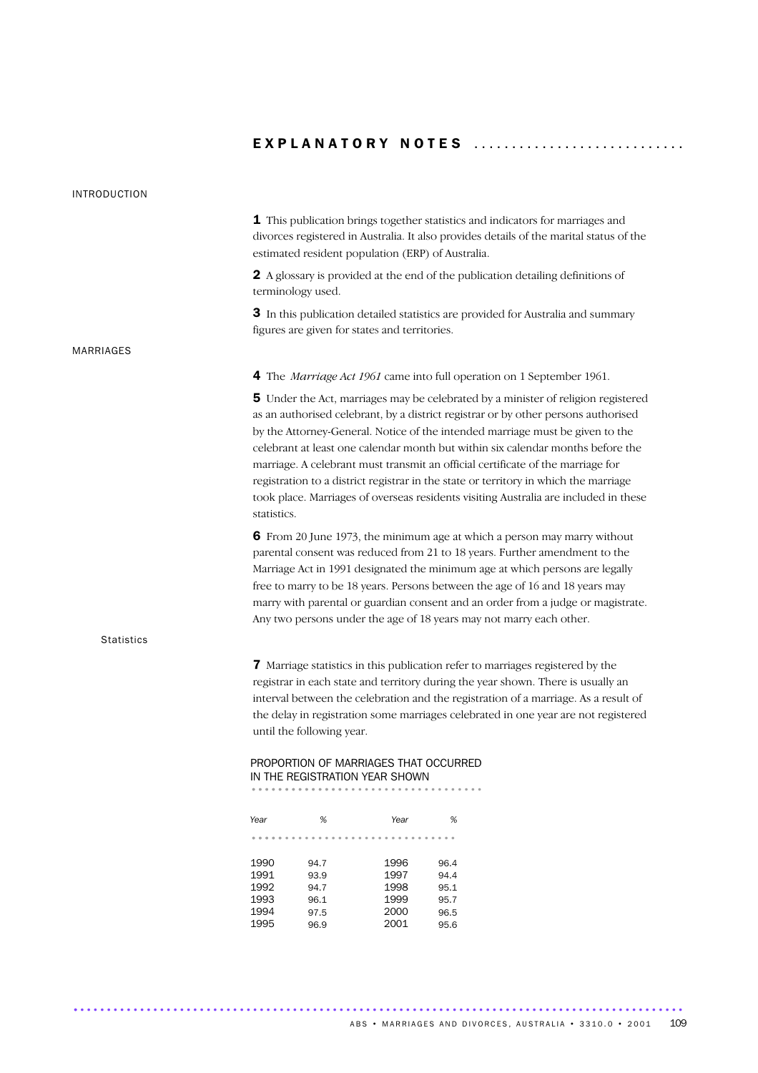#### INTRODUCTION

1 This publication brings together statistics and indicators for marriages and divorces registered in Australia. It also provides details of the marital status of the estimated resident population (ERP) of Australia.

2 A glossary is provided at the end of the publication detailing definitions of terminology used.

3 In this publication detailed statistics are provided for Australia and summary figures are given for states and territories.

#### MARRIAGES

**Statistics** 

4 The *Marriage Act 1961* came into full operation on 1 September 1961.

**5** Under the Act, marriages may be celebrated by a minister of religion registered as an authorised celebrant, by a district registrar or by other persons authorised by the Attorney-General. Notice of the intended marriage must be given to the celebrant at least one calendar month but within six calendar months before the marriage. A celebrant must transmit an official certificate of the marriage for registration to a district registrar in the state or territory in which the marriage took place. Marriages of overseas residents visiting Australia are included in these statistics.

6 From 20 June 1973, the minimum age at which a person may marry without parental consent was reduced from 21 to 18 years. Further amendment to the Marriage Act in 1991 designated the minimum age at which persons are legally free to marry to be 18 years. Persons between the age of 16 and 18 years may marry with parental or guardian consent and an order from a judge or magistrate. Any two persons under the age of 18 years may not marry each other.

7 Marriage statistics in this publication refer to marriages registered by the registrar in each state and territory during the year shown. There is usually an interval between the celebration and the registration of a marriage. As a result of the delay in registration some marriages celebrated in one year are not registered until the following year.

## PROPORTION OF MARRIAGES THAT OCCURRED IN THE REGISTRATION YEAR SHOWN ................................... ..............

*Year % Year %* ............................... ..... 1990 94.7 1996 96.4 1991 93.9 1997 94.4<br>1992 94.7 1998 95.1  $94.7$ 1993 96.1 1999 95.7<br>1994 97.5 2000 96.5 97.5 2000 96.5

1995 96.9 2001 95.6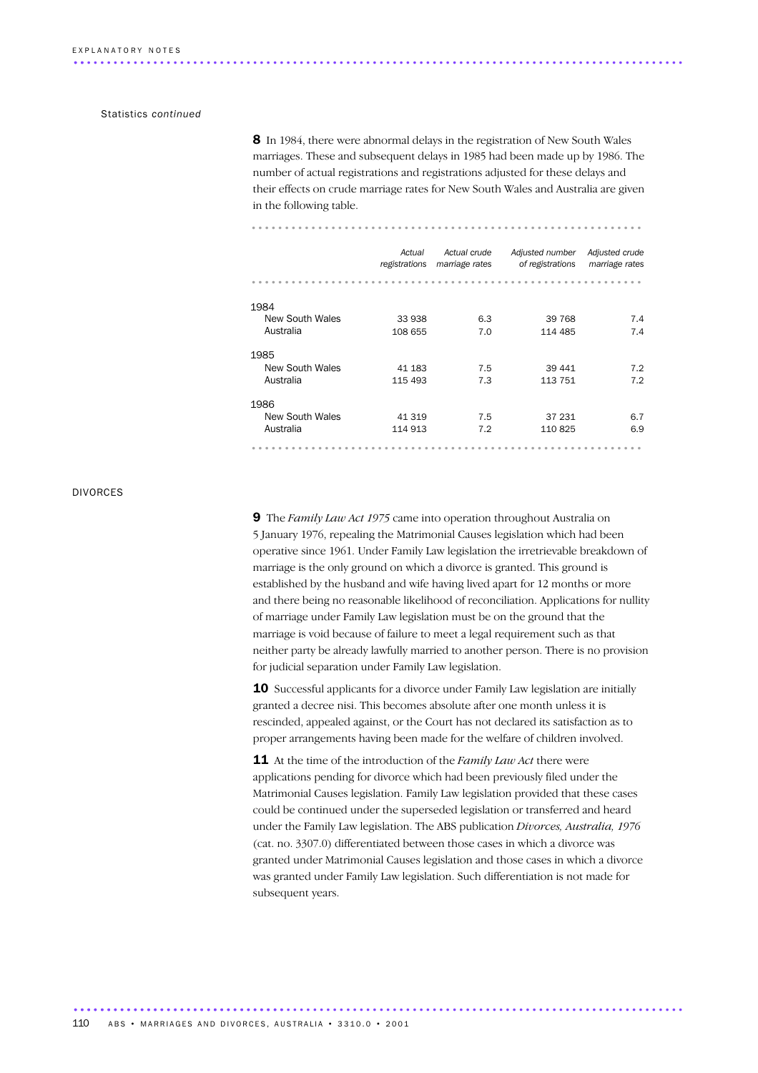#### Statistics *continued*

8 In 1984, there were abnormal delays in the registration of New South Wales marriages. These and subsequent delays in 1985 had been made up by 1986. The number of actual registrations and registrations adjusted for these delays and their effects on crude marriage rates for New South Wales and Australia are given in the following table.

............................................................................................ ..

...........................................................

|                                      | Actual<br>registrations | Actual crude<br>marriage rates | Adjusted number<br>of registrations | Adjusted crude<br>marriage rates |
|--------------------------------------|-------------------------|--------------------------------|-------------------------------------|----------------------------------|
|                                      |                         |                                |                                     |                                  |
| 1984                                 |                         |                                |                                     |                                  |
| New South Wales                      | 33 938                  | 6.3                            | 39 768                              | 7.4                              |
| Australia                            | 108 655                 | 7.0                            | 114 485                             | 7.4                              |
| 1985<br>New South Wales<br>Australia | 41 183<br>115 493       | 7.5<br>7.3                     | 39 441<br>113 751                   | 7.2<br>7.2                       |
| 1986                                 |                         |                                |                                     |                                  |
| New South Wales                      | 41 319                  | 7.5                            | 37 231                              | 6.7                              |
| Australia                            | 114 913                 | 7.2                            | 110 825                             | 6.9                              |
|                                      |                         |                                |                                     |                                  |

#### DIVORCES

9 The *Family Law Act 1975* came into operation throughout Australia on 5 January 1976, repealing the Matrimonial Causes legislation which had been operative since 1961. Under Family Law legislation the irretrievable breakdown of marriage is the only ground on which a divorce is granted. This ground is established by the husband and wife having lived apart for 12 months or more and there being no reasonable likelihood of reconciliation. Applications for nullity of marriage under Family Law legislation must be on the ground that the marriage is void because of failure to meet a legal requirement such as that neither party be already lawfully married to another person. There is no provision for judicial separation under Family Law legislation.

10 Successful applicants for a divorce under Family Law legislation are initially granted a decree nisi. This becomes absolute after one month unless it is rescinded, appealed against, or the Court has not declared its satisfaction as to proper arrangements having been made for the welfare of children involved.

**11** At the time of the introduction of the *Family Law Act* there were applications pending for divorce which had been previously filed under the Matrimonial Causes legislation. Family Law legislation provided that these cases could be continued under the superseded legislation or transferred and heard under the Family Law legislation. The ABS publication *Divorces, Australia, 1976* (cat. no. 3307.0) differentiated between those cases in which a divorce was granted under Matrimonial Causes legislation and those cases in which a divorce was granted under Family Law legislation. Such differentiation is not made for subsequent years.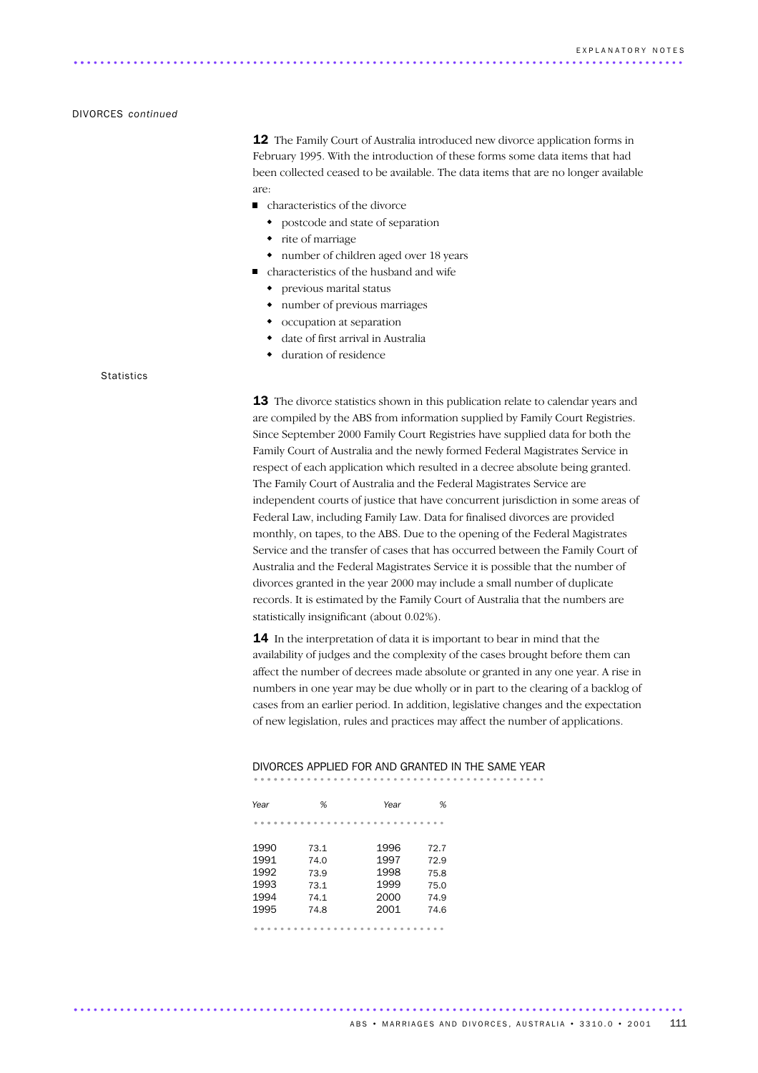#### DIVORCES *continued*

12 The Family Court of Australia introduced new divorce application forms in February 1995. With the introduction of these forms some data items that had been collected ceased to be available. The data items that are no longer available are:

- characteristics of the divorce
	- postcode and state of separation
	- rite of marriage

............................................................................................ ..

- number of children aged over 18 years
- characteristics of the husband and wife
	- previous marital status
	- number of previous marriages
	- occupation at separation
	- date of first arrival in Australia
	- duration of residence

#### **Statistics**

**13** The divorce statistics shown in this publication relate to calendar years and are compiled by the ABS from information supplied by Family Court Registries. Since September 2000 Family Court Registries have supplied data for both the Family Court of Australia and the newly formed Federal Magistrates Service in respect of each application which resulted in a decree absolute being granted. The Family Court of Australia and the Federal Magistrates Service are independent courts of justice that have concurrent jurisdiction in some areas of Federal Law, including Family Law. Data for finalised divorces are provided monthly, on tapes, to the ABS. Due to the opening of the Federal Magistrates Service and the transfer of cases that has occurred between the Family Court of Australia and the Federal Magistrates Service it is possible that the number of divorces granted in the year 2000 may include a small number of duplicate records. It is estimated by the Family Court of Australia that the numbers are statistically insignificant (about 0.02%).

14 In the interpretation of data it is important to bear in mind that the availability of judges and the complexity of the cases brought before them can affect the number of decrees made absolute or granted in any one year. A rise in numbers in one year may be due wholly or in part to the clearing of a backlog of cases from an earlier period. In addition, legislative changes and the expectation of new legislation, rules and practices may affect the number of applications.

# DIVORCES APPLIED FOR AND GRANTED IN THE SAME YEAR ............................................ .....

| Year      | %    | Year | %    |
|-----------|------|------|------|
|           |      |      |      |
| 1990      | 73.1 | 1996 | 72.7 |
| 1991      | 74.0 | 1997 | 72.9 |
| 1992      | 73.9 | 1998 | 75.8 |
| 1993      | 73.1 | 1999 | 75.0 |
| 1994      | 74.1 | 2000 | 74.9 |
| 1995      | 74.8 | 2001 | 74.6 |
| $- - - -$ |      |      |      |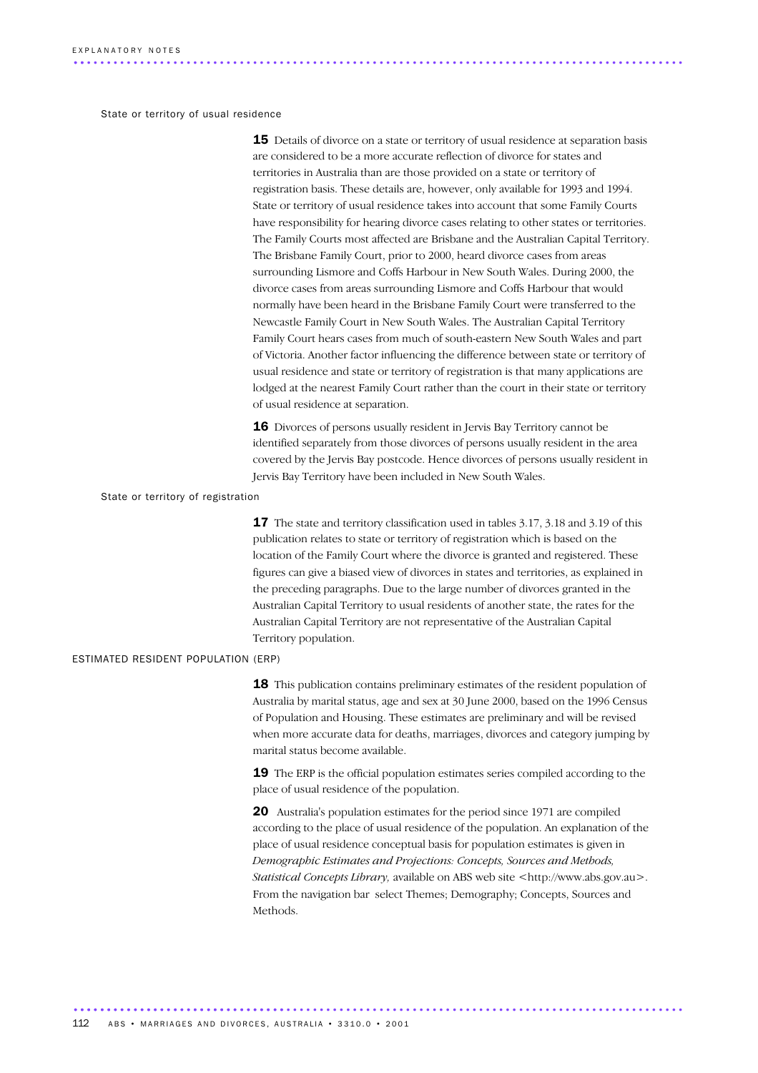State or territory of usual residence

**15** Details of divorce on a state or territory of usual residence at separation basis are considered to be a more accurate reflection of divorce for states and territories in Australia than are those provided on a state or territory of registration basis. These details are, however, only available for 1993 and 1994. State or territory of usual residence takes into account that some Family Courts have responsibility for hearing divorce cases relating to other states or territories. The Family Courts most affected are Brisbane and the Australian Capital Territory. The Brisbane Family Court, prior to 2000, heard divorce cases from areas surrounding Lismore and Coffs Harbour in New South Wales. During 2000, the divorce cases from areas surrounding Lismore and Coffs Harbour that would normally have been heard in the Brisbane Family Court were transferred to the Newcastle Family Court in New South Wales. The Australian Capital Territory Family Court hears cases from much of south-eastern New South Wales and part of Victoria. Another factor influencing the difference between state or territory of usual residence and state or territory of registration is that many applications are lodged at the nearest Family Court rather than the court in their state or territory of usual residence at separation.

16 Divorces of persons usually resident in Jervis Bay Territory cannot be identified separately from those divorces of persons usually resident in the area covered by the Jervis Bay postcode. Hence divorces of persons usually resident in Jervis Bay Territory have been included in New South Wales.

State or territory of registration

**17** The state and territory classification used in tables 3.17, 3.18 and 3.19 of this publication relates to state or territory of registration which is based on the location of the Family Court where the divorce is granted and registered. These figures can give a biased view of divorces in states and territories, as explained in the preceding paragraphs. Due to the large number of divorces granted in the Australian Capital Territory to usual residents of another state, the rates for the Australian Capital Territory are not representative of the Australian Capital Territory population.

#### ESTIMATED RESIDENT POPULATION (ERP)

18 This publication contains preliminary estimates of the resident population of Australia by marital status, age and sex at 30 June 2000, based on the 1996 Census of Population and Housing. These estimates are preliminary and will be revised when more accurate data for deaths, marriages, divorces and category jumping by marital status become available.

19 The ERP is the official population estimates series compiled according to the place of usual residence of the population.

20 Australia's population estimates for the period since 1971 are compiled according to the place of usual residence of the population. An explanation of the place of usual residence conceptual basis for population estimates is given in *Demographic Estimates and Projections: Concepts, Sources and Methods, Statistical Concepts Library,* available on ABS web site <http://www.abs.gov.au>. From the navigation bar select Themes; Demography; Concepts, Sources and **Methods**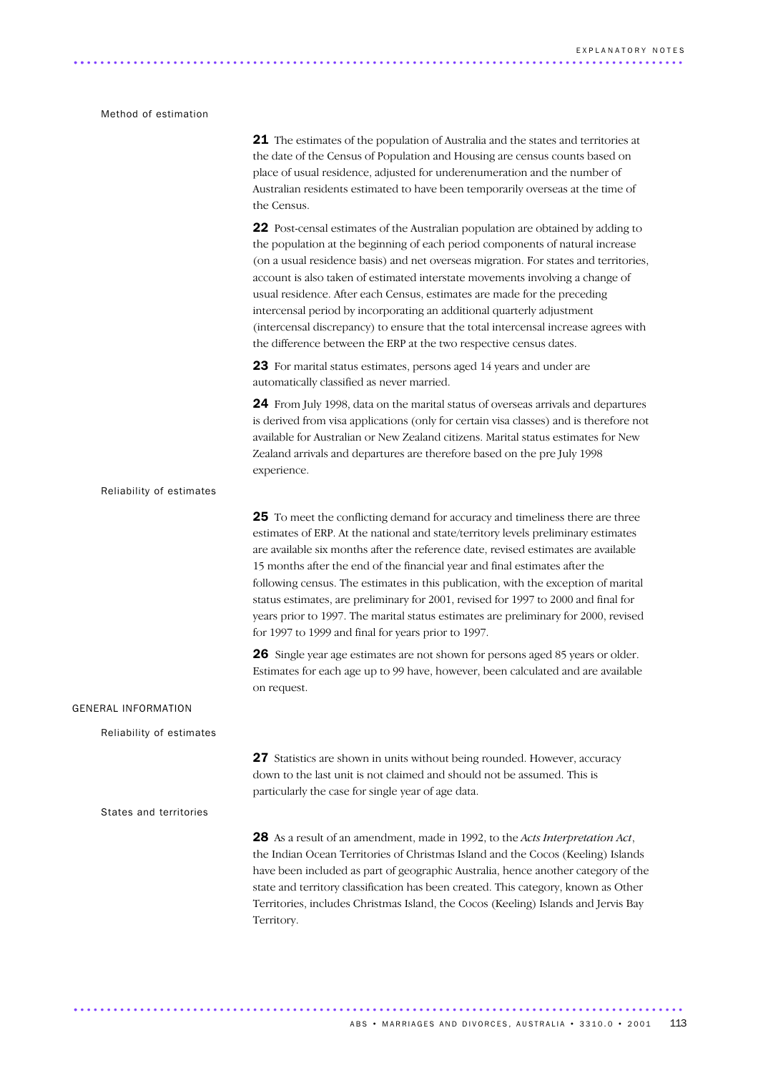#### Method of estimation

|                            | <b>21</b> The estimates of the population of Australia and the states and territories at<br>the date of the Census of Population and Housing are census counts based on<br>place of usual residence, adjusted for underenumeration and the number of<br>Australian residents estimated to have been temporarily overseas at the time of<br>the Census.                                                                                                                                                                                                                                                                                                             |
|----------------------------|--------------------------------------------------------------------------------------------------------------------------------------------------------------------------------------------------------------------------------------------------------------------------------------------------------------------------------------------------------------------------------------------------------------------------------------------------------------------------------------------------------------------------------------------------------------------------------------------------------------------------------------------------------------------|
|                            | 22 Post-censal estimates of the Australian population are obtained by adding to<br>the population at the beginning of each period components of natural increase<br>(on a usual residence basis) and net overseas migration. For states and territories,<br>account is also taken of estimated interstate movements involving a change of<br>usual residence. After each Census, estimates are made for the preceding<br>intercensal period by incorporating an additional quarterly adjustment<br>(intercensal discrepancy) to ensure that the total intercensal increase agrees with<br>the difference between the ERP at the two respective census dates.       |
|                            | 23 For marital status estimates, persons aged 14 years and under are<br>automatically classified as never married.                                                                                                                                                                                                                                                                                                                                                                                                                                                                                                                                                 |
|                            | 24 From July 1998, data on the marital status of overseas arrivals and departures<br>is derived from visa applications (only for certain visa classes) and is therefore not<br>available for Australian or New Zealand citizens. Marital status estimates for New<br>Zealand arrivals and departures are therefore based on the pre July 1998<br>experience.                                                                                                                                                                                                                                                                                                       |
| Reliability of estimates   |                                                                                                                                                                                                                                                                                                                                                                                                                                                                                                                                                                                                                                                                    |
|                            | 25 To meet the conflicting demand for accuracy and timeliness there are three<br>estimates of ERP. At the national and state/territory levels preliminary estimates<br>are available six months after the reference date, revised estimates are available<br>15 months after the end of the financial year and final estimates after the<br>following census. The estimates in this publication, with the exception of marital<br>status estimates, are preliminary for 2001, revised for 1997 to 2000 and final for<br>years prior to 1997. The marital status estimates are preliminary for 2000, revised<br>for 1997 to 1999 and final for years prior to 1997. |
|                            | 26 Single year age estimates are not shown for persons aged 85 years or older.<br>Estimates for each age up to 99 have, however, been calculated and are available<br>on request.                                                                                                                                                                                                                                                                                                                                                                                                                                                                                  |
| <b>GENERAL INFORMATION</b> |                                                                                                                                                                                                                                                                                                                                                                                                                                                                                                                                                                                                                                                                    |
| Reliability of estimates   |                                                                                                                                                                                                                                                                                                                                                                                                                                                                                                                                                                                                                                                                    |
|                            | 27 Statistics are shown in units without being rounded. However, accuracy<br>down to the last unit is not claimed and should not be assumed. This is<br>particularly the case for single year of age data.                                                                                                                                                                                                                                                                                                                                                                                                                                                         |
| States and territories     |                                                                                                                                                                                                                                                                                                                                                                                                                                                                                                                                                                                                                                                                    |
|                            | 28 As a result of an amendment, made in 1992, to the Acts Interpretation Act,<br>the Indian Ocean Territories of Christmas Island and the Cocos (Keeling) Islands<br>have been included as part of geographic Australia, hence another category of the<br>state and territory classification has been created. This category, known as Other<br>Territories, includes Christmas Island, the Cocos (Keeling) Islands and Jervis Bay<br>Territory.                                                                                                                                                                                                                   |
|                            |                                                                                                                                                                                                                                                                                                                                                                                                                                                                                                                                                                                                                                                                    |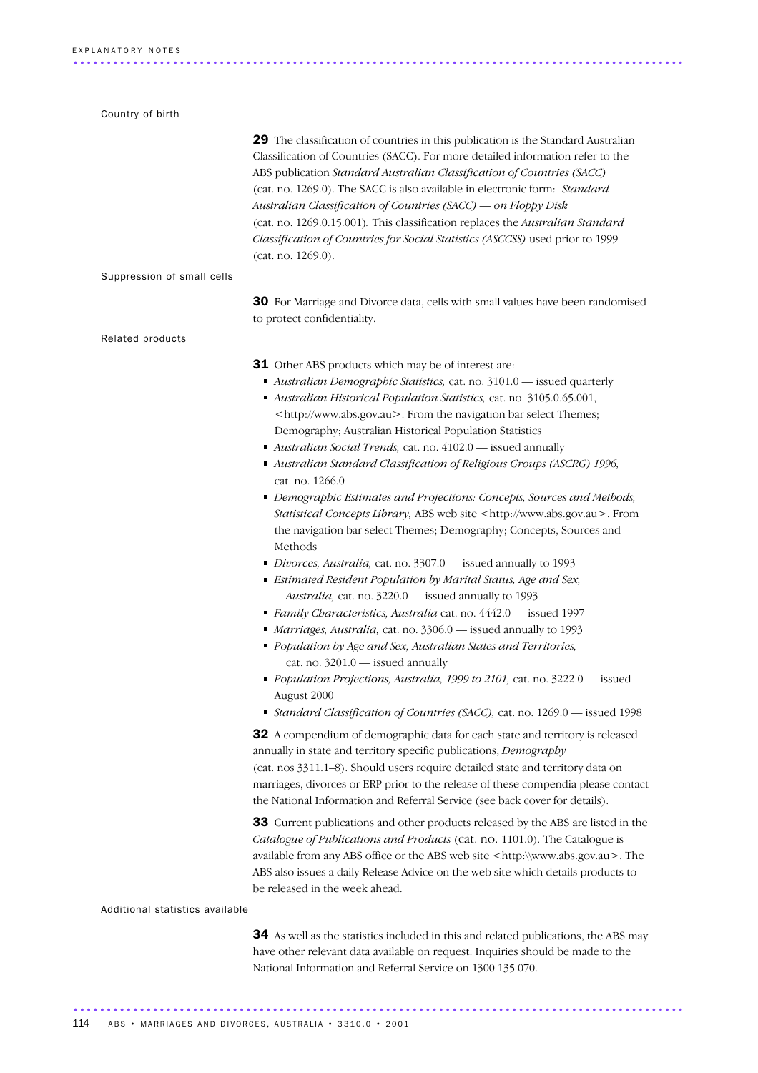| Country of birth                |                                                                                                                                                                                                                                                                                                                                                                                                                                                                                                                                                                                                                                                                                                                                                                                                                                                                                                                                                                                                                                                                                                                                                                                                                                                                                                                                                                                                                      |
|---------------------------------|----------------------------------------------------------------------------------------------------------------------------------------------------------------------------------------------------------------------------------------------------------------------------------------------------------------------------------------------------------------------------------------------------------------------------------------------------------------------------------------------------------------------------------------------------------------------------------------------------------------------------------------------------------------------------------------------------------------------------------------------------------------------------------------------------------------------------------------------------------------------------------------------------------------------------------------------------------------------------------------------------------------------------------------------------------------------------------------------------------------------------------------------------------------------------------------------------------------------------------------------------------------------------------------------------------------------------------------------------------------------------------------------------------------------|
|                                 | 29 The classification of countries in this publication is the Standard Australian<br>Classification of Countries (SACC). For more detailed information refer to the<br>ABS publication Standard Australian Classification of Countries (SACC)<br>(cat. no. 1269.0). The SACC is also available in electronic form: Standard<br>Australian Classification of Countries (SACC) — on Floppy Disk<br>(cat. no. 1269.0.15.001). This classification replaces the Australian Standard<br>Classification of Countries for Social Statistics (ASCCSS) used prior to 1999<br>(cat. no. 1269.0).                                                                                                                                                                                                                                                                                                                                                                                                                                                                                                                                                                                                                                                                                                                                                                                                                               |
| Suppression of small cells      |                                                                                                                                                                                                                                                                                                                                                                                                                                                                                                                                                                                                                                                                                                                                                                                                                                                                                                                                                                                                                                                                                                                                                                                                                                                                                                                                                                                                                      |
|                                 | 30 For Marriage and Divorce data, cells with small values have been randomised<br>to protect confidentiality.                                                                                                                                                                                                                                                                                                                                                                                                                                                                                                                                                                                                                                                                                                                                                                                                                                                                                                                                                                                                                                                                                                                                                                                                                                                                                                        |
| Related products                |                                                                                                                                                                                                                                                                                                                                                                                                                                                                                                                                                                                                                                                                                                                                                                                                                                                                                                                                                                                                                                                                                                                                                                                                                                                                                                                                                                                                                      |
|                                 | <b>31</b> Other ABS products which may be of interest are:<br>Australian Demographic Statistics, cat. no. 3101.0 - issued quarterly<br>Australian Historical Population Statistics, cat. no. 3105.0.65.001,<br><http: www.abs.gov.au="">. From the navigation bar select Themes;<br/>Demography; Australian Historical Population Statistics<br/>Australian Social Trends, cat. no. 4102.0 - issued annually<br/>Australian Standard Classification of Religious Groups (ASCRG) 1996,<br/>cat. no. 1266.0<br/>• Demographic Estimates and Projections: Concepts, Sources and Methods,<br/>Statistical Concepts Library, ABS web site <http: www.abs.gov.au="">. From<br/>the navigation bar select Themes; Demography; Concepts, Sources and<br/>Methods<br/>Divorces, Australia, cat. no. 3307.0 - issued annually to 1993<br/>Estimated Resident Population by Marital Status, Age and Sex,<br/>Australia, cat. no. 3220.0 - issued annually to 1993<br/>Family Characteristics, Australia cat. no. 4442.0 - issued 1997<br/>Marriages, Australia, cat. no. 3306.0 - issued annually to 1993<br/>• Population by Age and Sex, Australian States and Territories,<br/>cat. no. <math>3201.0</math> - issued annually<br/>• Population Projections, Australia, 1999 to 2101, cat. no. 3222.0 - issued<br/>August 2000<br/>Standard Classification of Countries (SACC), cat. no. 1269.0 - issued 1998</http:></http:> |
|                                 | 32 A compendium of demographic data for each state and territory is released<br>annually in state and territory specific publications, Demography<br>(cat. nos 3311.1-8). Should users require detailed state and territory data on<br>marriages, divorces or ERP prior to the release of these compendia please contact<br>the National Information and Referral Service (see back cover for details).                                                                                                                                                                                                                                                                                                                                                                                                                                                                                                                                                                                                                                                                                                                                                                                                                                                                                                                                                                                                              |
|                                 | 33 Current publications and other products released by the ABS are listed in the<br>Catalogue of Publications and Products (cat. no. 1101.0). The Catalogue is<br>available from any ABS office or the ABS web site <http:\\www.abs.gov.au>. The<br/>ABS also issues a daily Release Advice on the web site which details products to<br/>be released in the week ahead.</http:\\www.abs.gov.au>                                                                                                                                                                                                                                                                                                                                                                                                                                                                                                                                                                                                                                                                                                                                                                                                                                                                                                                                                                                                                     |
| Additional statistics available |                                                                                                                                                                                                                                                                                                                                                                                                                                                                                                                                                                                                                                                                                                                                                                                                                                                                                                                                                                                                                                                                                                                                                                                                                                                                                                                                                                                                                      |
|                                 | 34 As well as the statistics included in this and related publications, the ABS may<br>have other relevant data available on request. Inquiries should be made to the<br>National Information and Referral Service on 1300 135 070.                                                                                                                                                                                                                                                                                                                                                                                                                                                                                                                                                                                                                                                                                                                                                                                                                                                                                                                                                                                                                                                                                                                                                                                  |

............................................................................................ ................................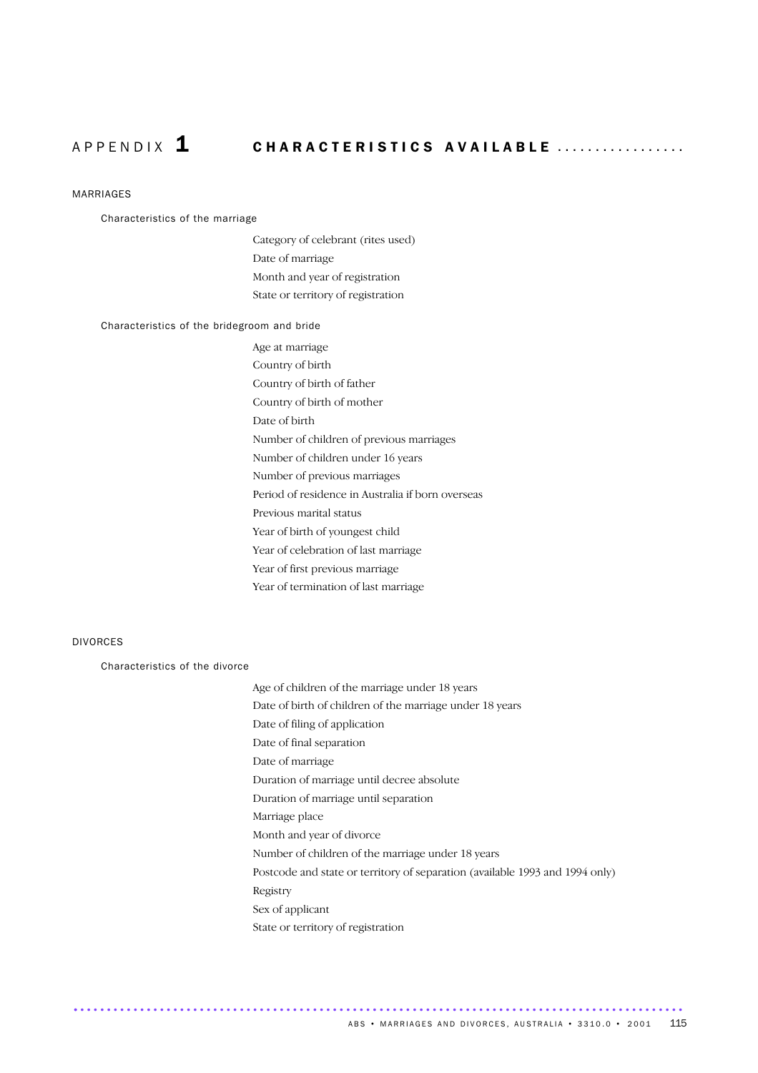# A P P E N D I X 1 CHARACTERISTICS AVAILABLE .................

#### MARRIAGES

#### Characteristics of the marriage

Category of celebrant (rites used) Date of marriage Month and year of registration State or territory of registration

#### Characteristics of the bridegroom and bride

Age at marriage Country of birth Country of birth of father Country of birth of mother Date of birth Number of children of previous marriages Number of children under 16 years Number of previous marriages Period of residence in Australia if born overseas Previous marital status Year of birth of youngest child Year of celebration of last marriage Year of first previous marriage Year of termination of last marriage

### DIVORCES

Characteristics of the divorce

| Age of children of the marriage under 18 years                               |
|------------------------------------------------------------------------------|
| Date of birth of children of the marriage under 18 years                     |
| Date of filing of application                                                |
| Date of final separation                                                     |
| Date of marriage                                                             |
| Duration of marriage until decree absolute                                   |
| Duration of marriage until separation                                        |
| Marriage place                                                               |
| Month and year of divorce                                                    |
| Number of children of the marriage under 18 years                            |
| Postcode and state or territory of separation (available 1993 and 1994 only) |
| Registry                                                                     |
| Sex of applicant                                                             |
| State or territory of registration                                           |
|                                                                              |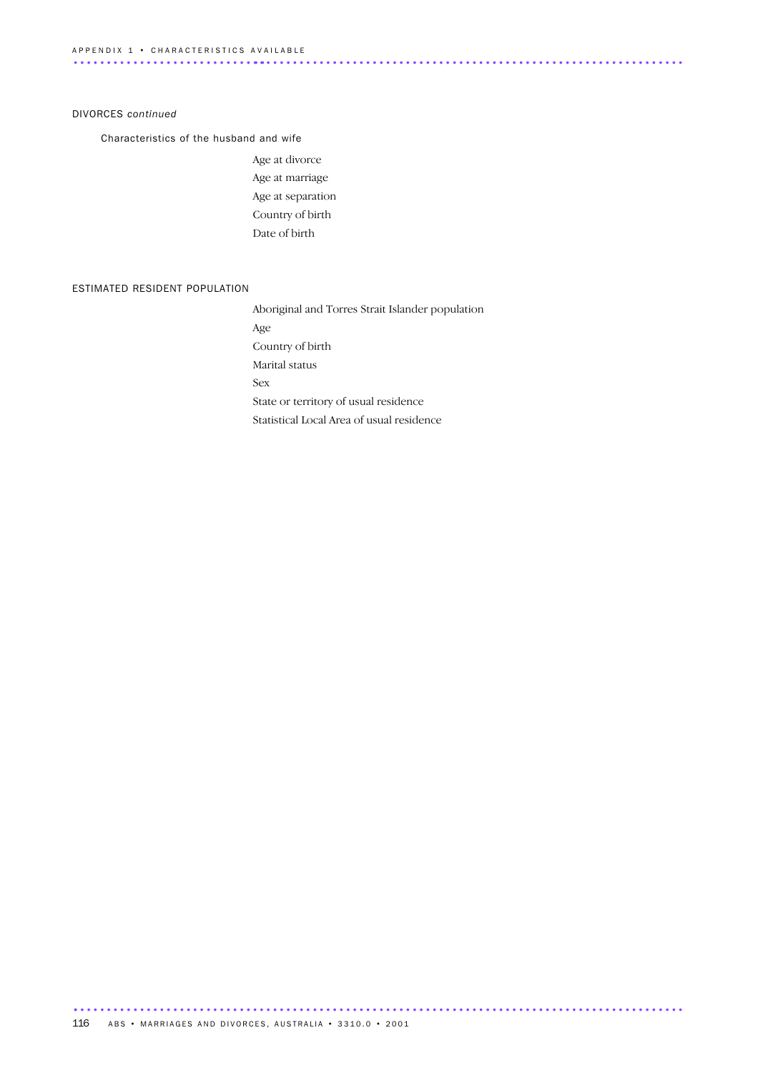#### DIVORCES *continued*

Characteristics of the husband and wife

Age at divorce Age at marriage Age at separation Country of birth Date of birth

#### ESTIMATED RESIDENT POPULATION

Aboriginal and Torres Strait Islander population Age Country of birth Marital status Sex State or territory of usual residence Statistical Local Area of usual residence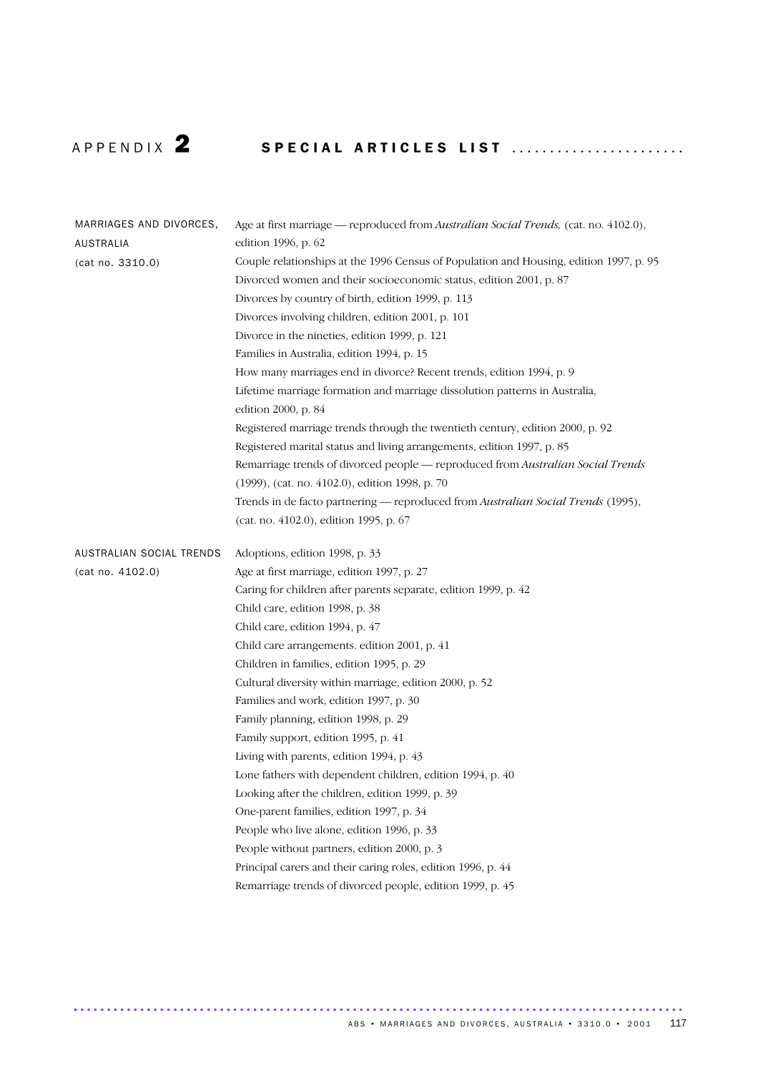# A P P E N D IX 2 SPECIAL ARTICLES LIST .......................

| MARRIAGES AND DIVORCES,  | Age at first marriage — reproduced from Australian Social Trends, (cat. no. 4102.0),               |
|--------------------------|----------------------------------------------------------------------------------------------------|
| AUSTRALIA                | edition 1996, p. 62                                                                                |
| (cat no. 3310.0)         | Couple relationships at the 1996 Census of Population and Housing, edition 1997, p. 95             |
|                          | Divorced women and their socioeconomic status, edition 2001, p. 87                                 |
|                          | Divorces by country of birth, edition 1999, p. 113                                                 |
|                          | Divorces involving children, edition 2001, p. 101                                                  |
|                          | Divorce in the nineties, edition 1999, p. 121                                                      |
|                          | Families in Australia, edition 1994, p. 15                                                         |
|                          | How many marriages end in divorce? Recent trends, edition 1994, p. 9                               |
|                          | Lifetime marriage formation and marriage dissolution patterns in Australia,<br>edition 2000, p. 84 |
|                          | Registered marriage trends through the twentieth century, edition 2000, p. 92                      |
|                          | Registered marital status and living arrangements, edition 1997, p. 85                             |
|                          | Remarriage trends of divorced people - reproduced from Australian Social Trends                    |
|                          | (1999), (cat. no. 4102.0), edition 1998, p. 70                                                     |
|                          | Trends in de facto partnering - reproduced from Australian Social Trends (1995),                   |
|                          | (cat. no. 4102.0), edition 1995, p. 67                                                             |
| AUSTRALIAN SOCIAL TRENDS | Adoptions, edition 1998, p. 33                                                                     |
| (cat no. 4102.0)         | Age at first marriage, edition 1997, p. 27                                                         |
|                          | Caring for children after parents separate, edition 1999, p. 42                                    |
|                          | Child care, edition 1998, p. 38                                                                    |
|                          | Child care, edition 1994, p. 47                                                                    |
|                          | Child care arrangements. edition 2001, p. 41                                                       |
|                          | Children in families, edition 1995, p. 29                                                          |
|                          | Cultural diversity within marriage, edition 2000, p. 52                                            |
|                          | Families and work, edition 1997, p. 30                                                             |
|                          | Family planning, edition 1998, p. 29                                                               |
|                          | Family support, edition 1995, p. 41                                                                |
|                          | Living with parents, edition 1994, p. 43                                                           |
|                          | Lone fathers with dependent children, edition 1994, p. 40                                          |
|                          | Looking after the children, edition 1999, p. 39                                                    |
|                          | One-parent families, edition 1997, p. 34                                                           |
|                          | People who live alone, edition 1996, p. 33                                                         |
|                          | People without partners, edition 2000, p. 3                                                        |
|                          | Principal carers and their caring roles, edition 1996, p. 44                                       |
|                          | Remarriage trends of divorced people, edition 1999, p. 45                                          |
|                          |                                                                                                    |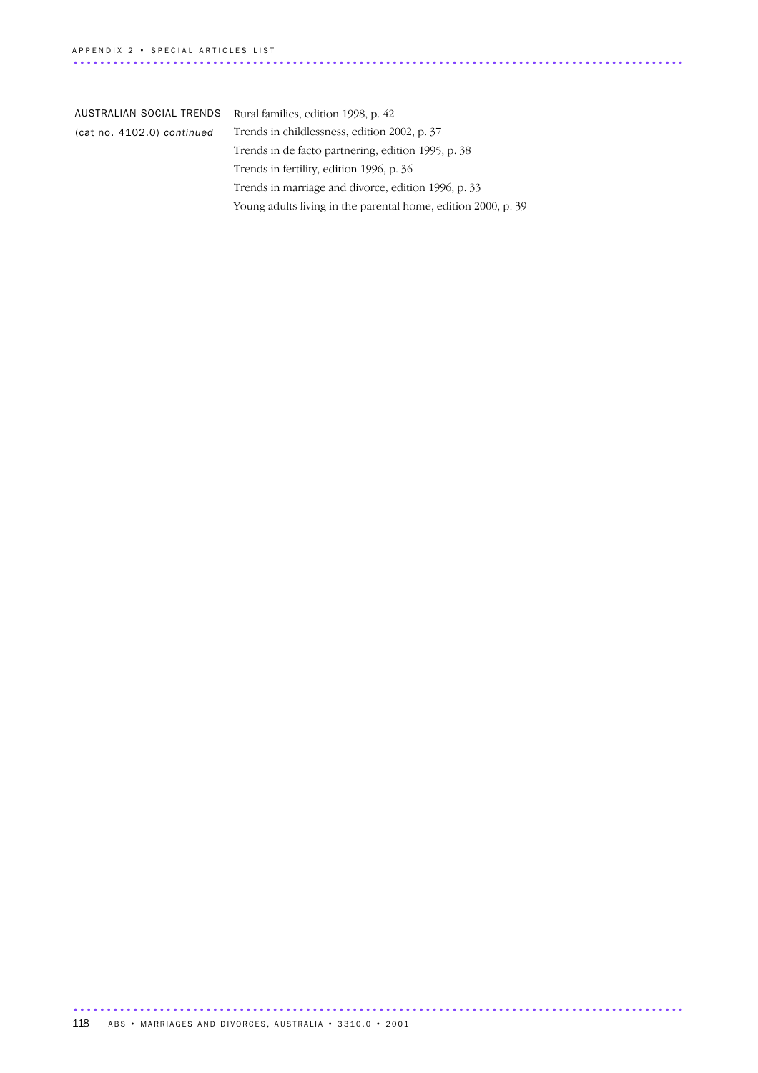| AUSTRALIAN SOCIAL TRENDS   | Rural families, edition 1998, p. 42                           |
|----------------------------|---------------------------------------------------------------|
| (cat no. 4102.0) continued | Trends in childlessness, edition 2002, p. 37                  |
|                            | Trends in de facto partnering, edition 1995, p. 38            |
|                            | Trends in fertility, edition 1996, p. 36                      |
|                            | Trends in marriage and divorce, edition 1996, p. 33           |
|                            | Young adults living in the parental home, edition 2000, p. 39 |
|                            |                                                               |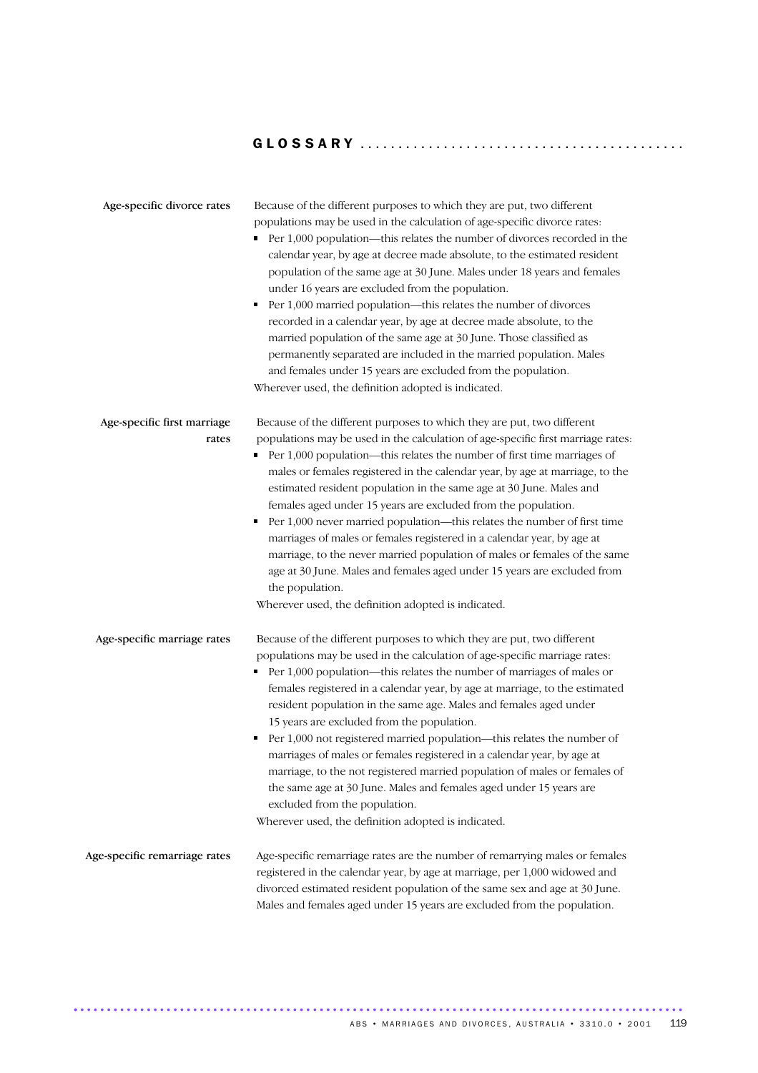# G L O S S A R Y ...........................................

| Age-specific divorce rates           | Because of the different purposes to which they are put, two different<br>populations may be used in the calculation of age-specific divorce rates:<br>• Per 1,000 population—this relates the number of divorces recorded in the<br>calendar year, by age at decree made absolute, to the estimated resident<br>population of the same age at 30 June. Males under 18 years and females<br>under 16 years are excluded from the population.<br>• Per 1,000 married population—this relates the number of divorces<br>recorded in a calendar year, by age at decree made absolute, to the<br>married population of the same age at 30 June. Those classified as<br>permanently separated are included in the married population. Males<br>and females under 15 years are excluded from the population.<br>Wherever used, the definition adopted is indicated.             |
|--------------------------------------|---------------------------------------------------------------------------------------------------------------------------------------------------------------------------------------------------------------------------------------------------------------------------------------------------------------------------------------------------------------------------------------------------------------------------------------------------------------------------------------------------------------------------------------------------------------------------------------------------------------------------------------------------------------------------------------------------------------------------------------------------------------------------------------------------------------------------------------------------------------------------|
| Age-specific first marriage<br>rates | Because of the different purposes to which they are put, two different<br>populations may be used in the calculation of age-specific first marriage rates:<br>$\blacksquare$ Per 1,000 population—this relates the number of first time marriages of<br>males or females registered in the calendar year, by age at marriage, to the<br>estimated resident population in the same age at 30 June. Males and<br>females aged under 15 years are excluded from the population.<br>Per 1,000 never married population—this relates the number of first time<br>٠<br>marriages of males or females registered in a calendar year, by age at<br>marriage, to the never married population of males or females of the same<br>age at 30 June. Males and females aged under 15 years are excluded from<br>the population.<br>Wherever used, the definition adopted is indicated. |
| Age-specific marriage rates          | Because of the different purposes to which they are put, two different<br>populations may be used in the calculation of age-specific marriage rates:<br>• Per 1,000 population—this relates the number of marriages of males or<br>females registered in a calendar year, by age at marriage, to the estimated<br>resident population in the same age. Males and females aged under<br>15 years are excluded from the population.<br>Per 1,000 not registered married population—this relates the number of<br>marriages of males or females registered in a calendar year, by age at<br>marriage, to the not registered married population of males or females of<br>the same age at 30 June. Males and females aged under 15 years are<br>excluded from the population.<br>Wherever used, the definition adopted is indicated.                                          |
| Age-specific remarriage rates        | Age-specific remarriage rates are the number of remarrying males or females<br>registered in the calendar year, by age at marriage, per 1,000 widowed and<br>divorced estimated resident population of the same sex and age at 30 June.<br>Males and females aged under 15 years are excluded from the population.                                                                                                                                                                                                                                                                                                                                                                                                                                                                                                                                                        |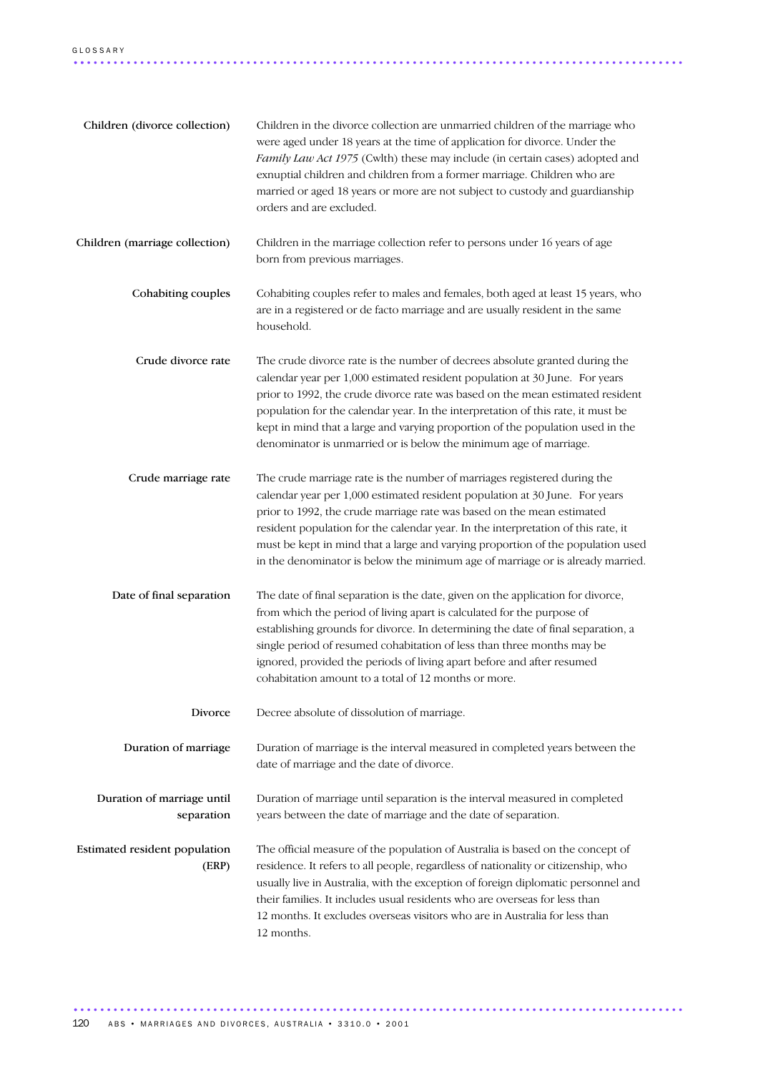| Children (divorce collection)            | Children in the divorce collection are unmarried children of the marriage who<br>were aged under 18 years at the time of application for divorce. Under the<br>Family Law Act 1975 (Cwlth) these may include (in certain cases) adopted and<br>exnuptial children and children from a former marriage. Children who are<br>married or aged 18 years or more are not subject to custody and guardianship<br>orders and are excluded.                                                         |
|------------------------------------------|---------------------------------------------------------------------------------------------------------------------------------------------------------------------------------------------------------------------------------------------------------------------------------------------------------------------------------------------------------------------------------------------------------------------------------------------------------------------------------------------|
| Children (marriage collection)           | Children in the marriage collection refer to persons under 16 years of age<br>born from previous marriages.                                                                                                                                                                                                                                                                                                                                                                                 |
| Cohabiting couples                       | Cohabiting couples refer to males and females, both aged at least 15 years, who<br>are in a registered or de facto marriage and are usually resident in the same<br>household.                                                                                                                                                                                                                                                                                                              |
| Crude divorce rate                       | The crude divorce rate is the number of decrees absolute granted during the<br>calendar year per 1,000 estimated resident population at 30 June. For years<br>prior to 1992, the crude divorce rate was based on the mean estimated resident<br>population for the calendar year. In the interpretation of this rate, it must be<br>kept in mind that a large and varying proportion of the population used in the<br>denominator is unmarried or is below the minimum age of marriage.     |
| Crude marriage rate                      | The crude marriage rate is the number of marriages registered during the<br>calendar year per 1,000 estimated resident population at 30 June. For years<br>prior to 1992, the crude marriage rate was based on the mean estimated<br>resident population for the calendar year. In the interpretation of this rate, it<br>must be kept in mind that a large and varying proportion of the population used<br>in the denominator is below the minimum age of marriage or is already married. |
| Date of final separation                 | The date of final separation is the date, given on the application for divorce,<br>from which the period of living apart is calculated for the purpose of<br>establishing grounds for divorce. In determining the date of final separation, a<br>single period of resumed cohabitation of less than three months may be<br>ignored, provided the periods of living apart before and after resumed<br>cohabitation amount to a total of 12 months or more.                                   |
| Divorce                                  | Decree absolute of dissolution of marriage.                                                                                                                                                                                                                                                                                                                                                                                                                                                 |
| Duration of marriage                     | Duration of marriage is the interval measured in completed years between the<br>date of marriage and the date of divorce.                                                                                                                                                                                                                                                                                                                                                                   |
| Duration of marriage until<br>separation | Duration of marriage until separation is the interval measured in completed<br>years between the date of marriage and the date of separation.                                                                                                                                                                                                                                                                                                                                               |
| Estimated resident population<br>(ERP)   | The official measure of the population of Australia is based on the concept of<br>residence. It refers to all people, regardless of nationality or citizenship, who<br>usually live in Australia, with the exception of foreign diplomatic personnel and<br>their families. It includes usual residents who are overseas for less than<br>12 months. It excludes overseas visitors who are in Australia for less than<br>12 months.                                                         |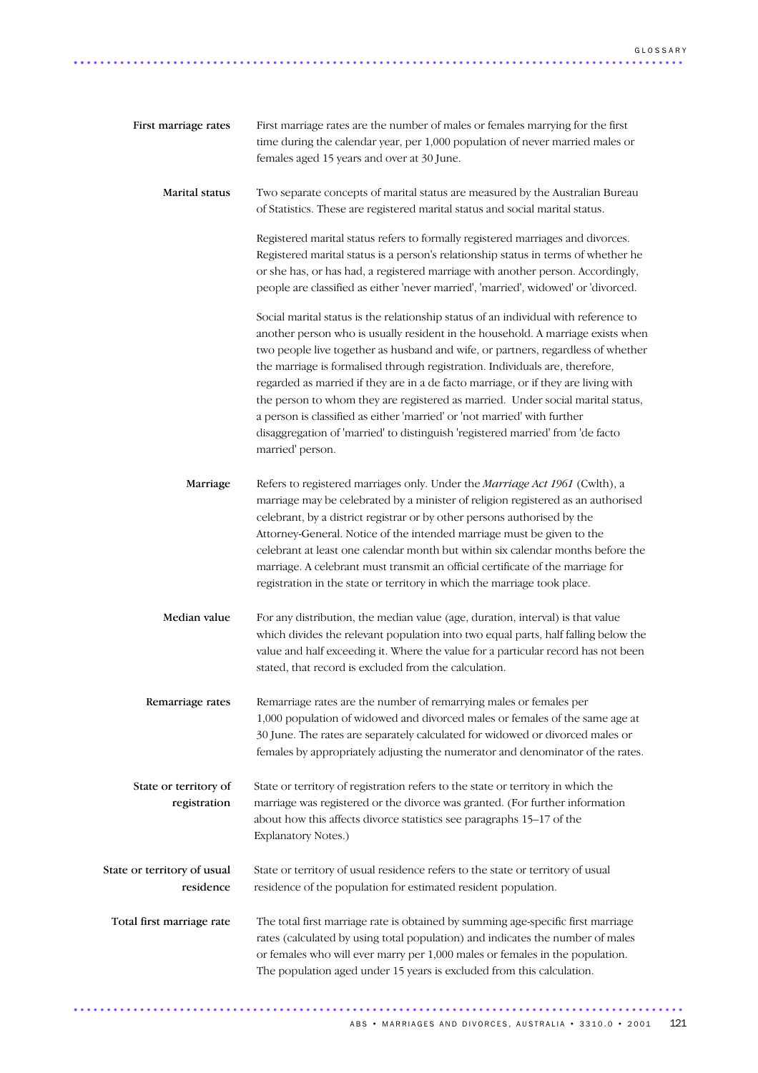| First marriage rates                     | First marriage rates are the number of males or females marrying for the first<br>time during the calendar year, per 1,000 population of never married males or<br>females aged 15 years and over at 30 June.                                                                                                                                                                                                                                                                                                                                                                                                                                                                                         |
|------------------------------------------|-------------------------------------------------------------------------------------------------------------------------------------------------------------------------------------------------------------------------------------------------------------------------------------------------------------------------------------------------------------------------------------------------------------------------------------------------------------------------------------------------------------------------------------------------------------------------------------------------------------------------------------------------------------------------------------------------------|
| Marital status                           | Two separate concepts of marital status are measured by the Australian Bureau<br>of Statistics. These are registered marital status and social marital status.                                                                                                                                                                                                                                                                                                                                                                                                                                                                                                                                        |
|                                          | Registered marital status refers to formally registered marriages and divorces.<br>Registered marital status is a person's relationship status in terms of whether he<br>or she has, or has had, a registered marriage with another person. Accordingly,<br>people are classified as either 'never married', 'married', widowed' or 'divorced.                                                                                                                                                                                                                                                                                                                                                        |
|                                          | Social marital status is the relationship status of an individual with reference to<br>another person who is usually resident in the household. A marriage exists when<br>two people live together as husband and wife, or partners, regardless of whether<br>the marriage is formalised through registration. Individuals are, therefore,<br>regarded as married if they are in a de facto marriage, or if they are living with<br>the person to whom they are registered as married. Under social marital status,<br>a person is classified as either 'married' or 'not married' with further<br>disaggregation of 'married' to distinguish 'registered married' from 'de facto<br>married' person. |
| Marriage                                 | Refers to registered marriages only. Under the Marriage Act 1961 (Cwlth), a<br>marriage may be celebrated by a minister of religion registered as an authorised<br>celebrant, by a district registrar or by other persons authorised by the<br>Attorney-General. Notice of the intended marriage must be given to the<br>celebrant at least one calendar month but within six calendar months before the<br>marriage. A celebrant must transmit an official certificate of the marriage for<br>registration in the state or territory in which the marriage took place.                                                                                                                               |
| Median value                             | For any distribution, the median value (age, duration, interval) is that value<br>which divides the relevant population into two equal parts, half falling below the<br>value and half exceeding it. Where the value for a particular record has not been<br>stated, that record is excluded from the calculation.                                                                                                                                                                                                                                                                                                                                                                                    |
| Remarriage rates                         | Remarriage rates are the number of remarrying males or females per<br>1,000 population of widowed and divorced males or females of the same age at<br>30 June. The rates are separately calculated for widowed or divorced males or<br>females by appropriately adjusting the numerator and denominator of the rates.                                                                                                                                                                                                                                                                                                                                                                                 |
| State or territory of<br>registration    | State or territory of registration refers to the state or territory in which the<br>marriage was registered or the divorce was granted. (For further information<br>about how this affects divorce statistics see paragraphs 15-17 of the<br>Explanatory Notes.)                                                                                                                                                                                                                                                                                                                                                                                                                                      |
| State or territory of usual<br>residence | State or territory of usual residence refers to the state or territory of usual<br>residence of the population for estimated resident population.                                                                                                                                                                                                                                                                                                                                                                                                                                                                                                                                                     |
| Total first marriage rate                | The total first marriage rate is obtained by summing age-specific first marriage<br>rates (calculated by using total population) and indicates the number of males<br>or females who will ever marry per 1,000 males or females in the population.<br>The population aged under 15 years is excluded from this calculation.                                                                                                                                                                                                                                                                                                                                                                           |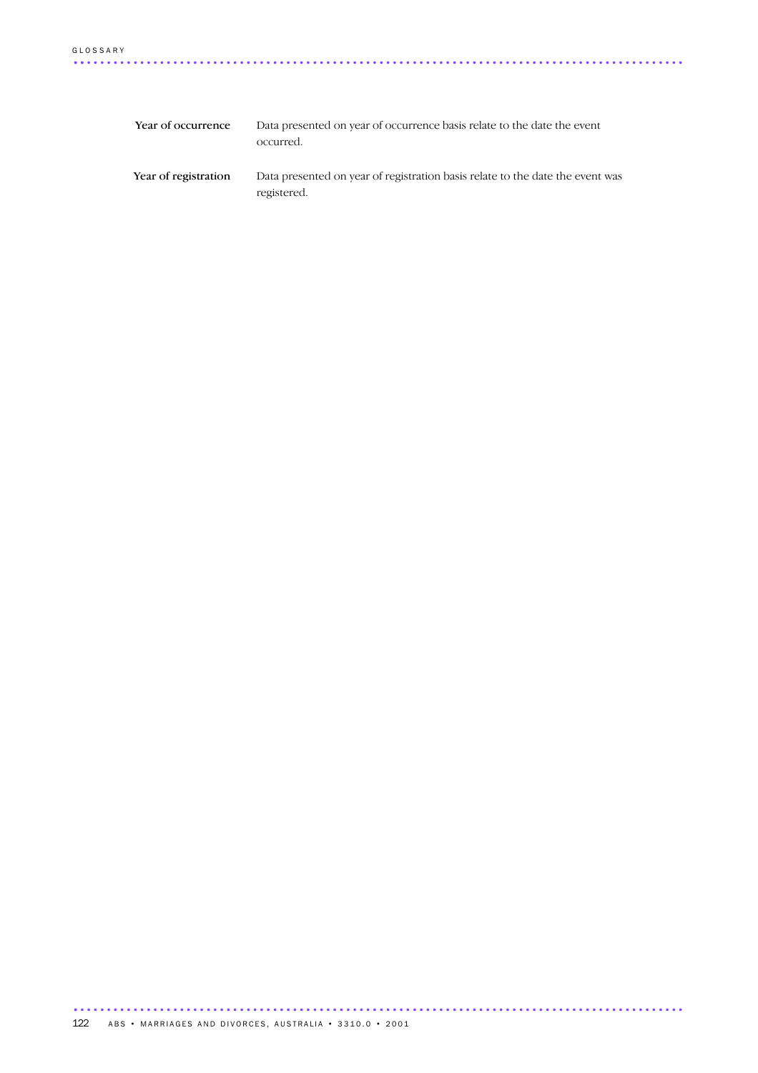| Year of occurrence   | Data presented on year of occurrence basis relate to the date the event<br>occurred.         |
|----------------------|----------------------------------------------------------------------------------------------|
| Year of registration | Data presented on year of registration basis relate to the date the event was<br>registered. |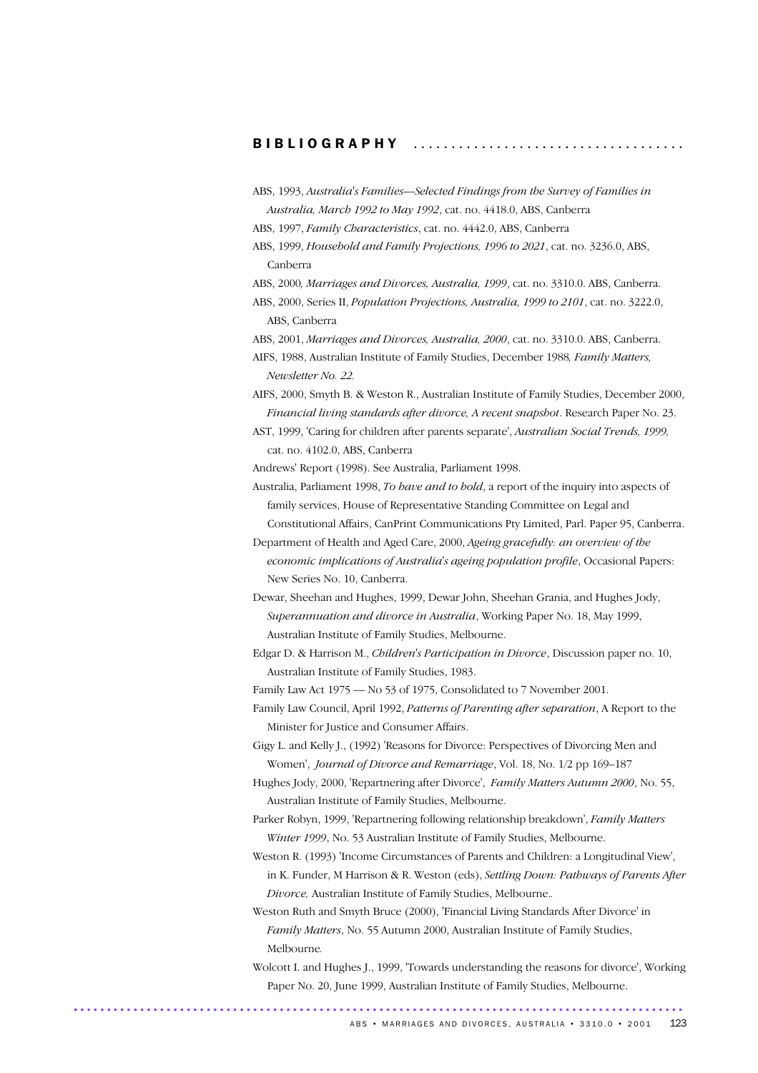#### B I B L I O G R A P H Y ....................................

- ABS, 1993, *Australia's Families—Selected Findings from the Survey of Families in Australia, March 1992 to May 1992*, cat. no. 4418.0, ABS, Canberra
- ABS, 1997, *Family Characteristics*, cat. no. 4442.0, ABS, Canberra
- ABS, 1999, *Household and Family Projections, 1996 to 2021*, cat. no. 3236.0, ABS, Canberra
- ABS, 2000*, Marriages and Divorces, Australia, 1999*, cat. no. 3310.0. ABS, Canberra.
- ABS, 2000, Series II, *Population Projections, Australia, 1999 to 2101*, cat. no. 3222.0, ABS, Canberra
- ABS, 2001, *Marriages and Divorces, Australia, 2000*, cat. no. 3310.0. ABS, Canberra.
- AIFS, 1988, Australian Institute of Family Studies, December 1988*, Family Matters, Newsletter No. 22.*
- AIFS, 2000, Smyth B. & Weston R., Australian Institute of Family Studies, December 2000, *Financial living standards after divorce, A recent snapshot*. Research Paper No. 23.
- AST, 1999, 'Caring for children after parents separate', *Australian Social Trends, 1999,*  cat. no. 4102.0, ABS, Canberra
- Andrews' Report (1998). See Australia, Parliament 1998.
- Australia, Parliament 1998, *To have and to hold*, a report of the inquiry into aspects of family services, House of Representative Standing Committee on Legal and Constitutional Affairs, CanPrint Communications Pty Limited, Parl. Paper 95, Canberra.
- Department of Health and Aged Care, 2000, *Ageing gracefully: an overview of the economic implications of Australia's ageing population profile*, Occasional Papers: New Series No. 10, Canberra.
- Dewar, Sheehan and Hughes, 1999, Dewar John, Sheehan Grania, and Hughes Jody, *Superannuation and divorce in Australia*, Working Paper No. 18, May 1999, Australian Institute of Family Studies, Melbourne.
- Edgar D. & Harrison M., *Children's Participation in Divorce*, Discussion paper no. 10, Australian Institute of Family Studies, 1983.
- Family Law Act 1975 No 53 of 1975, Consolidated to 7 November 2001.
- Family Law Council, April 1992, *Patterns of Parenting after separation*, A Report to the Minister for Justice and Consumer Affairs.
- Gigy L. and Kelly J., (1992) 'Reasons for Divorce: Perspectives of Divorcing Men and Women', *Journal of Divorce and Remarriage*, Vol. 18, No. 1/2 pp 169–187
- Hughes Jody, 2000, 'Repartnering after Divorce', *Family Matters Autumn 2000*, No. 55, Australian Institute of Family Studies, Melbourne.
- Parker Robyn, 1999, 'Repartnering following relationship breakdown', *Family Matters Winter 1999*, No. 53 Australian Institute of Family Studies, Melbourne.
- Weston R. (1993) 'Income Circumstances of Parents and Children: a Longitudinal View', in K. Funder, M Harrison & R. Weston (eds), *Settling Down: Pathways of Parents After Divorce,* Australian Institute of Family Studies, Melbourne.*.*
- Weston Ruth and Smyth Bruce (2000), 'Financial Living Standards After Divorce' in *Family Matters*, No. 55 Autumn 2000, Australian Institute of Family Studies, Melbourne*.*
- Wolcott I. and Hughes J., 1999, 'Towards understanding the reasons for divorce', Working Paper No. 20, June 1999, Australian Institute of Family Studies, Melbourne. ............................................................................................ .